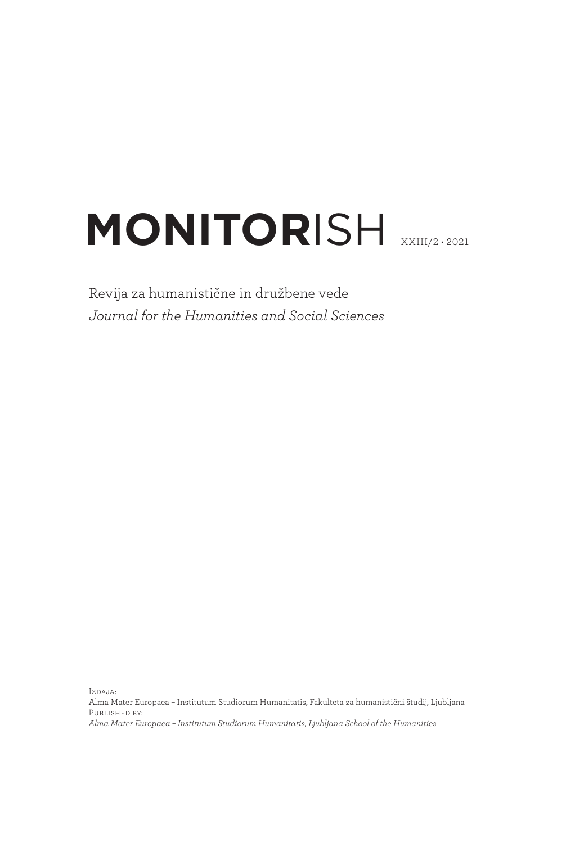# **MONITORISH XXIII/2 • 2021**

Revija za humanistične in družbene vede *Journal for the Humanities and Social Sciences*

Izdaja:

Alma Mater Europaea – Institutum Studiorum Humanitatis, Fakulteta za humanistični študij, Ljubljana Published by: *Alma Mater Europaea – Institutum Studiorum Humanitatis, Ljubljana School of the Humanities*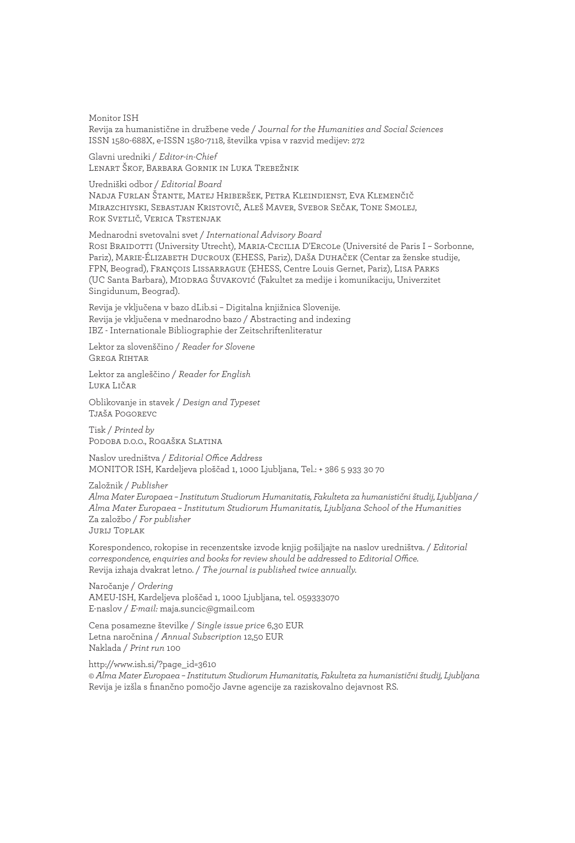Monitor ISH Revija za humanistične in družbene vede / Jo*urnal for the Humanities and Social Sciences* ISSN 1580-688X, e-ISSN 1580-7118, številka vpisa v razvid medijev: 272

Glavni uredniki / *Editor-in-Chief* Lenart Škof, Barbara Gornik in Luka Trebežnik

Uredniški odbor / *Editorial Board* Nadja Furlan Štante, Matej Hriberšek, Petra Kleindienst, Eva Klemenčič Mirazchiyski, Sebastjan Kristovič, Aleš Maver, Svebor Sečak, Tone Smolej, Rok Svetlič, Verica Trstenjak

Mednarodni svetovalni svet / *International Advisory Board* Rosi Braidotti (University Utrecht), Maria-Cecilia D'Ercole (Université de Paris I – Sorbonne, Pariz), Marie-Élizabeth Ducroux (EHESS, Pariz), Daša Duhaček (Centar za ženske studije, FPN, Beograd), François Lissarrague (EHESS, Centre Louis Gernet, Pariz), Lisa Parks (UC Santa Barbara), Miodrag Šuvaković (Fakultet za medije i komunikaciju, Univerzitet Singidunum, Beograd).

Revija je vključena v bazo dLib.si – Digitalna knjižnica Slovenije. Revija je vključena v mednarodno bazo / Abstracting and indexing IBZ - Internationale Bibliographie der Zeitschriftenliteratur

Lektor za slovenščino / *Reader for Slovene* Grega Rihtar

Lektor za angleščino / *Reader for English* Luka Ličar

Oblikovanje in stavek / *Design and Typeset* Tjaša Pogorevc

Tisk / *Printed by* Podoba d.o.o., Rogaška Slatina

Naslov uredništva / *Editorial Office Address* MONITOR ISH, Kardeljeva ploščad 1, 1000 Ljubljana, Tel.: + 386 5 933 30 70

Založnik / *Publisher*

*Alma Mater Europaea – Institutum Studiorum Humanitatis, Fakulteta za humanistični študij, Ljubljana / Alma Mater Europaea – Institutum Studiorum Humanitatis, Ljubljana School of the Humanities* Za založbo / *For publisher* Jurij Toplak

Korespondenco, rokopise in recenzentske izvode knjig pošiljajte na naslov uredništva. / *Editorial correspondence, enquiries and books for review should be addressed to Editorial Office.* Revija izhaja dvakrat letno. / *The journal is published twice annually.*

Naročanje / *Ordering* AMEU-ISH, Kardeljeva ploščad 1, 1000 Ljubljana, tel. 059333070 E-naslov / *E-mail:* maja.suncic@gmail.com

Cena posamezne številke / S*ingle issue price* 6,30 EUR Letna naročnina / *Annual Subscription* 12,50 EUR Naklada / *Print run* 100

http://www.ish.si/?page\_id=3610 *© Alma Mater Europaea – Institutum Studiorum Humanitatis, Fakulteta za humanistični študij, Ljubljana* Revija je izšla s finančno pomočjo Javne agencije za raziskovalno dejavnost RS.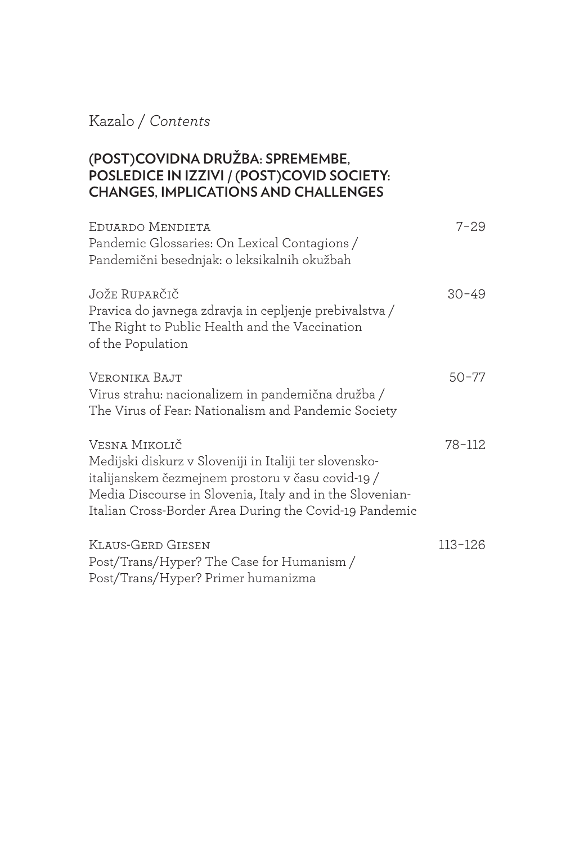Kazalo / *Contents*

#### **(POST)COVIDNA DRUŽBA: SPREMEMBE, POSLEDICE IN IZZIVI / (POST)COVID SOCIETY: CHANGES, IMPLICATIONS AND CHALLENGES**

| EDUARDO MENDIETA<br>Pandemic Glossaries: On Lexical Contagions /<br>Pandemični besednjak: o leksikalnih okužbah                                                                                                                                    | $7 - 29$  |
|----------------------------------------------------------------------------------------------------------------------------------------------------------------------------------------------------------------------------------------------------|-----------|
| Jože Ruparčič<br>Pravica do javnega zdravja in cepljenje prebivalstva /<br>The Right to Public Health and the Vaccination<br>of the Population                                                                                                     | $30 - 49$ |
| VERONIKA BAJT<br>Virus strahu: nacionalizem in pandemična družba /<br>The Virus of Fear: Nationalism and Pandemic Society                                                                                                                          | $50 - 77$ |
| Vesna Mikolič<br>Medijski diskurz v Sloveniji in Italiji ter slovensko-<br>italijanskem čezmejnem prostoru v času covid-19 /<br>Media Discourse in Slovenia, Italy and in the Slovenian-<br>Italian Cross-Border Area During the Covid-19 Pandemic | 78-112    |
| KLAUS-GERD GIESEN<br>Post/Trans/Hyper? The Case for Humanism /<br>Post/Trans/Hyper? Primer humanizma                                                                                                                                               | 113-126   |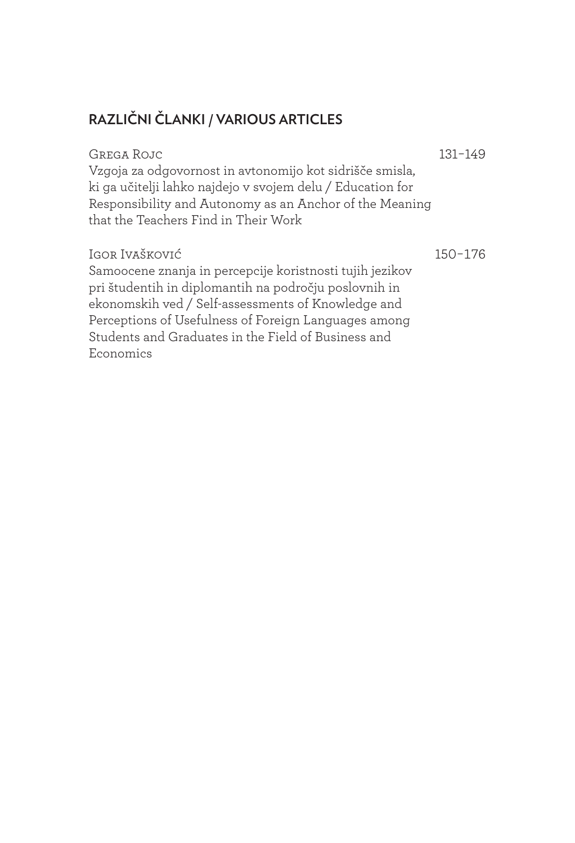#### **RAZLIČNI ČLANKI / VARIOUS ARTICLES**

#### GREGA ROJC 131-149

Vzgoja za odgovornost in avtonomijo kot sidrišče smisla, ki ga učitelji lahko najdejo v svojem delu / Education for Responsibility and Autonomy as an Anchor of the Meaning that the Teachers Find in Their Work

#### Igor Ivašković 150-176

Samoocene znanja in percepcije koristnosti tujih jezikov pri študentih in diplomantih na področju poslovnih in ekonomskih ved / Self-assessments of Knowledge and Perceptions of Usefulness of Foreign Languages among Students and Graduates in the Field of Business and Economics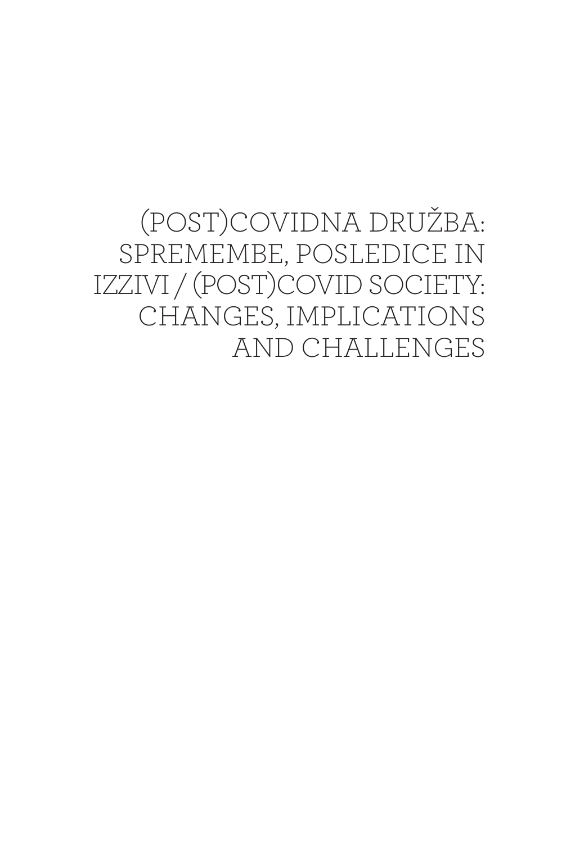(POST)COVIDNA DRUŽBA: SPREMEMBE, POSLEDICE IN IZZIVI / (POST)COVID SOCIETY: CHANGES, IMPLICATIONS AND CHALLENGES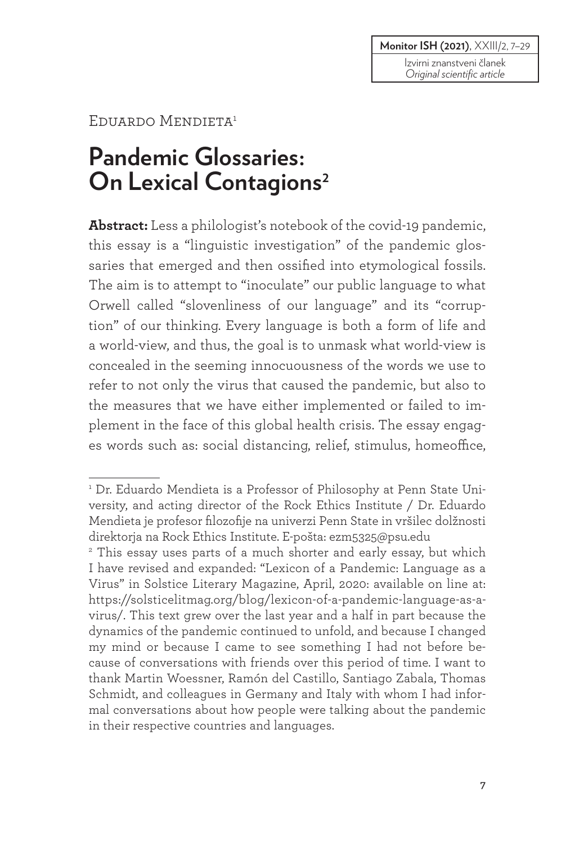#### **Monitor ISH (2021)**, XXIII/2, 7–29

Izvirni znanstveni članek *Original scientific article*

#### EDUARDO MENDIETA<sup>1</sup>

## **Pandemic Glossaries: On Lexical Contagions<sup>2</sup>**

**Abstract:** Less a philologist's notebook of the covid-19 pandemic, this essay is a "linguistic investigation" of the pandemic glossaries that emerged and then ossified into etymological fossils. The aim is to attempt to "inoculate" our public language to what Orwell called "slovenliness of our language" and its "corruption" of our thinking. Every language is both a form of life and a world-view, and thus, the goal is to unmask what world-view is concealed in the seeming innocuousness of the words we use to refer to not only the virus that caused the pandemic, but also to the measures that we have either implemented or failed to implement in the face of this global health crisis. The essay engages words such as: social distancing, relief, stimulus, homeoffice,

<sup>&</sup>lt;sup>1</sup> Dr. Eduardo Mendieta is a Professor of Philosophy at Penn State University, and acting director of the Rock Ethics Institute / Dr. Eduardo Mendieta je profesor filozofije na univerzi Penn State in vršilec dolžnosti direktorja na Rock Ethics Institute. E-pošta: ezm5325@psu.edu

<sup>2</sup> This essay uses parts of a much shorter and early essay, but which I have revised and expanded: "Lexicon of a Pandemic: Language as a Virus" in Solstice Literary Magazine, April, 2020: available on line at: https://solsticelitmag.org/blog/lexicon-of-a-pandemic-language-as-avirus/. This text grew over the last year and a half in part because the dynamics of the pandemic continued to unfold, and because I changed my mind or because I came to see something I had not before because of conversations with friends over this period of time. I want to thank Martin Woessner, Ramón del Castillo, Santiago Zabala, Thomas Schmidt, and colleagues in Germany and Italy with whom I had informal conversations about how people were talking about the pandemic in their respective countries and languages.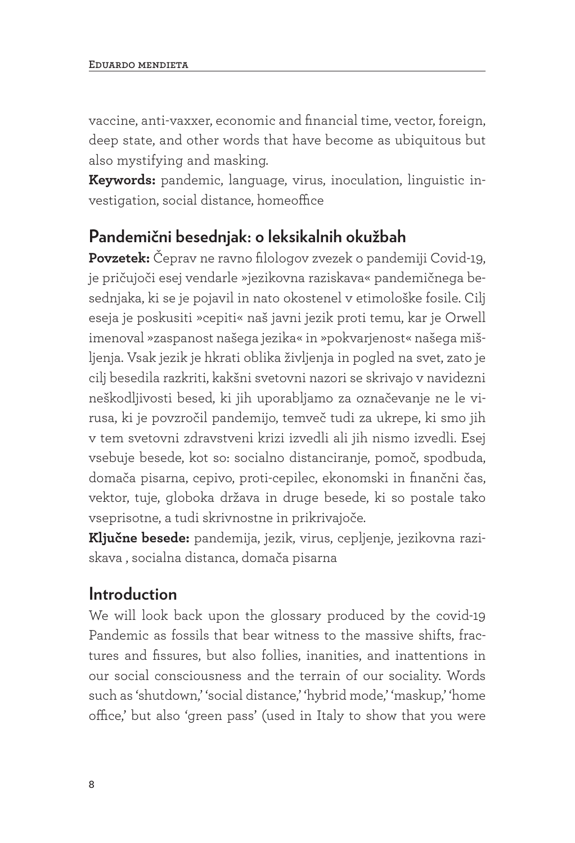vaccine, anti-vaxxer, economic and financial time, vector, foreign, deep state, and other words that have become as ubiquitous but also mystifying and masking.

**Keywords:** pandemic, language, virus, inoculation, linguistic investigation, social distance, homeoffice

#### **Pandemični besednjak: o leksikalnih okužbah**

**Povzetek:** Čeprav ne ravno filologov zvezek o pandemiji Covid-19, je pričujoči esej vendarle »jezikovna raziskava« pandemičnega besednjaka, ki se je pojavil in nato okostenel v etimološke fosile. Cilj eseja je poskusiti »cepiti« naš javni jezik proti temu, kar je Orwell imenoval »zaspanost našega jezika« in »pokvarjenost« našega mišljenja. Vsak jezik je hkrati oblika življenja in pogled na svet, zato je cilj besedila razkriti, kakšni svetovni nazori se skrivajo v navidezni neškodljivosti besed, ki jih uporabljamo za označevanje ne le virusa, ki je povzročil pandemijo, temveč tudi za ukrepe, ki smo jih v tem svetovni zdravstveni krizi izvedli ali jih nismo izvedli. Esej vsebuje besede, kot so: socialno distanciranje, pomoč, spodbuda, domača pisarna, cepivo, proti-cepilec, ekonomski in finančni čas, vektor, tuje, globoka država in druge besede, ki so postale tako vseprisotne, a tudi skrivnostne in prikrivajoče.

**Ključne besede:** pandemija, jezik, virus, cepljenje, jezikovna raziskava , socialna distanca, domača pisarna

#### **Introduction**

We will look back upon the glossary produced by the covid-19 Pandemic as fossils that bear witness to the massive shifts, fractures and fissures, but also follies, inanities, and inattentions in our social consciousness and the terrain of our sociality. Words such as 'shutdown,' 'social distance,' 'hybrid mode,' 'maskup,' 'home office,' but also 'green pass' (used in Italy to show that you were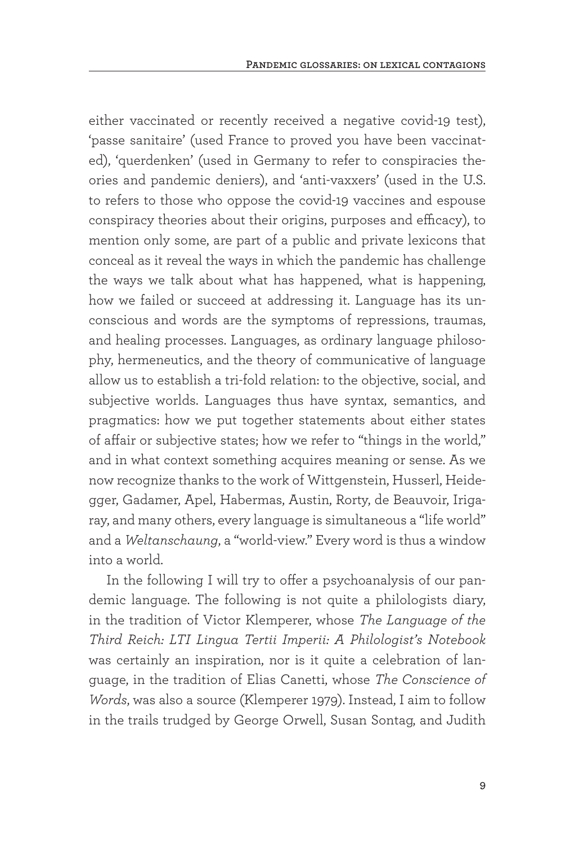either vaccinated or recently received a negative covid-19 test), 'passe sanitaire' (used France to proved you have been vaccinated), 'querdenken' (used in Germany to refer to conspiracies theories and pandemic deniers), and 'anti-vaxxers' (used in the U.S. to refers to those who oppose the covid-19 vaccines and espouse conspiracy theories about their origins, purposes and efficacy), to mention only some, are part of a public and private lexicons that conceal as it reveal the ways in which the pandemic has challenge the ways we talk about what has happened, what is happening, how we failed or succeed at addressing it. Language has its unconscious and words are the symptoms of repressions, traumas, and healing processes. Languages, as ordinary language philosophy, hermeneutics, and the theory of communicative of language allow us to establish a tri-fold relation: to the objective, social, and subjective worlds. Languages thus have syntax, semantics, and pragmatics: how we put together statements about either states of affair or subjective states; how we refer to "things in the world," and in what context something acquires meaning or sense. As we now recognize thanks to the work of Wittgenstein, Husserl, Heidegger, Gadamer, Apel, Habermas, Austin, Rorty, de Beauvoir, Irigaray, and many others, every language is simultaneous a "life world" and a *Weltanschaung*, a "world-view." Every word is thus a window into a world.

In the following I will try to offer a psychoanalysis of our pandemic language. The following is not quite a philologists diary, in the tradition of Victor Klemperer, whose *The Language of the Third Reich: LTI Lingua Tertii Imperii: A Philologist's Notebook*  was certainly an inspiration, nor is it quite a celebration of language, in the tradition of Elias Canetti, whose *The Conscience of Words*, was also a source (Klemperer 1979). Instead, I aim to follow in the trails trudged by George Orwell, Susan Sontag, and Judith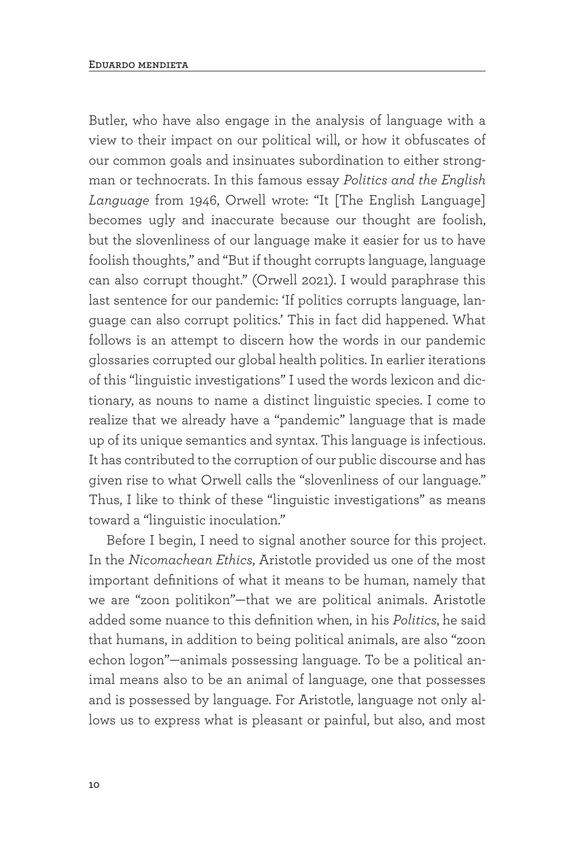Butler, who have also engage in the analysis of language with a view to their impact on our political will, or how it obfuscates of our common goals and insinuates subordination to either strongman or technocrats. In this famous essay *Politics and the English Language* from 1946, Orwell wrote: "It [The English Language] becomes ugly and inaccurate because our thought are foolish, but the slovenliness of our language make it easier for us to have foolish thoughts," and "But if thought corrupts language, language can also corrupt thought." (Orwell 2021). I would paraphrase this last sentence for our pandemic: 'If politics corrupts language, language can also corrupt politics.' This in fact did happened. What follows is an attempt to discern how the words in our pandemic glossaries corrupted our global health politics. In earlier iterations of this "linguistic investigations" I used the words lexicon and dictionary, as nouns to name a distinct linguistic species. I come to realize that we already have a "pandemic" language that is made up of its unique semantics and syntax. This language is infectious. It has contributed to the corruption of our public discourse and has given rise to what Orwell calls the "slovenliness of our language." Thus, I like to think of these "linguistic investigations" as means toward a "linguistic inoculation."

Before I begin, I need to signal another source for this project. In the *Nicomachean Ethics*, Aristotle provided us one of the most important definitions of what it means to be human, namely that we are "zoon politikon"—that we are political animals. Aristotle added some nuance to this definition when, in his *Politics*, he said that humans, in addition to being political animals, are also "zoon echon logon"—animals possessing language. To be a political animal means also to be an animal of language, one that possesses and is possessed by language. For Aristotle, language not only allows us to express what is pleasant or painful, but also, and most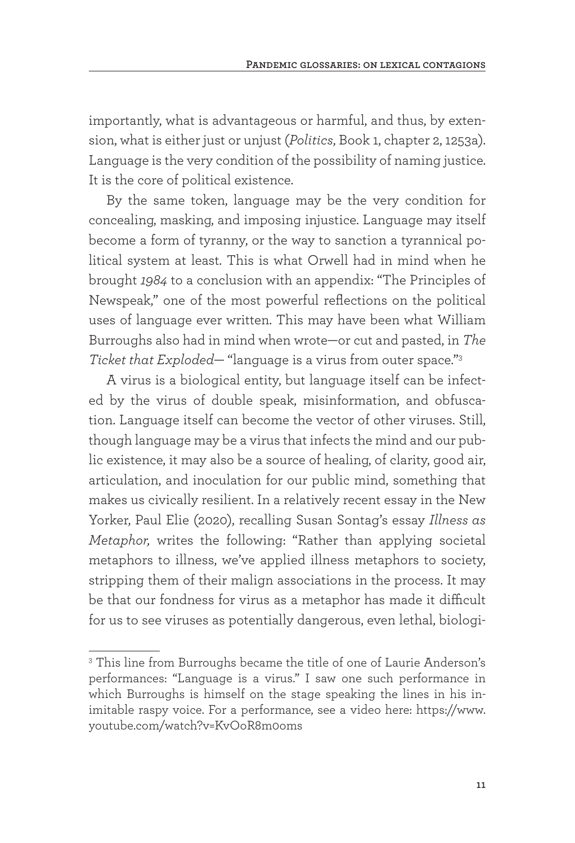importantly, what is advantageous or harmful, and thus, by extension, what is either just or unjust (*Politics*, Book 1, chapter 2, 1253a). Language is the very condition of the possibility of naming justice. It is the core of political existence.

By the same token, language may be the very condition for concealing, masking, and imposing injustice. Language may itself become a form of tyranny, or the way to sanction a tyrannical political system at least. This is what Orwell had in mind when he brought *1984* to a conclusion with an appendix: "The Principles of Newspeak," one of the most powerful reflections on the political uses of language ever written. This may have been what William Burroughs also had in mind when wrote—or cut and pasted, in *The Ticket that Exploded*— "language is a virus from outer space."3

A virus is a biological entity, but language itself can be infected by the virus of double speak, misinformation, and obfuscation. Language itself can become the vector of other viruses. Still, though language may be a virus that infects the mind and our public existence, it may also be a source of healing, of clarity, good air, articulation, and inoculation for our public mind, something that makes us civically resilient. In a relatively recent essay in the New Yorker, Paul Elie (2020), recalling Susan Sontag's essay *Illness as Metaphor,* writes the following: "Rather than applying societal metaphors to illness, we've applied illness metaphors to society, stripping them of their malign associations in the process. It may be that our fondness for virus as a metaphor has made it difficult for us to see viruses as potentially dangerous, even lethal, biologi-

<sup>&</sup>lt;sup>3</sup> This line from Burroughs became the title of one of Laurie Anderson's performances: "Language is a virus." I saw one such performance in which Burroughs is himself on the stage speaking the lines in his inimitable raspy voice. For a performance, see a video here: https://www. youtube.com/watch?v=KvOoR8m0oms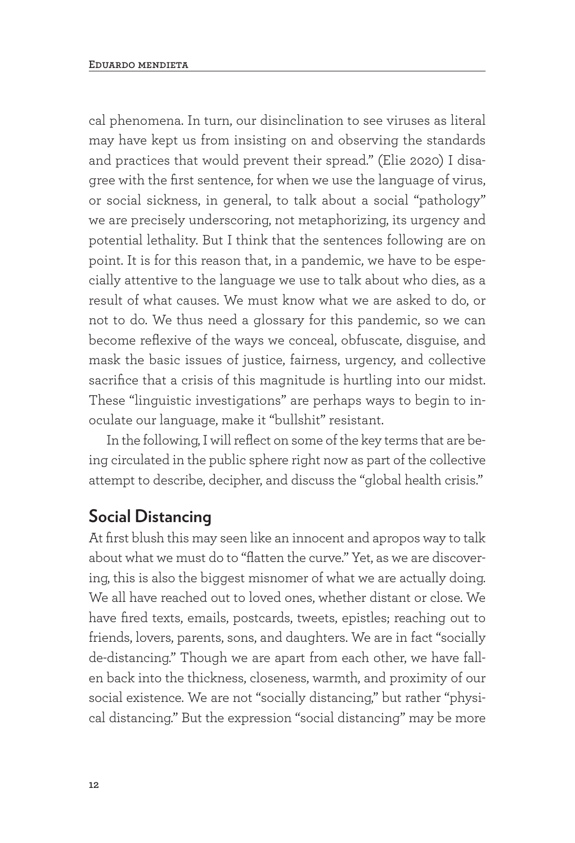cal phenomena. In turn, our disinclination to see viruses as literal may have kept us from insisting on and observing the standards and practices that would prevent their spread." (Elie 2020) I disagree with the first sentence, for when we use the language of virus, or social sickness, in general, to talk about a social "pathology" we are precisely underscoring, not metaphorizing, its urgency and potential lethality. But I think that the sentences following are on point. It is for this reason that, in a pandemic, we have to be especially attentive to the language we use to talk about who dies, as a result of what causes. We must know what we are asked to do, or not to do. We thus need a glossary for this pandemic, so we can become reflexive of the ways we conceal, obfuscate, disguise, and mask the basic issues of justice, fairness, urgency, and collective sacrifice that a crisis of this magnitude is hurtling into our midst. These "linguistic investigations" are perhaps ways to begin to inoculate our language, make it "bullshit" resistant.

In the following, I will reflect on some of the key terms that are being circulated in the public sphere right now as part of the collective attempt to describe, decipher, and discuss the "global health crisis."

#### **Social Distancing**

At first blush this may seen like an innocent and apropos way to talk about what we must do to "flatten the curve." Yet, as we are discovering, this is also the biggest misnomer of what we are actually doing. We all have reached out to loved ones, whether distant or close. We have fired texts, emails, postcards, tweets, epistles; reaching out to friends, lovers, parents, sons, and daughters. We are in fact "socially de-distancing." Though we are apart from each other, we have fallen back into the thickness, closeness, warmth, and proximity of our social existence. We are not "socially distancing," but rather "physical distancing." But the expression "social distancing" may be more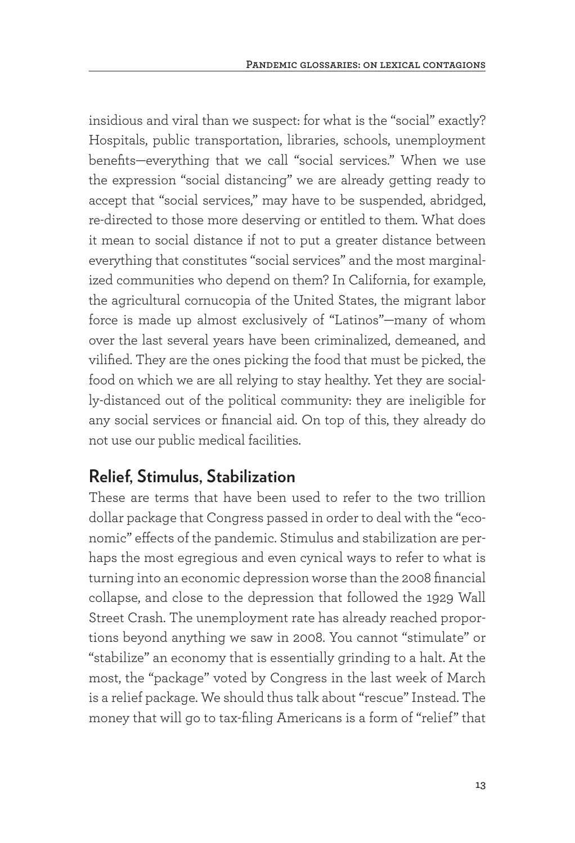insidious and viral than we suspect: for what is the "social" exactly? Hospitals, public transportation, libraries, schools, unemployment benefits—everything that we call "social services." When we use the expression "social distancing" we are already getting ready to accept that "social services," may have to be suspended, abridged, re-directed to those more deserving or entitled to them. What does it mean to social distance if not to put a greater distance between everything that constitutes "social services" and the most marginalized communities who depend on them? In California, for example, the agricultural cornucopia of the United States, the migrant labor force is made up almost exclusively of "Latinos"—many of whom over the last several years have been criminalized, demeaned, and vilified. They are the ones picking the food that must be picked, the food on which we are all relying to stay healthy. Yet they are socially-distanced out of the political community: they are ineligible for any social services or financial aid. On top of this, they already do not use our public medical facilities.

#### **Relief, Stimulus, Stabilization**

These are terms that have been used to refer to the two trillion dollar package that Congress passed in order to deal with the "economic" effects of the pandemic. Stimulus and stabilization are perhaps the most egregious and even cynical ways to refer to what is turning into an economic depression worse than the 2008 financial collapse, and close to the depression that followed the 1929 Wall Street Crash. The unemployment rate has already reached proportions beyond anything we saw in 2008. You cannot "stimulate" or "stabilize" an economy that is essentially grinding to a halt. At the most, the "package" voted by Congress in the last week of March is a relief package. We should thus talk about "rescue" Instead. The money that will go to tax-filing Americans is a form of "relief" that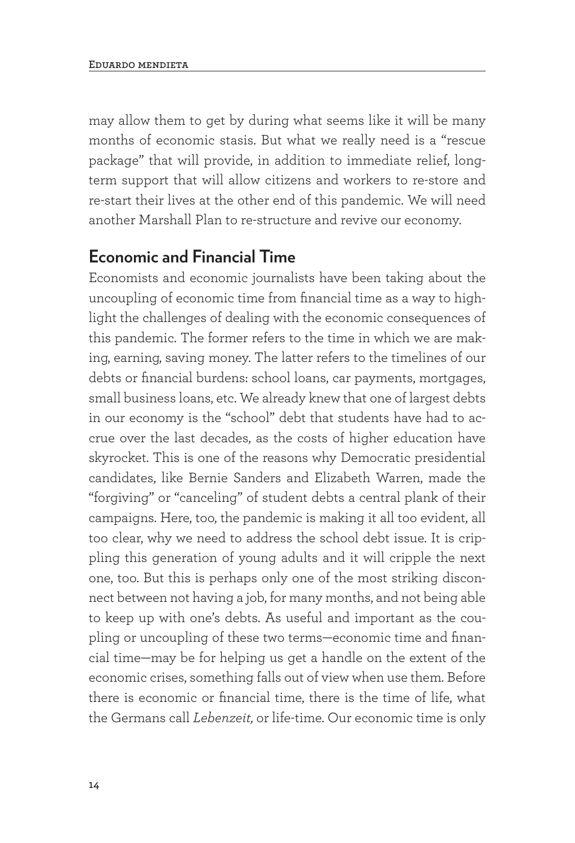may allow them to get by during what seems like it will be many months of economic stasis. But what we really need is a "rescue package" that will provide, in addition to immediate relief, longterm support that will allow citizens and workers to re-store and re-start their lives at the other end of this pandemic. We will need another Marshall Plan to re-structure and revive our economy.

#### **Economic and Financial Time**

Economists and economic journalists have been taking about the uncoupling of economic time from financial time as a way to highlight the challenges of dealing with the economic consequences of this pandemic. The former refers to the time in which we are making, earning, saving money. The latter refers to the timelines of our debts or financial burdens: school loans, car payments, mortgages, small business loans, etc. We already knew that one of largest debts in our economy is the "school" debt that students have had to accrue over the last decades, as the costs of higher education have skyrocket. This is one of the reasons why Democratic presidential candidates, like Bernie Sanders and Elizabeth Warren, made the "forgiving" or "canceling" of student debts a central plank of their campaigns. Here, too, the pandemic is making it all too evident, all too clear, why we need to address the school debt issue. It is crippling this generation of young adults and it will cripple the next one, too. But this is perhaps only one of the most striking disconnect between not having a job, for many months, and not being able to keep up with one's debts. As useful and important as the coupling or uncoupling of these two terms—economic time and financial time—may be for helping us get a handle on the extent of the economic crises, something falls out of view when use them. Before there is economic or financial time, there is the time of life, what the Germans call *Lebenzeit,* or life-time. Our economic time is only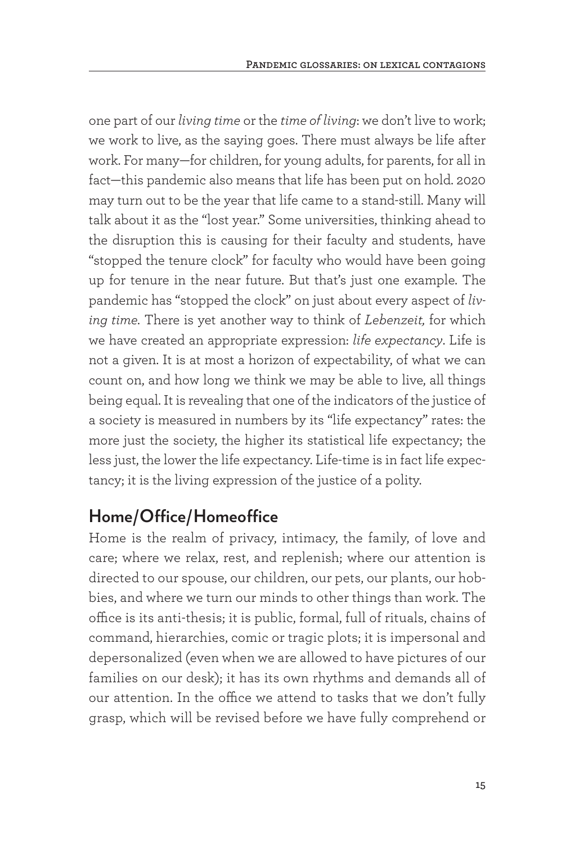one part of our *living time* or the *time of living*: we don't live to work; we work to live, as the saying goes. There must always be life after work. For many—for children, for young adults, for parents, for all in fact—this pandemic also means that life has been put on hold. 2020 may turn out to be the year that life came to a stand-still. Many will talk about it as the "lost year." Some universities, thinking ahead to the disruption this is causing for their faculty and students, have "stopped the tenure clock" for faculty who would have been going up for tenure in the near future. But that's just one example. The pandemic has "stopped the clock" on just about every aspect of *living time.* There is yet another way to think of *Lebenzeit,* for which we have created an appropriate expression: *life expectancy*. Life is not a given. It is at most a horizon of expectability, of what we can count on, and how long we think we may be able to live, all things being equal. It is revealing that one of the indicators of the justice of a society is measured in numbers by its "life expectancy" rates: the more just the society, the higher its statistical life expectancy; the less just, the lower the life expectancy. Life-time is in fact life expectancy; it is the living expression of the justice of a polity.

### **Home/Office/Homeoffice**

Home is the realm of privacy, intimacy, the family, of love and care; where we relax, rest, and replenish; where our attention is directed to our spouse, our children, our pets, our plants, our hobbies, and where we turn our minds to other things than work. The office is its anti-thesis; it is public, formal, full of rituals, chains of command, hierarchies, comic or tragic plots; it is impersonal and depersonalized (even when we are allowed to have pictures of our families on our desk); it has its own rhythms and demands all of our attention. In the office we attend to tasks that we don't fully grasp, which will be revised before we have fully comprehend or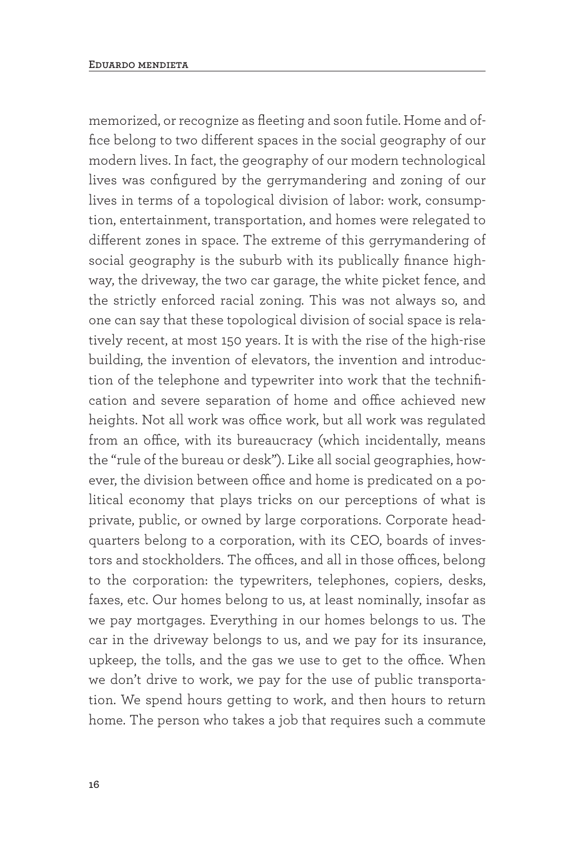memorized, or recognize as fleeting and soon futile. Home and office belong to two different spaces in the social geography of our modern lives. In fact, the geography of our modern technological lives was configured by the gerrymandering and zoning of our lives in terms of a topological division of labor: work, consumption, entertainment, transportation, and homes were relegated to different zones in space. The extreme of this gerrymandering of social geography is the suburb with its publically finance highway, the driveway, the two car garage, the white picket fence, and the strictly enforced racial zoning. This was not always so, and one can say that these topological division of social space is relatively recent, at most 150 years. It is with the rise of the high-rise building, the invention of elevators, the invention and introduction of the telephone and typewriter into work that the technification and severe separation of home and office achieved new heights. Not all work was office work, but all work was regulated from an office, with its bureaucracy (which incidentally, means the "rule of the bureau or desk"). Like all social geographies, however, the division between office and home is predicated on a political economy that plays tricks on our perceptions of what is private, public, or owned by large corporations. Corporate headquarters belong to a corporation, with its CEO, boards of investors and stockholders. The offices, and all in those offices, belong to the corporation: the typewriters, telephones, copiers, desks, faxes, etc. Our homes belong to us, at least nominally, insofar as we pay mortgages. Everything in our homes belongs to us. The car in the driveway belongs to us, and we pay for its insurance, upkeep, the tolls, and the gas we use to get to the office. When we don't drive to work, we pay for the use of public transportation. We spend hours getting to work, and then hours to return home. The person who takes a job that requires such a commute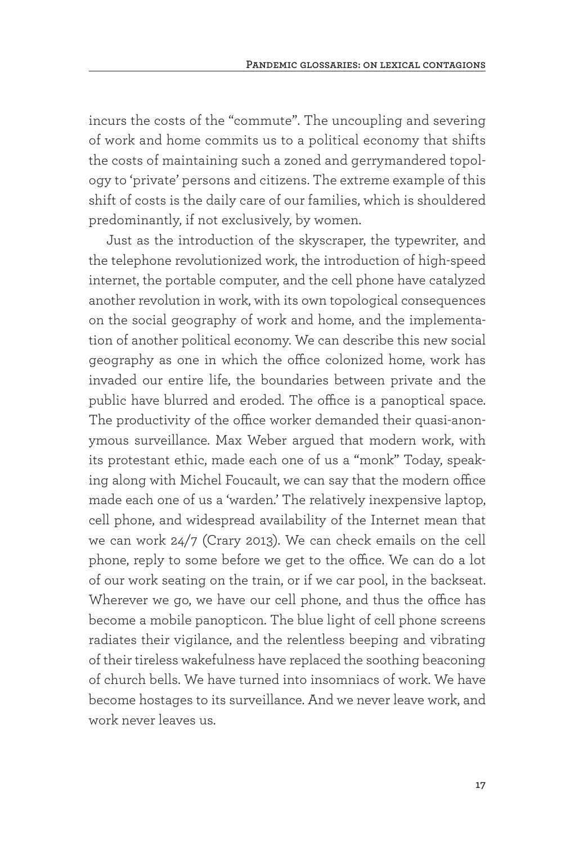incurs the costs of the "commute". The uncoupling and severing of work and home commits us to a political economy that shifts the costs of maintaining such a zoned and gerrymandered topology to 'private' persons and citizens. The extreme example of this shift of costs is the daily care of our families, which is shouldered predominantly, if not exclusively, by women.

Just as the introduction of the skyscraper, the typewriter, and the telephone revolutionized work, the introduction of high-speed internet, the portable computer, and the cell phone have catalyzed another revolution in work, with its own topological consequences on the social geography of work and home, and the implementation of another political economy. We can describe this new social geography as one in which the office colonized home, work has invaded our entire life, the boundaries between private and the public have blurred and eroded. The office is a panoptical space. The productivity of the office worker demanded their quasi-anonymous surveillance. Max Weber argued that modern work, with its protestant ethic, made each one of us a "monk" Today, speaking along with Michel Foucault, we can say that the modern office made each one of us a 'warden.' The relatively inexpensive laptop, cell phone, and widespread availability of the Internet mean that we can work 24/7 (Crary 2013). We can check emails on the cell phone, reply to some before we get to the office. We can do a lot of our work seating on the train, or if we car pool, in the backseat. Wherever we go, we have our cell phone, and thus the office has become a mobile panopticon. The blue light of cell phone screens radiates their vigilance, and the relentless beeping and vibrating of their tireless wakefulness have replaced the soothing beaconing of church bells. We have turned into insomniacs of work. We have become hostages to its surveillance. And we never leave work, and work never leaves us.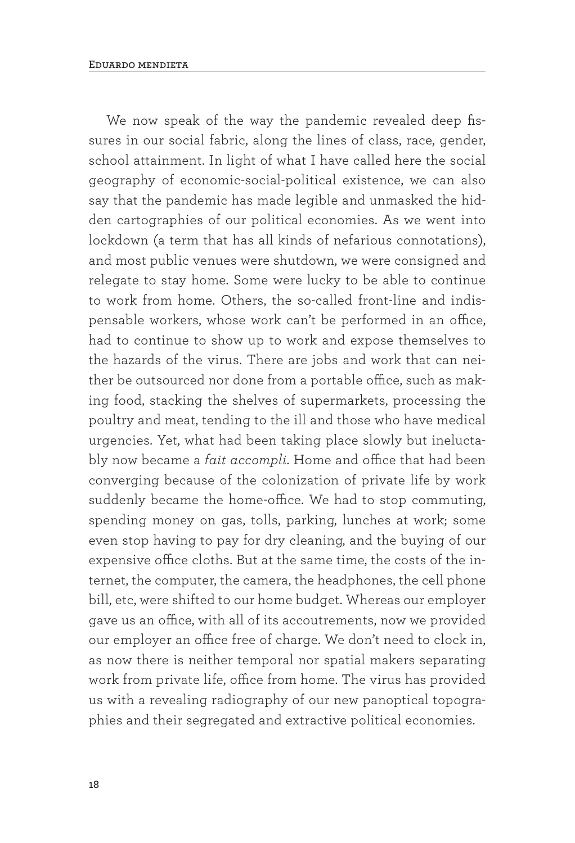We now speak of the way the pandemic revealed deep fissures in our social fabric, along the lines of class, race, gender, school attainment. In light of what I have called here the social geography of economic-social-political existence, we can also say that the pandemic has made legible and unmasked the hidden cartographies of our political economies. As we went into lockdown (a term that has all kinds of nefarious connotations), and most public venues were shutdown, we were consigned and relegate to stay home. Some were lucky to be able to continue to work from home. Others, the so-called front-line and indispensable workers, whose work can't be performed in an office, had to continue to show up to work and expose themselves to the hazards of the virus. There are jobs and work that can neither be outsourced nor done from a portable office, such as making food, stacking the shelves of supermarkets, processing the poultry and meat, tending to the ill and those who have medical urgencies. Yet, what had been taking place slowly but ineluctably now became a *fait accompli*. Home and office that had been converging because of the colonization of private life by work suddenly became the home-office. We had to stop commuting, spending money on gas, tolls, parking, lunches at work; some even stop having to pay for dry cleaning, and the buying of our expensive office cloths. But at the same time, the costs of the internet, the computer, the camera, the headphones, the cell phone bill, etc, were shifted to our home budget. Whereas our employer gave us an office, with all of its accoutrements, now we provided our employer an office free of charge. We don't need to clock in, as now there is neither temporal nor spatial makers separating work from private life, office from home. The virus has provided us with a revealing radiography of our new panoptical topographies and their segregated and extractive political economies.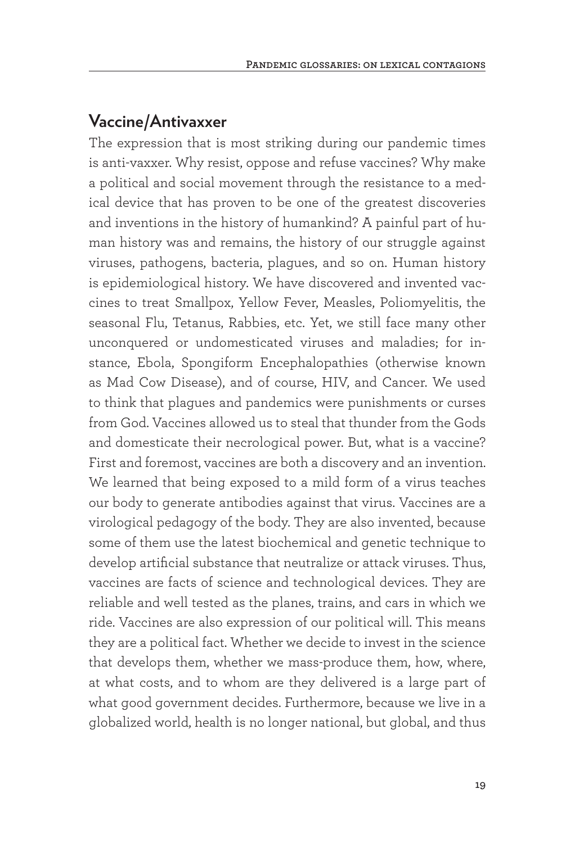#### **Vaccine/Antivaxxer**

The expression that is most striking during our pandemic times is anti-vaxxer. Why resist, oppose and refuse vaccines? Why make a political and social movement through the resistance to a medical device that has proven to be one of the greatest discoveries and inventions in the history of humankind? A painful part of human history was and remains, the history of our struggle against viruses, pathogens, bacteria, plagues, and so on. Human history is epidemiological history. We have discovered and invented vaccines to treat Smallpox, Yellow Fever, Measles, Poliomyelitis, the seasonal Flu, Tetanus, Rabbies, etc. Yet, we still face many other unconquered or undomesticated viruses and maladies; for instance, Ebola, Spongiform Encephalopathies (otherwise known as Mad Cow Disease), and of course, HIV, and Cancer. We used to think that plagues and pandemics were punishments or curses from God. Vaccines allowed us to steal that thunder from the Gods and domesticate their necrological power. But, what is a vaccine? First and foremost, vaccines are both a discovery and an invention. We learned that being exposed to a mild form of a virus teaches our body to generate antibodies against that virus. Vaccines are a virological pedagogy of the body. They are also invented, because some of them use the latest biochemical and genetic technique to develop artificial substance that neutralize or attack viruses. Thus, vaccines are facts of science and technological devices. They are reliable and well tested as the planes, trains, and cars in which we ride. Vaccines are also expression of our political will. This means they are a political fact. Whether we decide to invest in the science that develops them, whether we mass-produce them, how, where, at what costs, and to whom are they delivered is a large part of what good government decides. Furthermore, because we live in a globalized world, health is no longer national, but global, and thus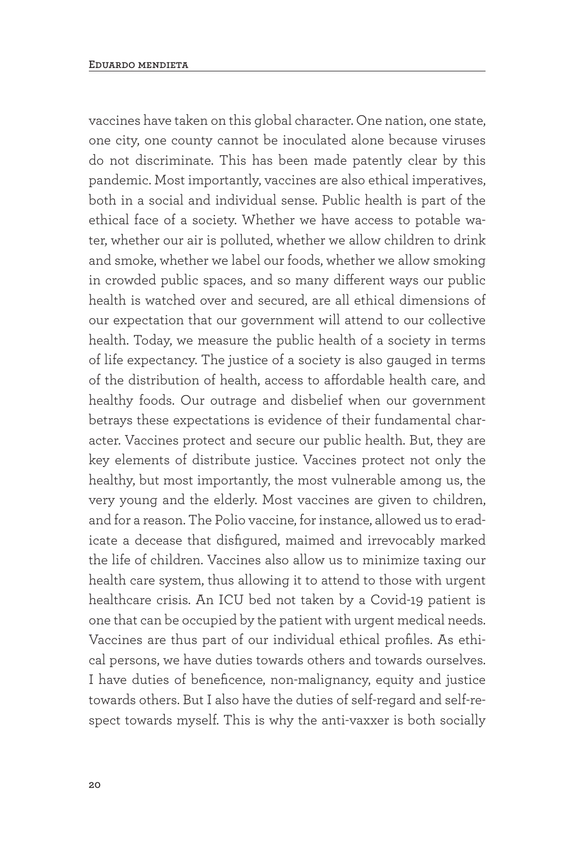vaccines have taken on this global character. One nation, one state, one city, one county cannot be inoculated alone because viruses do not discriminate. This has been made patently clear by this pandemic. Most importantly, vaccines are also ethical imperatives, both in a social and individual sense. Public health is part of the ethical face of a society. Whether we have access to potable water, whether our air is polluted, whether we allow children to drink and smoke, whether we label our foods, whether we allow smoking in crowded public spaces, and so many different ways our public health is watched over and secured, are all ethical dimensions of our expectation that our government will attend to our collective health. Today, we measure the public health of a society in terms of life expectancy. The justice of a society is also gauged in terms of the distribution of health, access to affordable health care, and healthy foods. Our outrage and disbelief when our government betrays these expectations is evidence of their fundamental character. Vaccines protect and secure our public health. But, they are key elements of distribute justice. Vaccines protect not only the healthy, but most importantly, the most vulnerable among us, the very young and the elderly. Most vaccines are given to children, and for a reason. The Polio vaccine, for instance, allowed us to eradicate a decease that disfigured, maimed and irrevocably marked the life of children. Vaccines also allow us to minimize taxing our health care system, thus allowing it to attend to those with urgent healthcare crisis. An ICU bed not taken by a Covid-19 patient is one that can be occupied by the patient with urgent medical needs. Vaccines are thus part of our individual ethical profiles. As ethical persons, we have duties towards others and towards ourselves. I have duties of beneficence, non-malignancy, equity and justice towards others. But I also have the duties of self-regard and self-respect towards myself. This is why the anti-vaxxer is both socially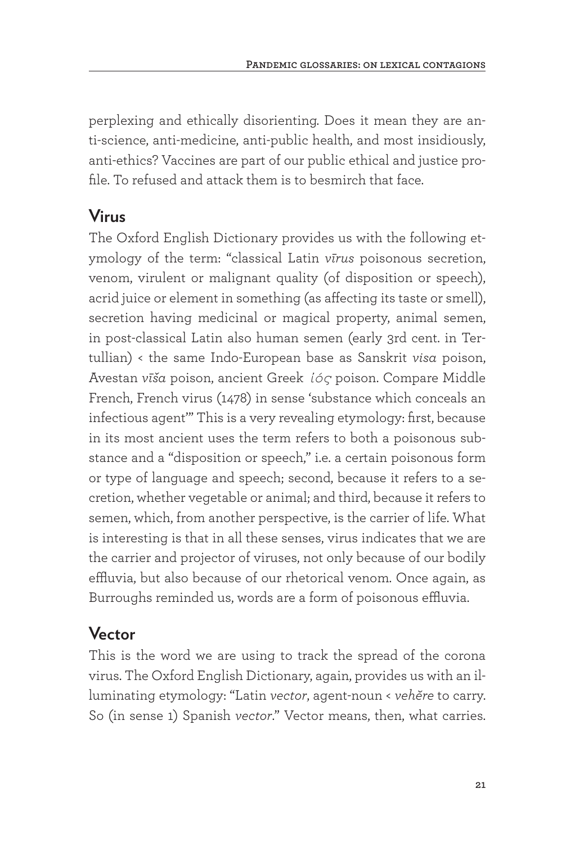perplexing and ethically disorienting. Does it mean they are anti-science, anti-medicine, anti-public health, and most insidiously, anti-ethics? Vaccines are part of our public ethical and justice profile. To refused and attack them is to besmirch that face.

#### **Virus**

The Oxford English Dictionary provides us with the following etymology of the term: "classical Latin *vīrus* poisonous secretion, venom, virulent or malignant quality (of disposition or speech), acrid juice or element in something (as affecting its taste or smell), secretion having medicinal or magical property, animal semen, in post-classical Latin also human semen (early 3rd cent. in Tertullian) < the same Indo-European base as Sanskrit *visa* poison, Avestan *vīša* poison, ancient Greek *ἰός* poison. Compare Middle French, French virus (1478) in sense 'substance which conceals an infectious agent'" This is a very revealing etymology: first, because in its most ancient uses the term refers to both a poisonous substance and a "disposition or speech," i.e. a certain poisonous form or type of language and speech; second, because it refers to a secretion, whether vegetable or animal; and third, because it refers to semen, which, from another perspective, is the carrier of life. What is interesting is that in all these senses, virus indicates that we are the carrier and projector of viruses, not only because of our bodily effluvia, but also because of our rhetorical venom. Once again, as Burroughs reminded us, words are a form of poisonous effluvia.

#### **Vector**

This is the word we are using to track the spread of the corona virus. The Oxford English Dictionary, again, provides us with an illuminating etymology: "Latin *vector*, agent-noun < *vehĕre* to carry. So (in sense 1) Spanish *vector*." Vector means, then, what carries.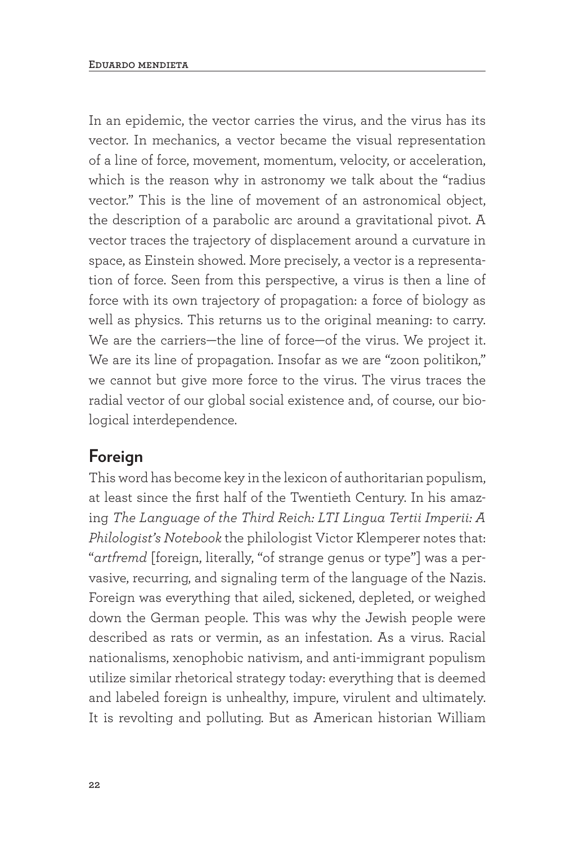In an epidemic, the vector carries the virus, and the virus has its vector. In mechanics, a vector became the visual representation of a line of force, movement, momentum, velocity, or acceleration, which is the reason why in astronomy we talk about the "radius vector." This is the line of movement of an astronomical object, the description of a parabolic arc around a gravitational pivot. A vector traces the trajectory of displacement around a curvature in space, as Einstein showed. More precisely, a vector is a representation of force. Seen from this perspective, a virus is then a line of force with its own trajectory of propagation: a force of biology as well as physics. This returns us to the original meaning: to carry. We are the carriers—the line of force—of the virus. We project it. We are its line of propagation. Insofar as we are "zoon politikon," we cannot but give more force to the virus. The virus traces the radial vector of our global social existence and, of course, our biological interdependence.

#### **Foreign**

This word has become key in the lexicon of authoritarian populism, at least since the first half of the Twentieth Century. In his amazing *The Language of the Third Reich: LTI Lingua Tertii Imperii: A Philologist's Notebook* the philologist Victor Klemperer notes that: "*artfremd* [foreign, literally, "of strange genus or type"] was a pervasive, recurring, and signaling term of the language of the Nazis. Foreign was everything that ailed, sickened, depleted, or weighed down the German people. This was why the Jewish people were described as rats or vermin, as an infestation. As a virus. Racial nationalisms, xenophobic nativism, and anti-immigrant populism utilize similar rhetorical strategy today: everything that is deemed and labeled foreign is unhealthy, impure, virulent and ultimately. It is revolting and polluting. But as American historian William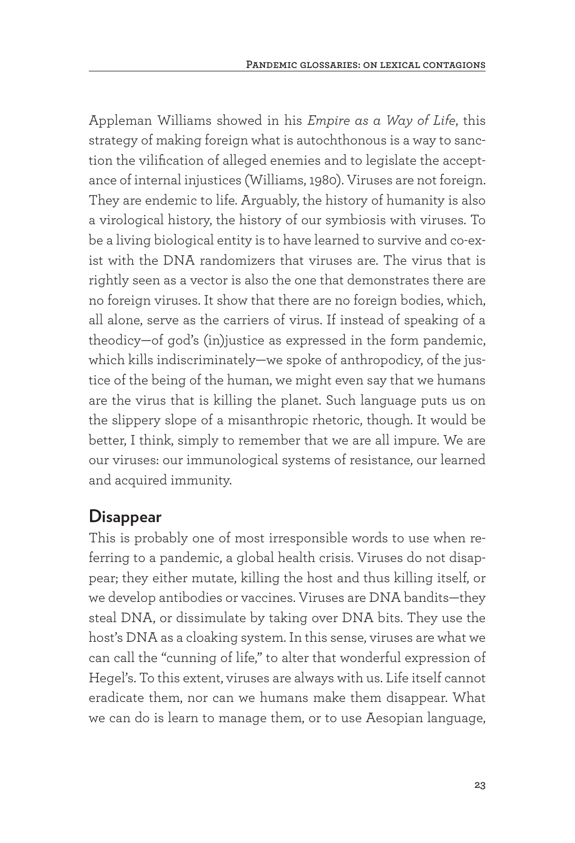Appleman Williams showed in his *Empire as a Way of Life*, this strategy of making foreign what is autochthonous is a way to sanction the vilification of alleged enemies and to legislate the acceptance of internal injustices (Williams, 1980). Viruses are not foreign. They are endemic to life. Arguably, the history of humanity is also a virological history, the history of our symbiosis with viruses. To be a living biological entity is to have learned to survive and co-exist with the DNA randomizers that viruses are. The virus that is rightly seen as a vector is also the one that demonstrates there are no foreign viruses. It show that there are no foreign bodies, which, all alone, serve as the carriers of virus. If instead of speaking of a theodicy—of god's (in)justice as expressed in the form pandemic, which kills indiscriminately—we spoke of anthropodicy, of the justice of the being of the human, we might even say that we humans are the virus that is killing the planet. Such language puts us on the slippery slope of a misanthropic rhetoric, though. It would be better, I think, simply to remember that we are all impure. We are our viruses: our immunological systems of resistance, our learned and acquired immunity.

#### **Disappear**

This is probably one of most irresponsible words to use when referring to a pandemic, a global health crisis. Viruses do not disappear; they either mutate, killing the host and thus killing itself, or we develop antibodies or vaccines. Viruses are DNA bandits—they steal DNA, or dissimulate by taking over DNA bits. They use the host's DNA as a cloaking system. In this sense, viruses are what we can call the "cunning of life," to alter that wonderful expression of Hegel's. To this extent, viruses are always with us. Life itself cannot eradicate them, nor can we humans make them disappear. What we can do is learn to manage them, or to use Aesopian language,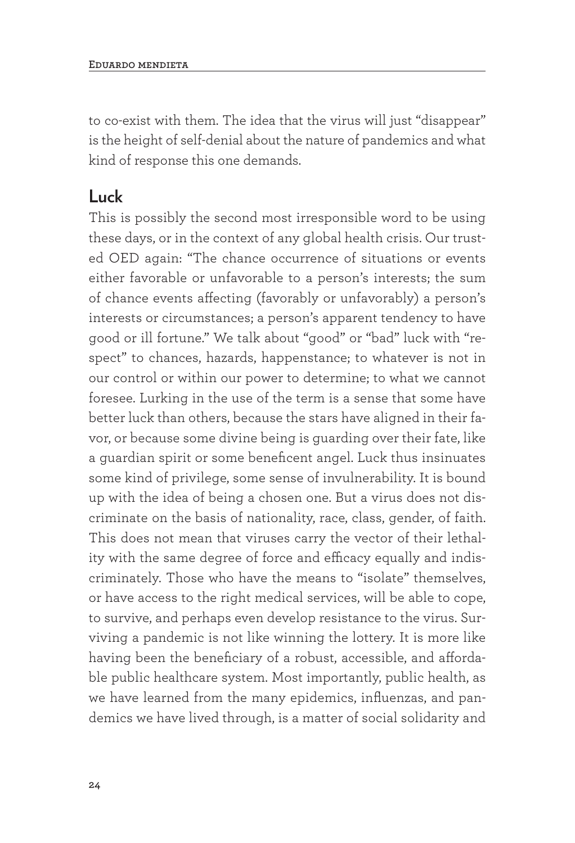to co-exist with them. The idea that the virus will just "disappear" is the height of self-denial about the nature of pandemics and what kind of response this one demands.

#### **Luck**

This is possibly the second most irresponsible word to be using these days, or in the context of any global health crisis. Our trusted OED again: "The chance occurrence of situations or events either favorable or unfavorable to a person's interests; the sum of chance events affecting (favorably or unfavorably) a person's interests or circumstances; a person's apparent tendency to have good or ill fortune." We talk about "good" or "bad" luck with "respect" to chances, hazards, happenstance; to whatever is not in our control or within our power to determine; to what we cannot foresee. Lurking in the use of the term is a sense that some have better luck than others, because the stars have aligned in their favor, or because some divine being is guarding over their fate, like a guardian spirit or some beneficent angel. Luck thus insinuates some kind of privilege, some sense of invulnerability. It is bound up with the idea of being a chosen one. But a virus does not discriminate on the basis of nationality, race, class, gender, of faith. This does not mean that viruses carry the vector of their lethality with the same degree of force and efficacy equally and indiscriminately. Those who have the means to "isolate" themselves, or have access to the right medical services, will be able to cope, to survive, and perhaps even develop resistance to the virus. Surviving a pandemic is not like winning the lottery. It is more like having been the beneficiary of a robust, accessible, and affordable public healthcare system. Most importantly, public health, as we have learned from the many epidemics, influenzas, and pandemics we have lived through, is a matter of social solidarity and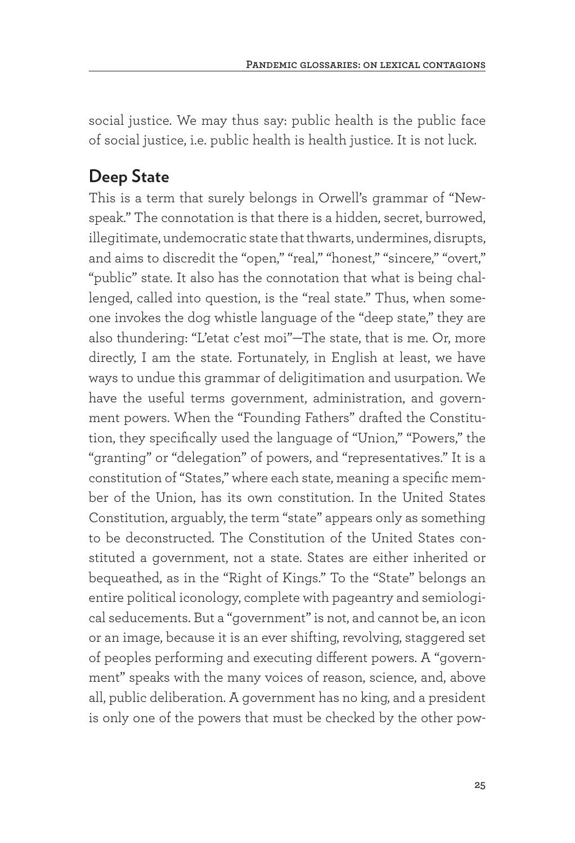social justice. We may thus say: public health is the public face of social justice, i.e. public health is health justice. It is not luck.

#### **Deep State**

This is a term that surely belongs in Orwell's grammar of "Newspeak." The connotation is that there is a hidden, secret, burrowed, illegitimate, undemocratic state that thwarts, undermines, disrupts, and aims to discredit the "open," "real," "honest," "sincere," "overt," "public" state. It also has the connotation that what is being challenged, called into question, is the "real state." Thus, when someone invokes the dog whistle language of the "deep state," they are also thundering: "L'etat c'est moi"—The state, that is me. Or, more directly, I am the state. Fortunately, in English at least, we have ways to undue this grammar of deligitimation and usurpation. We have the useful terms government, administration, and government powers. When the "Founding Fathers" drafted the Constitution, they specifically used the language of "Union," "Powers," the "granting" or "delegation" of powers, and "representatives." It is a constitution of "States," where each state, meaning a specific member of the Union, has its own constitution. In the United States Constitution, arguably, the term "state" appears only as something to be deconstructed. The Constitution of the United States constituted a government, not a state. States are either inherited or bequeathed, as in the "Right of Kings." To the "State" belongs an entire political iconology, complete with pageantry and semiological seducements. But a "government" is not, and cannot be, an icon or an image, because it is an ever shifting, revolving, staggered set of peoples performing and executing different powers. A "government" speaks with the many voices of reason, science, and, above all, public deliberation. A government has no king, and a president is only one of the powers that must be checked by the other pow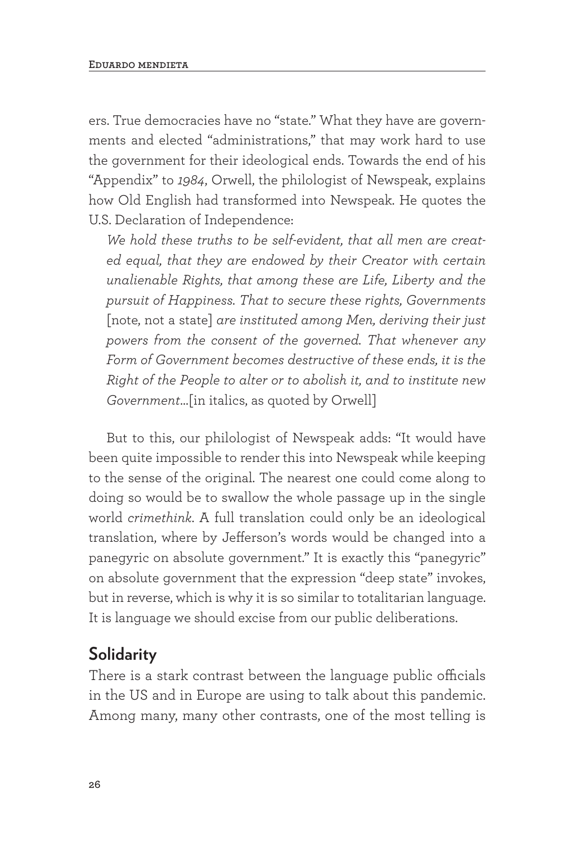ers. True democracies have no "state." What they have are governments and elected "administrations," that may work hard to use the government for their ideological ends. Towards the end of his "Appendix" to *1984*, Orwell, the philologist of Newspeak, explains how Old English had transformed into Newspeak. He quotes the U.S. Declaration of Independence:

*We hold these truths to be self-evident, that all men are created equal, that they are endowed by their Creator with certain unalienable Rights, that among these are Life, Liberty and the pursuit of Happiness. That to secure these rights, Governments*  [note, not a state] *are instituted among Men, deriving their just powers from the consent of the governed. That whenever any Form of Government becomes destructive of these ends, it is the Right of the People to alter or to abolish it, and to institute new Government*…[in italics, as quoted by Orwell]

But to this, our philologist of Newspeak adds: "It would have been quite impossible to render this into Newspeak while keeping to the sense of the original. The nearest one could come along to doing so would be to swallow the whole passage up in the single world *crimethink*. A full translation could only be an ideological translation, where by Jefferson's words would be changed into a panegyric on absolute government." It is exactly this "panegyric" on absolute government that the expression "deep state" invokes, but in reverse, which is why it is so similar to totalitarian language. It is language we should excise from our public deliberations.

#### **Solidarity**

There is a stark contrast between the language public officials in the US and in Europe are using to talk about this pandemic. Among many, many other contrasts, one of the most telling is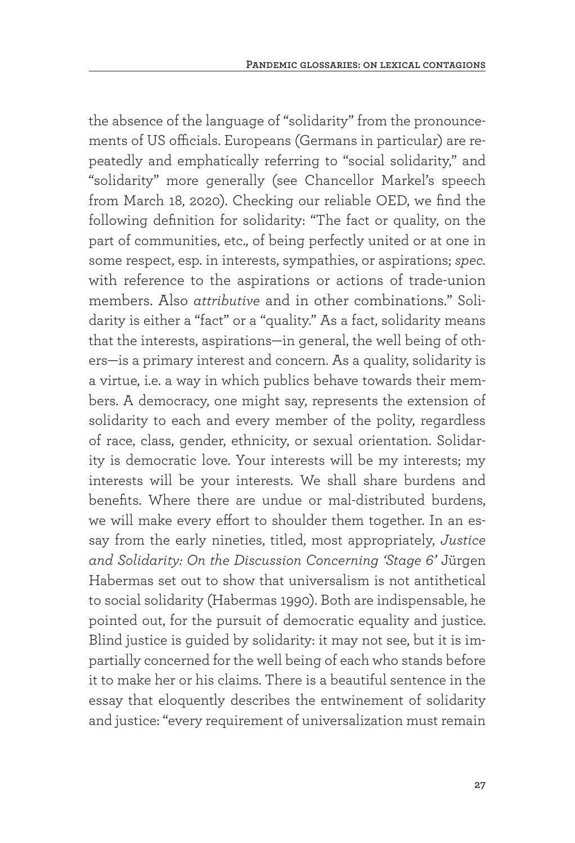the absence of the language of "solidarity" from the pronouncements of US officials. Europeans (Germans in particular) are repeatedly and emphatically referring to "social solidarity," and "solidarity" more generally (see Chancellor Markel's speech from March 18, 2020). Checking our reliable OED, we find the following definition for solidarity: "The fact or quality, on the part of communities, etc., of being perfectly united or at one in some respect, esp. in interests, sympathies, or aspirations; *spec.* with reference to the aspirations or actions of trade-union members. Also *attributive* and in other combinations." Solidarity is either a "fact" or a "quality." As a fact, solidarity means that the interests, aspirations—in general, the well being of others—is a primary interest and concern. As a quality, solidarity is a virtue, i.e. a way in which publics behave towards their members. A democracy, one might say, represents the extension of solidarity to each and every member of the polity, regardless of race, class, gender, ethnicity, or sexual orientation. Solidarity is democratic love. Your interests will be my interests; my interests will be your interests. We shall share burdens and benefits. Where there are undue or mal-distributed burdens, we will make every effort to shoulder them together. In an essay from the early nineties, titled, most appropriately, *Justice and Solidarity: On the Discussion Concerning 'Stage 6'* Jürgen Habermas set out to show that universalism is not antithetical to social solidarity (Habermas 1990). Both are indispensable, he pointed out, for the pursuit of democratic equality and justice. Blind justice is guided by solidarity: it may not see, but it is impartially concerned for the well being of each who stands before it to make her or his claims. There is a beautiful sentence in the essay that eloquently describes the entwinement of solidarity and justice: "every requirement of universalization must remain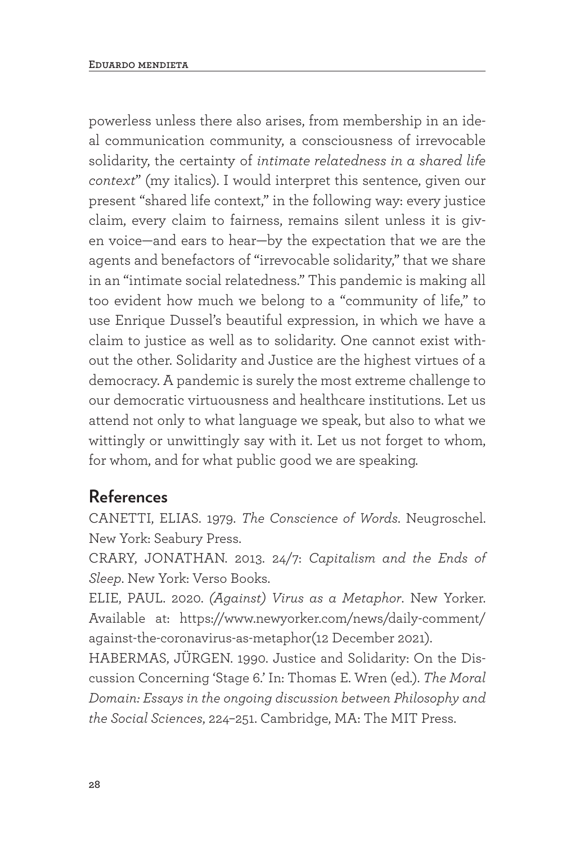powerless unless there also arises, from membership in an ideal communication community, a consciousness of irrevocable solidarity, the certainty of *intimate relatedness in a shared life context*" (my italics). I would interpret this sentence, given our present "shared life context," in the following way: every justice claim, every claim to fairness, remains silent unless it is given voice—and ears to hear—by the expectation that we are the agents and benefactors of "irrevocable solidarity," that we share in an "intimate social relatedness." This pandemic is making all too evident how much we belong to a "community of life," to use Enrique Dussel's beautiful expression, in which we have a claim to justice as well as to solidarity. One cannot exist without the other. Solidarity and Justice are the highest virtues of a democracy. A pandemic is surely the most extreme challenge to our democratic virtuousness and healthcare institutions. Let us attend not only to what language we speak, but also to what we wittingly or unwittingly say with it. Let us not forget to whom, for whom, and for what public good we are speaking.

#### **References**

CANETTI, ELIAS. 1979. *The Conscience of Words*. Neugroschel. New York: Seabury Press.

CRARY, JONATHAN. 2013. 24/7: *Capitalism and the Ends of Sleep*. New York: Verso Books.

ELIE, PAUL. 2020. *(Against) Virus as a Metaphor*. New Yorker. Available at: https://www.newyorker.com/news/daily-comment/ against-the-coronavirus-as-metaphor(12 December 2021).

HABERMAS, JÜRGEN. 1990. Justice and Solidarity: On the Discussion Concerning 'Stage 6.' In: Thomas E. Wren (ed.). *The Moral Domain: Essays in the ongoing discussion between Philosophy and the Social Sciences*, 224–251. Cambridge, MA: The MIT Press.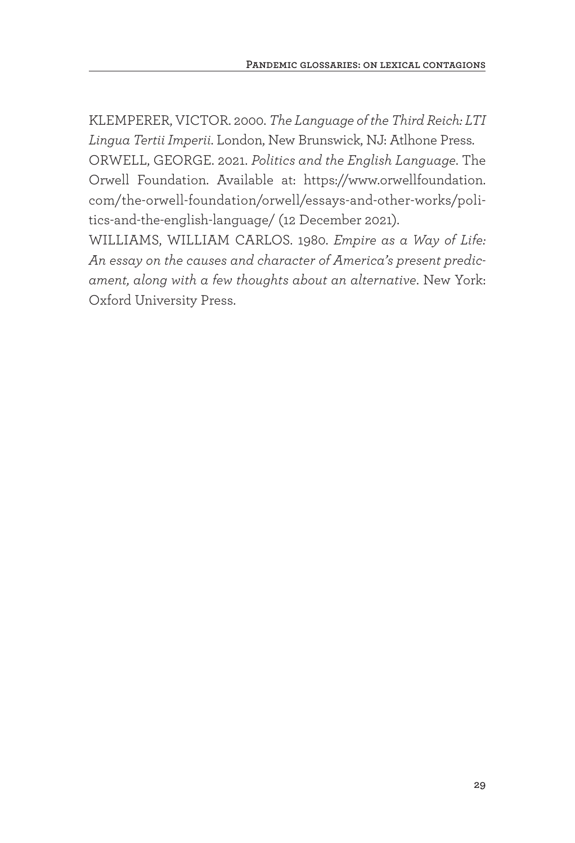KLEMPERER, VICTOR. 2000. *The Language of the Third Reich: LTI Lingua Tertii Imperii*. London, New Brunswick, NJ: Atlhone Press. ORWELL, GEORGE. 2021. *Politics and the English Language*. The Orwell Foundation. Available at: https://www.orwellfoundation. com/the-orwell-foundation/orwell/essays-and-other-works/politics-and-the-english-language/ (12 December 2021).

WILLIAMS, WILLIAM CARLOS. 1980. *Empire as a Way of Life: An essay on the causes and character of America's present predicament, along with a few thoughts about an alternative*. New York: Oxford University Press.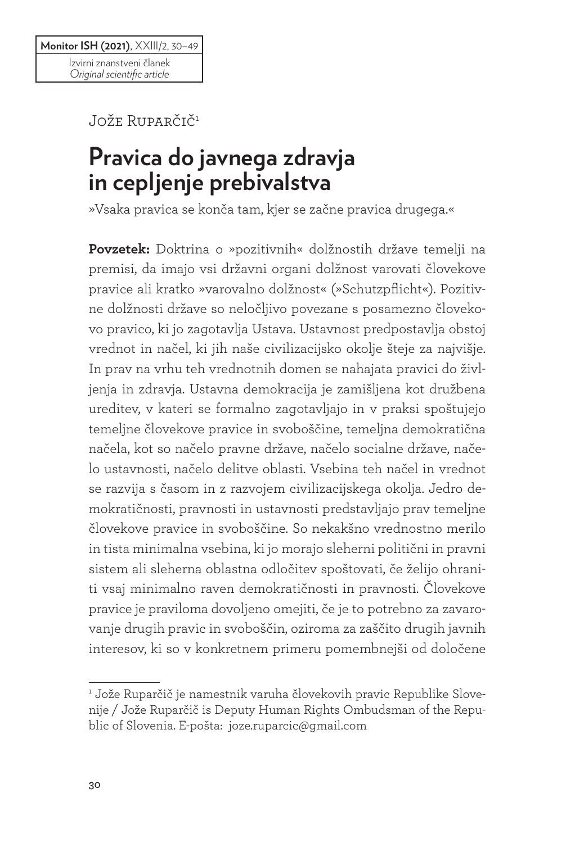Jože Ruparčič1

# **Pravica do javnega zdravja in cepljenje prebivalstva**

»Vsaka pravica se konča tam, kjer se začne pravica drugega.«

**Povzetek:** Doktrina o »pozitivnih« dolžnostih države temelji na premisi, da imajo vsi državni organi dolžnost varovati človekove pravice ali kratko »varovalno dolžnost« (»Schutzpflicht«). Pozitivne dolžnosti države so neločljivo povezane s posamezno človekovo pravico, ki jo zagotavlja Ustava. Ustavnost predpostavlja obstoj vrednot in načel, ki jih naše civilizacijsko okolje šteje za najvišje. In prav na vrhu teh vrednotnih domen se nahajata pravici do življenja in zdravja. Ustavna demokracija je zamišljena kot družbena ureditev, v kateri se formalno zagotavljajo in v praksi spoštujejo temeljne človekove pravice in svoboščine, temeljna demokratična načela, kot so načelo pravne države, načelo socialne države, načelo ustavnosti, načelo delitve oblasti. Vsebina teh načel in vrednot se razvija s časom in z razvojem civilizacijskega okolja. Jedro demokratičnosti, pravnosti in ustavnosti predstavljajo prav temeljne človekove pravice in svoboščine. So nekakšno vrednostno merilo in tista minimalna vsebina, ki jo morajo sleherni politični in pravni sistem ali sleherna oblastna odločitev spoštovati, če želijo ohraniti vsaj minimalno raven demokratičnosti in pravnosti. Človekove pravice je praviloma dovoljeno omejiti, če je to potrebno za zavarovanje drugih pravic in svoboščin, oziroma za zaščito drugih javnih interesov, ki so v konkretnem primeru pomembnejši od določene

<sup>1</sup> Jože Ruparčič je namestnik varuha človekovih pravic Republike Slovenije / Jože Ruparčič is Deputy Human Rights Ombudsman of the Republic of Slovenia. E-pošta: joze.ruparcic@gmail.com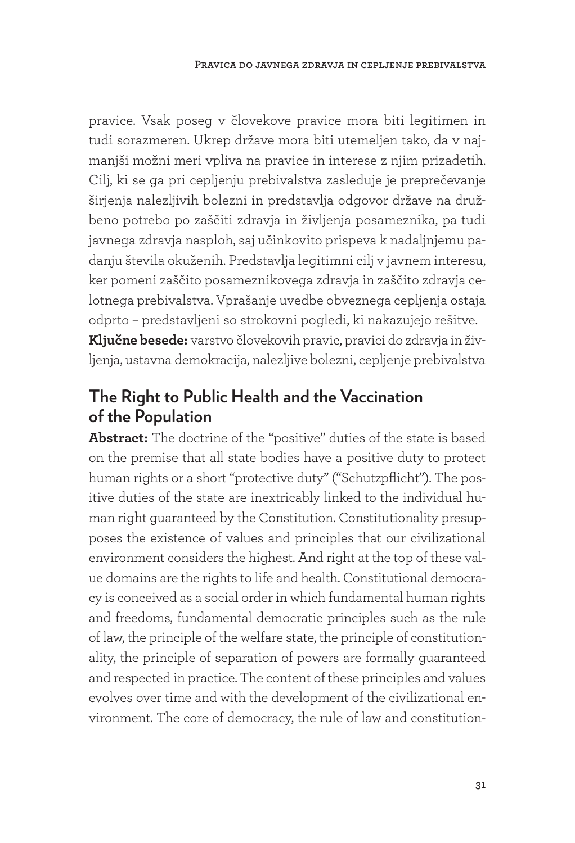pravice. Vsak poseg v človekove pravice mora biti legitimen in tudi sorazmeren. Ukrep države mora biti utemeljen tako, da v najmanjši možni meri vpliva na pravice in interese z njim prizadetih. Cilj, ki se ga pri cepljenju prebivalstva zasleduje je preprečevanje širjenja nalezljivih bolezni in predstavlja odgovor države na družbeno potrebo po zaščiti zdravja in življenja posameznika, pa tudi javnega zdravja nasploh, saj učinkovito prispeva k nadaljnjemu padanju števila okuženih. Predstavlja legitimni cilj v javnem interesu, ker pomeni zaščito posameznikovega zdravja in zaščito zdravja celotnega prebivalstva. Vprašanje uvedbe obveznega cepljenja ostaja odprto – predstavljeni so strokovni pogledi, ki nakazujejo rešitve. **Ključne besede:** varstvo človekovih pravic, pravici do zdravja in življenja, ustavna demokracija, nalezljive bolezni, cepljenje prebivalstva

#### **The Right to Public Health and the Vaccination of the Population**

**Abstract:** The doctrine of the "positive" duties of the state is based on the premise that all state bodies have a positive duty to protect human rights or a short "protective duty" ("Schutzpflicht"). The positive duties of the state are inextricably linked to the individual human right guaranteed by the Constitution. Constitutionality presupposes the existence of values and principles that our civilizational environment considers the highest. And right at the top of these value domains are the rights to life and health. Constitutional democracy is conceived as a social order in which fundamental human rights and freedoms, fundamental democratic principles such as the rule of law, the principle of the welfare state, the principle of constitutionality, the principle of separation of powers are formally guaranteed and respected in practice. The content of these principles and values evolves over time and with the development of the civilizational environment. The core of democracy, the rule of law and constitution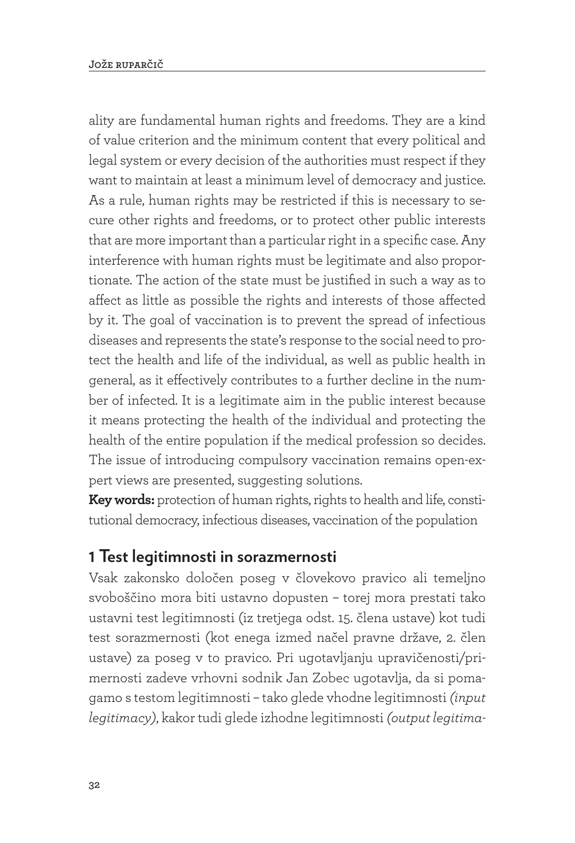ality are fundamental human rights and freedoms. They are a kind of value criterion and the minimum content that every political and legal system or every decision of the authorities must respect if they want to maintain at least a minimum level of democracy and justice. As a rule, human rights may be restricted if this is necessary to secure other rights and freedoms, or to protect other public interests that are more important than a particular right in a specific case. Any interference with human rights must be legitimate and also proportionate. The action of the state must be justified in such a way as to affect as little as possible the rights and interests of those affected by it. The goal of vaccination is to prevent the spread of infectious diseases and represents the state's response to the social need to protect the health and life of the individual, as well as public health in general, as it effectively contributes to a further decline in the number of infected. It is a legitimate aim in the public interest because it means protecting the health of the individual and protecting the health of the entire population if the medical profession so decides. The issue of introducing compulsory vaccination remains open-expert views are presented, suggesting solutions.

**Key words:** protection of human rights, rights to health and life, constitutional democracy, infectious diseases, vaccination of the population

#### **1 Test legitimnosti in sorazmernosti**

Vsak zakonsko določen poseg v človekovo pravico ali temeljno svoboščino mora biti ustavno dopusten – torej mora prestati tako ustavni test legitimnosti (iz tretjega odst. 15. člena ustave) kot tudi test sorazmernosti (kot enega izmed načel pravne države, 2. člen ustave) za poseg v to pravico. Pri ugotavljanju upravičenosti/primernosti zadeve vrhovni sodnik Jan Zobec ugotavlja, da si pomagamo s testom legitimnosti – tako glede vhodne legitimnosti *(input legitimacy)*, kakor tudi glede izhodne legitimnosti *(output legitima-*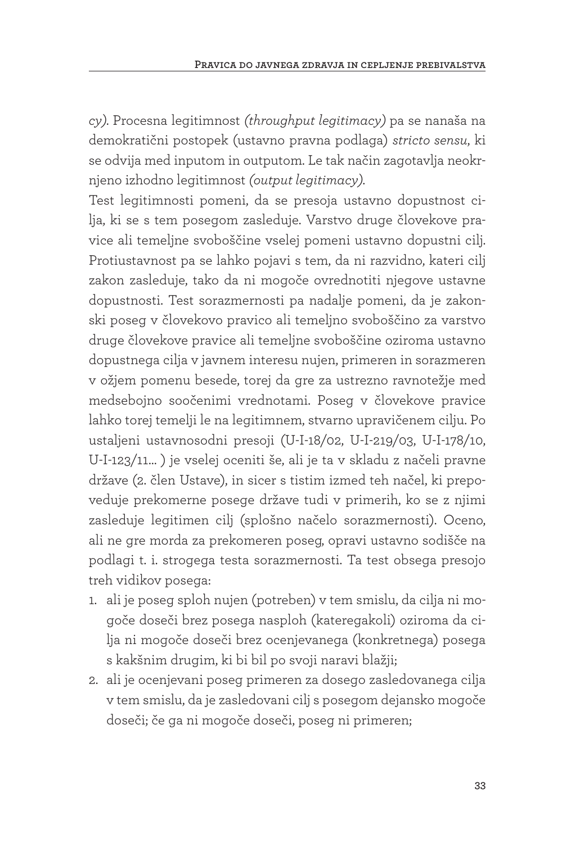*cy).* Procesna legitimnost *(throughput legitimacy)* pa se nanaša na demokratični postopek (ustavno pravna podlaga) *stricto sensu*, ki se odvija med inputom in outputom. Le tak način zagotavlja neokrnjeno izhodno legitimnost *(output legitimacy).*

Test legitimnosti pomeni, da se presoja ustavno dopustnost cilja, ki se s tem posegom zasleduje. Varstvo druge človekove pravice ali temeljne svoboščine vselej pomeni ustavno dopustni cilj. Protiustavnost pa se lahko pojavi s tem, da ni razvidno, kateri cilj zakon zasleduje, tako da ni mogoče ovrednotiti njegove ustavne dopustnosti. Test sorazmernosti pa nadalje pomeni, da je zakonski poseg v človekovo pravico ali temeljno svoboščino za varstvo druge človekove pravice ali temeljne svoboščine oziroma ustavno dopustnega cilja v javnem interesu nujen, primeren in sorazmeren v ožjem pomenu besede, torej da gre za ustrezno ravnotežje med medsebojno soočenimi vrednotami. Poseg v človekove pravice lahko torej temelji le na legitimnem, stvarno upravičenem cilju. Po ustaljeni ustavnosodni presoji (U-I-18/02, U-I-219/03, U-I-178/10, U-I-123/11… ) je vselej oceniti še, ali je ta v skladu z načeli pravne države (2. člen Ustave), in sicer s tistim izmed teh načel, ki prepoveduje prekomerne posege države tudi v primerih, ko se z njimi zasleduje legitimen cilj (splošno načelo sorazmernosti). Oceno, ali ne gre morda za prekomeren poseg, opravi ustavno sodišče na podlagi t. i. strogega testa sorazmernosti. Ta test obsega presojo treh vidikov posega:

- 1. ali je poseg sploh nujen (potreben) v tem smislu, da cilja ni mogoče doseči brez posega nasploh (kateregakoli) oziroma da cilja ni mogoče doseči brez ocenjevanega (konkretnega) posega s kakšnim drugim, ki bi bil po svoji naravi blažji;
- 2. ali je ocenjevani poseg primeren za dosego zasledovanega cilja v tem smislu, da je zasledovani cilj s posegom dejansko mogoče doseči; če ga ni mogoče doseči, poseg ni primeren;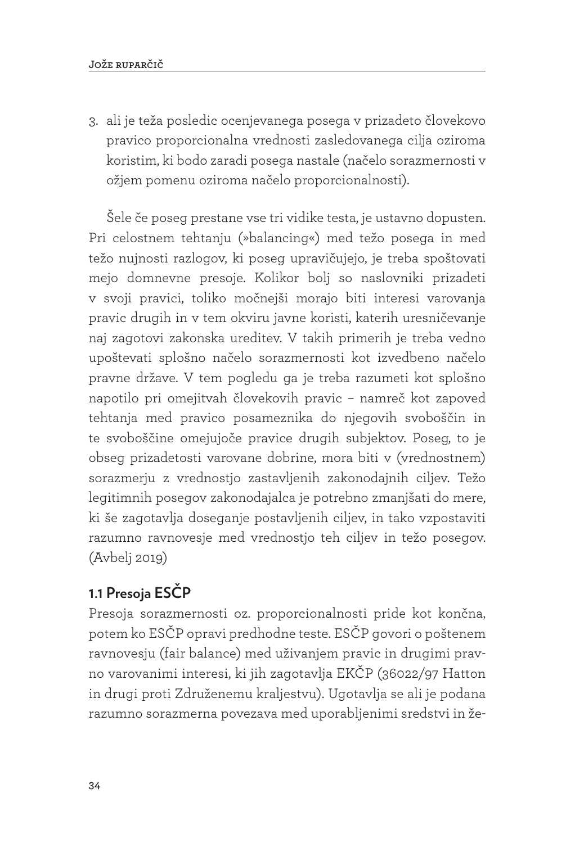3. ali je teža posledic ocenjevanega posega v prizadeto človekovo pravico proporcionalna vrednosti zasledovanega cilja oziroma koristim, ki bodo zaradi posega nastale (načelo sorazmernosti v ožjem pomenu oziroma načelo proporcionalnosti).

Šele če poseg prestane vse tri vidike testa, je ustavno dopusten. Pri celostnem tehtanju (»balancing«) med težo posega in med težo nujnosti razlogov, ki poseg upravičujejo, je treba spoštovati mejo domnevne presoje. Kolikor bolj so naslovniki prizadeti v svoji pravici, toliko močnejši morajo biti interesi varovanja pravic drugih in v tem okviru javne koristi, katerih uresničevanje naj zagotovi zakonska ureditev. V takih primerih je treba vedno upoštevati splošno načelo sorazmernosti kot izvedbeno načelo pravne države. V tem pogledu ga je treba razumeti kot splošno napotilo pri omejitvah človekovih pravic – namreč kot zapoved tehtanja med pravico posameznika do njegovih svoboščin in te svoboščine omejujoče pravice drugih subjektov. Poseg, to je obseg prizadetosti varovane dobrine, mora biti v (vrednostnem) sorazmerju z vrednostjo zastavljenih zakonodajnih ciljev. Težo legitimnih posegov zakonodajalca je potrebno zmanjšati do mere, ki še zagotavlja doseganje postavljenih ciljev, in tako vzpostaviti razumno ravnovesje med vrednostjo teh ciljev in težo posegov. (Avbelj 2019)

#### **1.1 Presoja ESČP**

Presoja sorazmernosti oz. proporcionalnosti pride kot končna, potem ko ESČP opravi predhodne teste. ESČP govori o poštenem ravnovesju (fair balance) med uživanjem pravic in drugimi pravno varovanimi interesi, ki jih zagotavlja EKČP (36022/97 Hatton in drugi proti Združenemu kraljestvu). Ugotavlja se ali je podana razumno sorazmerna povezava med uporabljenimi sredstvi in že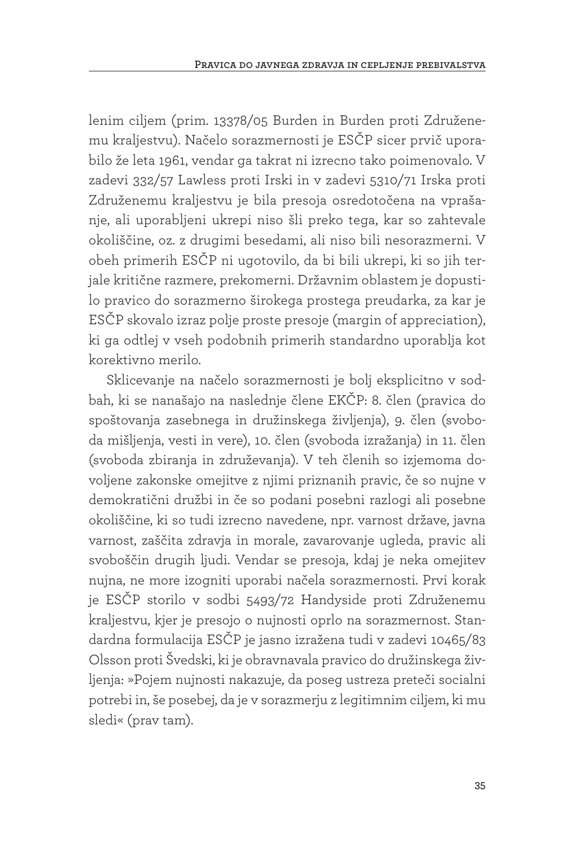lenim ciljem (prim. 13378/05 Burden in Burden proti Združenemu kraljestvu). Načelo sorazmernosti je ESČP sicer prvič uporabilo že leta 1961, vendar ga takrat ni izrecno tako poimenovalo. V zadevi 332/57 Lawless proti Irski in v zadevi 5310/71 Irska proti Združenemu kraljestvu je bila presoja osredotočena na vprašanje, ali uporabljeni ukrepi niso šli preko tega, kar so zahtevale okoliščine, oz. z drugimi besedami, ali niso bili nesorazmerni. V obeh primerih ESČP ni ugotovilo, da bi bili ukrepi, ki so jih terjale kritične razmere, prekomerni. Državnim oblastem je dopustilo pravico do sorazmerno širokega prostega preudarka, za kar je ESČP skovalo izraz polje proste presoje (margin of appreciation), ki ga odtlej v vseh podobnih primerih standardno uporablja kot korektivno merilo.

Sklicevanje na načelo sorazmernosti je bolj eksplicitno v sodbah, ki se nanašajo na naslednje člene EKČP: 8. člen (pravica do spoštovanja zasebnega in družinskega življenja), 9. člen (svoboda mišljenja, vesti in vere), 10. člen (svoboda izražanja) in 11. člen (svoboda zbiranja in združevanja). V teh členih so izjemoma dovoljene zakonske omejitve z njimi priznanih pravic, če so nujne v demokratični družbi in če so podani posebni razlogi ali posebne okoliščine, ki so tudi izrecno navedene, npr. varnost države, javna varnost, zaščita zdravja in morale, zavarovanje ugleda, pravic ali svoboščin drugih ljudi. Vendar se presoja, kdaj je neka omejitev nujna, ne more izogniti uporabi načela sorazmernosti. Prvi korak je ESČP storilo v sodbi 5493/72 Handyside proti Združenemu kraljestvu, kjer je presojo o nujnosti oprlo na sorazmernost. Standardna formulacija ESČP je jasno izražena tudi v zadevi 10465/83 Olsson proti Švedski, ki je obravnavala pravico do družinskega življenja: »Pojem nujnosti nakazuje, da poseg ustreza preteči socialni potrebi in, še posebej, da je v sorazmerju z legitimnim ciljem, ki mu sledi« (prav tam).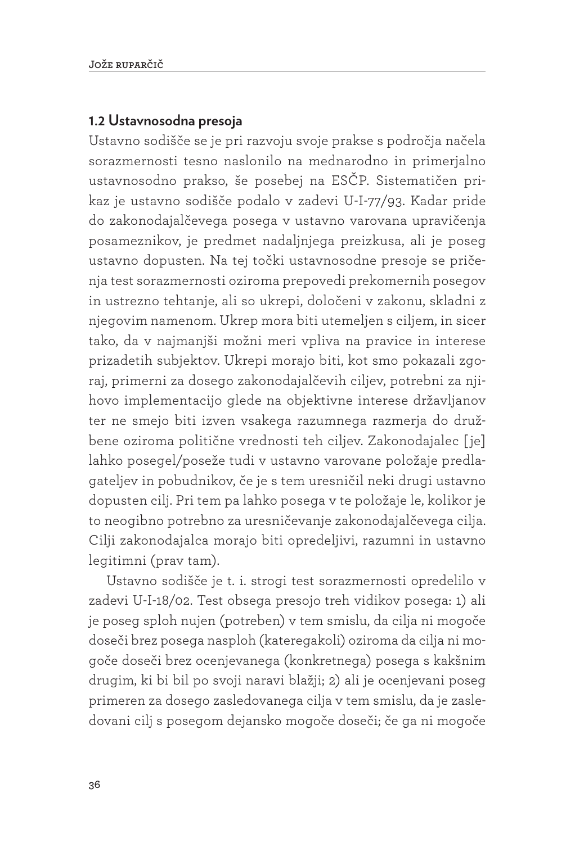#### **1.2 Ustavnosodna presoja**

Ustavno sodišče se je pri razvoju svoje prakse s področja načela sorazmernosti tesno naslonilo na mednarodno in primerjalno ustavnosodno prakso, še posebej na ESČP. Sistematičen prikaz je ustavno sodišče podalo v zadevi U-I-77/93. Kadar pride do zakonodajalčevega posega v ustavno varovana upravičenja posameznikov, je predmet nadaljnjega preizkusa, ali je poseg ustavno dopusten. Na tej točki ustavnosodne presoje se pričenja test sorazmernosti oziroma prepovedi prekomernih posegov in ustrezno tehtanje, ali so ukrepi, določeni v zakonu, skladni z njegovim namenom. Ukrep mora biti utemeljen s ciljem, in sicer tako, da v najmanjši možni meri vpliva na pravice in interese prizadetih subjektov. Ukrepi morajo biti, kot smo pokazali zgoraj, primerni za dosego zakonodajalčevih ciljev, potrebni za njihovo implementacijo glede na objektivne interese državljanov ter ne smejo biti izven vsakega razumnega razmerja do družbene oziroma politične vrednosti teh ciljev. Zakonodajalec [ je] lahko posegel/poseže tudi v ustavno varovane položaje predlagateljev in pobudnikov, če je s tem uresničil neki drugi ustavno dopusten cilj. Pri tem pa lahko posega v te položaje le, kolikor je to neogibno potrebno za uresničevanje zakonodajalčevega cilja. Cilji zakonodajalca morajo biti opredeljivi, razumni in ustavno legitimni (prav tam).

Ustavno sodišče je t. i. strogi test sorazmernosti opredelilo v zadevi U-I-18/02. Test obsega presojo treh vidikov posega: 1) ali je poseg sploh nujen (potreben) v tem smislu, da cilja ni mogoče doseči brez posega nasploh (kateregakoli) oziroma da cilja ni mogoče doseči brez ocenjevanega (konkretnega) posega s kakšnim drugim, ki bi bil po svoji naravi blažji; 2) ali je ocenjevani poseg primeren za dosego zasledovanega cilja v tem smislu, da je zasledovani cilj s posegom dejansko mogoče doseči; če ga ni mogoče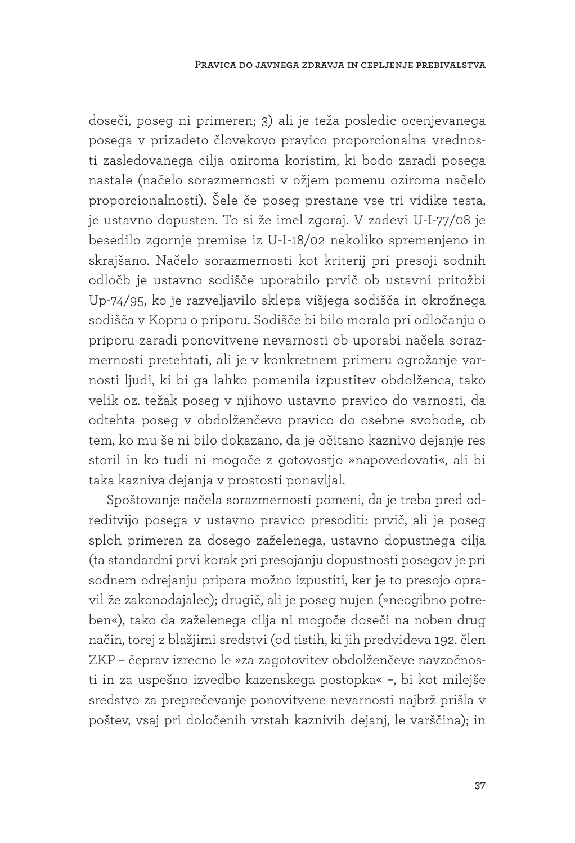doseči, poseg ni primeren; 3) ali je teža posledic ocenjevanega posega v prizadeto človekovo pravico proporcionalna vrednosti zasledovanega cilja oziroma koristim, ki bodo zaradi posega nastale (načelo sorazmernosti v ožjem pomenu oziroma načelo proporcionalnosti). Šele če poseg prestane vse tri vidike testa, je ustavno dopusten. To si že imel zgoraj. V zadevi U-I-77/08 je besedilo zgornje premise iz U-I-18/02 nekoliko spremenjeno in skrajšano. Načelo sorazmernosti kot kriterij pri presoji sodnih odločb je ustavno sodišče uporabilo prvič ob ustavni pritožbi Up-74/95, ko je razveljavilo sklepa višjega sodišča in okrožnega sodišča v Kopru o priporu. Sodišče bi bilo moralo pri odločanju o priporu zaradi ponovitvene nevarnosti ob uporabi načela sorazmernosti pretehtati, ali je v konkretnem primeru ogrožanje varnosti ljudi, ki bi ga lahko pomenila izpustitev obdolženca, tako velik oz. težak poseg v njihovo ustavno pravico do varnosti, da odtehta poseg v obdolženčevo pravico do osebne svobode, ob tem, ko mu še ni bilo dokazano, da je očitano kaznivo dejanje res storil in ko tudi ni mogoče z gotovostjo »napovedovati«, ali bi taka kazniva dejanja v prostosti ponavljal.

Spoštovanje načela sorazmernosti pomeni, da je treba pred odreditvijo posega v ustavno pravico presoditi: prvič, ali je poseg sploh primeren za dosego zaželenega, ustavno dopustnega cilja (ta standardni prvi korak pri presojanju dopustnosti posegov je pri sodnem odrejanju pripora možno izpustiti, ker je to presojo opravil že zakonodajalec); drugič, ali je poseg nujen (»neogibno potreben«), tako da zaželenega cilja ni mogoče doseči na noben drug način, torej z blažjimi sredstvi (od tistih, ki jih predvideva 192. člen ZKP – čeprav izrecno le »za zagotovitev obdolženčeve navzočnosti in za uspešno izvedbo kazenskega postopka« –, bi kot milejše sredstvo za preprečevanje ponovitvene nevarnosti najbrž prišla v poštev, vsaj pri določenih vrstah kaznivih dejanj, le varščina); in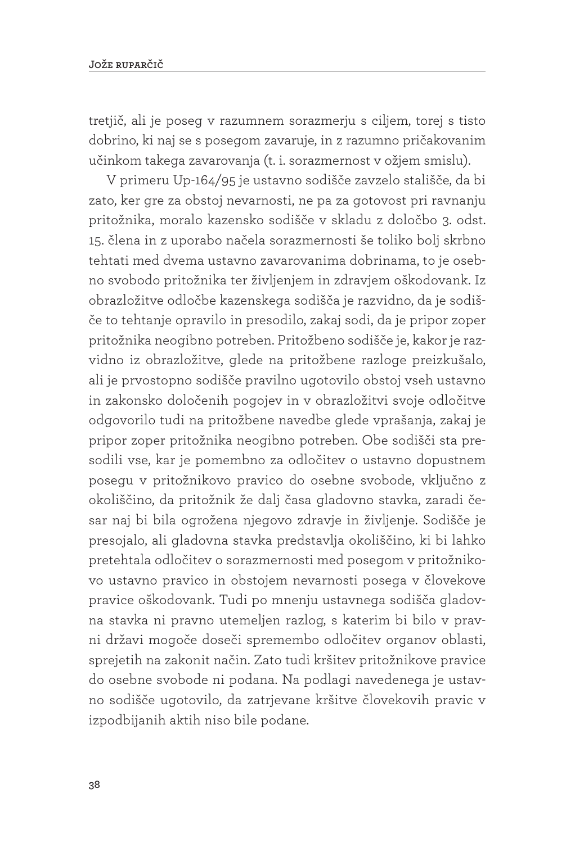tretjič, ali je poseg v razumnem sorazmerju s ciljem, torej s tisto dobrino, ki naj se s posegom zavaruje, in z razumno pričakovanim učinkom takega zavarovanja (t. i. sorazmernost v ožjem smislu).

V primeru Up-164/95 je ustavno sodišče zavzelo stališče, da bi zato, ker gre za obstoj nevarnosti, ne pa za gotovost pri ravnanju pritožnika, moralo kazensko sodišče v skladu z določbo 3. odst. 15. člena in z uporabo načela sorazmernosti še toliko bolj skrbno tehtati med dvema ustavno zavarovanima dobrinama, to je osebno svobodo pritožnika ter življenjem in zdravjem oškodovank. Iz obrazložitve odločbe kazenskega sodišča je razvidno, da je sodišče to tehtanje opravilo in presodilo, zakaj sodi, da je pripor zoper pritožnika neogibno potreben. Pritožbeno sodišče je, kakor je razvidno iz obrazložitve, glede na pritožbene razloge preizkušalo, ali je prvostopno sodišče pravilno ugotovilo obstoj vseh ustavno in zakonsko določenih pogojev in v obrazložitvi svoje odločitve odgovorilo tudi na pritožbene navedbe glede vprašanja, zakaj je pripor zoper pritožnika neogibno potreben. Obe sodišči sta presodili vse, kar je pomembno za odločitev o ustavno dopustnem posegu v pritožnikovo pravico do osebne svobode, vključno z okoliščino, da pritožnik že dalj časa gladovno stavka, zaradi česar naj bi bila ogrožena njegovo zdravje in življenje. Sodišče je presojalo, ali gladovna stavka predstavlja okoliščino, ki bi lahko pretehtala odločitev o sorazmernosti med posegom v pritožnikovo ustavno pravico in obstojem nevarnosti posega v človekove pravice oškodovank. Tudi po mnenju ustavnega sodišča gladovna stavka ni pravno utemeljen razlog, s katerim bi bilo v pravni državi mogoče doseči spremembo odločitev organov oblasti, sprejetih na zakonit način. Zato tudi kršitev pritožnikove pravice do osebne svobode ni podana. Na podlagi navedenega je ustavno sodišče ugotovilo, da zatrjevane kršitve človekovih pravic v izpodbijanih aktih niso bile podane.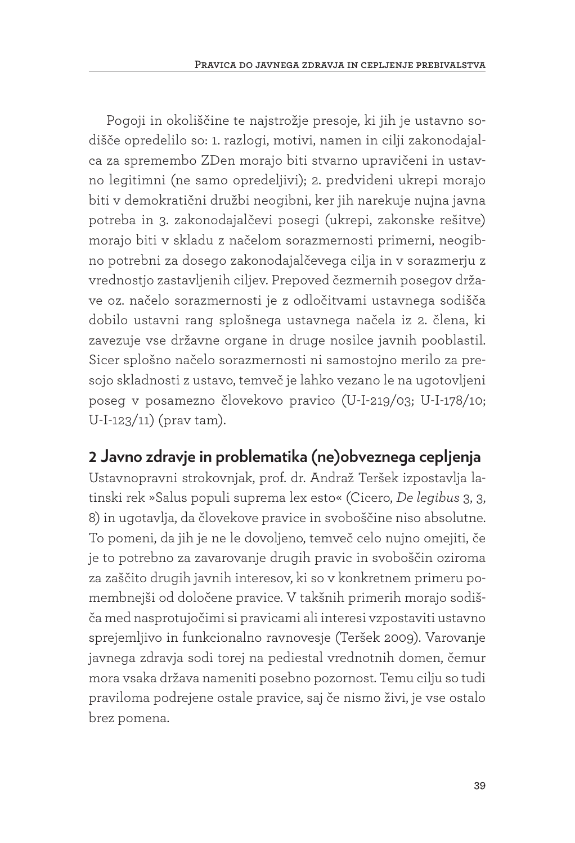Pogoji in okoliščine te najstrožje presoje, ki jih je ustavno sodišče opredelilo so: 1. razlogi, motivi, namen in cilji zakonodajalca za spremembo ZDen morajo biti stvarno upravičeni in ustavno legitimni (ne samo opredeljivi); 2. predvideni ukrepi morajo biti v demokratični družbi neogibni, ker jih narekuje nujna javna potreba in 3. zakonodajalčevi posegi (ukrepi, zakonske rešitve) morajo biti v skladu z načelom sorazmernosti primerni, neogibno potrebni za dosego zakonodajalčevega cilja in v sorazmerju z vrednostjo zastavljenih ciljev. Prepoved čezmernih posegov države oz. načelo sorazmernosti je z odločitvami ustavnega sodišča dobilo ustavni rang splošnega ustavnega načela iz 2. člena, ki zavezuje vse državne organe in druge nosilce javnih pooblastil. Sicer splošno načelo sorazmernosti ni samostojno merilo za presojo skladnosti z ustavo, temveč je lahko vezano le na ugotovljeni poseg v posamezno človekovo pravico (U-I-219/03; U-I-178/10; U-I-123/11) (prav tam).

## **2 Javno zdravje in problematika (ne)obveznega cepljenja**

Ustavnopravni strokovnjak, prof. dr. Andraž Teršek izpostavlja latinski rek »Salus populi suprema lex esto« (Cicero, *De legibus* 3, 3, 8) in ugotavlja, da človekove pravice in svoboščine niso absolutne. To pomeni, da jih je ne le dovoljeno, temveč celo nujno omejiti, če je to potrebno za zavarovanje drugih pravic in svoboščin oziroma za zaščito drugih javnih interesov, ki so v konkretnem primeru pomembnejši od določene pravice. V takšnih primerih morajo sodišča med nasprotujočimi si pravicami ali interesi vzpostaviti ustavno sprejemljivo in funkcionalno ravnovesje (Teršek 2009). Varovanje javnega zdravja sodi torej na pediestal vrednotnih domen, čemur mora vsaka država nameniti posebno pozornost. Temu cilju so tudi praviloma podrejene ostale pravice, saj če nismo živi, je vse ostalo brez pomena.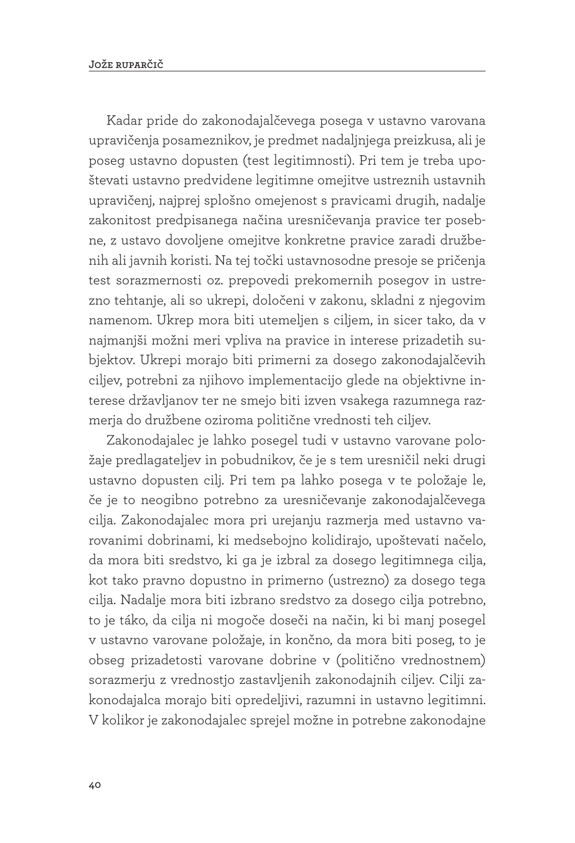Kadar pride do zakonodajalčevega posega v ustavno varovana upravičenja posameznikov, je predmet nadaljnjega preizkusa, ali je poseg ustavno dopusten (test legitimnosti). Pri tem je treba upoštevati ustavno predvidene legitimne omejitve ustreznih ustavnih upravičenj, najprej splošno omejenost s pravicami drugih, nadalje zakonitost predpisanega načina uresničevanja pravice ter posebne, z ustavo dovoljene omejitve konkretne pravice zaradi družbenih ali javnih koristi. Na tej točki ustavnosodne presoje se pričenja test sorazmernosti oz. prepovedi prekomernih posegov in ustrezno tehtanje, ali so ukrepi, določeni v zakonu, skladni z njegovim namenom. Ukrep mora biti utemeljen s ciljem, in sicer tako, da v najmanjši možni meri vpliva na pravice in interese prizadetih subjektov. Ukrepi morajo biti primerni za dosego zakonodajalčevih ciljev, potrebni za njihovo implementacijo glede na objektivne interese državljanov ter ne smejo biti izven vsakega razumnega razmerja do družbene oziroma politične vrednosti teh ciljev.

Zakonodajalec je lahko posegel tudi v ustavno varovane položaje predlagateljev in pobudnikov, če je s tem uresničil neki drugi ustavno dopusten cilj. Pri tem pa lahko posega v te položaje le, če je to neogibno potrebno za uresničevanje zakonodajalčevega cilja. Zakonodajalec mora pri urejanju razmerja med ustavno varovanimi dobrinami, ki medsebojno kolidirajo, upoštevati načelo, da mora biti sredstvo, ki ga je izbral za dosego legitimnega cilja, kot tako pravno dopustno in primerno (ustrezno) za dosego tega cilja. Nadalje mora biti izbrano sredstvo za dosego cilja potrebno, to je táko, da cilja ni mogoče doseči na način, ki bi manj posegel v ustavno varovane položaje, in končno, da mora biti poseg, to je obseg prizadetosti varovane dobrine v (politično vrednostnem) sorazmerju z vrednostjo zastavljenih zakonodajnih ciljev. Cilji zakonodajalca morajo biti opredeljivi, razumni in ustavno legitimni. V kolikor je zakonodajalec sprejel možne in potrebne zakonodajne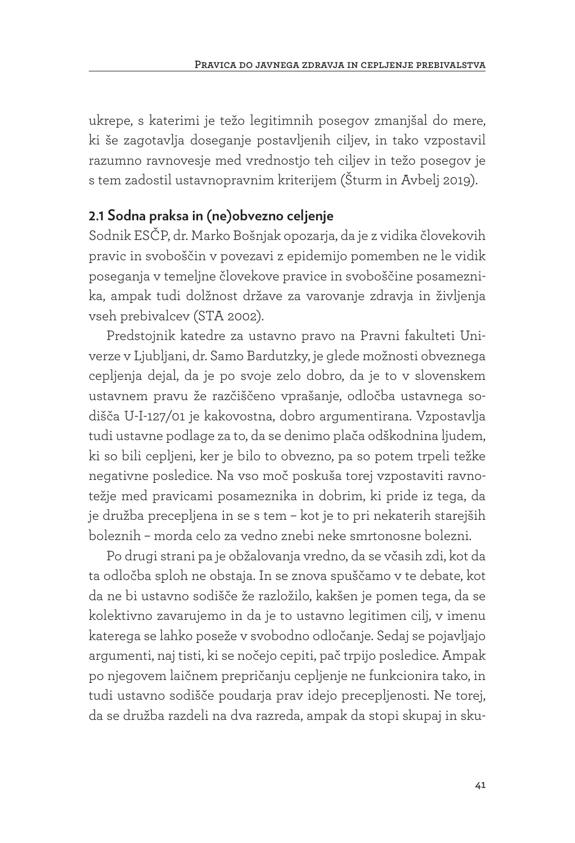ukrepe, s katerimi je težo legitimnih posegov zmanjšal do mere, ki še zagotavlja doseganje postavljenih ciljev, in tako vzpostavil razumno ravnovesje med vrednostjo teh ciljev in težo posegov je s tem zadostil ustavnopravnim kriterijem (Šturm in Avbelj 2019).

## **2.1 Sodna praksa in (ne)obvezno celjenje**

Sodnik ESČP, dr. Marko Bošnjak opozarja, da je z vidika človekovih pravic in svoboščin v povezavi z epidemijo pomemben ne le vidik poseganja v temeljne človekove pravice in svoboščine posameznika, ampak tudi dolžnost države za varovanje zdravja in življenja vseh prebivalcev (STA 2002).

Predstojnik katedre za ustavno pravo na Pravni fakulteti Univerze v Ljubljani, dr. Samo Bardutzky, je glede možnosti obveznega cepljenja dejal, da je po svoje zelo dobro, da je to v slovenskem ustavnem pravu že razčiščeno vprašanje, odločba ustavnega sodišča U-I-127/01 je kakovostna, dobro argumentirana. Vzpostavlja tudi ustavne podlage za to, da se denimo plača odškodnina ljudem, ki so bili cepljeni, ker je bilo to obvezno, pa so potem trpeli težke negativne posledice. Na vso moč poskuša torej vzpostaviti ravnotežje med pravicami posameznika in dobrim, ki pride iz tega, da je družba precepljena in se s tem – kot je to pri nekaterih starejših boleznih – morda celo za vedno znebi neke smrtonosne bolezni.

Po drugi strani pa je obžalovanja vredno, da se včasih zdi, kot da ta odločba sploh ne obstaja. In se znova spuščamo v te debate, kot da ne bi ustavno sodišče že razložilo, kakšen je pomen tega, da se kolektivno zavarujemo in da je to ustavno legitimen cilj, v imenu katerega se lahko poseže v svobodno odločanje. Sedaj se pojavljajo argumenti, naj tisti, ki se nočejo cepiti, pač trpijo posledice. Ampak po njegovem laičnem prepričanju cepljenje ne funkcionira tako, in tudi ustavno sodišče poudarja prav idejo precepljenosti. Ne torej, da se družba razdeli na dva razreda, ampak da stopi skupaj in sku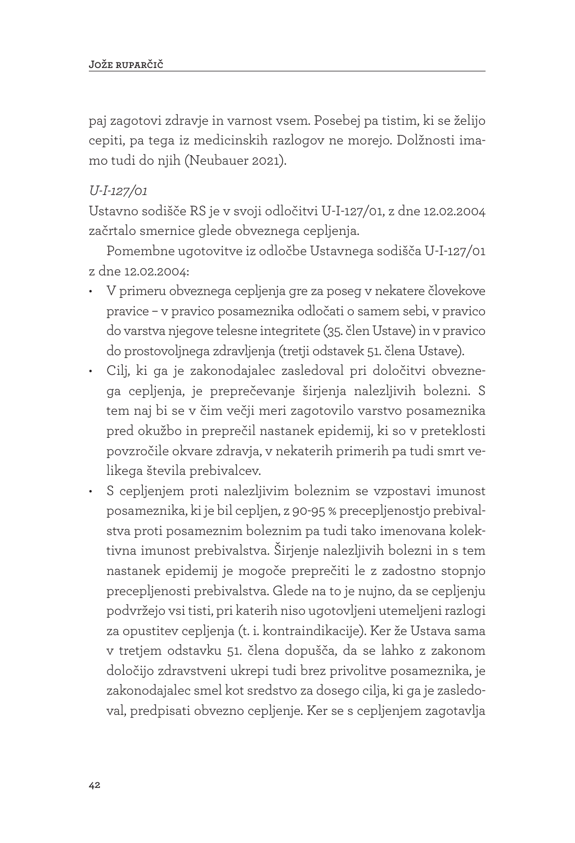paj zagotovi zdravje in varnost vsem. Posebej pa tistim, ki se želijo cepiti, pa tega iz medicinskih razlogov ne morejo. Dolžnosti imamo tudi do njih (Neubauer 2021).

### *U-I-127/01*

Ustavno sodišče RS je v svoji odločitvi U-I-127/01, z dne 12.02.2004 začrtalo smernice glede obveznega cepljenja.

Pomembne ugotovitve iz odločbe Ustavnega sodišča U-I-127/01 z dne 12.02.2004:

- V primeru obveznega cepljenja gre za poseg v nekatere človekove pravice – v pravico posameznika odločati o samem sebi, v pravico do varstva njegove telesne integritete (35. člen Ustave) in v pravico do prostovoljnega zdravljenja (tretji odstavek 51. člena Ustave).
- Cilj, ki ga je zakonodajalec zasledoval pri določitvi obveznega cepljenja, je preprečevanje širjenja nalezljivih bolezni. S tem naj bi se v čim večji meri zagotovilo varstvo posameznika pred okužbo in preprečil nastanek epidemij, ki so v preteklosti povzročile okvare zdravja, v nekaterih primerih pa tudi smrt velikega števila prebivalcev.
- S cepljenjem proti nalezljivim boleznim se vzpostavi imunost posameznika, ki je bil cepljen, z 90-95 % precepljenostjo prebivalstva proti posameznim boleznim pa tudi tako imenovana kolektivna imunost prebivalstva. Širjenje nalezljivih bolezni in s tem nastanek epidemij je mogoče preprečiti le z zadostno stopnjo precepljenosti prebivalstva. Glede na to je nujno, da se cepljenju podvržejo vsi tisti, pri katerih niso ugotovljeni utemeljeni razlogi za opustitev cepljenja (t. i. kontraindikacije). Ker že Ustava sama v tretjem odstavku 51. člena dopušča, da se lahko z zakonom določijo zdravstveni ukrepi tudi brez privolitve posameznika, je zakonodajalec smel kot sredstvo za dosego cilja, ki ga je zasledoval, predpisati obvezno cepljenje. Ker se s cepljenjem zagotavlja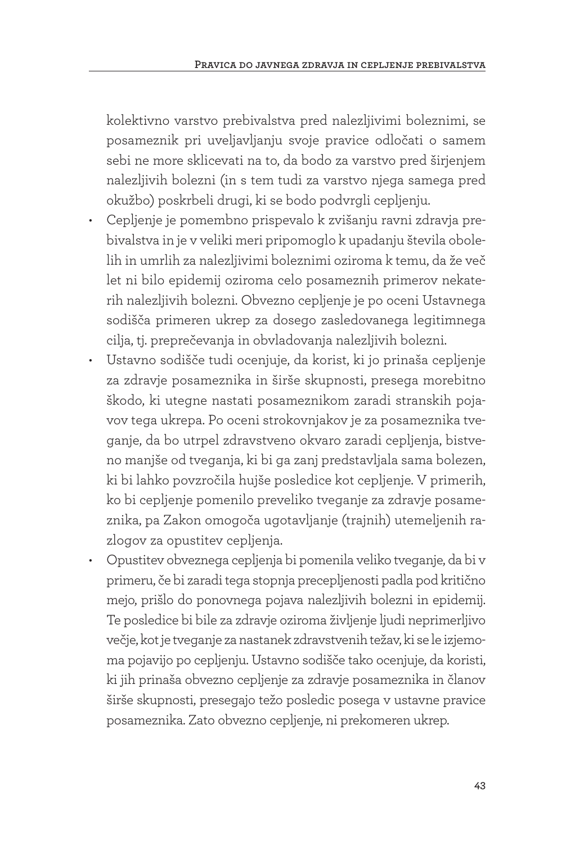kolektivno varstvo prebivalstva pred nalezljivimi boleznimi, se posameznik pri uveljavljanju svoje pravice odločati o samem sebi ne more sklicevati na to, da bodo za varstvo pred širjenjem nalezljivih bolezni (in s tem tudi za varstvo njega samega pred okužbo) poskrbeli drugi, ki se bodo podvrgli cepljenju.

- Cepljenje je pomembno prispevalo k zvišanju ravni zdravja prebivalstva in je v veliki meri pripomoglo k upadanju števila obolelih in umrlih za nalezljivimi boleznimi oziroma k temu, da že več let ni bilo epidemij oziroma celo posameznih primerov nekaterih nalezljivih bolezni. Obvezno cepljenje je po oceni Ustavnega sodišča primeren ukrep za dosego zasledovanega legitimnega cilja, tj. preprečevanja in obvladovanja nalezljivih bolezni.
- Ustavno sodišče tudi ocenjuje, da korist, ki jo prinaša cepljenje za zdravje posameznika in širše skupnosti, presega morebitno škodo, ki utegne nastati posameznikom zaradi stranskih pojavov tega ukrepa. Po oceni strokovnjakov je za posameznika tveganje, da bo utrpel zdravstveno okvaro zaradi cepljenja, bistveno manjše od tveganja, ki bi ga zanj predstavljala sama bolezen, ki bi lahko povzročila hujše posledice kot cepljenje. V primerih, ko bi cepljenje pomenilo preveliko tveganje za zdravje posameznika, pa Zakon omogoča ugotavljanje (trajnih) utemeljenih razlogov za opustitev cepljenja.
- Opustitev obveznega cepljenja bi pomenila veliko tveganje, da bi v primeru, če bi zaradi tega stopnja precepljenosti padla pod kritično mejo, prišlo do ponovnega pojava nalezljivih bolezni in epidemij. Te posledice bi bile za zdravje oziroma življenje ljudi neprimerljivo večje, kot je tveganje za nastanek zdravstvenih težav, ki se le izjemoma pojavijo po cepljenju. Ustavno sodišče tako ocenjuje, da koristi, ki jih prinaša obvezno cepljenje za zdravje posameznika in članov širše skupnosti, presegajo težo posledic posega v ustavne pravice posameznika. Zato obvezno cepljenje, ni prekomeren ukrep.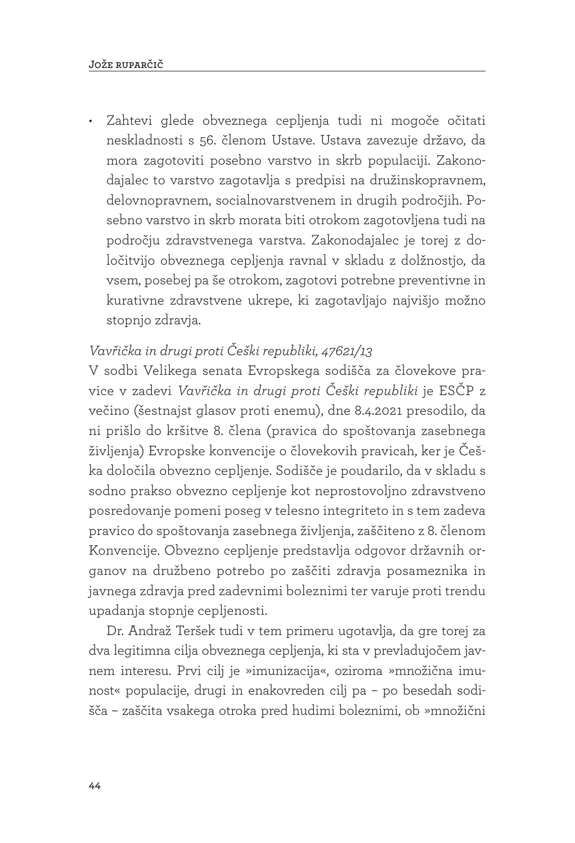• Zahtevi glede obveznega cepljenja tudi ni mogoče očitati neskladnosti s 56. členom Ustave. Ustava zavezuje državo, da mora zagotoviti posebno varstvo in skrb populaciji. Zakonodajalec to varstvo zagotavlja s predpisi na družinskopravnem, delovnopravnem, socialnovarstvenem in drugih področjih. Posebno varstvo in skrb morata biti otrokom zagotovljena tudi na področju zdravstvenega varstva. Zakonodajalec je torej z določitvijo obveznega cepljenja ravnal v skladu z dolžnostjo, da vsem, posebej pa še otrokom, zagotovi potrebne preventivne in kurativne zdravstvene ukrepe, ki zagotavljajo najvišjo možno stopnjo zdravja.

## *Vavřička in drugi proti Češki republiki, 47621/13*

V sodbi Velikega senata Evropskega sodišča za človekove pravice v zadevi *Vavřička in drugi proti Češki republiki* je ESČP z večino (šestnajst glasov proti enemu), dne 8.4.2021 presodilo, da ni prišlo do kršitve 8. člena (pravica do spoštovanja zasebnega življenja) Evropske konvencije o človekovih pravicah, ker je Češka določila obvezno cepljenje. Sodišče je poudarilo, da v skladu s sodno prakso obvezno cepljenje kot neprostovoljno zdravstveno posredovanje pomeni poseg v telesno integriteto in s tem zadeva pravico do spoštovanja zasebnega življenja, zaščiteno z 8. členom Konvencije. Obvezno cepljenje predstavlja odgovor državnih organov na družbeno potrebo po zaščiti zdravja posameznika in javnega zdravja pred zadevnimi boleznimi ter varuje proti trendu upadanja stopnje cepljenosti.

Dr. Andraž Teršek tudi v tem primeru ugotavlja, da gre torej za dva legitimna cilja obveznega cepljenja, ki sta v prevladujočem javnem interesu. Prvi cilj je »imunizacija«, oziroma »množična imunost« populacije, drugi in enakovreden cilj pa – po besedah sodišča – zaščita vsakega otroka pred hudimi boleznimi, ob »množični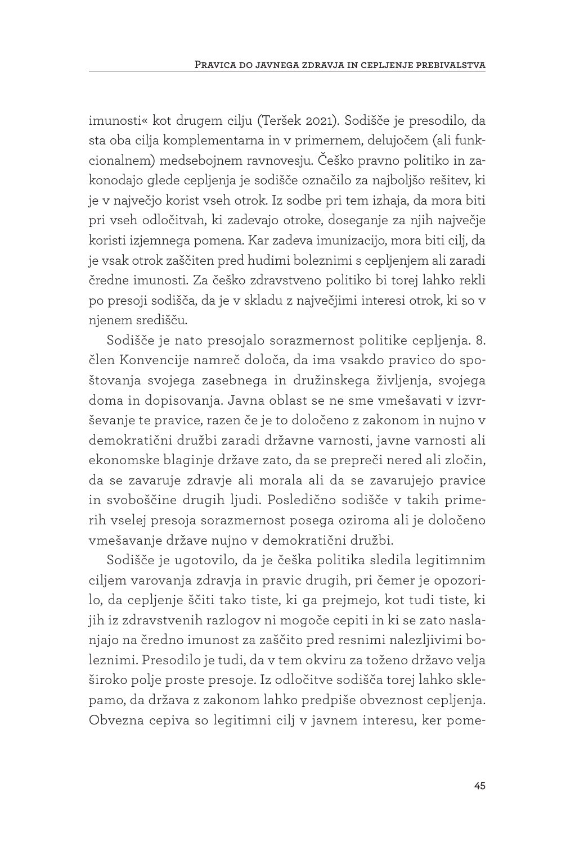imunosti« kot drugem cilju (Teršek 2021). Sodišče je presodilo, da sta oba cilja komplementarna in v primernem, delujočem (ali funkcionalnem) medsebojnem ravnovesju. Češko pravno politiko in zakonodajo glede cepljenja je sodišče označilo za najboljšo rešitev, ki je v največjo korist vseh otrok. Iz sodbe pri tem izhaja, da mora biti pri vseh odločitvah, ki zadevajo otroke, doseganje za njih največje koristi izjemnega pomena. Kar zadeva imunizacijo, mora biti cilj, da je vsak otrok zaščiten pred hudimi boleznimi s cepljenjem ali zaradi čredne imunosti. Za češko zdravstveno politiko bi torej lahko rekli po presoji sodišča, da je v skladu z največjimi interesi otrok, ki so v njenem središču.

Sodišče je nato presojalo sorazmernost politike cepljenja. 8. člen Konvencije namreč določa, da ima vsakdo pravico do spoštovanja svojega zasebnega in družinskega življenja, svojega doma in dopisovanja. Javna oblast se ne sme vmešavati v izvrševanje te pravice, razen če je to določeno z zakonom in nujno v demokratični družbi zaradi državne varnosti, javne varnosti ali ekonomske blaginje države zato, da se prepreči nered ali zločin, da se zavaruje zdravje ali morala ali da se zavarujejo pravice in svoboščine drugih ljudi. Posledično sodišče v takih primerih vselej presoja sorazmernost posega oziroma ali je določeno vmešavanje države nujno v demokratični družbi.

Sodišče je ugotovilo, da je češka politika sledila legitimnim ciljem varovanja zdravja in pravic drugih, pri čemer je opozorilo, da cepljenje ščiti tako tiste, ki ga prejmejo, kot tudi tiste, ki jih iz zdravstvenih razlogov ni mogoče cepiti in ki se zato naslanjajo na čredno imunost za zaščito pred resnimi nalezljivimi boleznimi. Presodilo je tudi, da v tem okviru za toženo državo velja široko polje proste presoje. Iz odločitve sodišča torej lahko sklepamo, da država z zakonom lahko predpiše obveznost cepljenja. Obvezna cepiva so legitimni cilj v javnem interesu, ker pome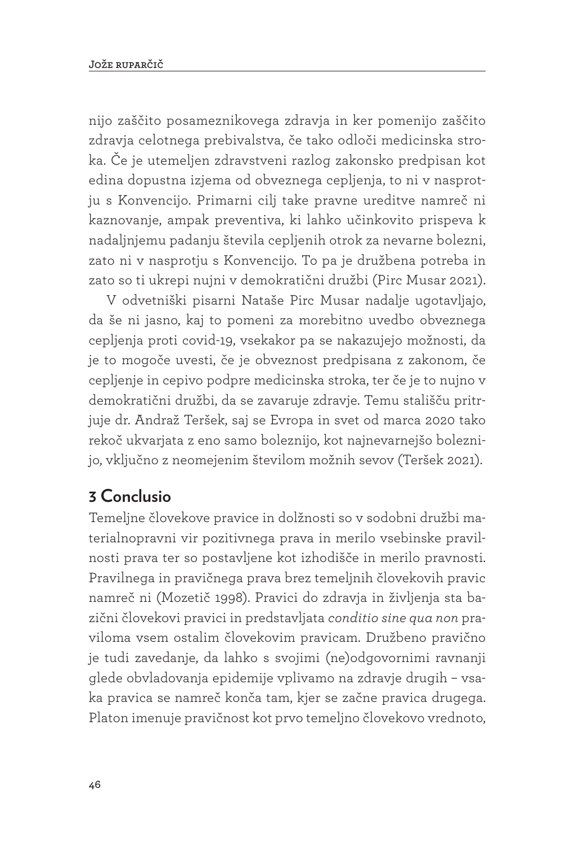nijo zaščito posameznikovega zdravja in ker pomenijo zaščito zdravja celotnega prebivalstva, če tako odloči medicinska stroka. Če je utemeljen zdravstveni razlog zakonsko predpisan kot edina dopustna izjema od obveznega cepljenja, to ni v nasprotju s Konvencijo. Primarni cilj take pravne ureditve namreč ni kaznovanje, ampak preventiva, ki lahko učinkovito prispeva k nadaljnjemu padanju števila cepljenih otrok za nevarne bolezni, zato ni v nasprotju s Konvencijo. To pa je družbena potreba in zato so ti ukrepi nujni v demokratični družbi (Pirc Musar 2021).

V odvetniški pisarni Nataše Pirc Musar nadalje ugotavljajo, da še ni jasno, kaj to pomeni za morebitno uvedbo obveznega cepljenja proti covid-19, vsekakor pa se nakazujejo možnosti, da je to mogoče uvesti, če je obveznost predpisana z zakonom, če cepljenje in cepivo podpre medicinska stroka, ter če je to nujno v demokratični družbi, da se zavaruje zdravje. Temu stališču pritrjuje dr. Andraž Teršek, saj se Evropa in svet od marca 2020 tako rekoč ukvarjata z eno samo boleznijo, kot najnevarnejšo boleznijo, vključno z neomejenim številom možnih sevov (Teršek 2021).

# **3 Conclusio**

Temeljne človekove pravice in dolžnosti so v sodobni družbi materialnopravni vir pozitivnega prava in merilo vsebinske pravilnosti prava ter so postavljene kot izhodišče in merilo pravnosti. Pravilnega in pravičnega prava brez temeljnih človekovih pravic namreč ni (Mozetič 1998). Pravici do zdravja in življenja sta bazični človekovi pravici in predstavljata *conditio sine qua non* praviloma vsem ostalim človekovim pravicam. Družbeno pravično je tudi zavedanje, da lahko s svojimi (ne)odgovornimi ravnanji glede obvladovanja epidemije vplivamo na zdravje drugih – vsaka pravica se namreč konča tam, kjer se začne pravica drugega. Platon imenuje pravičnost kot prvo temeljno človekovo vrednoto,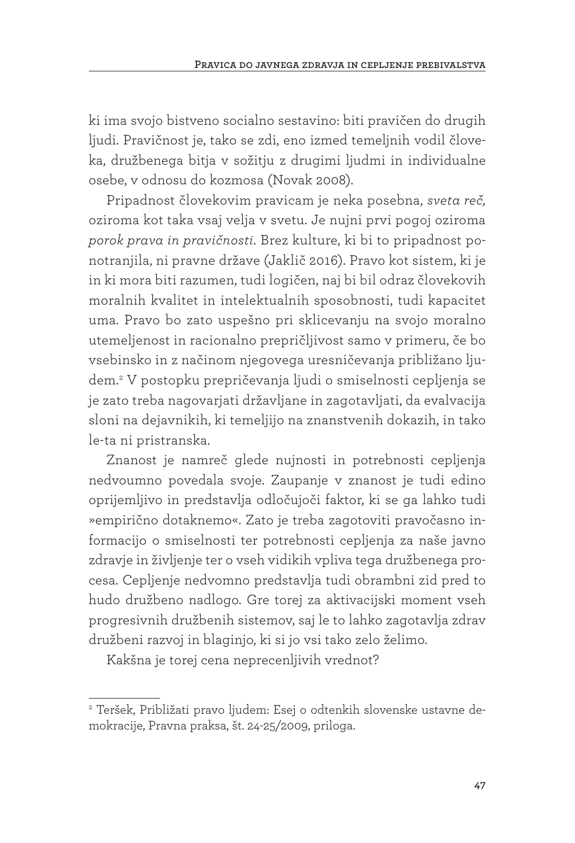ki ima svojo bistveno socialno sestavino: biti pravičen do drugih ljudi. Pravičnost je, tako se zdi, eno izmed temeljnih vodil človeka, družbenega bitja v sožitju z drugimi ljudmi in individualne osebe, v odnosu do kozmosa (Novak 2008).

Pripadnost človekovim pravicam je neka posebna, *sveta reč,*  oziroma kot taka vsaj velja v svetu. Je nujni prvi pogoj oziroma *porok prava in pravičnosti*. Brez kulture, ki bi to pripadnost ponotranjila, ni pravne države (Jaklič 2016). Pravo kot sistem, ki je in ki mora biti razumen, tudi logičen, naj bi bil odraz človekovih moralnih kvalitet in intelektualnih sposobnosti, tudi kapacitet uma. Pravo bo zato uspešno pri sklicevanju na svojo moralno utemeljenost in racionalno prepričljivost samo v primeru, če bo vsebinsko in z načinom njegovega uresničevanja približano ljudem.2 V postopku prepričevanja ljudi o smiselnosti cepljenja se je zato treba nagovarjati državljane in zagotavljati, da evalvacija sloni na dejavnikih, ki temeljijo na znanstvenih dokazih, in tako le-ta ni pristranska.

Znanost je namreč glede nujnosti in potrebnosti cepljenja nedvoumno povedala svoje. Zaupanje v znanost je tudi edino oprijemljivo in predstavlja odločujoči faktor, ki se ga lahko tudi »empirično dotaknemo«. Zato je treba zagotoviti pravočasno informacijo o smiselnosti ter potrebnosti cepljenja za naše javno zdravje in življenje ter o vseh vidikih vpliva tega družbenega procesa. Cepljenje nedvomno predstavlja tudi obrambni zid pred to hudo družbeno nadlogo. Gre torej za aktivacijski moment vseh progresivnih družbenih sistemov, saj le to lahko zagotavlja zdrav družbeni razvoj in blaginjo, ki si jo vsi tako zelo želimo.

Kakšna je torej cena neprecenljivih vrednot?

<sup>2</sup> Teršek, Približati pravo ljudem: Esej o odtenkih slovenske ustavne demokracije, Pravna praksa, št. 24-25/2009, priloga.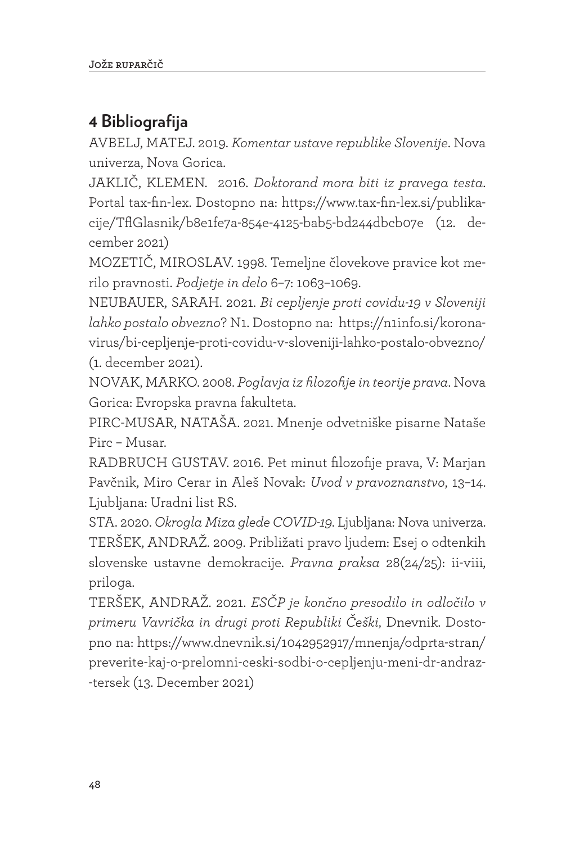# **4 Bibliografija**

AVBELJ, MATEJ. 2019. *Komentar ustave republike Slovenije*. Nova univerza, Nova Gorica.

JAKLIČ, KLEMEN. 2016. *Doktorand mora biti iz pravega testa*. Portal tax-fin-lex. Dostopno na: https://www.tax-fin-lex.si/publikacije/TflGlasnik/b8e1fe7a-854e-4125-bab5-bd244dbcb07e (12. december 2021)

MOZETIČ, MIROSLAV. 1998. Temeljne človekove pravice kot merilo pravnosti. *Podjetje in delo* 6–7: 1063–1069.

NEUBAUER, SARAH. 2021. *Bi cepljenje proti covidu-19 v Sloveniji lahko postalo obvezno*? N1. Dostopno na: https://n1info.si/koronavirus/bi-cepljenje-proti-covidu-v-sloveniji-lahko-postalo-obvezno/ (1. december 2021).

NOVAK, MARKO. 2008. *Poglavja iz filozofije in teorije prava*. Nova Gorica: Evropska pravna fakulteta.

PIRC-MUSAR, NATAŠA. 2021. Mnenje odvetniške pisarne Nataše Pirc – Musar.

RADBRUCH GUSTAV. 2016. Pet minut filozofije prava, V: Marjan Pavčnik, Miro Cerar in Aleš Novak: *Uvod v pravoznanstvo*, 13–14. Ljubljana: Uradni list RS.

STA. 2020. *Okrogla Miza glede COVID-19*. Ljubljana: Nova univerza. TERŠEK, ANDRAŽ. 2009. Približati pravo ljudem: Esej o odtenkih slovenske ustavne demokracije. *Pravna praksa* 28(24/25): ii-viii, priloga.

TERŠEK, ANDRAŽ. 2021. *ESČP je končno presodilo in odločilo v primeru Vavrička in drugi proti Republiki Češki*, Dnevnik. Dostopno na: https://www.dnevnik.si/1042952917/mnenja/odprta-stran/ preverite-kaj-o-prelomni-ceski-sodbi-o-cepljenju-meni-dr-andraz- -tersek (13. December 2021)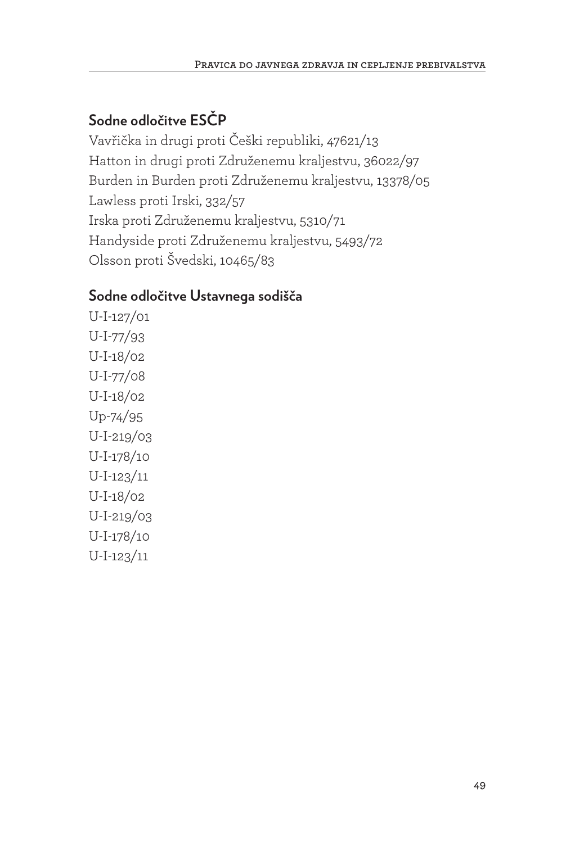## **Sodne odločitve ESČP**

Vavřička in drugi proti Češki republiki, 47621/13 Hatton in drugi proti Združenemu kraljestvu, 36022/97 Burden in Burden proti Združenemu kraljestvu, 13378/05 Lawless proti Irski, 332/57 Irska proti Združenemu kraljestvu, 5310/71 Handyside proti Združenemu kraljestvu, 5493/72 Olsson proti Švedski, 10465/83

## **Sodne odločitve Ustavnega sodišča**

U-I-127/01 U-I-77/93 U-I-18/02 U-I-77/08 U-I-18/02 Up-74/95 U-I-219/03 U-I-178/10 U-I-123/11 U-I-18/02 U-I-219/03 U-I-178/10 U-I-123/11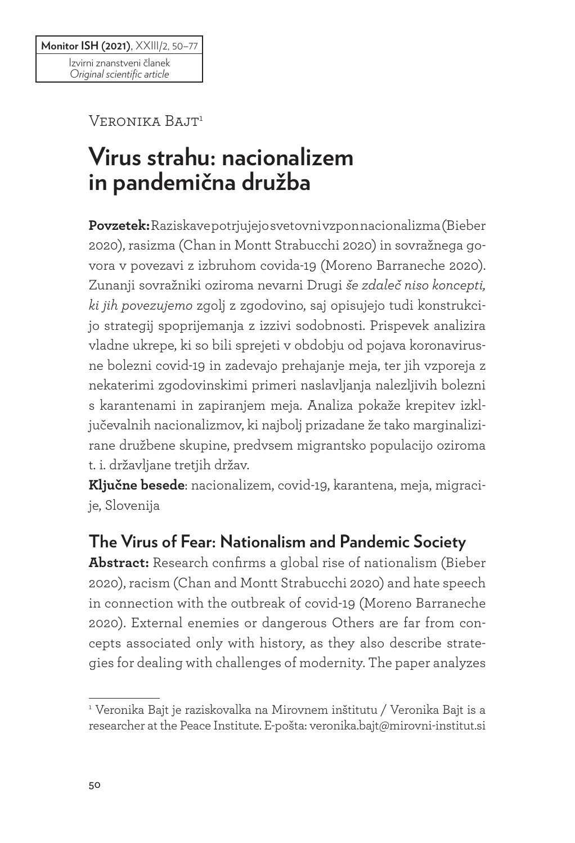Veronika Bajt1

# **Virus strahu: nacionalizem in pandemična družba**

**Povzetek:** Raziskave potrjujejo svetovni vzpon nacionalizma (Bieber 2020), rasizma (Chan in Montt Strabucchi 2020) in sovražnega govora v povezavi z izbruhom covida-19 (Moreno Barraneche 2020). Zunanji sovražniki oziroma nevarni Drugi *še zdaleč niso koncepti, ki jih povezujemo* zgolj z zgodovino, saj opisujejo tudi konstrukcijo strategij spoprijemanja z izzivi sodobnosti. Prispevek analizira vladne ukrepe, ki so bili sprejeti v obdobju od pojava koronavirusne bolezni covid-19 in zadevajo prehajanje meja, ter jih vzporeja z nekaterimi zgodovinskimi primeri naslavljanja nalezljivih bolezni s karantenami in zapiranjem meja. Analiza pokaže krepitev izključevalnih nacionalizmov, ki najbolj prizadane že tako marginalizirane družbene skupine, predvsem migrantsko populacijo oziroma t. i. državljane tretjih držav.

**Ključne besede**: nacionalizem, covid-19, karantena, meja, migracije, Slovenija

# **The Virus of Fear: Nationalism and Pandemic Society**

**Abstract:** Research confirms a global rise of nationalism (Bieber 2020), racism (Chan and Montt Strabucchi 2020) and hate speech in connection with the outbreak of covid-19 (Moreno Barraneche 2020). External enemies or dangerous Others are far from concepts associated only with history, as they also describe strategies for dealing with challenges of modernity. The paper analyzes

<sup>1</sup> Veronika Bajt je raziskovalka na Mirovnem inštitutu / Veronika Bajt is a researcher at the Peace Institute. E-pošta: veronika.bajt@mirovni-institut.si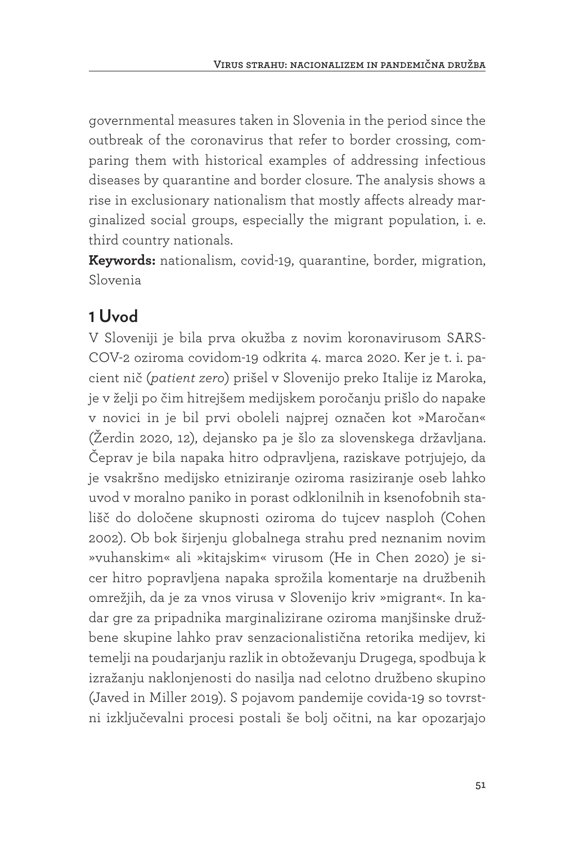governmental measures taken in Slovenia in the period since the outbreak of the coronavirus that refer to border crossing, comparing them with historical examples of addressing infectious diseases by quarantine and border closure. The analysis shows a rise in exclusionary nationalism that mostly affects already marginalized social groups, especially the migrant population, i. e. third country nationals.

**Keywords:** nationalism, covid-19, quarantine, border, migration, Slovenia

# **1 Uvod**

V Sloveniji je bila prva okužba z novim koronavirusom SARS-COV-2 oziroma covidom-19 odkrita 4. marca 2020. Ker je t. i. pacient nič (*patient zero*) prišel v Slovenijo preko Italije iz Maroka, je v želji po čim hitrejšem medijskem poročanju prišlo do napake v novici in je bil prvi oboleli najprej označen kot »Maročan« (Žerdin 2020, 12), dejansko pa je šlo za slovenskega državljana. Čeprav je bila napaka hitro odpravljena, raziskave potrjujejo, da je vsakršno medijsko etniziranje oziroma rasiziranje oseb lahko uvod v moralno paniko in porast odklonilnih in ksenofobnih stališč do določene skupnosti oziroma do tujcev nasploh (Cohen 2002). Ob bok širjenju globalnega strahu pred neznanim novim »vuhanskim« ali »kitajskim« virusom (He in Chen 2020) je sicer hitro popravljena napaka sprožila komentarje na družbenih omrežjih, da je za vnos virusa v Slovenijo kriv »migrant«. In kadar gre za pripadnika marginalizirane oziroma manjšinske družbene skupine lahko prav senzacionalistična retorika medijev, ki temelji na poudarjanju razlik in obtoževanju Drugega, spodbuja k izražanju naklonjenosti do nasilja nad celotno družbeno skupino (Javed in Miller 2019). S pojavom pandemije covida-19 so tovrstni izključevalni procesi postali še bolj očitni, na kar opozarjajo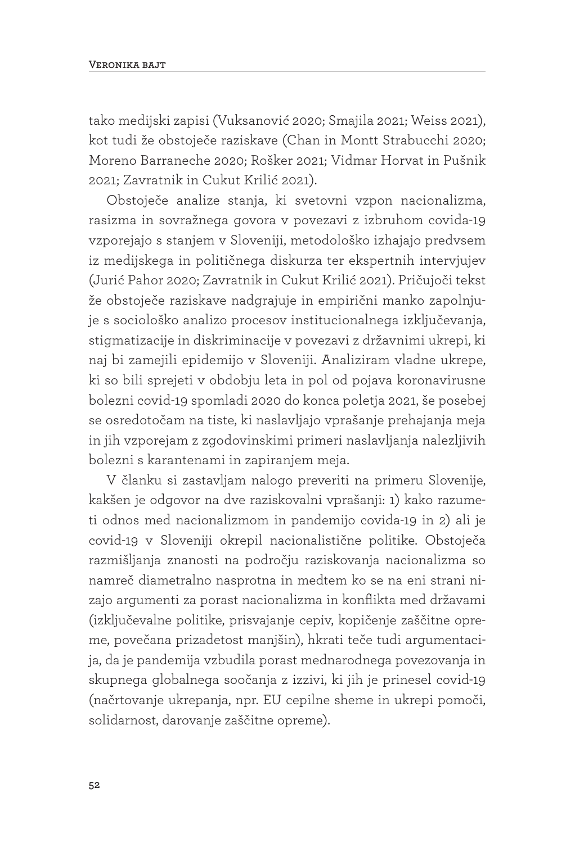tako medijski zapisi (Vuksanović 2020; Smajila 2021; Weiss 2021), kot tudi že obstoječe raziskave (Chan in Montt Strabucchi 2020; Moreno Barraneche 2020; Rošker 2021; Vidmar Horvat in Pušnik 2021; Zavratnik in Cukut Krilić 2021).

Obstoječe analize stanja, ki svetovni vzpon nacionalizma, rasizma in sovražnega govora v povezavi z izbruhom covida-19 vzporejajo s stanjem v Sloveniji, metodološko izhajajo predvsem iz medijskega in političnega diskurza ter ekspertnih intervjujev (Jurić Pahor 2020; Zavratnik in Cukut Krilić 2021). Pričujoči tekst že obstoječe raziskave nadgrajuje in empirični manko zapolnjuje s sociološko analizo procesov institucionalnega izključevanja, stigmatizacije in diskriminacije v povezavi z državnimi ukrepi, ki naj bi zamejili epidemijo v Sloveniji. Analiziram vladne ukrepe, ki so bili sprejeti v obdobju leta in pol od pojava koronavirusne bolezni covid-19 spomladi 2020 do konca poletja 2021, še posebej se osredotočam na tiste, ki naslavljajo vprašanje prehajanja meja in jih vzporejam z zgodovinskimi primeri naslavljanja nalezljivih bolezni s karantenami in zapiranjem meja.

V članku si zastavljam nalogo preveriti na primeru Slovenije, kakšen je odgovor na dve raziskovalni vprašanji: 1) kako razumeti odnos med nacionalizmom in pandemijo covida-19 in 2) ali je covid-19 v Sloveniji okrepil nacionalistične politike. Obstoječa razmišljanja znanosti na področju raziskovanja nacionalizma so namreč diametralno nasprotna in medtem ko se na eni strani nizajo argumenti za porast nacionalizma in konflikta med državami (izključevalne politike, prisvajanje cepiv, kopičenje zaščitne opreme, povečana prizadetost manjšin), hkrati teče tudi argumentacija, da je pandemija vzbudila porast mednarodnega povezovanja in skupnega globalnega soočanja z izzivi, ki jih je prinesel covid-19 (načrtovanje ukrepanja, npr. EU cepilne sheme in ukrepi pomoči, solidarnost, darovanje zaščitne opreme).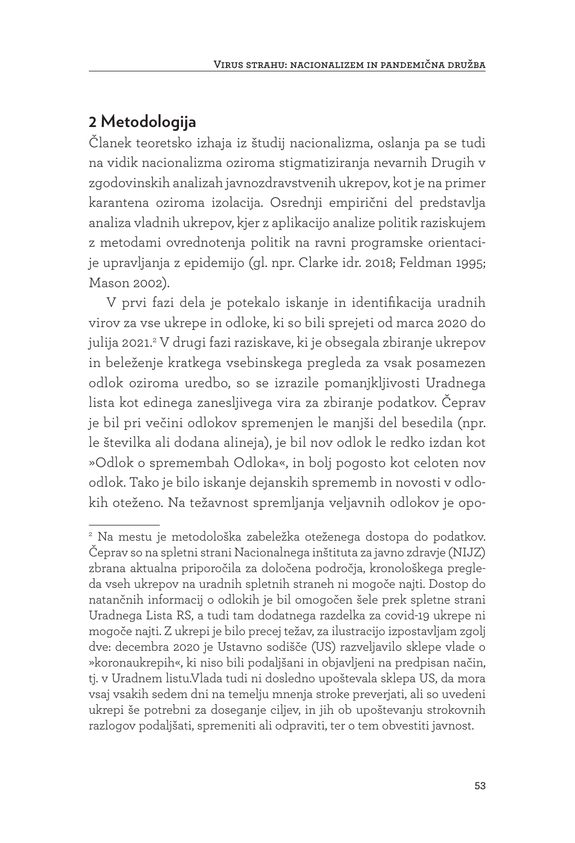# **2 Metodologija**

Članek teoretsko izhaja iz študij nacionalizma, oslanja pa se tudi na vidik nacionalizma oziroma stigmatiziranja nevarnih Drugih v zgodovinskih analizah javnozdravstvenih ukrepov, kot je na primer karantena oziroma izolacija. Osrednji empirični del predstavlja analiza vladnih ukrepov, kjer z aplikacijo analize politik raziskujem z metodami ovrednotenja politik na ravni programske orientacije upravljanja z epidemijo (gl. npr. Clarke idr. 2018; Feldman 1995; Mason 2002).

V prvi fazi dela je potekalo iskanje in identifikacija uradnih virov za vse ukrepe in odloke, ki so bili sprejeti od marca 2020 do julija 2021.2 V drugi fazi raziskave, ki je obsegala zbiranje ukrepov in beleženje kratkega vsebinskega pregleda za vsak posamezen odlok oziroma uredbo, so se izrazile pomanjkljivosti Uradnega lista kot edinega zanesljivega vira za zbiranje podatkov. Čeprav je bil pri večini odlokov spremenjen le manjši del besedila (npr. le številka ali dodana alineja), je bil nov odlok le redko izdan kot »Odlok o spremembah Odloka«, in bolj pogosto kot celoten nov odlok. Tako je bilo iskanje dejanskih sprememb in novosti v odlokih oteženo. Na težavnost spremljanja veljavnih odlokov je opo-

<sup>2</sup> Na mestu je metodološka zabeležka oteženega dostopa do podatkov. Čeprav so na spletni strani Nacionalnega inštituta za javno zdravje (NIJZ) zbrana aktualna priporočila za določena področja, kronološkega pregleda vseh ukrepov na uradnih spletnih straneh ni mogoče najti. Dostop do natančnih informacij o odlokih je bil omogočen šele prek spletne strani Uradnega Lista RS, a tudi tam dodatnega razdelka za covid-19 ukrepe ni mogoče najti. Z ukrepi je bilo precej težav, za ilustracijo izpostavljam zgolj dve: decembra 2020 je Ustavno sodišče (US) razveljavilo sklepe vlade o »koronaukrepih«, ki niso bili podaljšani in objavljeni na predpisan način, tj. v Uradnem listu.Vlada tudi ni dosledno upoštevala sklepa US, da mora vsaj vsakih sedem dni na temelju mnenja stroke preverjati, ali so uvedeni ukrepi še potrebni za doseganje ciljev, in jih ob upoštevanju strokovnih razlogov podaljšati, spremeniti ali odpraviti, ter o tem obvestiti javnost.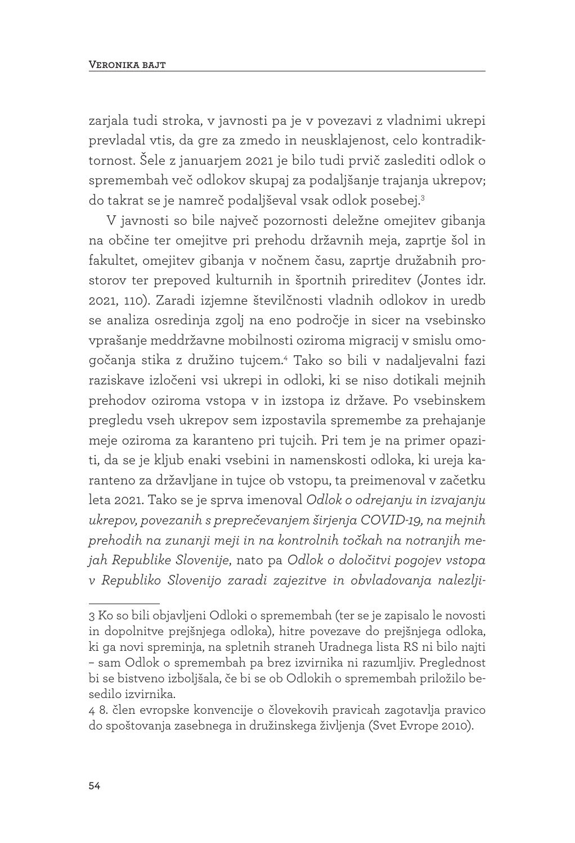zarjala tudi stroka, v javnosti pa je v povezavi z vladnimi ukrepi prevladal vtis, da gre za zmedo in neusklajenost, celo kontradiktornost. Šele z januarjem 2021 je bilo tudi prvič zaslediti odlok o spremembah več odlokov skupaj za podaljšanje trajanja ukrepov; do takrat se je namreč podaljševal vsak odlok posebej.3

V javnosti so bile največ pozornosti deležne omejitev gibanja na občine ter omejitve pri prehodu državnih meja, zaprtje šol in fakultet, omejitev gibanja v nočnem času, zaprtje družabnih prostorov ter prepoved kulturnih in športnih prireditev (Jontes idr. 2021, 110). Zaradi izjemne številčnosti vladnih odlokov in uredb se analiza osredinja zgolj na eno področje in sicer na vsebinsko vprašanje meddržavne mobilnosti oziroma migracij v smislu omogočanja stika z družino tujcem.4 Tako so bili v nadaljevalni fazi raziskave izločeni vsi ukrepi in odloki, ki se niso dotikali mejnih prehodov oziroma vstopa v in izstopa iz države. Po vsebinskem pregledu vseh ukrepov sem izpostavila spremembe za prehajanje meje oziroma za karanteno pri tujcih. Pri tem je na primer opaziti, da se je kljub enaki vsebini in namenskosti odloka, ki ureja karanteno za državljane in tujce ob vstopu, ta preimenoval v začetku leta 2021. Tako se je sprva imenoval *Odlok o odrejanju in izvajanju ukrepov, povezanih s preprečevanjem širjenja COVID-19, na mejnih prehodih na zunanji meji in na kontrolnih točkah na notranjih mejah Republike Slovenije*, nato pa *Odlok o določitvi pogojev vstopa v Republiko Slovenijo zaradi zajezitve in obvladovanja nalezlji-*

<sup>3</sup> Ko so bili objavljeni Odloki o spremembah (ter se je zapisalo le novosti in dopolnitve prejšnjega odloka), hitre povezave do prejšnjega odloka, ki ga novi spreminja, na spletnih straneh Uradnega lista RS ni bilo najti – sam Odlok o spremembah pa brez izvirnika ni razumljiv. Preglednost bi se bistveno izboljšala, če bi se ob Odlokih o spremembah priložilo besedilo izvirnika.

<sup>4 8.</sup> člen evropske konvencije o človekovih pravicah zagotavlja pravico do spoštovanja zasebnega in družinskega življenja (Svet Evrope 2010).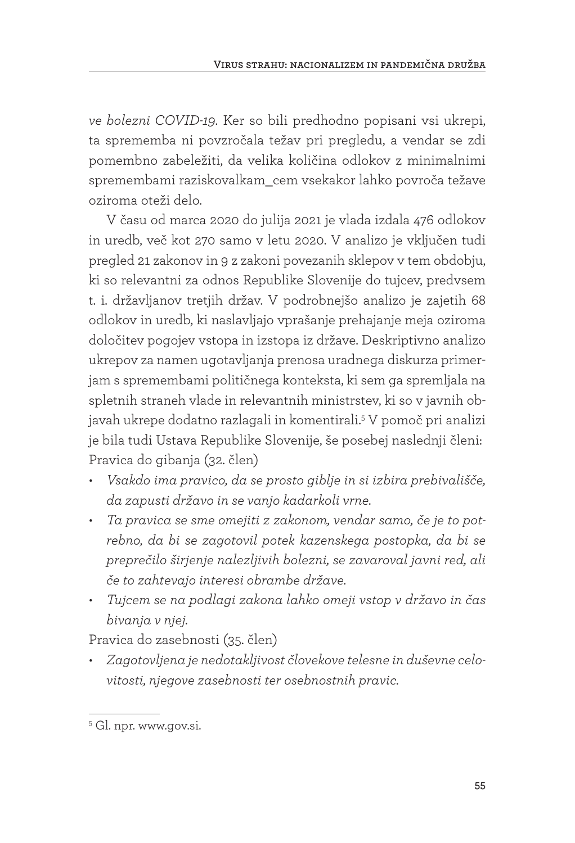*ve bolezni COVID-19*. Ker so bili predhodno popisani vsi ukrepi, ta sprememba ni povzročala težav pri pregledu, a vendar se zdi pomembno zabeležiti, da velika količina odlokov z minimalnimi spremembami raziskovalkam\_cem vsekakor lahko povroča težave oziroma oteži delo.

V času od marca 2020 do julija 2021 je vlada izdala 476 odlokov in uredb, več kot 270 samo v letu 2020. V analizo je vključen tudi pregled 21 zakonov in 9 z zakoni povezanih sklepov v tem obdobju, ki so relevantni za odnos Republike Slovenije do tujcev, predvsem t. i. državljanov tretjih držav. V podrobnejšo analizo je zajetih 68 odlokov in uredb, ki naslavljajo vprašanje prehajanje meja oziroma določitev pogojev vstopa in izstopa iz države. Deskriptivno analizo ukrepov za namen ugotavljanja prenosa uradnega diskurza primerjam s spremembami političnega konteksta, ki sem ga spremljala na spletnih straneh vlade in relevantnih ministrstev, ki so v javnih objavah ukrepe dodatno razlagali in komentirali.5 V pomoč pri analizi je bila tudi Ustava Republike Slovenije, še posebej naslednji členi: Pravica do gibanja (32. člen)

- *• Vsakdo ima pravico, da se prosto giblje in si izbira prebivališče, da zapusti državo in se vanjo kadarkoli vrne.*
- *• Ta pravica se sme omejiti z zakonom, vendar samo, če je to potrebno, da bi se zagotovil potek kazenskega postopka, da bi se preprečilo širjenje nalezljivih bolezni, se zavaroval javni red, ali če to zahtevajo interesi obrambe države.*
- *• Tujcem se na podlagi zakona lahko omeji vstop v državo in čas bivanja v njej.*

Pravica do zasebnosti (35. člen)

*• Zagotovljena je nedotakljivost človekove telesne in duševne celovitosti, njegove zasebnosti ter osebnostnih pravic.*

<sup>&</sup>lt;sup>5</sup> Gl. npr. www.gov.si.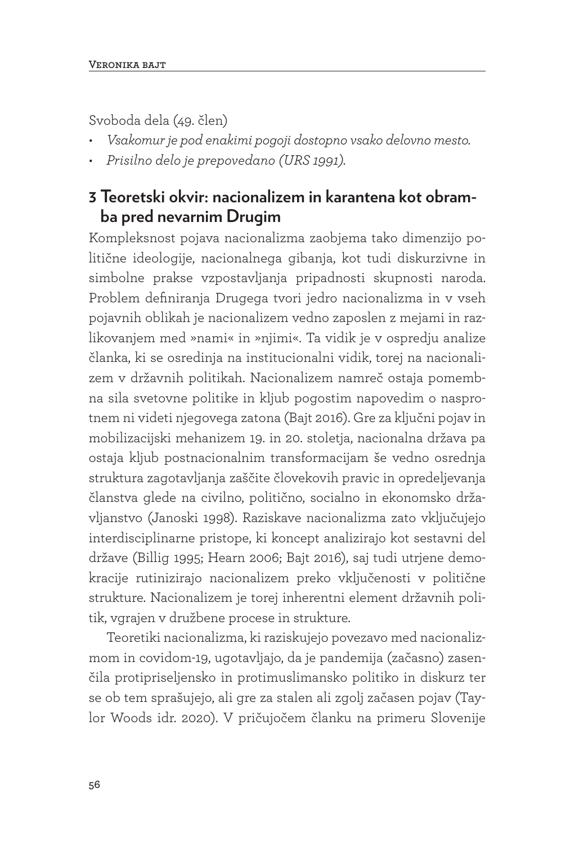Svoboda dela (49. člen)

- *• Vsakomur je pod enakimi pogoji dostopno vsako delovno mesto.*
- *• Prisilno delo je prepovedano (URS 1991).*

## **3 Teoretski okvir: nacionalizem in karantena kot obramba pred nevarnim Drugim**

Kompleksnost pojava nacionalizma zaobjema tako dimenzijo politične ideologije, nacionalnega gibanja, kot tudi diskurzivne in simbolne prakse vzpostavljanja pripadnosti skupnosti naroda. Problem definiranja Drugega tvori jedro nacionalizma in v vseh pojavnih oblikah je nacionalizem vedno zaposlen z mejami in razlikovanjem med »nami« in »njimi«. Ta vidik je v ospredju analize članka, ki se osredinja na institucionalni vidik, torej na nacionalizem v državnih politikah. Nacionalizem namreč ostaja pomembna sila svetovne politike in kljub pogostim napovedim o nasprotnem ni videti njegovega zatona (Bajt 2016). Gre za ključni pojav in mobilizacijski mehanizem 19. in 20. stoletja, nacionalna država pa ostaja kljub postnacionalnim transformacijam še vedno osrednja struktura zagotavljanja zaščite človekovih pravic in opredeljevanja članstva glede na civilno, politično, socialno in ekonomsko državljanstvo (Janoski 1998). Raziskave nacionalizma zato vključujejo interdisciplinarne pristope, ki koncept analizirajo kot sestavni del države (Billig 1995; Hearn 2006; Bajt 2016), saj tudi utrjene demokracije rutinizirajo nacionalizem preko vključenosti v politične strukture. Nacionalizem je torej inherentni element državnih politik, vgrajen v družbene procese in strukture.

Teoretiki nacionalizma, ki raziskujejo povezavo med nacionalizmom in covidom-19, ugotavljajo, da je pandemija (začasno) zasenčila protipriseljensko in protimuslimansko politiko in diskurz ter se ob tem sprašujejo, ali gre za stalen ali zgolj začasen pojav (Taylor Woods idr. 2020). V pričujočem članku na primeru Slovenije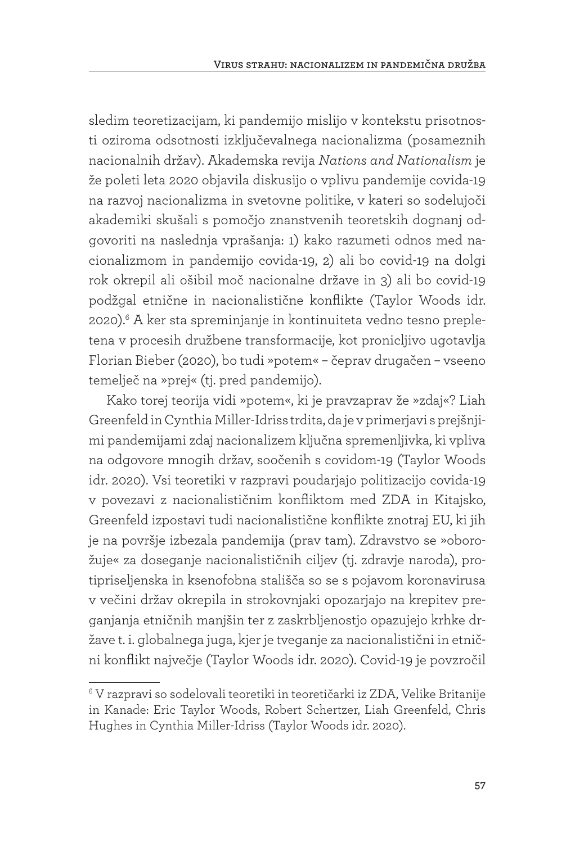sledim teoretizacijam, ki pandemijo mislijo v kontekstu prisotnosti oziroma odsotnosti izključevalnega nacionalizma (posameznih nacionalnih držav). Akademska revija *Nations and Nationalism* je že poleti leta 2020 objavila diskusijo o vplivu pandemije covida-19 na razvoj nacionalizma in svetovne politike, v kateri so sodelujoči akademiki skušali s pomočjo znanstvenih teoretskih dognanj odgovoriti na naslednja vprašanja: 1) kako razumeti odnos med nacionalizmom in pandemijo covida-19, 2) ali bo covid-19 na dolgi rok okrepil ali ošibil moč nacionalne države in 3) ali bo covid-19 podžgal etnične in nacionalistične konflikte (Taylor Woods idr. 2020).6 A ker sta spreminjanje in kontinuiteta vedno tesno prepletena v procesih družbene transformacije, kot pronicljivo ugotavlja Florian Bieber (2020), bo tudi »potem« – čeprav drugačen – vseeno temelječ na »prej« (tj. pred pandemijo).

Kako torej teorija vidi »potem«, ki je pravzaprav že »zdaj«? Liah Greenfeld in Cynthia Miller-Idriss trdita, da je v primerjavi s prejšnjimi pandemijami zdaj nacionalizem ključna spremenljivka, ki vpliva na odgovore mnogih držav, soočenih s covidom-19 (Taylor Woods idr. 2020). Vsi teoretiki v razpravi poudarjajo politizacijo covida-19 v povezavi z nacionalističnim konfliktom med ZDA in Kitajsko, Greenfeld izpostavi tudi nacionalistične konflikte znotraj EU, ki jih je na površje izbezala pandemija (prav tam). Zdravstvo se »oborožuje« za doseganje nacionalističnih ciljev (tj. zdravje naroda), protipriseljenska in ksenofobna stališča so se s pojavom koronavirusa v večini držav okrepila in strokovnjaki opozarjajo na krepitev preganjanja etničnih manjšin ter z zaskrbljenostjo opazujejo krhke države t. i. globalnega juga, kjer je tveganje za nacionalistični in etnični konflikt največje (Taylor Woods idr. 2020). Covid-19 je povzročil

<sup>6</sup> V razpravi so sodelovali teoretiki in teoretičarki iz ZDA, Velike Britanije in Kanade: Eric Taylor Woods, Robert Schertzer, Liah Greenfeld, Chris Hughes in Cynthia Miller-Idriss (Taylor Woods idr. 2020).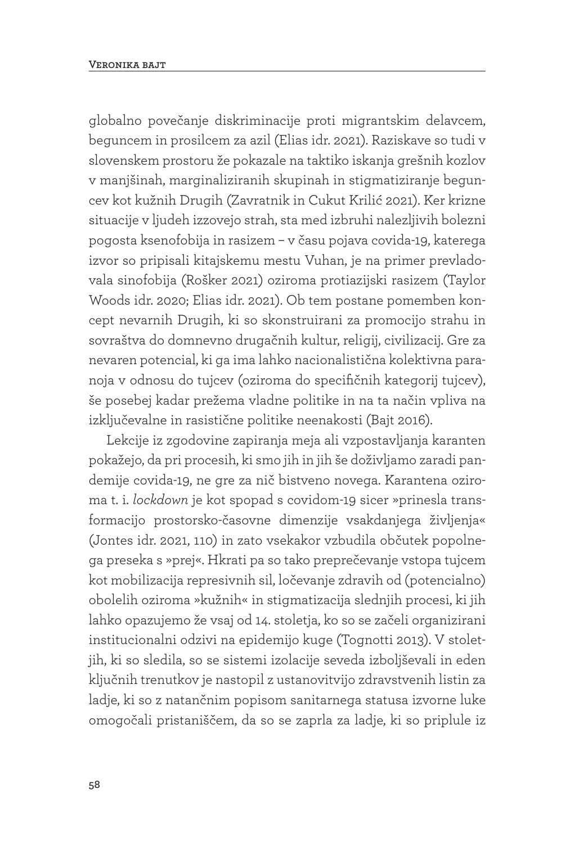globalno povečanje diskriminacije proti migrantskim delavcem, beguncem in prosilcem za azil (Elias idr. 2021). Raziskave so tudi v slovenskem prostoru že pokazale na taktiko iskanja grešnih kozlov v manjšinah, marginaliziranih skupinah in stigmatiziranje beguncev kot kužnih Drugih (Zavratnik in Cukut Krilić 2021). Ker krizne situacije v ljudeh izzovejo strah, sta med izbruhi nalezljivih bolezni pogosta ksenofobija in rasizem – v času pojava covida-19, katerega izvor so pripisali kitajskemu mestu Vuhan, je na primer prevladovala sinofobija (Rošker 2021) oziroma protiazijski rasizem (Taylor Woods idr. 2020; Elias idr. 2021). Ob tem postane pomemben koncept nevarnih Drugih, ki so skonstruirani za promocijo strahu in sovraštva do domnevno drugačnih kultur, religij, civilizacij. Gre za nevaren potencial, ki ga ima lahko nacionalistična kolektivna paranoja v odnosu do tujcev (oziroma do specifičnih kategorij tujcev), še posebej kadar prežema vladne politike in na ta način vpliva na izključevalne in rasistične politike neenakosti (Bajt 2016).

Lekcije iz zgodovine zapiranja meja ali vzpostavljanja karanten pokažejo, da pri procesih, ki smo jih in jih še doživljamo zaradi pandemije covida-19, ne gre za nič bistveno novega. Karantena oziroma t. i. *lockdown* je kot spopad s covidom-19 sicer »prinesla transformacijo prostorsko-časovne dimenzije vsakdanjega življenja« (Jontes idr. 2021, 110) in zato vsekakor vzbudila občutek popolnega preseka s »prej«. Hkrati pa so tako preprečevanje vstopa tujcem kot mobilizacija represivnih sil, ločevanje zdravih od (potencialno) obolelih oziroma »kužnih« in stigmatizacija slednjih procesi, ki jih lahko opazujemo že vsaj od 14. stoletja, ko so se začeli organizirani institucionalni odzivi na epidemijo kuge (Tognotti 2013). V stoletjih, ki so sledila, so se sistemi izolacije seveda izboljševali in eden ključnih trenutkov je nastopil z ustanovitvijo zdravstvenih listin za ladje, ki so z natančnim popisom sanitarnega statusa izvorne luke omogočali pristaniščem, da so se zaprla za ladje, ki so priplule iz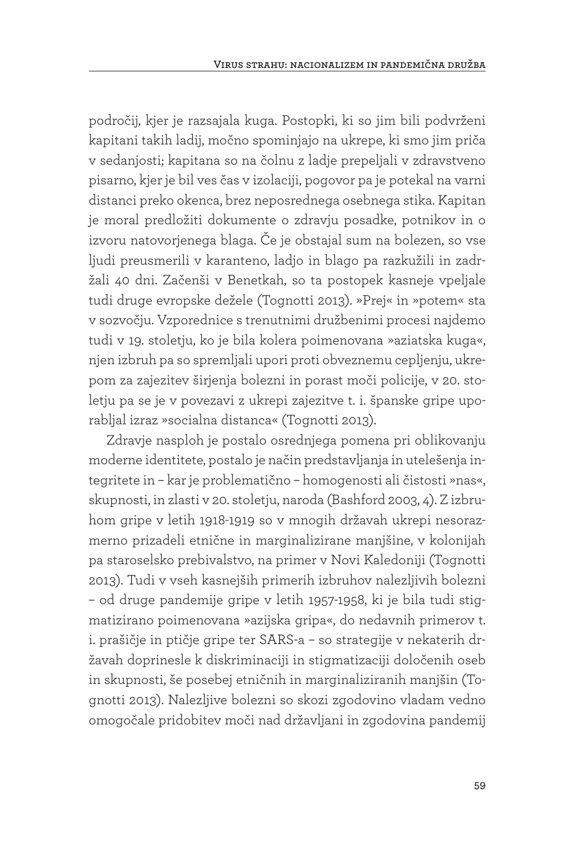področij, kjer je razsajala kuga. Postopki, ki so jim bili podvrženi kapitani takih ladij, močno spominjajo na ukrepe, ki smo jim priča v sedanjosti; kapitana so na čolnu z ladje prepeljali v zdravstveno pisarno, kjer je bil ves čas v izolaciji, pogovor pa je potekal na varni distanci preko okenca, brez neposrednega osebnega stika. Kapitan je moral predložiti dokumente o zdravju posadke, potnikov in o izvoru natovorjenega blaga. Če je obstajal sum na bolezen, so vse ljudi preusmerili v karanteno, ladjo in blago pa razkužili in zadržali 40 dni. Začenši v Benetkah, so ta postopek kasneje vpeljale tudi druge evropske dežele (Tognotti 2013). »Prej« in »potem« sta v sozvočju. Vzporednice s trenutnimi družbenimi procesi najdemo tudi v 19. stoletju, ko je bila kolera poimenovana »aziatska kuga«, njen izbruh pa so spremljali upori proti obveznemu cepljenju, ukrepom za zajezitev širjenja bolezni in porast moči policije, v 20. stoletju pa se je v povezavi z ukrepi zajezitve t. i. španske gripe uporabljal izraz »socialna distanca« (Tognotti 2013).

Zdravje nasploh je postalo osrednjega pomena pri oblikovanju moderne identitete, postalo je način predstavljanja in utelešenja integritete in – kar je problematično – homogenosti ali čistosti »nas«, skupnosti, in zlasti v 20. stoletju, naroda (Bashford 2003, 4). Z izbruhom gripe v letih 1918-1919 so v mnogih državah ukrepi nesorazmerno prizadeli etnične in marginalizirane manjšine, v kolonijah pa staroselsko prebivalstvo, na primer v Novi Kaledoniji (Tognotti 2013). Tudi v vseh kasnejših primerih izbruhov nalezljivih bolezni – od druge pandemije gripe v letih 1957-1958, ki je bila tudi stigmatizirano poimenovana »azijska gripa«, do nedavnih primerov t. i. prašičje in ptičje gripe ter SARS-a – so strategije v nekaterih državah doprinesle k diskriminaciji in stigmatizaciji določenih oseb in skupnosti, še posebej etničnih in marginaliziranih manjšin (Tognotti 2013). Nalezljive bolezni so skozi zgodovino vladam vedno omogočale pridobitev moči nad državljani in zgodovina pandemij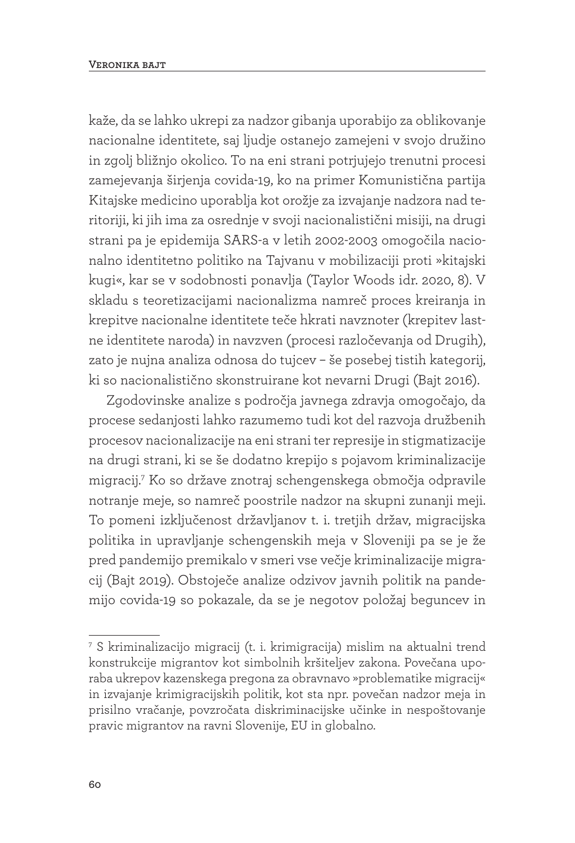kaže, da se lahko ukrepi za nadzor gibanja uporabijo za oblikovanje nacionalne identitete, saj ljudje ostanejo zamejeni v svojo družino in zgolj bližnjo okolico. To na eni strani potrjujejo trenutni procesi zamejevanja širjenja covida-19, ko na primer Komunistična partija Kitajske medicino uporablja kot orožje za izvajanje nadzora nad teritoriji, ki jih ima za osrednje v svoji nacionalistični misiji, na drugi strani pa je epidemija SARS-a v letih 2002-2003 omogočila nacionalno identitetno politiko na Tajvanu v mobilizaciji proti »kitajski kugi«, kar se v sodobnosti ponavlja (Taylor Woods idr. 2020, 8). V skladu s teoretizacijami nacionalizma namreč proces kreiranja in krepitve nacionalne identitete teče hkrati navznoter (krepitev lastne identitete naroda) in navzven (procesi razločevanja od Drugih), zato je nujna analiza odnosa do tujcev – še posebej tistih kategorij, ki so nacionalistično skonstruirane kot nevarni Drugi (Bajt 2016).

Zgodovinske analize s področja javnega zdravja omogočajo, da procese sedanjosti lahko razumemo tudi kot del razvoja družbenih procesov nacionalizacije na eni strani ter represije in stigmatizacije na drugi strani, ki se še dodatno krepijo s pojavom kriminalizacije migracij.7 Ko so države znotraj schengenskega območja odpravile notranje meje, so namreč poostrile nadzor na skupni zunanji meji. To pomeni izključenost državljanov t. i. tretjih držav, migracijska politika in upravljanje schengenskih meja v Sloveniji pa se je že pred pandemijo premikalo v smeri vse večje kriminalizacije migracij (Bajt 2019). Obstoječe analize odzivov javnih politik na pandemijo covida-19 so pokazale, da se je negotov položaj beguncev in

<sup>7</sup> S kriminalizacijo migracij (t. i. krimigracija) mislim na aktualni trend konstrukcije migrantov kot simbolnih kršiteljev zakona. Povečana uporaba ukrepov kazenskega pregona za obravnavo »problematike migracij« in izvajanje krimigracijskih politik, kot sta npr. povečan nadzor meja in prisilno vračanje, povzročata diskriminacijske učinke in nespoštovanje pravic migrantov na ravni Slovenije, EU in globalno.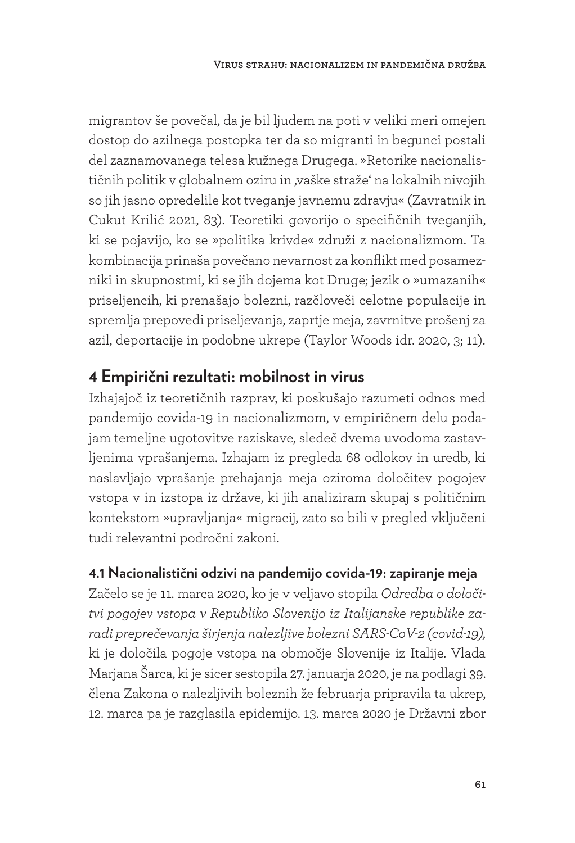migrantov še povečal, da je bil ljudem na poti v veliki meri omejen dostop do azilnega postopka ter da so migranti in begunci postali del zaznamovanega telesa kužnega Drugega. »Retorike nacionalističnih politik v globalnem oziru in ,vaške straže' na lokalnih nivojih so jih jasno opredelile kot tveganje javnemu zdravju« (Zavratnik in Cukut Krilić 2021, 83). Teoretiki govorijo o specifičnih tveganjih, ki se pojavijo, ko se »politika krivde« združi z nacionalizmom. Ta kombinacija prinaša povečano nevarnost za konflikt med posamezniki in skupnostmi, ki se jih dojema kot Druge; jezik o »umazanih« priseljencih, ki prenašajo bolezni, razčloveči celotne populacije in spremlja prepovedi priseljevanja, zaprtje meja, zavrnitve prošenj za azil, deportacije in podobne ukrepe (Taylor Woods idr. 2020, 3; 11).

## **4 Empirični rezultati: mobilnost in virus**

Izhajajoč iz teoretičnih razprav, ki poskušajo razumeti odnos med pandemijo covida-19 in nacionalizmom, v empiričnem delu podajam temeljne ugotovitve raziskave, sledeč dvema uvodoma zastavljenima vprašanjema. Izhajam iz pregleda 68 odlokov in uredb, ki naslavljajo vprašanje prehajanja meja oziroma določitev pogojev vstopa v in izstopa iz države, ki jih analiziram skupaj s političnim kontekstom »upravljanja« migracij, zato so bili v pregled vključeni tudi relevantni področni zakoni.

## **4.1 Nacionalistični odzivi na pandemijo covida-19: zapiranje meja**

Začelo se je 11. marca 2020, ko je v veljavo stopila *Odredba o določitvi pogojev vstopa v Republiko Slovenijo iz Italijanske republike zaradi preprečevanja širjenja nalezljive bolezni SARS-CoV-2 (covid-19),*  ki je določila pogoje vstopa na območje Slovenije iz Italije. Vlada Marjana Šarca, ki je sicer sestopila 27. januarja 2020, je na podlagi 39. člena Zakona o nalezljivih boleznih že februarja pripravila ta ukrep, 12. marca pa je razglasila epidemijo. 13. marca 2020 je Državni zbor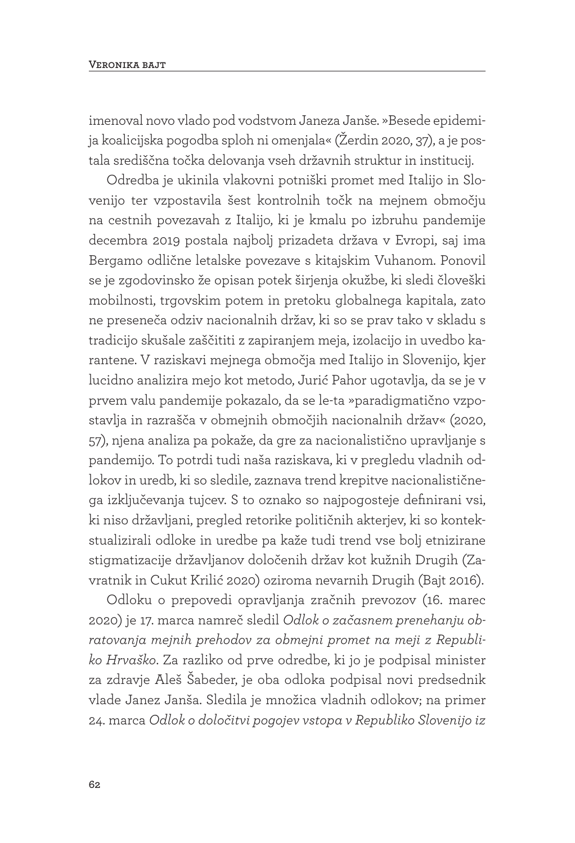#### **Veronika bajt**

imenoval novo vlado pod vodstvom Janeza Janše. »Besede epidemija koalicijska pogodba sploh ni omenjala« (Žerdin 2020, 37), a je postala središčna točka delovanja vseh državnih struktur in institucij.

Odredba je ukinila vlakovni potniški promet med Italijo in Slovenijo ter vzpostavila šest kontrolnih točk na mejnem območju na cestnih povezavah z Italijo, ki je kmalu po izbruhu pandemije decembra 2019 postala najbolj prizadeta država v Evropi, saj ima Bergamo odlične letalske povezave s kitajskim Vuhanom. Ponovil se je zgodovinsko že opisan potek širjenja okužbe, ki sledi človeški mobilnosti, trgovskim potem in pretoku globalnega kapitala, zato ne preseneča odziv nacionalnih držav, ki so se prav tako v skladu s tradicijo skušale zaščititi z zapiranjem meja, izolacijo in uvedbo karantene. V raziskavi mejnega območja med Italijo in Slovenijo, kjer lucidno analizira mejo kot metodo, Jurić Pahor ugotavlja, da se je v prvem valu pandemije pokazalo, da se le-ta »paradigmatično vzpostavlja in razrašča v obmejnih območjih nacionalnih držav« (2020, 57), njena analiza pa pokaže, da gre za nacionalistično upravljanje s pandemijo. To potrdi tudi naša raziskava, ki v pregledu vladnih odlokov in uredb, ki so sledile, zaznava trend krepitve nacionalističnega izključevanja tujcev. S to oznako so najpogosteje definirani vsi, ki niso državljani, pregled retorike političnih akterjev, ki so kontekstualizirali odloke in uredbe pa kaže tudi trend vse bolj etnizirane stigmatizacije državljanov določenih držav kot kužnih Drugih (Zavratnik in Cukut Krilić 2020) oziroma nevarnih Drugih (Bajt 2016).

Odloku o prepovedi opravljanja zračnih prevozov (16. marec 2020) je 17. marca namreč sledil *Odlok o začasnem prenehanju obratovanja mejnih prehodov za obmejni promet na meji z Republiko Hrvaško*. Za razliko od prve odredbe, ki jo je podpisal minister za zdravje Aleš Šabeder, je oba odloka podpisal novi predsednik vlade Janez Janša. Sledila je množica vladnih odlokov; na primer 24. marca *Odlok o določitvi pogojev vstopa v Republiko Slovenijo iz*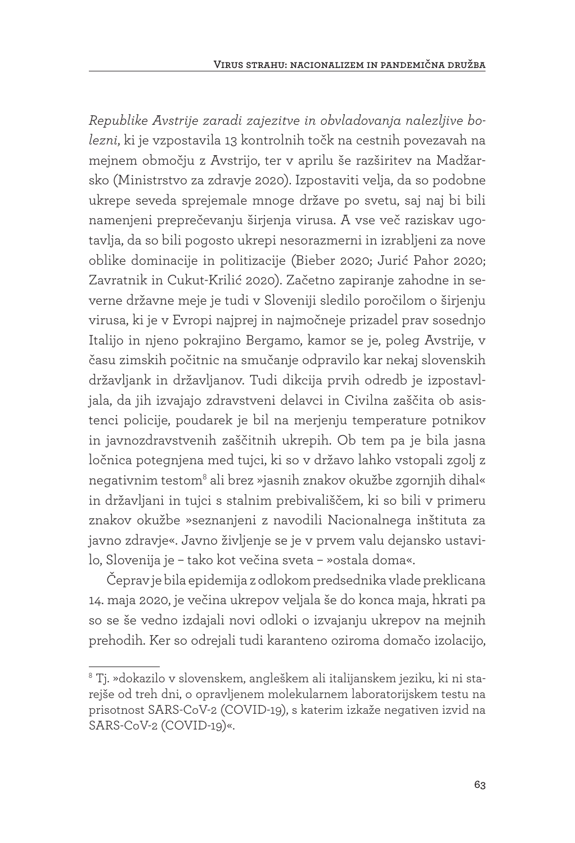*Republike Avstrije zaradi zajezitve in obvladovanja nalezljive bolezni*, ki je vzpostavila 13 kontrolnih točk na cestnih povezavah na mejnem območju z Avstrijo, ter v aprilu še razširitev na Madžarsko (Ministrstvo za zdravje 2020). Izpostaviti velja, da so podobne ukrepe seveda sprejemale mnoge države po svetu, saj naj bi bili namenjeni preprečevanju širjenja virusa. A vse več raziskav ugotavlja, da so bili pogosto ukrepi nesorazmerni in izrabljeni za nove oblike dominacije in politizacije (Bieber 2020; Jurić Pahor 2020; Zavratnik in Cukut-Krilić 2020). Začetno zapiranje zahodne in severne državne meje je tudi v Sloveniji sledilo poročilom o širjenju virusa, ki je v Evropi najprej in najmočneje prizadel prav sosednjo Italijo in njeno pokrajino Bergamo, kamor se je, poleg Avstrije, v času zimskih počitnic na smučanje odpravilo kar nekaj slovenskih državljank in državljanov. Tudi dikcija prvih odredb je izpostavljala, da jih izvajajo zdravstveni delavci in Civilna zaščita ob asistenci policije, poudarek je bil na merjenju temperature potnikov in javnozdravstvenih zaščitnih ukrepih. Ob tem pa je bila jasna ločnica potegnjena med tujci, ki so v državo lahko vstopali zgolj z negativnim testom<sup>8</sup> ali brez »jasnih znakov okužbe zgornjih dihal« in državljani in tujci s stalnim prebivališčem, ki so bili v primeru znakov okužbe »seznanjeni z navodili Nacionalnega inštituta za javno zdravje«. Javno življenje se je v prvem valu dejansko ustavilo, Slovenija je – tako kot večina sveta – »ostala doma«.

Čeprav je bila epidemija z odlokom predsednika vlade preklicana 14. maja 2020, je večina ukrepov veljala še do konca maja, hkrati pa so se še vedno izdajali novi odloki o izvajanju ukrepov na mejnih prehodih. Ker so odrejali tudi karanteno oziroma domačo izolacijo,

<sup>8</sup> Tj. »dokazilo v slovenskem, angleškem ali italijanskem jeziku, ki ni starejše od treh dni, o opravljenem molekularnem laboratorijskem testu na prisotnost SARS-CoV-2 (COVID-19), s katerim izkaže negativen izvid na SARS-CoV-2 (COVID-19)«.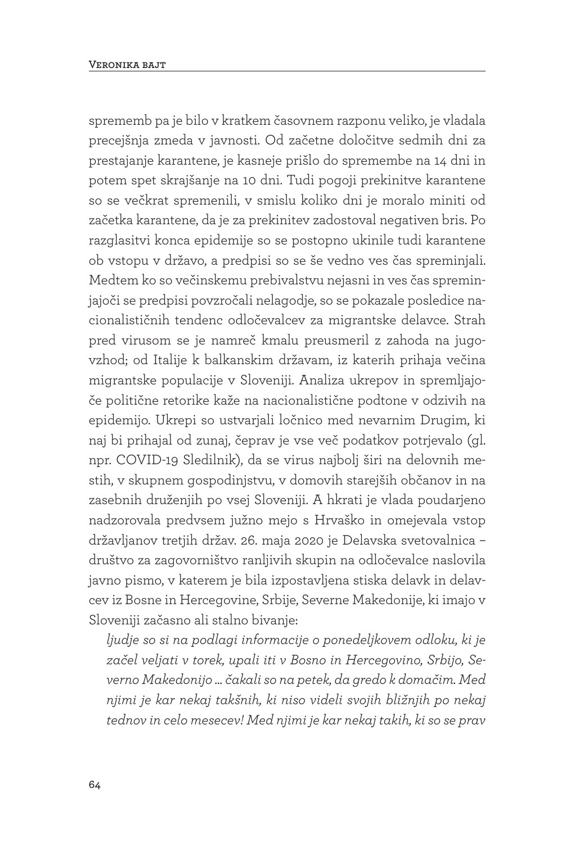sprememb pa je bilo v kratkem časovnem razponu veliko, je vladala precejšnja zmeda v javnosti. Od začetne določitve sedmih dni za prestajanje karantene, je kasneje prišlo do spremembe na 14 dni in potem spet skrajšanje na 10 dni. Tudi pogoji prekinitve karantene so se večkrat spremenili, v smislu koliko dni je moralo miniti od začetka karantene, da je za prekinitev zadostoval negativen bris. Po razglasitvi konca epidemije so se postopno ukinile tudi karantene ob vstopu v državo, a predpisi so se še vedno ves čas spreminjali. Medtem ko so večinskemu prebivalstvu nejasni in ves čas spreminjajoči se predpisi povzročali nelagodje, so se pokazale posledice nacionalističnih tendenc odločevalcev za migrantske delavce. Strah pred virusom se je namreč kmalu preusmeril z zahoda na jugovzhod; od Italije k balkanskim državam, iz katerih prihaja večina migrantske populacije v Sloveniji. Analiza ukrepov in spremljajoče politične retorike kaže na nacionalistične podtone v odzivih na epidemijo. Ukrepi so ustvarjali ločnico med nevarnim Drugim, ki naj bi prihajal od zunaj, čeprav je vse več podatkov potrjevalo (gl. npr. COVID-19 Sledilnik), da se virus najbolj širi na delovnih mestih, v skupnem gospodinjstvu, v domovih starejših občanov in na zasebnih druženjih po vsej Sloveniji. A hkrati je vlada poudarjeno nadzorovala predvsem južno mejo s Hrvaško in omejevala vstop državljanov tretjih držav. 26. maja 2020 je Delavska svetovalnica – društvo za zagovorništvo ranljivih skupin na odločevalce naslovila javno pismo, v katerem je bila izpostavljena stiska delavk in delavcev iz Bosne in Hercegovine, Srbije, Severne Makedonije, ki imajo v Sloveniji začasno ali stalno bivanje:

*ljudje so si na podlagi informacije o ponedeljkovem odloku, ki je začel veljati v torek, upali iti v Bosno in Hercegovino, Srbijo, Severno Makedonijo ... čakali so na petek, da gredo k domačim. Med njimi je kar nekaj takšnih, ki niso videli svojih bližnjih po nekaj tednov in celo mesecev! Med njimi je kar nekaj takih, ki so se prav*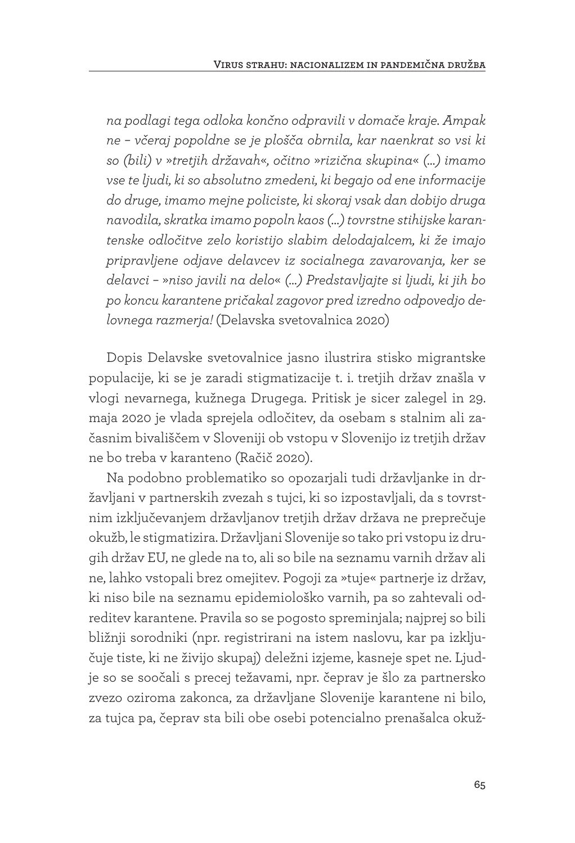*na podlagi tega odloka končno odpravili v domače kraje. Ampak ne – včeraj popoldne se je plošča obrnila, kar naenkrat so vsi ki so (bili) v* »*tretjih državah*«*, očitno* »*rizična skupina*« *(…) imamo vse te ljudi, ki so absolutno zmedeni, ki begajo od ene informacije do druge, imamo mejne policiste, ki skoraj vsak dan dobijo druga navodila, skratka imamo popoln kaos (…) tovrstne stihijske karantenske odločitve zelo koristijo slabim delodajalcem, ki že imajo pripravljene odjave delavcev iz socialnega zavarovanja, ker se delavci –* »*niso javili na delo*« *(…) Predstavljajte si ljudi, ki jih bo po koncu karantene pričakal zagovor pred izredno odpovedjo delovnega razmerja!* (Delavska svetovalnica 2020)

Dopis Delavske svetovalnice jasno ilustrira stisko migrantske populacije, ki se je zaradi stigmatizacije t. i. tretjih držav znašla v vlogi nevarnega, kužnega Drugega. Pritisk je sicer zalegel in 29. maja 2020 je vlada sprejela odločitev, da osebam s stalnim ali začasnim bivališčem v Sloveniji ob vstopu v Slovenijo iz tretjih držav ne bo treba v karanteno (Račič 2020).

Na podobno problematiko so opozarjali tudi državljanke in državljani v partnerskih zvezah s tujci, ki so izpostavljali, da s tovrstnim izključevanjem državljanov tretjih držav država ne preprečuje okužb, le stigmatizira. Državljani Slovenije so tako pri vstopu iz drugih držav EU, ne glede na to, ali so bile na seznamu varnih držav ali ne, lahko vstopali brez omejitev. Pogoji za »tuje« partnerje iz držav, ki niso bile na seznamu epidemiološko varnih, pa so zahtevali odreditev karantene. Pravila so se pogosto spreminjala; najprej so bili bližnji sorodniki (npr. registrirani na istem naslovu, kar pa izključuje tiste, ki ne živijo skupaj) deležni izjeme, kasneje spet ne. Ljudje so se soočali s precej težavami, npr. čeprav je šlo za partnersko zvezo oziroma zakonca, za državljane Slovenije karantene ni bilo, za tujca pa, čeprav sta bili obe osebi potencialno prenašalca okuž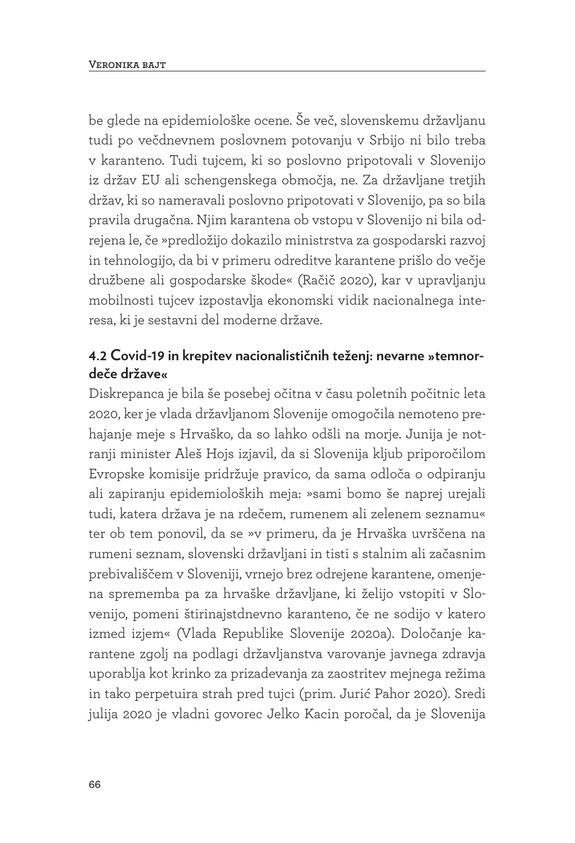be glede na epidemiološke ocene. Še več, slovenskemu državljanu tudi po večdnevnem poslovnem potovanju v Srbijo ni bilo treba v karanteno. Tudi tujcem, ki so poslovno pripotovali v Slovenijo iz držav EU ali schengenskega območja, ne. Za državljane tretjih držav, ki so nameravali poslovno pripotovati v Slovenijo, pa so bila pravila drugačna. Njim karantena ob vstopu v Slovenijo ni bila odrejena le, če »predložijo dokazilo ministrstva za gospodarski razvoj in tehnologijo, da bi v primeru odreditve karantene prišlo do večje družbene ali gospodarske škode« (Račič 2020), kar v upravljanju mobilnosti tujcev izpostavlja ekonomski vidik nacionalnega interesa, ki je sestavni del moderne države.

## **4.2 Covid-19 in krepitev nacionalističnih teženj: nevarne »temnordeče države«**

Diskrepanca je bila še posebej očitna v času poletnih počitnic leta 2020, ker je vlada državljanom Slovenije omogočila nemoteno prehajanje meje s Hrvaško, da so lahko odšli na morje. Junija je notranji minister Aleš Hojs izjavil, da si Slovenija kljub priporočilom Evropske komisije pridržuje pravico, da sama odloča o odpiranju ali zapiranju epidemioloških meja: »sami bomo še naprej urejali tudi, katera država je na rdečem, rumenem ali zelenem seznamu« ter ob tem ponovil, da se »v primeru, da je Hrvaška uvrščena na rumeni seznam, slovenski državljani in tisti s stalnim ali začasnim prebivališčem v Sloveniji, vrnejo brez odrejene karantene, omenjena sprememba pa za hrvaške državljane, ki želijo vstopiti v Slovenijo, pomeni štirinajstdnevno karanteno, če ne sodijo v katero izmed izjem« (Vlada Republike Slovenije 2020a). Določanje karantene zgolj na podlagi državljanstva varovanje javnega zdravja uporablja kot krinko za prizadevanja za zaostritev mejnega režima in tako perpetuira strah pred tujci (prim. Jurić Pahor 2020). Sredi julija 2020 je vladni govorec Jelko Kacin poročal, da je Slovenija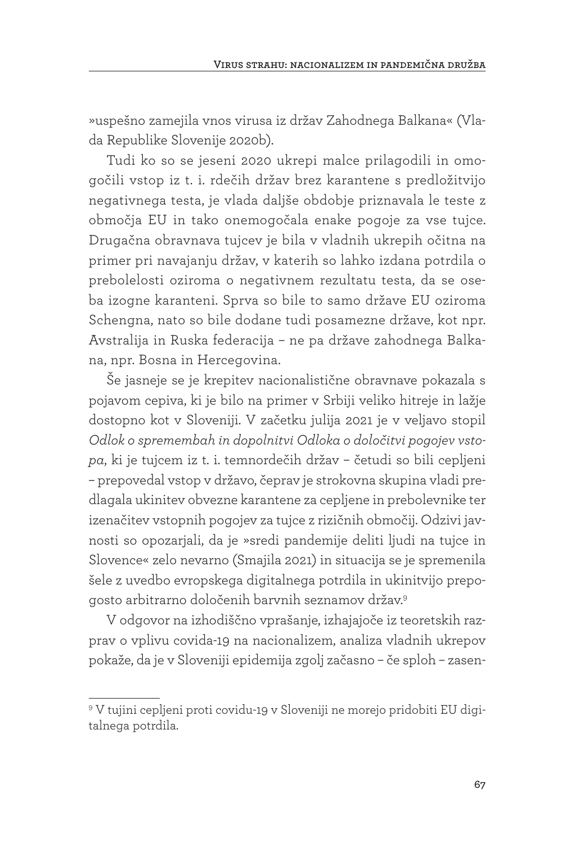»uspešno zamejila vnos virusa iz držav Zahodnega Balkana« (Vlada Republike Slovenije 2020b).

Tudi ko so se jeseni 2020 ukrepi malce prilagodili in omogočili vstop iz t. i. rdečih držav brez karantene s predložitvijo negativnega testa, je vlada daljše obdobje priznavala le teste z območja EU in tako onemogočala enake pogoje za vse tujce. Drugačna obravnava tujcev je bila v vladnih ukrepih očitna na primer pri navajanju držav, v katerih so lahko izdana potrdila o prebolelosti oziroma o negativnem rezultatu testa, da se oseba izogne karanteni. Sprva so bile to samo države EU oziroma Schengna, nato so bile dodane tudi posamezne države, kot npr. Avstralija in Ruska federacija – ne pa države zahodnega Balkana, npr. Bosna in Hercegovina.

Še jasneje se je krepitev nacionalistične obravnave pokazala s pojavom cepiva, ki je bilo na primer v Srbiji veliko hitreje in lažje dostopno kot v Sloveniji. V začetku julija 2021 je v veljavo stopil *Odlok o spremembah in dopolnitvi Odloka o določitvi pogojev vstopa*, ki je tujcem iz t. i. temnordečih držav – četudi so bili cepljeni – prepovedal vstop v državo, čeprav je strokovna skupina vladi predlagala ukinitev obvezne karantene za cepljene in prebolevnike ter izenačitev vstopnih pogojev za tujce z rizičnih območij. Odzivi javnosti so opozarjali, da je »sredi pandemije deliti ljudi na tujce in Slovence« zelo nevarno (Smajila 2021) in situacija se je spremenila šele z uvedbo evropskega digitalnega potrdila in ukinitvijo prepogosto arbitrarno določenih barvnih seznamov držav.9

V odgovor na izhodiščno vprašanje, izhajajoče iz teoretskih razprav o vplivu covida-19 na nacionalizem, analiza vladnih ukrepov pokaže, da je v Sloveniji epidemija zgolj začasno – če sploh – zasen-

<sup>9</sup> V tujini cepljeni proti covidu-19 v Sloveniji ne morejo pridobiti EU digitalnega potrdila.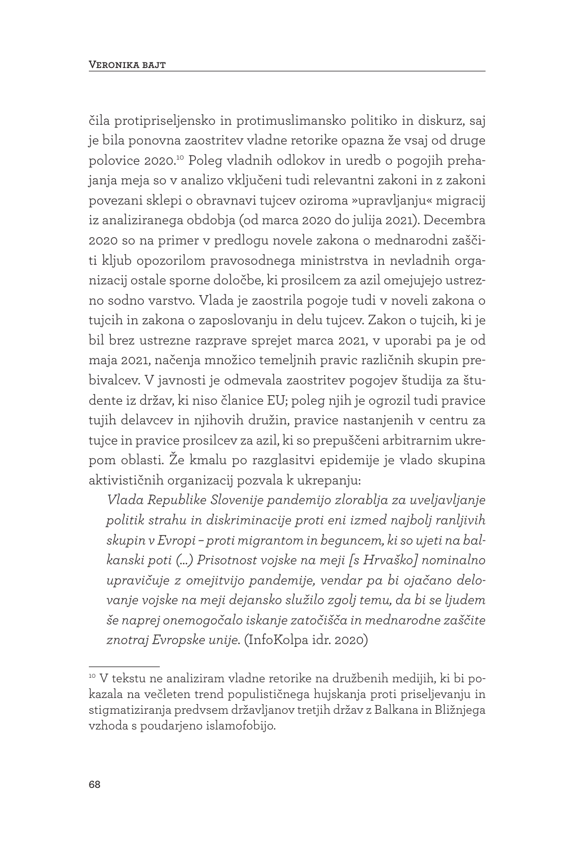čila protipriseljensko in protimuslimansko politiko in diskurz, saj je bila ponovna zaostritev vladne retorike opazna že vsaj od druge polovice 2020.10 Poleg vladnih odlokov in uredb o pogojih prehajanja meja so v analizo vključeni tudi relevantni zakoni in z zakoni povezani sklepi o obravnavi tujcev oziroma »upravljanju« migracij iz analiziranega obdobja (od marca 2020 do julija 2021). Decembra 2020 so na primer v predlogu novele zakona o mednarodni zaščiti kljub opozorilom pravosodnega ministrstva in nevladnih organizacij ostale sporne določbe, ki prosilcem za azil omejujejo ustrezno sodno varstvo. Vlada je zaostrila pogoje tudi v noveli zakona o tujcih in zakona o zaposlovanju in delu tujcev. Zakon o tujcih, ki je bil brez ustrezne razprave sprejet marca 2021, v uporabi pa je od maja 2021, načenja množico temeljnih pravic različnih skupin prebivalcev. V javnosti je odmevala zaostritev pogojev študija za študente iz držav, ki niso članice EU; poleg njih je ogrozil tudi pravice tujih delavcev in njihovih družin, pravice nastanjenih v centru za tujce in pravice prosilcev za azil, ki so prepuščeni arbitrarnim ukrepom oblasti. Že kmalu po razglasitvi epidemije je vlado skupina aktivističnih organizacij pozvala k ukrepanju:

*Vlada Republike Slovenije pandemijo zlorablja za uveljavljanje politik strahu in diskriminacije proti eni izmed najbolj ranljivih skupin v Evropi – proti migrantom in beguncem, ki so ujeti na balkanski poti (…) Prisotnost vojske na meji [s Hrvaško] nominalno upravičuje z omejitvijo pandemije, vendar pa bi ojačano delovanje vojske na meji dejansko služilo zgolj temu, da bi se ljudem še naprej onemogočalo iskanje zatočišča in mednarodne zaščite znotraj Evropske unije.* (InfoKolpa idr. 2020)

<sup>&</sup>lt;sup>10</sup> V tekstu ne analiziram vladne retorike na družbenih medijih, ki bi pokazala na večleten trend populističnega hujskanja proti priseljevanju in stigmatiziranja predvsem državljanov tretjih držav z Balkana in Bližnjega vzhoda s poudarjeno islamofobijo.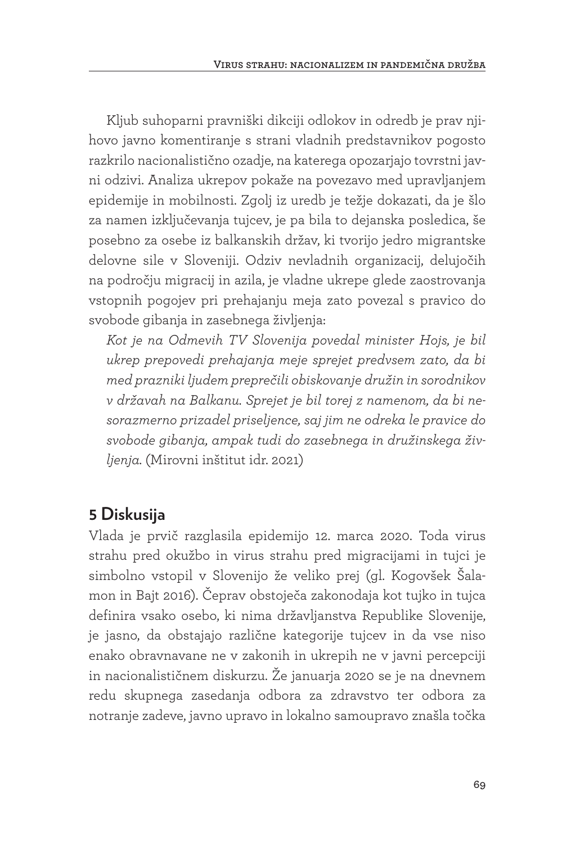Kljub suhoparni pravniški dikciji odlokov in odredb je prav njihovo javno komentiranje s strani vladnih predstavnikov pogosto razkrilo nacionalistično ozadje, na katerega opozarjajo tovrstni javni odzivi. Analiza ukrepov pokaže na povezavo med upravljanjem epidemije in mobilnosti. Zgolj iz uredb je težje dokazati, da je šlo za namen izključevanja tujcev, je pa bila to dejanska posledica, še posebno za osebe iz balkanskih držav, ki tvorijo jedro migrantske delovne sile v Sloveniji. Odziv nevladnih organizacij, delujočih na področju migracij in azila, je vladne ukrepe glede zaostrovanja vstopnih pogojev pri prehajanju meja zato povezal s pravico do svobode gibanja in zasebnega življenja:

*Kot je na Odmevih TV Slovenija povedal minister Hojs, je bil ukrep prepovedi prehajanja meje sprejet predvsem zato, da bi med prazniki ljudem preprečili obiskovanje družin in sorodnikov v državah na Balkanu. Sprejet je bil torej z namenom, da bi nesorazmerno prizadel priseljence, saj jim ne odreka le pravice do svobode gibanja, ampak tudi do zasebnega in družinskega življenja.* (Mirovni inštitut idr. 2021)

# **5 Diskusija**

Vlada je prvič razglasila epidemijo 12. marca 2020. Toda virus strahu pred okužbo in virus strahu pred migracijami in tujci je simbolno vstopil v Slovenijo že veliko prej (gl. Kogovšek Šalamon in Bajt 2016). Čeprav obstoječa zakonodaja kot tujko in tujca definira vsako osebo, ki nima državljanstva Republike Slovenije, je jasno, da obstajajo različne kategorije tujcev in da vse niso enako obravnavane ne v zakonih in ukrepih ne v javni percepciji in nacionalističnem diskurzu. Že januarja 2020 se je na dnevnem redu skupnega zasedanja odbora za zdravstvo ter odbora za notranje zadeve, javno upravo in lokalno samoupravo znašla točka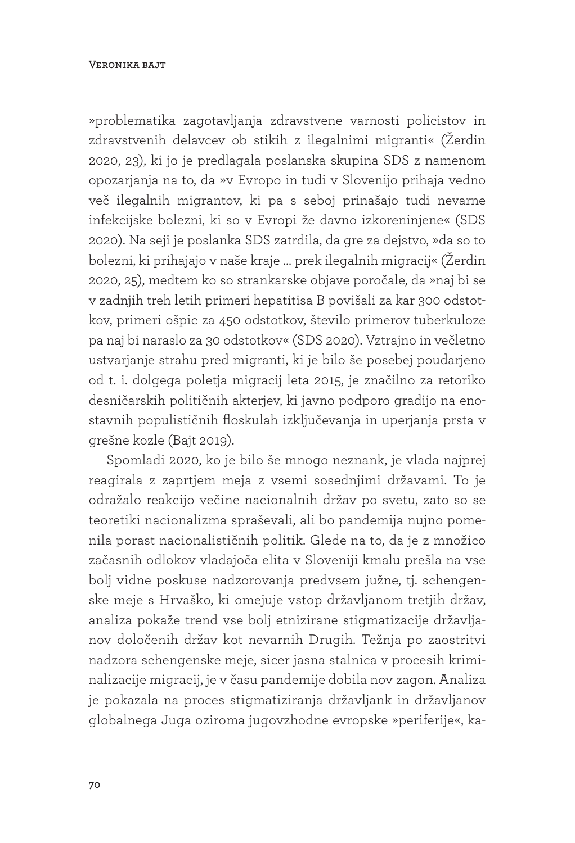»problematika zagotavljanja zdravstvene varnosti policistov in zdravstvenih delavcev ob stikih z ilegalnimi migranti« (Žerdin 2020, 23), ki jo je predlagala poslanska skupina SDS z namenom opozarjanja na to, da »v Evropo in tudi v Slovenijo prihaja vedno več ilegalnih migrantov, ki pa s seboj prinašajo tudi nevarne infekcijske bolezni, ki so v Evropi že davno izkoreninjene« (SDS 2020). Na seji je poslanka SDS zatrdila, da gre za dejstvo, »da so to bolezni, ki prihajajo v naše kraje … prek ilegalnih migracij« (Žerdin 2020, 25), medtem ko so strankarske objave poročale, da »naj bi se v zadnjih treh letih primeri hepatitisa B povišali za kar 300 odstotkov, primeri ošpic za 450 odstotkov, število primerov tuberkuloze pa naj bi naraslo za 30 odstotkov« (SDS 2020). Vztrajno in večletno ustvarjanje strahu pred migranti, ki je bilo še posebej poudarjeno od t. i. dolgega poletja migracij leta 2015, je značilno za retoriko desničarskih političnih akterjev, ki javno podporo gradijo na enostavnih populističnih floskulah izključevanja in uperjanja prsta v grešne kozle (Bajt 2019).

Spomladi 2020, ko je bilo še mnogo neznank, je vlada najprej reagirala z zaprtjem meja z vsemi sosednjimi državami. To je odražalo reakcijo večine nacionalnih držav po svetu, zato so se teoretiki nacionalizma spraševali, ali bo pandemija nujno pomenila porast nacionalističnih politik. Glede na to, da je z množico začasnih odlokov vladajoča elita v Sloveniji kmalu prešla na vse bolj vidne poskuse nadzorovanja predvsem južne, tj. schengenske meje s Hrvaško, ki omejuje vstop državljanom tretjih držav, analiza pokaže trend vse bolj etnizirane stigmatizacije državljanov določenih držav kot nevarnih Drugih. Težnja po zaostritvi nadzora schengenske meje, sicer jasna stalnica v procesih kriminalizacije migracij, je v času pandemije dobila nov zagon. Analiza je pokazala na proces stigmatiziranja državljank in državljanov globalnega Juga oziroma jugovzhodne evropske »periferije«, ka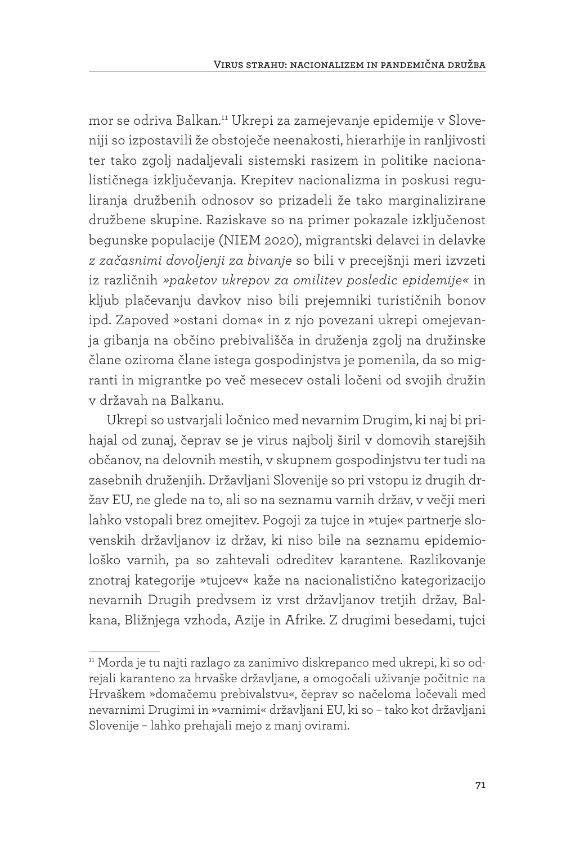mor se odriva Balkan.11 Ukrepi za zamejevanje epidemije v Sloveniji so izpostavili že obstoječe neenakosti, hierarhije in ranljivosti ter tako zgolj nadaljevali sistemski rasizem in politike nacionalističnega izključevanja. Krepitev nacionalizma in poskusi reguliranja družbenih odnosov so prizadeli že tako marginalizirane družbene skupine. Raziskave so na primer pokazale izključenost begunske populacije (NIEM 2020), migrantski delavci in delavke *z začasnimi dovoljenji za bivanje* so bili v precejšnji meri izvzeti iz različnih *»paketov ukrepov za omilitev posledic epidemije«* in kljub plačevanju davkov niso bili prejemniki turističnih bonov ipd. Zapoved »ostani doma« in z njo povezani ukrepi omejevanja gibanja na občino prebivališča in druženja zgolj na družinske člane oziroma člane istega gospodinjstva je pomenila, da so migranti in migrantke po več mesecev ostali ločeni od svojih družin v državah na Balkanu.

Ukrepi so ustvarjali ločnico med nevarnim Drugim, ki naj bi prihajal od zunaj, čeprav se je virus najbolj širil v domovih starejših občanov, na delovnih mestih, v skupnem gospodinjstvu ter tudi na zasebnih druženjih. Državljani Slovenije so pri vstopu iz drugih držav EU, ne glede na to, ali so na seznamu varnih držav, v večji meri lahko vstopali brez omejitev. Pogoji za tujce in »tuje« partnerje slovenskih državljanov iz držav, ki niso bile na seznamu epidemiološko varnih, pa so zahtevali odreditev karantene. Razlikovanje znotraj kategorije »tujcev« kaže na nacionalistično kategorizacijo nevarnih Drugih predvsem iz vrst državljanov tretjih držav, Balkana, Bližnjega vzhoda, Azije in Afrike. Z drugimi besedami, tujci

<sup>11</sup> Morda je tu najti razlago za zanimivo diskrepanco med ukrepi, ki so odrejali karanteno za hrvaške državljane, a omogočali uživanje počitnic na Hrvaškem »domačemu prebivalstvu«, čeprav so načeloma ločevali med nevarnimi Drugimi in »varnimi« državljani EU, ki so – tako kot državljani Slovenije – lahko prehajali mejo z manj ovirami.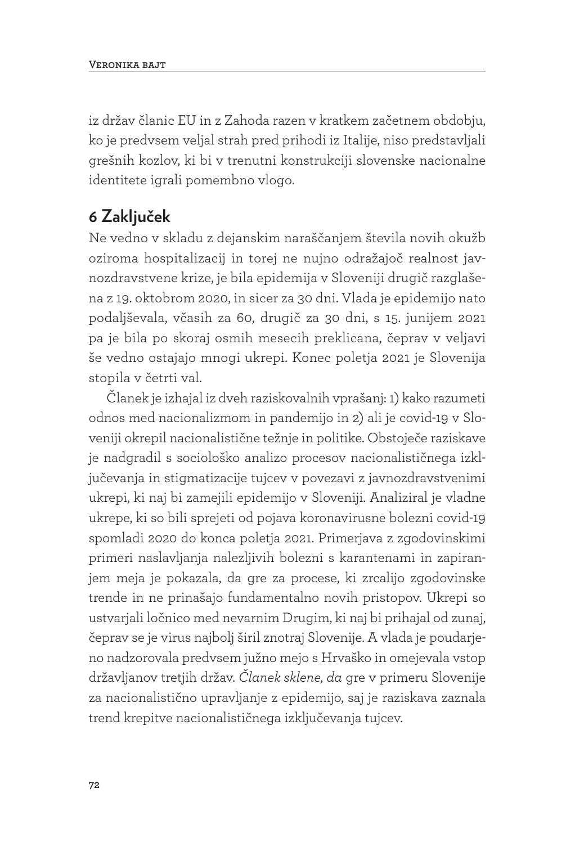iz držav članic EU in z Zahoda razen v kratkem začetnem obdobju, ko je predvsem veljal strah pred prihodi iz Italije, niso predstavljali grešnih kozlov, ki bi v trenutni konstrukciji slovenske nacionalne identitete igrali pomembno vlogo.

# **6 Zaključek**

Ne vedno v skladu z dejanskim naraščanjem števila novih okužb oziroma hospitalizacij in torej ne nujno odražajoč realnost javnozdravstvene krize, je bila epidemija v Sloveniji drugič razglašena z 19. oktobrom 2020, in sicer za 30 dni. Vlada je epidemijo nato podaljševala, včasih za 60, drugič za 30 dni, s 15. junijem 2021 pa je bila po skoraj osmih mesecih preklicana, čeprav v veljavi še vedno ostajajo mnogi ukrepi. Konec poletja 2021 je Slovenija stopila v četrti val.

Članek je izhajal iz dveh raziskovalnih vprašanj: 1) kako razumeti odnos med nacionalizmom in pandemijo in 2) ali je covid-19 v Sloveniji okrepil nacionalistične težnje in politike. Obstoječe raziskave je nadgradil s sociološko analizo procesov nacionalističnega izključevanja in stigmatizacije tujcev v povezavi z javnozdravstvenimi ukrepi, ki naj bi zamejili epidemijo v Sloveniji. Analiziral je vladne ukrepe, ki so bili sprejeti od pojava koronavirusne bolezni covid-19 spomladi 2020 do konca poletja 2021. Primerjava z zgodovinskimi primeri naslavljanja nalezljivih bolezni s karantenami in zapiranjem meja je pokazala, da gre za procese, ki zrcalijo zgodovinske trende in ne prinašajo fundamentalno novih pristopov. Ukrepi so ustvarjali ločnico med nevarnim Drugim, ki naj bi prihajal od zunaj, čeprav se je virus najbolj širil znotraj Slovenije. A vlada je poudarjeno nadzorovala predvsem južno mejo s Hrvaško in omejevala vstop državljanov tretjih držav. *Članek sklene, da* gre v primeru Slovenije za nacionalistično upravljanje z epidemijo, saj je raziskava zaznala trend krepitve nacionalističnega izključevanja tujcev.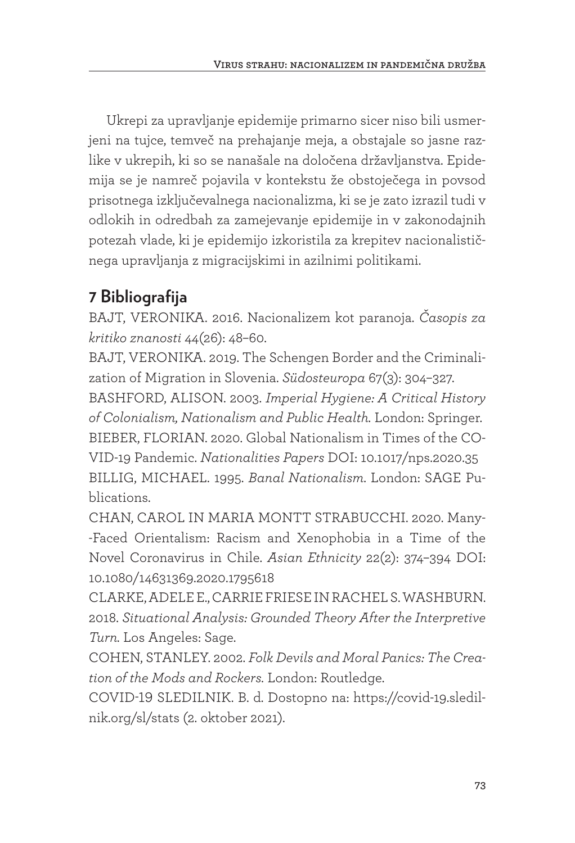Ukrepi za upravljanje epidemije primarno sicer niso bili usmerjeni na tujce, temveč na prehajanje meja, a obstajale so jasne razlike v ukrepih, ki so se nanašale na določena državljanstva. Epidemija se je namreč pojavila v kontekstu že obstoječega in povsod prisotnega izključevalnega nacionalizma, ki se je zato izrazil tudi v odlokih in odredbah za zamejevanje epidemije in v zakonodajnih potezah vlade, ki je epidemijo izkoristila za krepitev nacionalističnega upravljanja z migracijskimi in azilnimi politikami.

# **7 Bibliografija**

BAJT, VERONIKA. 2016. Nacionalizem kot paranoja. *Časopis za kritiko znanosti* 44(26): 48–60.

BAJT, VERONIKA. 2019. The Schengen Border and the Criminalization of Migration in Slovenia. *Südosteuropa* 67(3): 304–327.

BASHFORD, ALISON. 2003. *Imperial Hygiene: A Critical History of Colonialism, Nationalism and Public Health.* London: Springer. BIEBER, FLORIAN. 2020. Global Nationalism in Times of the CO-VID-19 Pandemic. *Nationalities Papers* DOI: 10.1017/nps.2020.35 BILLIG, MICHAEL. 1995. *Banal Nationalism*. London: SAGE Publications.

CHAN, CAROL IN MARIA MONTT STRABUCCHI. 2020. Many- -Faced Orientalism: Racism and Xenophobia in a Time of the Novel Coronavirus in Chile. *Asian Ethnicity* 22(2): 374–394 DOI: 10.1080/14631369.2020.1795618

CLARKE, ADELE E., CARRIE FRIESE IN RACHEL S. WASHBURN. 2018. *Situational Analysis: Grounded Theory After the Interpretive Turn.* Los Angeles: Sage.

COHEN, STANLEY. 2002. *Folk Devils and Moral Panics: The Creation of the Mods and Rockers.* London: Routledge.

COVID-19 SLEDILNIK. B. d. Dostopno na: https://covid-19.sledilnik.org/sl/stats (2. oktober 2021).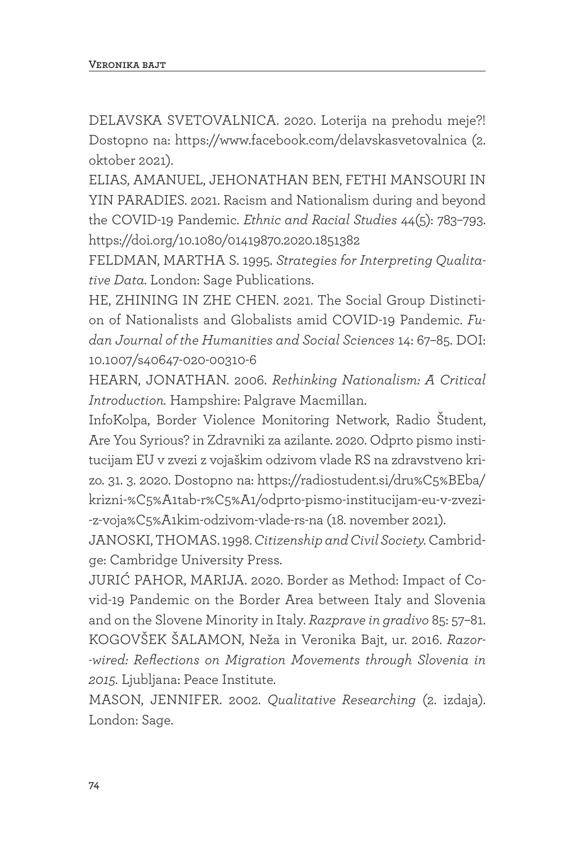DELAVSKA SVETOVALNICA. 2020. Loterija na prehodu meje?! Dostopno na: https://www.facebook.com/delavskasvetovalnica (2. oktober 2021).

ELIAS, AMANUEL, JEHONATHAN BEN, FETHI MANSOURI IN YIN PARADIES. 2021. Racism and Nationalism during and beyond the COVID-19 Pandemic. *Ethnic and Racial Studies* 44(5): 783–793. https://doi.org/10.1080/01419870.2020.1851382

FELDMAN, MARTHA S. 1995. *Strategies for Interpreting Qualitative Data.* London: Sage Publications.

HE, ZHINING IN ZHE CHEN. 2021. The Social Group Distinction of Nationalists and Globalists amid COVID-19 Pandemic. *Fudan Journal of the Humanities and Social Sciences* 14: 67–85. DOI: 10.1007/s40647-020-00310-6

HEARN, JONATHAN. 2006. *Rethinking Nationalism: A Critical Introduction.* Hampshire: Palgrave Macmillan.

InfoKolpa, Border Violence Monitoring Network, Radio Študent, Are You Syrious? in Zdravniki za azilante. 2020. Odprto pismo institucijam EU v zvezi z vojaškim odzivom vlade RS na zdravstveno krizo. 31. 3. 2020. Dostopno na: https://radiostudent.si/dru%C5%BEba/ krizni-%C5%A1tab-r%C5%A1/odprto-pismo-institucijam-eu-v-zvezi- -z-voja%C5%A1kim-odzivom-vlade-rs-na (18. november 2021).

JANOSKI, THOMAS. 1998. *Citizenship and Civil Society.* Cambridge: Cambridge University Press.

JURIĆ PAHOR, MARIJA. 2020. Border as Method: Impact of Covid-19 Pandemic on the Border Area between Italy and Slovenia and on the Slovene Minority in Italy. *Razprave in gradivo* 85: 57–81. KOGOVŠEK ŠALAMON, Neža in Veronika Bajt, ur. 2016. *Razor- -wired: Reflections on Migration Movements through Slovenia in 2015.* Ljubljana: Peace Institute.

MASON, JENNIFER. 2002. *Qualitative Researching* (2. izdaja). London: Sage.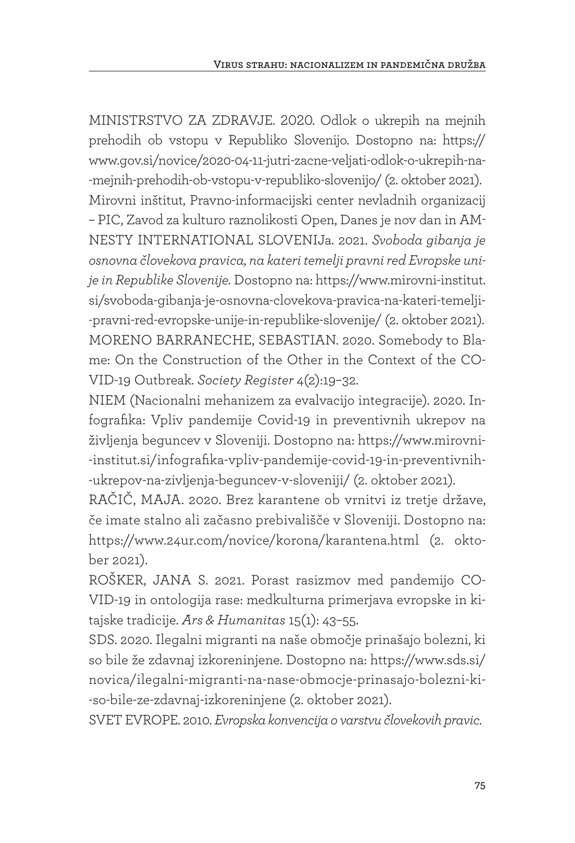MINISTRSTVO ZA ZDRAVJE. 2020. Odlok o ukrepih na mejnih prehodih ob vstopu v Republiko Slovenijo. Dostopno na: https:// www.gov.si/novice/2020-04-11-jutri-zacne-veljati-odlok-o-ukrepih-na- -mejnih-prehodih-ob-vstopu-v-republiko-slovenijo/ (2. oktober 2021). Mirovni inštitut, Pravno-informacijski center nevladnih organizacij – PIC, Zavod za kulturo raznolikosti Open, Danes je nov dan in AM-NESTY INTERNATIONAL SLOVENIJa. 2021. *Svoboda gibanja je osnovna človekova pravica, na kateri temelji pravni red Evropske unije in Republike Slovenije.* Dostopno na: https://www.mirovni-institut. si/svoboda-gibanja-je-osnovna-clovekova-pravica-na-kateri-temelji- -pravni-red-evropske-unije-in-republike-slovenije/ (2. oktober 2021). MORENO BARRANECHE, SEBASTIAN. 2020. Somebody to Blame: On the Construction of the Other in the Context of the CO-VID-19 Outbreak. *Society Register* 4(2):19–32.

NIEM (Nacionalni mehanizem za evalvacijo integracije). 2020. Infografika: Vpliv pandemije Covid-19 in preventivnih ukrepov na življenja beguncev v Sloveniji. Dostopno na: https://www.mirovni- -institut.si/infografika-vpliv-pandemije-covid-19-in-preventivnih- -ukrepov-na-zivljenja-beguncev-v-sloveniji/ (2. oktober 2021).

RAČIČ, MAJA. 2020. Brez karantene ob vrnitvi iz tretje države, če imate stalno ali začasno prebivališče v Sloveniji. Dostopno na: https://www.24ur.com/novice/korona/karantena.html (2. oktober 2021).

ROŠKER, JANA S. 2021. Porast rasizmov med pandemijo CO-VID-19 in ontologija rase: medkulturna primerjava evropske in kitajske tradicije. *Ars & Humanitas* 15(1): 43–55.

SDS. 2020. Ilegalni migranti na naše območje prinašajo bolezni, ki so bile že zdavnaj izkoreninjene. Dostopno na: https://www.sds.si/ novica/ilegalni-migranti-na-nase-obmocje-prinasajo-bolezni-ki- -so-bile-ze-zdavnaj-izkoreninjene (2. oktober 2021).

SVET EVROPE. 2010. *Evropska konvencija o varstvu človekovih pravic*.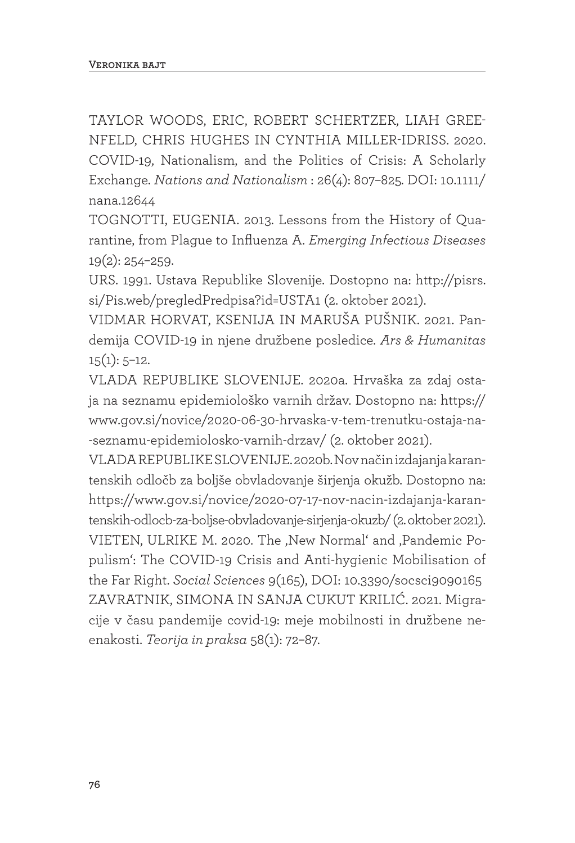TAYLOR WOODS, ERIC, ROBERT SCHERTZER, LIAH GREE-NFELD, CHRIS HUGHES IN CYNTHIA MILLER-IDRISS. 2020. COVID-19, Nationalism, and the Politics of Crisis: A Scholarly Exchange. *Nations and Nationalism* : 26(4): 807–825*.* DOI: 10.1111/ nana.12644

TOGNOTTI, EUGENIA. 2013. Lessons from the History of Quarantine, from Plague to Influenza A. *Emerging Infectious Diseases* 19(2): 254–259.

URS. 1991. Ustava Republike Slovenije. Dostopno na: http://pisrs. si/Pis.web/pregledPredpisa?id=USTA1 (2. oktober 2021).

VIDMAR HORVAT, KSENIJA IN MARUŠA PUŠNIK. 2021. Pandemija COVID-19 in njene družbene posledice. *Ars & Humanitas*   $15(1): 5-12.$ 

VLADA REPUBLIKE SLOVENIJE. 2020a. Hrvaška za zdaj ostaja na seznamu epidemiološko varnih držav. Dostopno na: https:// www.gov.si/novice/2020-06-30-hrvaska-v-tem-trenutku-ostaja-na- -seznamu-epidemiolosko-varnih-drzav/ (2. oktober 2021).

VLADA REPUBLIKE SLOVENIJE. 2020b. Nov način izdajanja karantenskih odločb za boljše obvladovanje širjenja okužb. Dostopno na: https://www.gov.si/novice/2020-07-17-nov-nacin-izdajanja-karantenskih-odlocb-za-boljse-obvladovanje-sirjenja-okuzb/ (2. oktober 2021). VIETEN, ULRIKE M. 2020. The , New Normal' and , Pandemic Populism': The COVID-19 Crisis and Anti-hygienic Mobilisation of the Far Right. *Social Sciences* 9(165), DOI: 10.3390/socsci9090165 ZAVRATNIK, SIMONA IN SANJA CUKUT KRILIĆ. 2021. Migracije v času pandemije covid-19: meje mobilnosti in družbene neenakosti. *Teorija in praksa* 58(1): 72–87.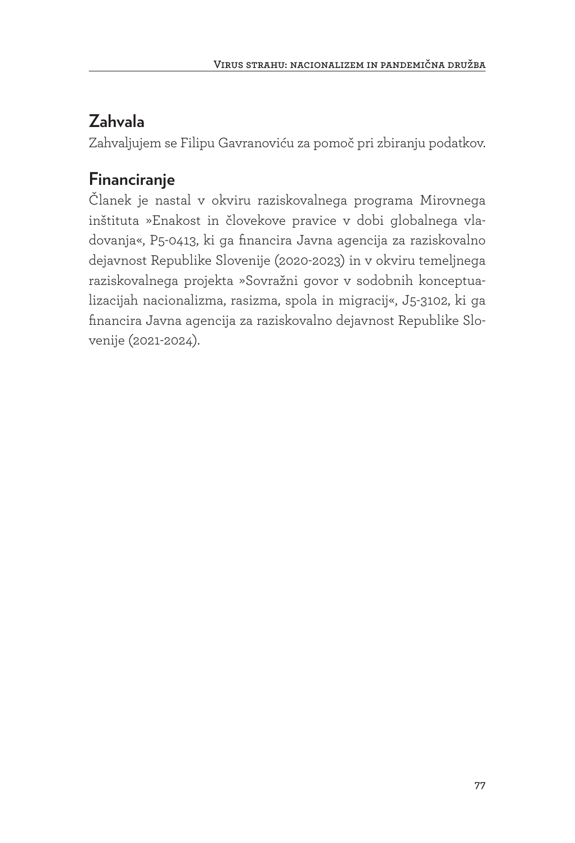# **Zahvala**

Zahvaljujem se Filipu Gavranoviću za pomoč pri zbiranju podatkov.

# **Financiranje**

Članek je nastal v okviru raziskovalnega programa Mirovnega inštituta »Enakost in človekove pravice v dobi globalnega vladovanja«, P5-0413, ki ga financira Javna agencija za raziskovalno dejavnost Republike Slovenije (2020-2023) in v okviru temeljnega raziskovalnega projekta »Sovražni govor v sodobnih konceptualizacijah nacionalizma, rasizma, spola in migracij«, J5-3102, ki ga financira Javna agencija za raziskovalno dejavnost Republike Slovenije (2021-2024).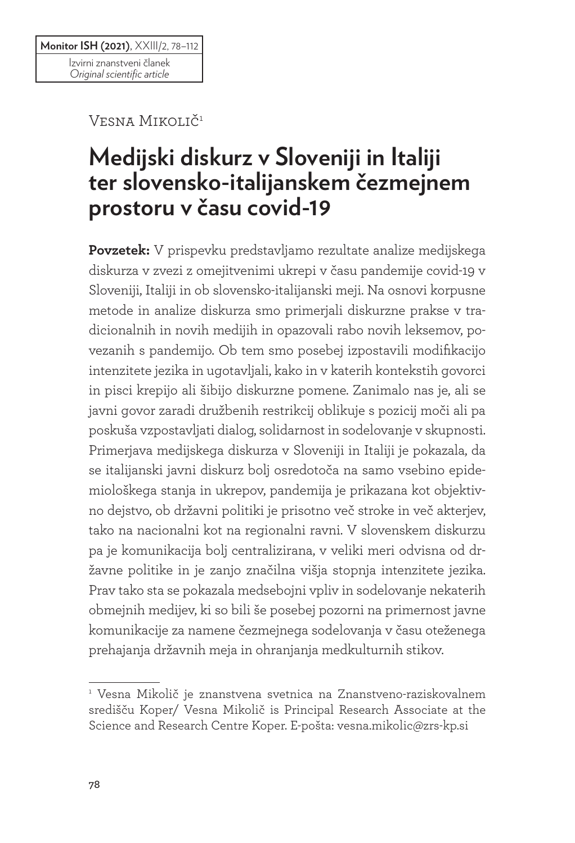Vesna Mikolič<sup>1</sup>

# **Medijski diskurz v Sloveniji in Italiji ter slovensko-italijanskem čezmejnem prostoru v času covid-19**

**Povzetek:** V prispevku predstavljamo rezultate analize medijskega diskurza v zvezi z omejitvenimi ukrepi v času pandemije covid-19 v Sloveniji, Italiji in ob slovensko-italijanski meji. Na osnovi korpusne metode in analize diskurza smo primerjali diskurzne prakse v tradicionalnih in novih medijih in opazovali rabo novih leksemov, povezanih s pandemijo. Ob tem smo posebej izpostavili modifikacijo intenzitete jezika in ugotavljali, kako in v katerih kontekstih govorci in pisci krepijo ali šibijo diskurzne pomene. Zanimalo nas je, ali se javni govor zaradi družbenih restrikcij oblikuje s pozicij moči ali pa poskuša vzpostavljati dialog, solidarnost in sodelovanje v skupnosti. Primerjava medijskega diskurza v Sloveniji in Italiji je pokazala, da se italijanski javni diskurz bolj osredotoča na samo vsebino epidemiološkega stanja in ukrepov, pandemija je prikazana kot objektivno dejstvo, ob državni politiki je prisotno več stroke in več akterjev, tako na nacionalni kot na regionalni ravni. V slovenskem diskurzu pa je komunikacija bolj centralizirana, v veliki meri odvisna od državne politike in je zanjo značilna višja stopnja intenzitete jezika. Prav tako sta se pokazala medsebojni vpliv in sodelovanje nekaterih obmejnih medijev, ki so bili še posebej pozorni na primernost javne komunikacije za namene čezmejnega sodelovanja v času oteženega prehajanja državnih meja in ohranjanja medkulturnih stikov.

<sup>1</sup> Vesna Mikolič je znanstvena svetnica na Znanstveno-raziskovalnem središču Koper/ Vesna Mikolič is Principal Research Associate at the Science and Research Centre Koper. E-pošta: vesna.mikolic@zrs-kp.si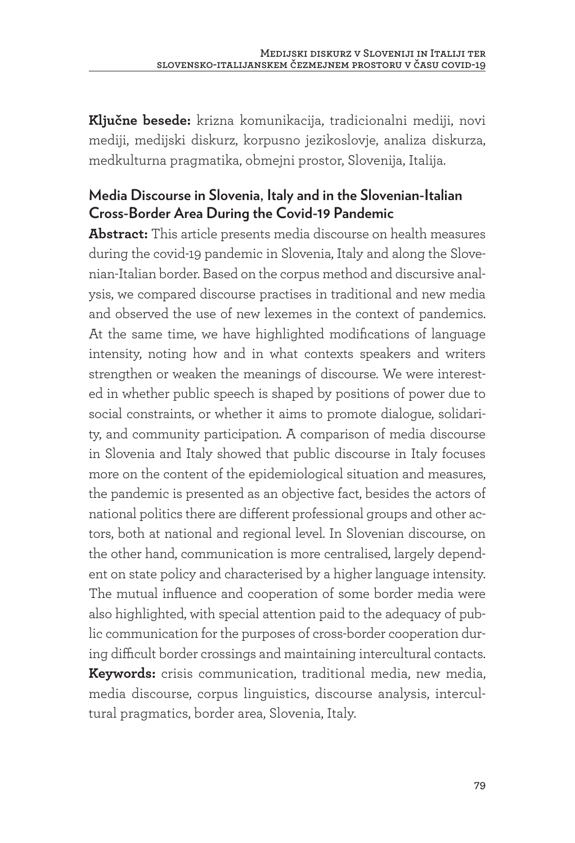**Ključne besede:** krizna komunikacija, tradicionalni mediji, novi mediji, medijski diskurz, korpusno jezikoslovje, analiza diskurza, medkulturna pragmatika, obmejni prostor, Slovenija, Italija.

#### **Media Discourse in Slovenia, Italy and in the Slovenian-Italian Cross-Border Area During the Covid-19 Pandemic**

**Abstract:** This article presents media discourse on health measures during the covid-19 pandemic in Slovenia, Italy and along the Slovenian-Italian border. Based on the corpus method and discursive analysis, we compared discourse practises in traditional and new media and observed the use of new lexemes in the context of pandemics. At the same time, we have highlighted modifications of language intensity, noting how and in what contexts speakers and writers strengthen or weaken the meanings of discourse. We were interested in whether public speech is shaped by positions of power due to social constraints, or whether it aims to promote dialogue, solidarity, and community participation. A comparison of media discourse in Slovenia and Italy showed that public discourse in Italy focuses more on the content of the epidemiological situation and measures, the pandemic is presented as an objective fact, besides the actors of national politics there are different professional groups and other actors, both at national and regional level. In Slovenian discourse, on the other hand, communication is more centralised, largely dependent on state policy and characterised by a higher language intensity. The mutual influence and cooperation of some border media were also highlighted, with special attention paid to the adequacy of public communication for the purposes of cross-border cooperation during difficult border crossings and maintaining intercultural contacts. **Keywords:** crisis communication, traditional media, new media, media discourse, corpus linguistics, discourse analysis, intercultural pragmatics, border area, Slovenia, Italy.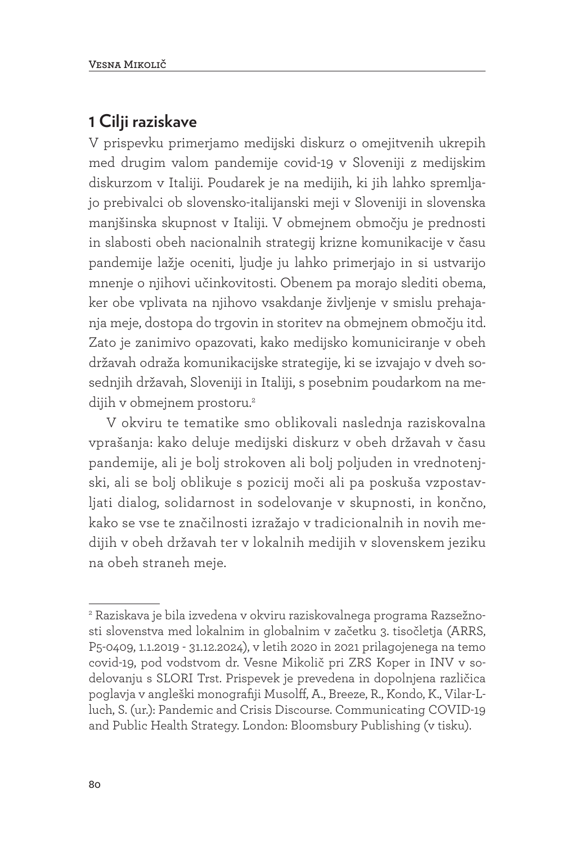### **1 Cilji raziskave**

V prispevku primerjamo medijski diskurz o omejitvenih ukrepih med drugim valom pandemije covid-19 v Sloveniji z medijskim diskurzom v Italiji. Poudarek je na medijih, ki jih lahko spremljajo prebivalci ob slovensko-italijanski meji v Sloveniji in slovenska manjšinska skupnost v Italiji. V obmejnem območju je prednosti in slabosti obeh nacionalnih strategij krizne komunikacije v času pandemije lažje oceniti, ljudje ju lahko primerjajo in si ustvarijo mnenje o njihovi učinkovitosti. Obenem pa morajo slediti obema, ker obe vplivata na njihovo vsakdanje življenje v smislu prehajanja meje, dostopa do trgovin in storitev na obmejnem območju itd. Zato je zanimivo opazovati, kako medijsko komuniciranje v obeh državah odraža komunikacijske strategije, ki se izvajajo v dveh sosednjih državah, Sloveniji in Italiji, s posebnim poudarkom na medijih v obmejnem prostoru.<sup>2</sup>

V okviru te tematike smo oblikovali naslednja raziskovalna vprašanja: kako deluje medijski diskurz v obeh državah v času pandemije, ali je bolj strokoven ali bolj poljuden in vrednotenjski, ali se bolj oblikuje s pozicij moči ali pa poskuša vzpostavljati dialog, solidarnost in sodelovanje v skupnosti, in končno, kako se vse te značilnosti izražajo v tradicionalnih in novih medijih v obeh državah ter v lokalnih medijih v slovenskem jeziku na obeh straneh meje.

<sup>2</sup> Raziskava je bila izvedena v okviru raziskovalnega programa Razsežnosti slovenstva med lokalnim in globalnim v začetku 3. tisočletja (ARRS, P5-0409, 1.1.2019 - 31.12.2024), v letih 2020 in 2021 prilagojenega na temo covid-19, pod vodstvom dr. Vesne Mikolič pri ZRS Koper in INV v sodelovanju s SLORI Trst. Prispevek je prevedena in dopolnjena različica poglavja v angleški monografiji Musolff, A., Breeze, R., Kondo, K., Vilar-Lluch, S. (ur.): Pandemic and Crisis Discourse. Communicating COVID-19 and Public Health Strategy. London: Bloomsbury Publishing (v tisku).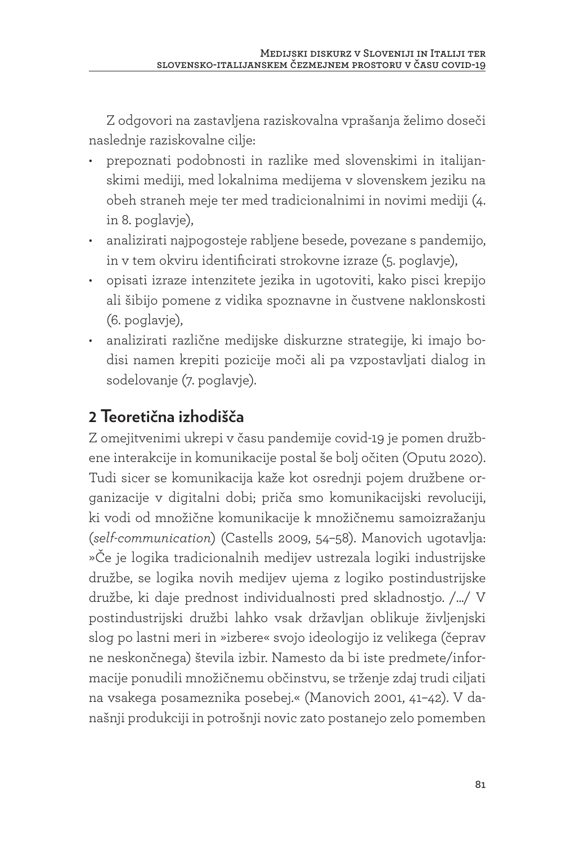Z odgovori na zastavljena raziskovalna vprašanja želimo doseči naslednje raziskovalne cilje:

- prepoznati podobnosti in razlike med slovenskimi in italijanskimi mediji, med lokalnima medijema v slovenskem jeziku na obeh straneh meje ter med tradicionalnimi in novimi mediji (4. in 8. poglavje),
- analizirati najpogosteje rabljene besede, povezane s pandemijo, in v tem okviru identificirati strokovne izraze (5. poglavje),
- opisati izraze intenzitete jezika in ugotoviti, kako pisci krepijo ali šibijo pomene z vidika spoznavne in čustvene naklonskosti (6. poglavje),
- analizirati različne medijske diskurzne strategije, ki imajo bodisi namen krepiti pozicije moči ali pa vzpostavljati dialog in sodelovanje (7. poglavje).

# **2 Teoretična izhodišča**

Z omejitvenimi ukrepi v času pandemije covid-19 je pomen družbene interakcije in komunikacije postal še bolj očiten (Oputu 2020). Tudi sicer se komunikacija kaže kot osrednji pojem družbene organizacije v digitalni dobi; priča smo komunikacijski revoluciji, ki vodi od množične komunikacije k množičnemu samoizražanju (*self-communication*) (Castells 2009, 54–58). Manovich ugotavlja: »Če je logika tradicionalnih medijev ustrezala logiki industrijske družbe, se logika novih medijev ujema z logiko postindustrijske družbe, ki daje prednost individualnosti pred skladnostjo. /.../ V postindustrijski družbi lahko vsak državljan oblikuje življenjski slog po lastni meri in »izbere« svojo ideologijo iz velikega (čeprav ne neskončnega) števila izbir. Namesto da bi iste predmete/informacije ponudili množičnemu občinstvu, se trženje zdaj trudi ciljati na vsakega posameznika posebej.« (Manovich 2001, 41–42). V današnji produkciji in potrošnji novic zato postanejo zelo pomemben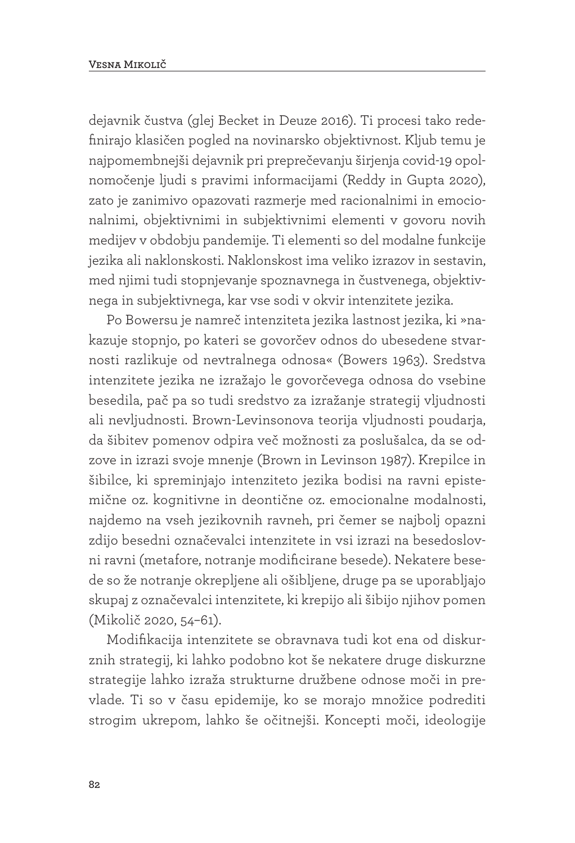dejavnik čustva (glej Becket in Deuze 2016). Ti procesi tako redefinirajo klasičen pogled na novinarsko objektivnost. Kljub temu je najpomembnejši dejavnik pri preprečevanju širjenja covid-19 opolnomočenje ljudi s pravimi informacijami (Reddy in Gupta 2020), zato je zanimivo opazovati razmerje med racionalnimi in emocionalnimi, objektivnimi in subjektivnimi elementi v govoru novih medijev v obdobju pandemije. Ti elementi so del modalne funkcije jezika ali naklonskosti. Naklonskost ima veliko izrazov in sestavin, med njimi tudi stopnjevanje spoznavnega in čustvenega, objektivnega in subjektivnega, kar vse sodi v okvir intenzitete jezika.

Po Bowersu je namreč intenziteta jezika lastnost jezika, ki »nakazuje stopnjo, po kateri se govorčev odnos do ubesedene stvarnosti razlikuje od nevtralnega odnosa« (Bowers 1963). Sredstva intenzitete jezika ne izražajo le govorčevega odnosa do vsebine besedila, pač pa so tudi sredstvo za izražanje strategij vljudnosti ali nevljudnosti. Brown-Levinsonova teorija vljudnosti poudarja, da šibitev pomenov odpira več možnosti za poslušalca, da se odzove in izrazi svoje mnenje (Brown in Levinson 1987). Krepilce in šibilce, ki spreminjajo intenziteto jezika bodisi na ravni epistemične oz. kognitivne in deontične oz. emocionalne modalnosti, najdemo na vseh jezikovnih ravneh, pri čemer se najbolj opazni zdijo besedni označevalci intenzitete in vsi izrazi na besedoslovni ravni (metafore, notranje modificirane besede). Nekatere besede so že notranje okrepljene ali ošibljene, druge pa se uporabljajo skupaj z označevalci intenzitete, ki krepijo ali šibijo njihov pomen (Mikolič 2020, 54–61).

Modifikacija intenzitete se obravnava tudi kot ena od diskurznih strategij, ki lahko podobno kot še nekatere druge diskurzne strategije lahko izraža strukturne družbene odnose moči in prevlade. Ti so v času epidemije, ko se morajo množice podrediti strogim ukrepom, lahko še očitnejši. Koncepti moči, ideologije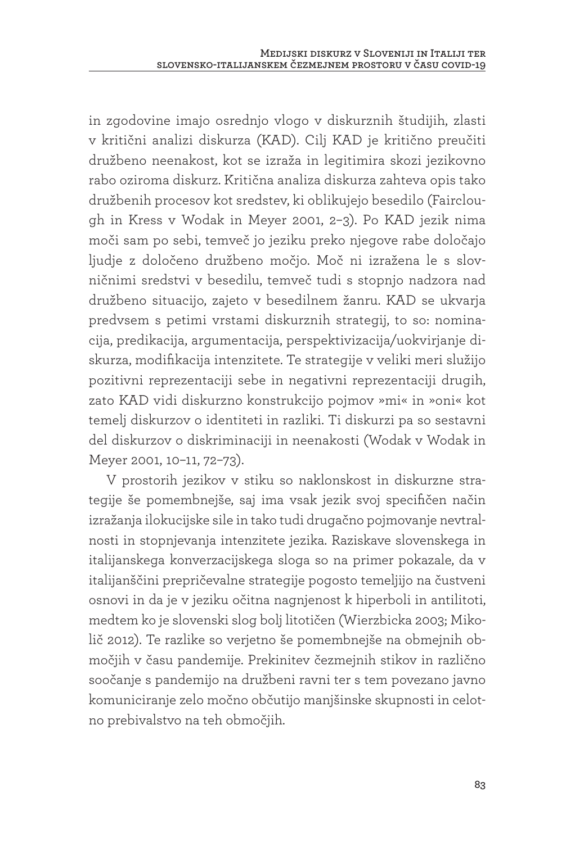in zgodovine imajo osrednjo vlogo v diskurznih študijih, zlasti v kritični analizi diskurza (KAD). Cilj KAD je kritično preučiti družbeno neenakost, kot se izraža in legitimira skozi jezikovno rabo oziroma diskurz. Kritična analiza diskurza zahteva opis tako družbenih procesov kot sredstev, ki oblikujejo besedilo (Fairclough in Kress v Wodak in Meyer 2001, 2–3). Po KAD jezik nima moči sam po sebi, temveč jo jeziku preko njegove rabe določajo ljudje z določeno družbeno močjo. Moč ni izražena le s slovničnimi sredstvi v besedilu, temveč tudi s stopnjo nadzora nad družbeno situacijo, zajeto v besedilnem žanru. KAD se ukvarja predvsem s petimi vrstami diskurznih strategij, to so: nominacija, predikacija, argumentacija, perspektivizacija/uokvirjanje diskurza, modifikacija intenzitete. Te strategije v veliki meri služijo pozitivni reprezentaciji sebe in negativni reprezentaciji drugih, zato KAD vidi diskurzno konstrukcijo pojmov »mi« in »oni« kot temelj diskurzov o identiteti in razliki. Ti diskurzi pa so sestavni del diskurzov o diskriminaciji in neenakosti (Wodak v Wodak in Meyer 2001, 10–11, 72–73).

V prostorih jezikov v stiku so naklonskost in diskurzne strategije še pomembnejše, saj ima vsak jezik svoj specifičen način izražanja ilokucijske sile in tako tudi drugačno pojmovanje nevtralnosti in stopnjevanja intenzitete jezika. Raziskave slovenskega in italijanskega konverzacijskega sloga so na primer pokazale, da v italijanščini prepričevalne strategije pogosto temeljijo na čustveni osnovi in da je v jeziku očitna nagnjenost k hiperboli in antilitoti, medtem ko je slovenski slog bolj litotičen (Wierzbicka 2003; Mikolič 2012). Te razlike so verjetno še pomembnejše na obmejnih območjih v času pandemije. Prekinitev čezmejnih stikov in različno soočanje s pandemijo na družbeni ravni ter s tem povezano javno komuniciranje zelo močno občutijo manjšinske skupnosti in celotno prebivalstvo na teh območjih.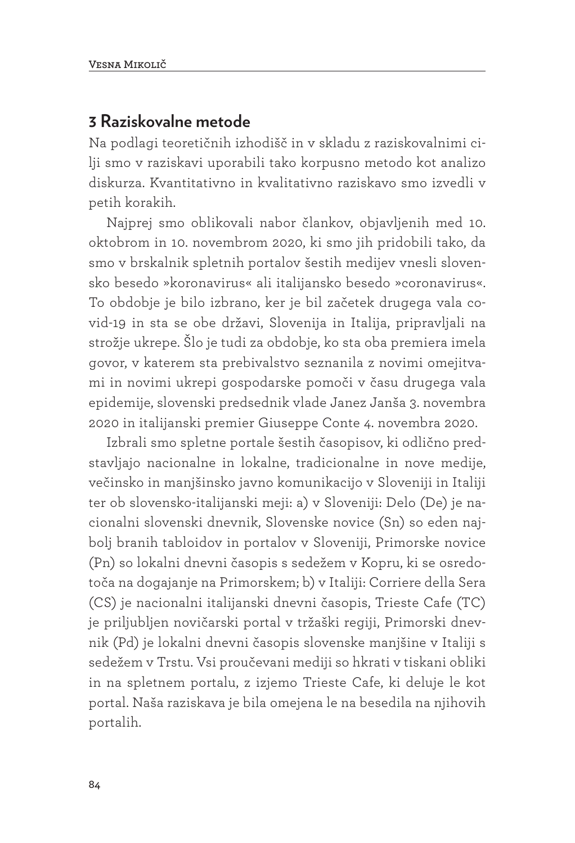### **3 Raziskovalne metode**

Na podlagi teoretičnih izhodišč in v skladu z raziskovalnimi cilji smo v raziskavi uporabili tako korpusno metodo kot analizo diskurza. Kvantitativno in kvalitativno raziskavo smo izvedli v petih korakih.

Najprej smo oblikovali nabor člankov, objavljenih med 10. oktobrom in 10. novembrom 2020, ki smo jih pridobili tako, da smo v brskalnik spletnih portalov šestih medijev vnesli slovensko besedo »koronavirus« ali italijansko besedo »coronavirus«. To obdobje je bilo izbrano, ker je bil začetek drugega vala covid-19 in sta se obe državi, Slovenija in Italija, pripravljali na strožje ukrepe. Šlo je tudi za obdobje, ko sta oba premiera imela govor, v katerem sta prebivalstvo seznanila z novimi omejitvami in novimi ukrepi gospodarske pomoči v času drugega vala epidemije, slovenski predsednik vlade Janez Janša 3. novembra 2020 in italijanski premier Giuseppe Conte 4. novembra 2020.

Izbrali smo spletne portale šestih časopisov, ki odlično predstavljajo nacionalne in lokalne, tradicionalne in nove medije, večinsko in manjšinsko javno komunikacijo v Sloveniji in Italiji ter ob slovensko-italijanski meji: a) v Sloveniji: Delo (De) je nacionalni slovenski dnevnik, Slovenske novice (Sn) so eden najbolj branih tabloidov in portalov v Sloveniji, Primorske novice (Pn) so lokalni dnevni časopis s sedežem v Kopru, ki se osredotoča na dogajanje na Primorskem; b) v Italiji: Corriere della Sera (CS) je nacionalni italijanski dnevni časopis, Trieste Cafe (TC) je priljubljen novičarski portal v tržaški regiji, Primorski dnevnik (Pd) je lokalni dnevni časopis slovenske manjšine v Italiji s sedežem v Trstu. Vsi proučevani mediji so hkrati v tiskani obliki in na spletnem portalu, z izjemo Trieste Cafe, ki deluje le kot portal. Naša raziskava je bila omejena le na besedila na njihovih portalih.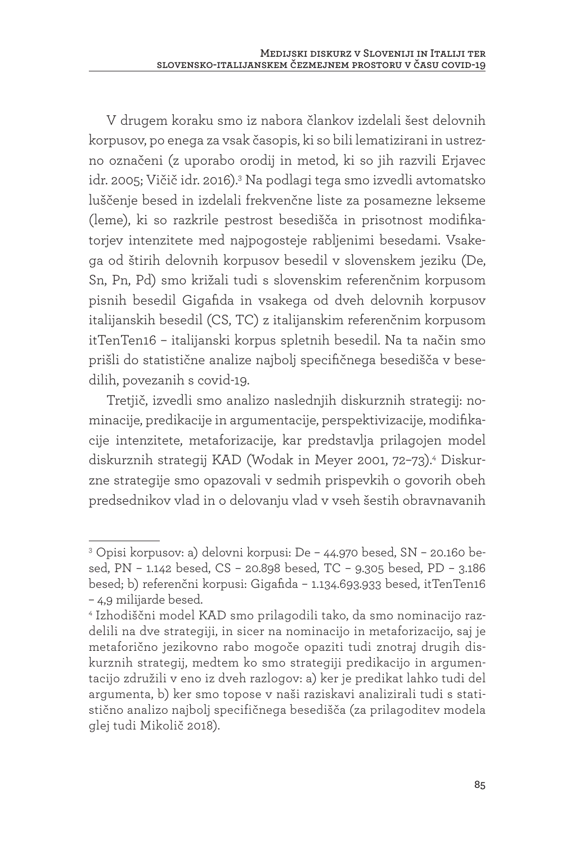V drugem koraku smo iz nabora člankov izdelali šest delovnih korpusov, po enega za vsak časopis, ki so bili lematizirani in ustrezno označeni (z uporabo orodij in metod, ki so jih razvili Erjavec idr. 2005; Vičič idr. 2016).<sup>3</sup> Na podlagi tega smo izvedli avtomatsko luščenje besed in izdelali frekvenčne liste za posamezne lekseme (leme), ki so razkrile pestrost besedišča in prisotnost modifikatorjev intenzitete med najpogosteje rabljenimi besedami. Vsakega od štirih delovnih korpusov besedil v slovenskem jeziku (De, Sn, Pn, Pd) smo križali tudi s slovenskim referenčnim korpusom pisnih besedil Gigafida in vsakega od dveh delovnih korpusov italijanskih besedil (CS, TC) z italijanskim referenčnim korpusom itTenTen16 – italijanski korpus spletnih besedil. Na ta način smo prišli do statistične analize najbolj specifičnega besedišča v besedilih, povezanih s covid-19.

Tretjič, izvedli smo analizo naslednjih diskurznih strategij: nominacije, predikacije in argumentacije, perspektivizacije, modifikacije intenzitete, metaforizacije, kar predstavlja prilagojen model diskurznih strategij KAD (Wodak in Meyer 2001, 72–73).4 Diskurzne strategije smo opazovali v sedmih prispevkih o govorih obeh predsednikov vlad in o delovanju vlad v vseh šestih obravnavanih

<sup>3</sup> Opisi korpusov: a) delovni korpusi: De – 44.970 besed, SN – 20.160 besed, PN – 1.142 besed, CS – 20.898 besed, TC – 9.305 besed, PD – 3.186 besed; b) referenčni korpusi: Gigafida – 1.134.693.933 besed, itTenTen16 – 4,9 milijarde besed.

<sup>4</sup> Izhodiščni model KAD smo prilagodili tako, da smo nominacijo razdelili na dve strategiji, in sicer na nominacijo in metaforizacijo, saj je metaforično jezikovno rabo mogoče opaziti tudi znotraj drugih diskurznih strategij, medtem ko smo strategiji predikacijo in argumentacijo združili v eno iz dveh razlogov: a) ker je predikat lahko tudi del argumenta, b) ker smo topose v naši raziskavi analizirali tudi s statistično analizo najbolj specifičnega besedišča (za prilagoditev modela glej tudi Mikolič 2018).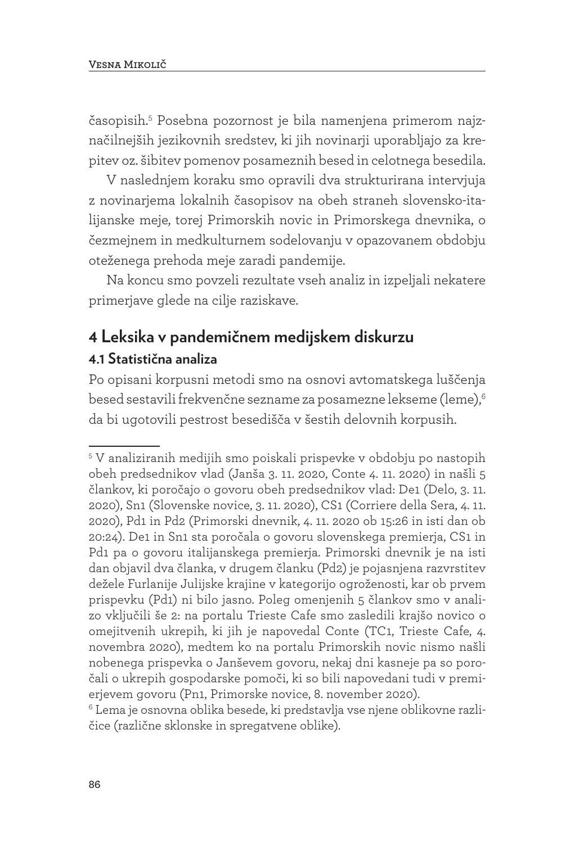časopisih.5 Posebna pozornost je bila namenjena primerom najznačilnejših jezikovnih sredstev, ki jih novinarji uporabljajo za krepitev oz. šibitev pomenov posameznih besed in celotnega besedila.

V naslednjem koraku smo opravili dva strukturirana intervjuja z novinarjema lokalnih časopisov na obeh straneh slovensko-italijanske meje, torej Primorskih novic in Primorskega dnevnika, o čezmejnem in medkulturnem sodelovanju v opazovanem obdobju oteženega prehoda meje zaradi pandemije.

Na koncu smo povzeli rezultate vseh analiz in izpeljali nekatere primerjave glede na cilje raziskave.

## **4 Leksika v pandemičnem medijskem diskurzu 4.1 Statistična analiza**

Po opisani korpusni metodi smo na osnovi avtomatskega luščenja besed sestavili frekvenčne sezname za posamezne lekseme (leme),6 da bi ugotovili pestrost besedišča v šestih delovnih korpusih.

<sup>5</sup> V analiziranih medijih smo poiskali prispevke v obdobju po nastopih obeh predsednikov vlad (Janša 3. 11. 2020, Conte 4. 11. 2020) in našli 5 člankov, ki poročajo o govoru obeh predsednikov vlad: De1 (Delo, 3. 11. 2020), Sn1 (Slovenske novice, 3. 11. 2020), CS1 (Corriere della Sera, 4. 11. 2020), Pd1 in Pd2 (Primorski dnevnik, 4. 11. 2020 ob 15:26 in isti dan ob 20:24). De1 in Sn1 sta poročala o govoru slovenskega premierja, CS1 in Pd1 pa o govoru italijanskega premierja. Primorski dnevnik je na isti dan objavil dva članka, v drugem članku (Pd2) je pojasnjena razvrstitev dežele Furlanije Julijske krajine v kategorijo ogroženosti, kar ob prvem prispevku (Pd1) ni bilo jasno. Poleg omenjenih 5 člankov smo v analizo vključili še 2: na portalu Trieste Cafe smo zasledili krajšo novico o omejitvenih ukrepih, ki jih je napovedal Conte (TC1, Trieste Cafe, 4. novembra 2020), medtem ko na portalu Primorskih novic nismo našli nobenega prispevka o Janševem govoru, nekaj dni kasneje pa so poročali o ukrepih gospodarske pomoči, ki so bili napovedani tudi v premierjevem govoru (Pn1, Primorske novice, 8. november 2020).

 $^{\rm 6}$ Lema je osnovna oblika besede, ki predstavlja vse njene oblikovne različice (različne sklonske in spregatvene oblike).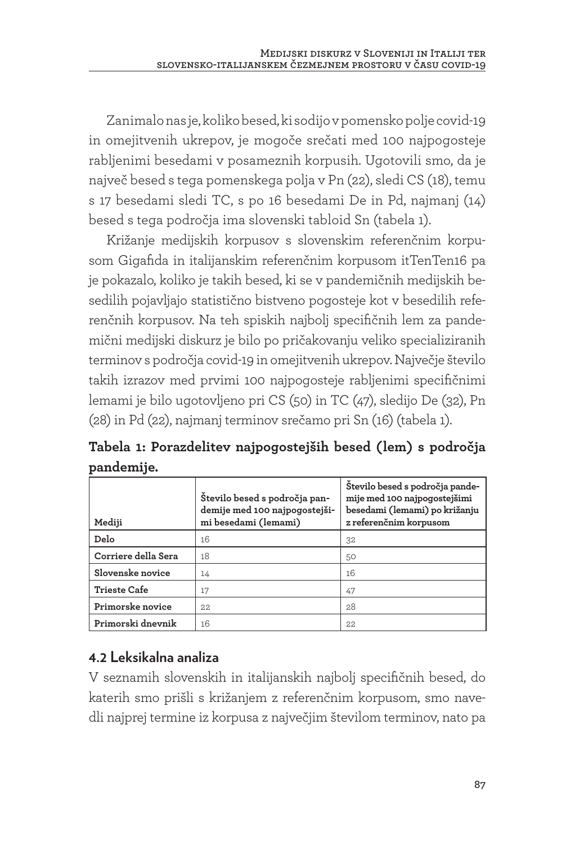Zanimalo nas je, koliko besed, ki sodijo v pomensko polje covid-19 in omejitvenih ukrepov, je mogoče srečati med 100 najpogosteje rabljenimi besedami v posameznih korpusih. Ugotovili smo, da je največ besed s tega pomenskega polja v Pn (22), sledi CS (18), temu s 17 besedami sledi TC, s po 16 besedami De in Pd, najmanj (14) besed s tega področja ima slovenski tabloid Sn (tabela 1).

Križanje medijskih korpusov s slovenskim referenčnim korpusom Gigafida in italijanskim referenčnim korpusom itTenTen16 pa je pokazalo, koliko je takih besed, ki se v pandemičnih medijskih besedilih pojavljajo statistično bistveno pogosteje kot v besedilih referenčnih korpusov. Na teh spiskih najbolj specifičnih lem za pandemični medijski diskurz je bilo po pričakovanju veliko specializiranih terminov s področja covid-19 in omejitvenih ukrepov. Največje število takih izrazov med prvimi 100 najpogosteje rabljenimi specifičnimi lemami je bilo ugotovljeno pri CS (50) in TC (47), sledijo De (32), Pn (28) in Pd (22), najmanj terminov srečamo pri Sn (16) (tabela 1).

**Tabela 1: Porazdelitev najpogostejših besed (lem) s področja pandemije.** 

| Mediji              | Stevilo besed s področja pan-<br>demije med 100 najpogostejši-<br>mi besedami (lemami) | Stevilo besed s področja pande-<br>mije med 100 najpogostejšimi<br>besedami (lemami) po križanju<br>z referenčnim korpusom |
|---------------------|----------------------------------------------------------------------------------------|----------------------------------------------------------------------------------------------------------------------------|
| Delo                | 16                                                                                     | 32                                                                                                                         |
| Corriere della Sera | 18                                                                                     | 50                                                                                                                         |
| Slovenske novice    | 14                                                                                     | 16                                                                                                                         |
| <b>Trieste Cafe</b> | 17                                                                                     | 47                                                                                                                         |
| Primorske novice    | 22.                                                                                    | 28                                                                                                                         |
| Primorski dnevnik   | 16                                                                                     | 22.                                                                                                                        |

### **4.2 Leksikalna analiza**

V seznamih slovenskih in italijanskih najbolj specifičnih besed, do katerih smo prišli s križanjem z referenčnim korpusom, smo navedli najprej termine iz korpusa z največjim številom terminov, nato pa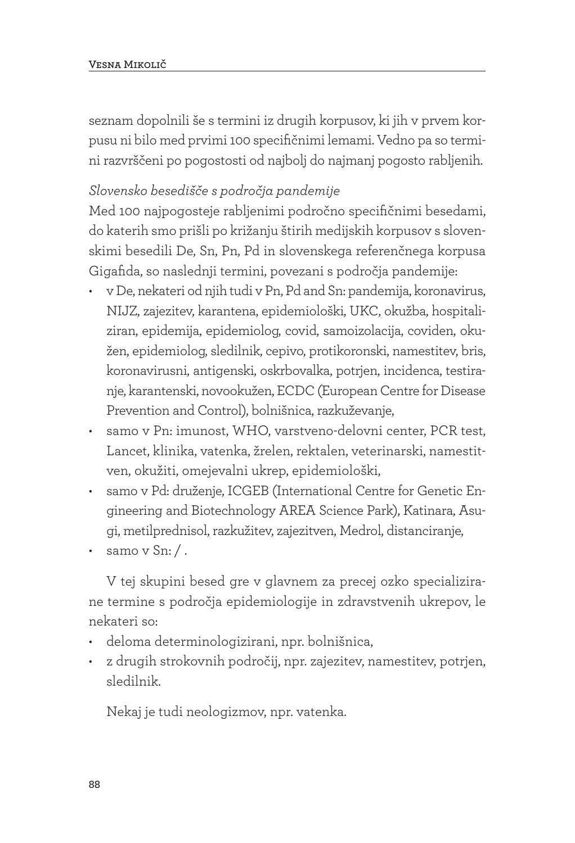seznam dopolnili še s termini iz drugih korpusov, ki jih v prvem korpusu ni bilo med prvimi 100 specifičnimi lemami. Vedno pa so termini razvrščeni po pogostosti od najbolj do najmanj pogosto rabljenih.

#### *Slovensko besedišče s področja pandemije*

Med 100 najpogosteje rabljenimi področno specifičnimi besedami, do katerih smo prišli po križanju štirih medijskih korpusov s slovenskimi besedili De, Sn, Pn, Pd in slovenskega referenčnega korpusa Gigafida, so naslednji termini, povezani s področja pandemije:

- v De, nekateri od njih tudi v Pn, Pd and Sn: pandemija, koronavirus, NIJZ, zajezitev, karantena, epidemiološki, UKC, okužba, hospitaliziran, epidemija, epidemiolog, covid, samoizolacija, coviden, okužen, epidemiolog, sledilnik, cepivo, protikoronski, namestitev, bris, koronavirusni, antigenski, oskrbovalka, potrjen, incidenca, testiranje, karantenski, novookužen, ECDC (European Centre for Disease Prevention and Control), bolnišnica, razkuževanje,
- samo v Pn: imunost, WHO, varstveno-delovni center, PCR test, Lancet, klinika, vatenka, žrelen, rektalen, veterinarski, namestitven, okužiti, omejevalni ukrep, epidemiološki,
- samo v Pd: druženje, ICGEB (International Centre for Genetic Engineering and Biotechnology AREA Science Park), Katinara, Asugi, metilprednisol, razkužitev, zajezitven, Medrol, distanciranje,
- samo v Sn:/.

V tej skupini besed gre v glavnem za precej ozko specializirane termine s področja epidemiologije in zdravstvenih ukrepov, le nekateri so:

- deloma determinologizirani, npr. bolnišnica,
- z drugih strokovnih področij, npr. zajezitev, namestitev, potrjen, sledilnik.

Nekaj je tudi neologizmov, npr. vatenka.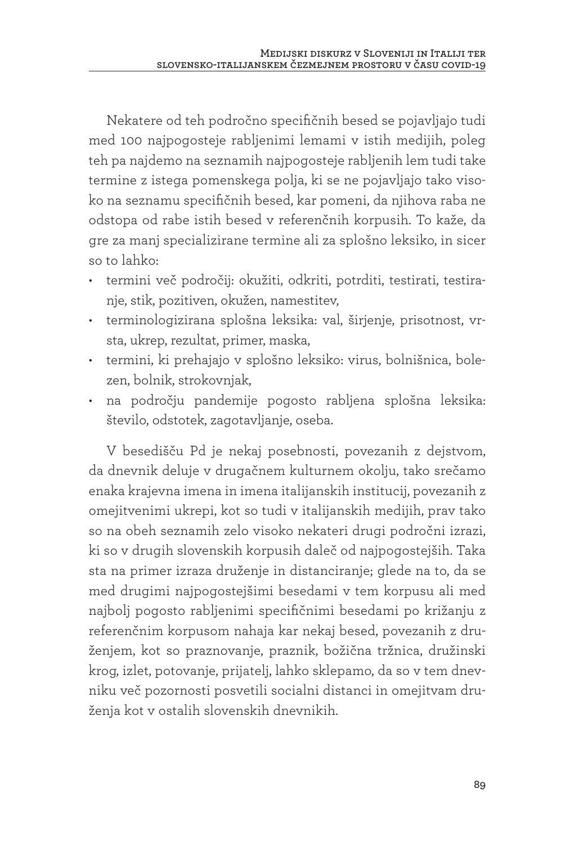Nekatere od teh področno specifičnih besed se pojavljajo tudi med 100 najpogosteje rabljenimi lemami v istih medijih, poleg teh pa najdemo na seznamih najpogosteje rabljenih lem tudi take termine z istega pomenskega polja, ki se ne pojavljajo tako visoko na seznamu specifičnih besed, kar pomeni, da njihova raba ne odstopa od rabe istih besed v referenčnih korpusih. To kaže, da gre za manj specializirane termine ali za splošno leksiko, in sicer so to lahko:

- termini več področij: okužiti, odkriti, potrditi, testirati, testiranje, stik, pozitiven, okužen, namestitev,
- terminologizirana splošna leksika: val, širjenje, prisotnost, vrsta, ukrep, rezultat, primer, maska,
- termini, ki prehajajo v splošno leksiko: virus, bolnišnica, bolezen, bolnik, strokovnjak,
- na področju pandemije pogosto rabljena splošna leksika: število, odstotek, zagotavljanje, oseba.

V besedišču Pd je nekaj posebnosti, povezanih z dejstvom, da dnevnik deluje v drugačnem kulturnem okolju, tako srečamo enaka krajevna imena in imena italijanskih institucij, povezanih z omejitvenimi ukrepi, kot so tudi v italijanskih medijih, prav tako so na obeh seznamih zelo visoko nekateri drugi področni izrazi, ki so v drugih slovenskih korpusih daleč od najpogostejših. Taka sta na primer izraza druženje in distanciranje; glede na to, da se med drugimi najpogostejšimi besedami v tem korpusu ali med najbolj pogosto rabljenimi specifičnimi besedami po križanju z referenčnim korpusom nahaja kar nekaj besed, povezanih z druženjem, kot so praznovanje, praznik, božična tržnica, družinski krog, izlet, potovanje, prijatelj, lahko sklepamo, da so v tem dnevniku več pozornosti posvetili socialni distanci in omejitvam druženja kot v ostalih slovenskih dnevnikih.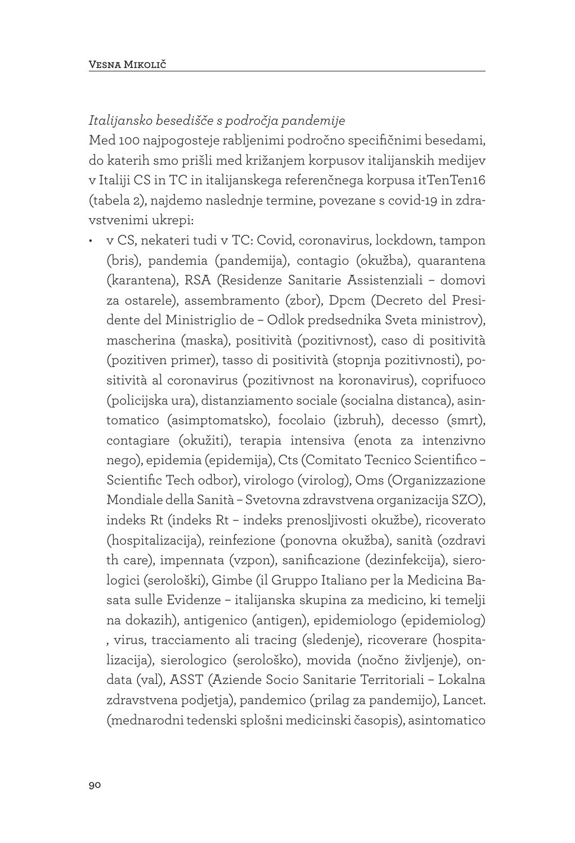#### *Italijansko besedišče s področja pandemije*

Med 100 najpogosteje rabljenimi področno specifičnimi besedami, do katerih smo prišli med križanjem korpusov italijanskih medijev v Italiji CS in TC in italijanskega referenčnega korpusa itTenTen16 (tabela 2), najdemo naslednje termine, povezane s covid-19 in zdravstvenimi ukrepi:

• v CS, nekateri tudi v TC: Covid, coronavirus, lockdown, tampon (bris), pandemia (pandemija), contagio (okužba), quarantena (karantena), RSA (Residenze Sanitarie Assistenziali – domovi za ostarele), assembramento (zbor), Dpcm (Decreto del Presidente del Ministriglio de – Odlok predsednika Sveta ministrov), mascherina (maska), positività (pozitivnost), caso di positività (pozitiven primer), tasso di positività (stopnja pozitivnosti), positività al coronavirus (pozitivnost na koronavirus), coprifuoco (policijska ura), distanziamento sociale (socialna distanca), asintomatico (asimptomatsko), focolaio (izbruh), decesso (smrt), contagiare (okužiti), terapia intensiva (enota za intenzivno nego), epidemia (epidemija), Cts (Comitato Tecnico Scientifico – Scientific Tech odbor), virologo (virolog), Oms (Organizzazione Mondiale della Sanità – Svetovna zdravstvena organizacija SZO), indeks Rt (indeks Rt – indeks prenosljivosti okužbe), ricoverato (hospitalizacija), reinfezione (ponovna okužba), sanità (ozdravi th care), impennata (vzpon), sanificazione (dezinfekcija), sierologici (serološki), Gimbe (il Gruppo Italiano per la Medicina Basata sulle Evidenze – italijanska skupina za medicino, ki temelji na dokazih), antigenico (antigen), epidemiologo (epidemiolog) , virus, tracciamento ali tracing (sledenje), ricoverare (hospitalizacija), sierologico (serološko), movida (nočno življenje), ondata (val), ASST (Aziende Socio Sanitarie Territoriali – Lokalna zdravstvena podjetja), pandemico (prilag za pandemijo), Lancet. (mednarodni tedenski splošni medicinski časopis), asintomatico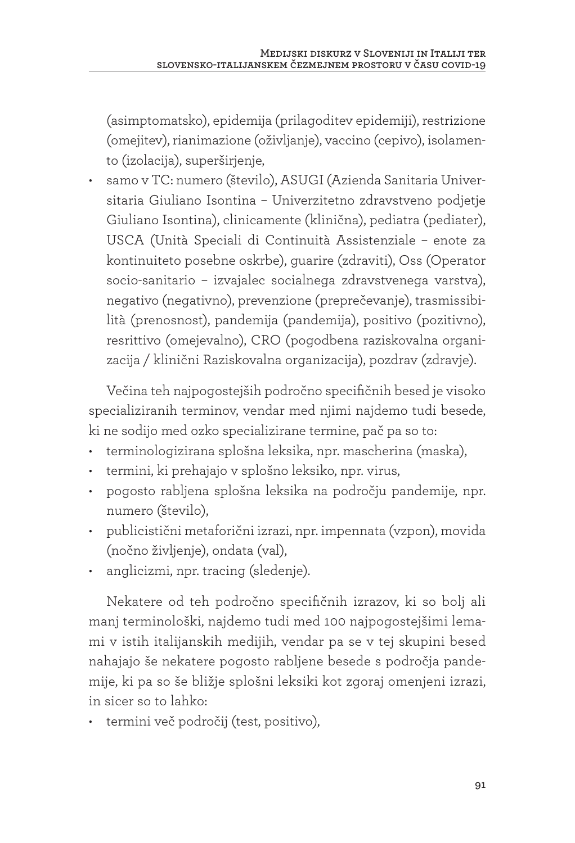(asimptomatsko), epidemija (prilagoditev epidemiji), restrizione (omejitev), rianimazione (oživljanje), vaccino (cepivo), isolamento (izolacija), superširjenje,

• samo v TC: numero (število), ASUGI (Azienda Sanitaria Universitaria Giuliano Isontina – Univerzitetno zdravstveno podjetje Giuliano Isontina), clinicamente (klinična), pediatra (pediater), USCA (Unità Speciali di Continuità Assistenziale – enote za kontinuiteto posebne oskrbe), guarire (zdraviti), Oss (Operator socio-sanitario – izvajalec socialnega zdravstvenega varstva), negativo (negativno), prevenzione (preprečevanje), trasmissibilità (prenosnost), pandemija (pandemija), positivo (pozitivno), resrittivo (omejevalno), CRO (pogodbena raziskovalna organizacija / klinični Raziskovalna organizacija), pozdrav (zdravje).

Večina teh najpogostejših področno specifičnih besed je visoko specializiranih terminov, vendar med njimi najdemo tudi besede, ki ne sodijo med ozko specializirane termine, pač pa so to:

- terminologizirana splošna leksika, npr. mascherina (maska),
- termini, ki prehajajo v splošno leksiko, npr. virus,
- pogosto rabljena splošna leksika na področju pandemije, npr. numero (število),
- publicistični metaforični izrazi, npr. impennata (vzpon), movida (nočno življenje), ondata (val),
- anglicizmi, npr. tracing (sledenje).

Nekatere od teh področno specifičnih izrazov, ki so bolj ali manj terminološki, najdemo tudi med 100 najpogostejšimi lemami v istih italijanskih medijih, vendar pa se v tej skupini besed nahajajo še nekatere pogosto rabljene besede s področja pandemije, ki pa so še bližje splošni leksiki kot zgoraj omenjeni izrazi, in sicer so to lahko:

• termini več področij (test, positivo),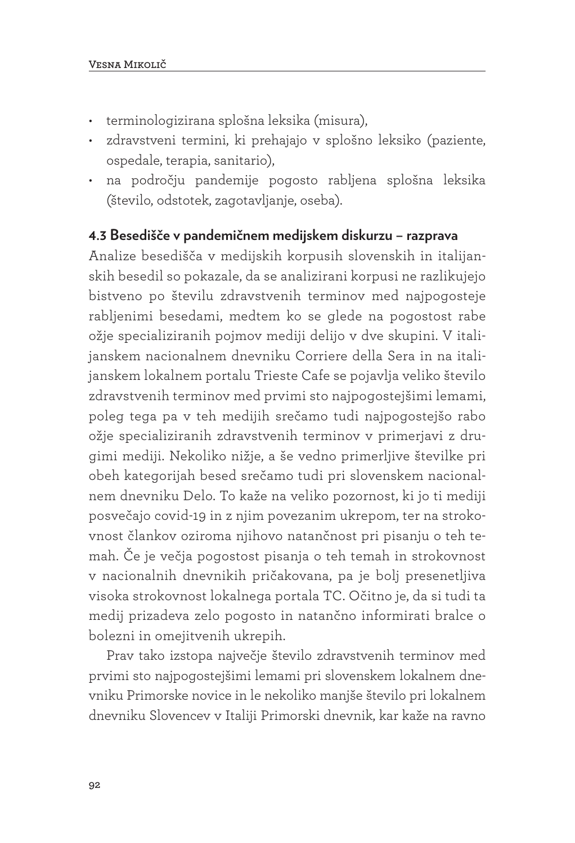- terminologizirana splošna leksika (misura),
- zdravstveni termini, ki prehajajo v splošno leksiko (paziente, ospedale, terapia, sanitario),
- na področju pandemije pogosto rabljena splošna leksika (število, odstotek, zagotavljanje, oseba).

#### **4.3 Besedišče v pandemičnem medijskem diskurzu – razprava**

Analize besedišča v medijskih korpusih slovenskih in italijanskih besedil so pokazale, da se analizirani korpusi ne razlikujejo bistveno po številu zdravstvenih terminov med najpogosteje rabljenimi besedami, medtem ko se glede na pogostost rabe ožje specializiranih pojmov mediji delijo v dve skupini. V italijanskem nacionalnem dnevniku Corriere della Sera in na italijanskem lokalnem portalu Trieste Cafe se pojavlja veliko število zdravstvenih terminov med prvimi sto najpogostejšimi lemami, poleg tega pa v teh medijih srečamo tudi najpogostejšo rabo ožje specializiranih zdravstvenih terminov v primerjavi z drugimi mediji. Nekoliko nižje, a še vedno primerljive številke pri obeh kategorijah besed srečamo tudi pri slovenskem nacionalnem dnevniku Delo. To kaže na veliko pozornost, ki jo ti mediji posvečajo covid-19 in z njim povezanim ukrepom, ter na strokovnost člankov oziroma njihovo natančnost pri pisanju o teh temah. Če je večja pogostost pisanja o teh temah in strokovnost v nacionalnih dnevnikih pričakovana, pa je bolj presenetljiva visoka strokovnost lokalnega portala TC. Očitno je, da si tudi ta medij prizadeva zelo pogosto in natančno informirati bralce o bolezni in omejitvenih ukrepih.

Prav tako izstopa največje število zdravstvenih terminov med prvimi sto najpogostejšimi lemami pri slovenskem lokalnem dnevniku Primorske novice in le nekoliko manjše število pri lokalnem dnevniku Slovencev v Italiji Primorski dnevnik, kar kaže na ravno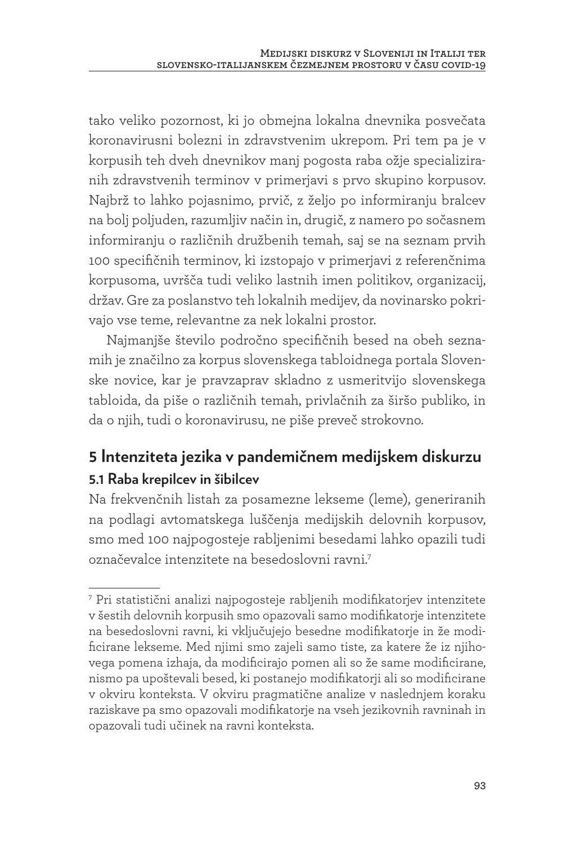tako veliko pozornost, ki jo obmejna lokalna dnevnika posvečata koronavirusni bolezni in zdravstvenim ukrepom. Pri tem pa je v korpusih teh dveh dnevnikov manj pogosta raba ožje specializiranih zdravstvenih terminov v primerjavi s prvo skupino korpusov. Najbrž to lahko pojasnimo, prvič, z željo po informiranju bralcev na bolj poljuden, razumljiv način in, drugič, z namero po sočasnem informiranju o različnih družbenih temah, saj se na seznam prvih 100 specifičnih terminov, ki izstopajo v primerjavi z referenčnima korpusoma, uvršča tudi veliko lastnih imen politikov, organizacij, držav. Gre za poslanstvo teh lokalnih medijev, da novinarsko pokrivajo vse teme, relevantne za nek lokalni prostor.

Najmanjše število področno specifičnih besed na obeh seznamih je značilno za korpus slovenskega tabloidnega portala Slovenske novice, kar je pravzaprav skladno z usmeritvijo slovenskega tabloida, da piše o različnih temah, privlačnih za širšo publiko, in da o njih, tudi o koronavirusu, ne piše preveč strokovno.

## **5 Intenziteta jezika v pandemičnem medijskem diskurzu 5.1 Raba krepilcev in šibilcev**

Na frekvenčnih listah za posamezne lekseme (leme), generiranih na podlagi avtomatskega luščenja medijskih delovnih korpusov, smo med 100 najpogosteje rabljenimi besedami lahko opazili tudi označevalce intenzitete na besedoslovni ravni.7

<sup>7</sup> Pri statistični analizi najpogosteje rabljenih modifikatorjev intenzitete v šestih delovnih korpusih smo opazovali samo modifikatorje intenzitete na besedoslovni ravni, ki vključujejo besedne modifikatorje in že modificirane lekseme. Med njimi smo zajeli samo tiste, za katere že iz njihovega pomena izhaja, da modificirajo pomen ali so že same modificirane, nismo pa upoštevali besed, ki postanejo modifikatorji ali so modificirane v okviru konteksta. V okviru pragmatične analize v naslednjem koraku raziskave pa smo opazovali modifikatorje na vseh jezikovnih ravninah in opazovali tudi učinek na ravni konteksta.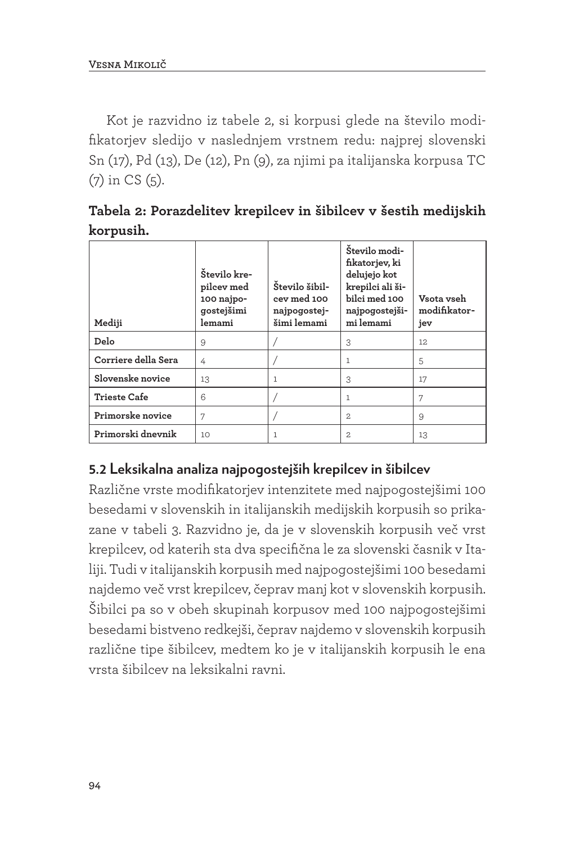Kot je razvidno iz tabele 2, si korpusi glede na število modifikatorjev sledijo v naslednjem vrstnem redu: najprej slovenski Sn (17), Pd (13), De (12), Pn (9), za njimi pa italijanska korpusa TC (7) in CS (5).

**Tabela 2: Porazdelitev krepilcev in šibilcev v šestih medijskih korpusih.**

| Mediji              | Število kre-<br>pilcev med<br>100 najpo-<br>gostejšimi<br>lemami | Število šibil-<br>cev med 100<br>najpogostej-<br>šimi lemami | Število modi-<br>fikatorjev, ki<br>delujejo kot<br>krepilci ali ši-<br>bilci med 100<br>najpogostejši-<br>mi lemami | Vsota vseh<br>modifikator-<br>jev |
|---------------------|------------------------------------------------------------------|--------------------------------------------------------------|---------------------------------------------------------------------------------------------------------------------|-----------------------------------|
| Delo                | 9                                                                |                                                              | 3                                                                                                                   | 12                                |
| Corriere della Sera | 4                                                                |                                                              |                                                                                                                     | 5                                 |
| Slovenske novice    | 13                                                               |                                                              | 3                                                                                                                   | 17                                |
| <b>Trieste Cafe</b> | 6                                                                |                                                              |                                                                                                                     | 7                                 |
| Primorske novice    | 7                                                                |                                                              | 2.                                                                                                                  | 9                                 |
| Primorski dnevnik   | 10                                                               | 1                                                            | 2                                                                                                                   | 13                                |

### **5.2 Leksikalna analiza najpogostejših krepilcev in šibilcev**

Različne vrste modifikatorjev intenzitete med najpogostejšimi 100 besedami v slovenskih in italijanskih medijskih korpusih so prikazane v tabeli 3. Razvidno je, da je v slovenskih korpusih več vrst krepilcev, od katerih sta dva specifična le za slovenski časnik v Italiji. Tudi v italijanskih korpusih med najpogostejšimi 100 besedami najdemo več vrst krepilcev, čeprav manj kot v slovenskih korpusih. Šibilci pa so v obeh skupinah korpusov med 100 najpogostejšimi besedami bistveno redkejši, čeprav najdemo v slovenskih korpusih različne tipe šibilcev, medtem ko je v italijanskih korpusih le ena vrsta šibilcev na leksikalni ravni.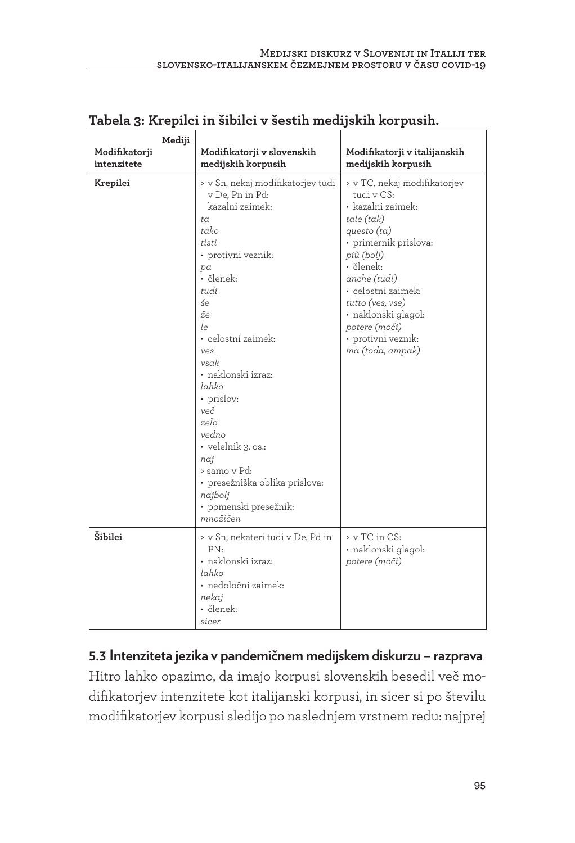| Mediji                       |                                                                                                                                                                                                                                                                                                                                                                                                                               |                                                                                                                                                                                                                                                                                                |
|------------------------------|-------------------------------------------------------------------------------------------------------------------------------------------------------------------------------------------------------------------------------------------------------------------------------------------------------------------------------------------------------------------------------------------------------------------------------|------------------------------------------------------------------------------------------------------------------------------------------------------------------------------------------------------------------------------------------------------------------------------------------------|
| Modifikatorji<br>intenzitete | Modifikatorji v slovenskih<br>medijskih korpusih                                                                                                                                                                                                                                                                                                                                                                              | Modifikatorji v italijanskih<br>medijskih korpusih                                                                                                                                                                                                                                             |
| Krepilci                     | > v Sn, nekaj modifikatorjev tudi<br>v De, Pn in Pd:<br>kazalni zaimek:<br>$t \alpha$<br>tako<br>tisti<br>• protivni veznik:<br>pa<br>· členek:<br>tudi<br>še<br>$\check{z}$ e<br>le<br>· celostni zaimek:<br>ves<br>vsak<br>· naklonski izraz:<br>lahko<br>• prislov:<br>več<br>zelo<br>vedno<br>• velelnik 3. os.:<br>naj<br>> samo v Pd:<br>• presežniška oblika prislova:<br>najbolj<br>• pomenski presežnik:<br>množičen | > v TC, nekaj modifikatorjev<br>tudi v CS:<br>· kazalni zaimek:<br>tale (tak)<br>questo $(ta)$<br>• primernik prislova:<br>più (bolj)<br>• členek:<br>anche (tudi)<br>• celostni zaimek:<br>tutto (ves, vse)<br>• naklonski glagol:<br>potere (moči)<br>• protivni veznik:<br>ma (toda, ampak) |
| Šibilci                      | > v Sn, nekateri tudi v De, Pd in<br>PN.<br>• naklonski izraz:<br>lahko<br>· nedoločni zaimek:<br>nekaj<br>· členek:<br>sicer                                                                                                                                                                                                                                                                                                 | > v TC in CS:<br>• naklonski glagol:<br>potere (moči)                                                                                                                                                                                                                                          |

#### **Tabela 3: Krepilci in šibilci v šestih medijskih korpusih.**

**5.3 Intenziteta jezika v pandemičnem medijskem diskurzu – razprava** Hitro lahko opazimo, da imajo korpusi slovenskih besedil več modifikatorjev intenzitete kot italijanski korpusi, in sicer si po številu modifikatorjev korpusi sledijo po naslednjem vrstnem redu: najprej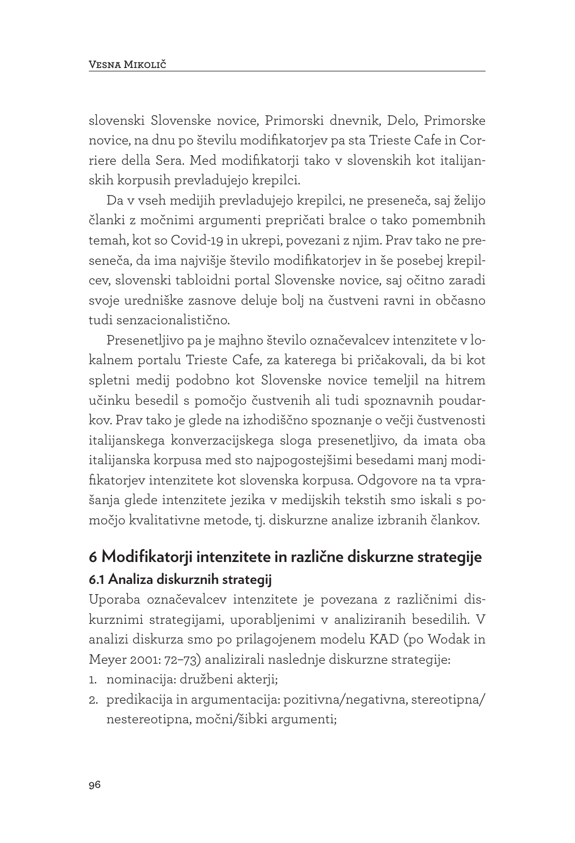slovenski Slovenske novice, Primorski dnevnik, Delo, Primorske novice, na dnu po številu modifikatorjev pa sta Trieste Cafe in Corriere della Sera. Med modifikatorji tako v slovenskih kot italijanskih korpusih prevladujejo krepilci.

Da v vseh medijih prevladujejo krepilci, ne preseneča, saj želijo članki z močnimi argumenti prepričati bralce o tako pomembnih temah, kot so Covid-19 in ukrepi, povezani z njim. Prav tako ne preseneča, da ima najvišje število modifikatorjev in še posebej krepilcev, slovenski tabloidni portal Slovenske novice, saj očitno zaradi svoje uredniške zasnove deluje bolj na čustveni ravni in občasno tudi senzacionalistično.

Presenetljivo pa je majhno število označevalcev intenzitete v lokalnem portalu Trieste Cafe, za katerega bi pričakovali, da bi kot spletni medij podobno kot Slovenske novice temeljil na hitrem učinku besedil s pomočjo čustvenih ali tudi spoznavnih poudarkov. Prav tako je glede na izhodiščno spoznanje o večji čustvenosti italijanskega konverzacijskega sloga presenetljivo, da imata oba italijanska korpusa med sto najpogostejšimi besedami manj modifikatorjev intenzitete kot slovenska korpusa. Odgovore na ta vprašanja glede intenzitete jezika v medijskih tekstih smo iskali s pomočjo kvalitativne metode, tj. diskurzne analize izbranih člankov.

# **6 Modifikatorji intenzitete in različne diskurzne strategije 6.1 Analiza diskurznih strategij**

Uporaba označevalcev intenzitete je povezana z različnimi diskurznimi strategijami, uporabljenimi v analiziranih besedilih. V analizi diskurza smo po prilagojenem modelu KAD (po Wodak in Meyer 2001: 72–73) analizirali naslednje diskurzne strategije:

- 1. nominacija: družbeni akterji;
- 2. predikacija in argumentacija: pozitivna/negativna, stereotipna/ nestereotipna, močni/šibki argumenti;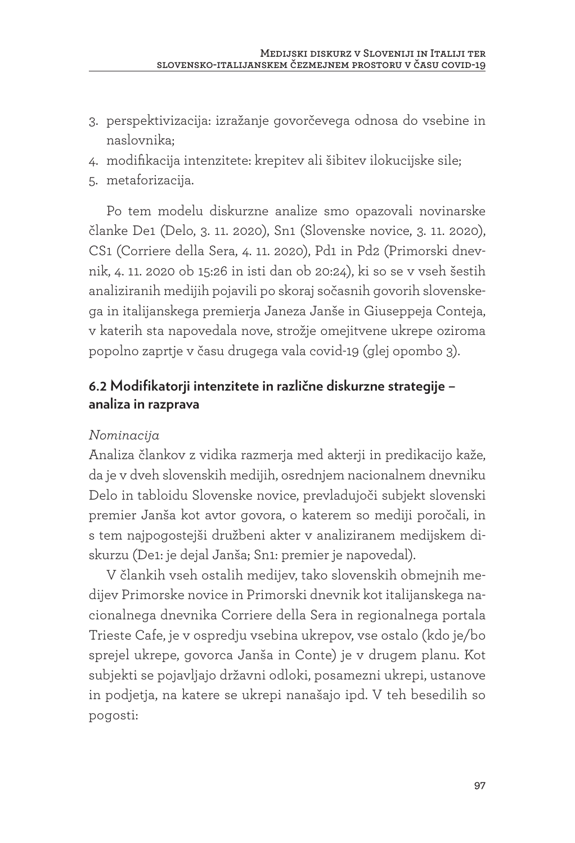- 3. perspektivizacija: izražanje govorčevega odnosa do vsebine in naslovnika;
- 4. modifikacija intenzitete: krepitev ali šibitev ilokucijske sile;
- 5. metaforizacija.

Po tem modelu diskurzne analize smo opazovali novinarske članke De1 (Delo, 3. 11. 2020), Sn1 (Slovenske novice, 3. 11. 2020), CS1 (Corriere della Sera, 4. 11. 2020), Pd1 in Pd2 (Primorski dnevnik, 4. 11. 2020 ob 15:26 in isti dan ob 20:24), ki so se v vseh šestih analiziranih medijih pojavili po skoraj sočasnih govorih slovenskega in italijanskega premierja Janeza Janše in Giuseppeja Conteja, v katerih sta napovedala nove, strožje omejitvene ukrepe oziroma popolno zaprtje v času drugega vala covid-19 (glej opombo 3).

#### **6.2 Modifikatorji intenzitete in različne diskurzne strategije – analiza in razprava**

#### *Nominacija*

Analiza člankov z vidika razmerja med akterji in predikacijo kaže, da je v dveh slovenskih medijih, osrednjem nacionalnem dnevniku Delo in tabloidu Slovenske novice, prevladujoči subjekt slovenski premier Janša kot avtor govora, o katerem so mediji poročali, in s tem najpogostejši družbeni akter v analiziranem medijskem diskurzu (De1: je dejal Janša; Sn1: premier je napovedal).

V člankih vseh ostalih medijev, tako slovenskih obmejnih medijev Primorske novice in Primorski dnevnik kot italijanskega nacionalnega dnevnika Corriere della Sera in regionalnega portala Trieste Cafe, je v ospredju vsebina ukrepov, vse ostalo (kdo je/bo sprejel ukrepe, govorca Janša in Conte) je v drugem planu. Kot subjekti se pojavljajo državni odloki, posamezni ukrepi, ustanove in podjetja, na katere se ukrepi nanašajo ipd. V teh besedilih so pogosti: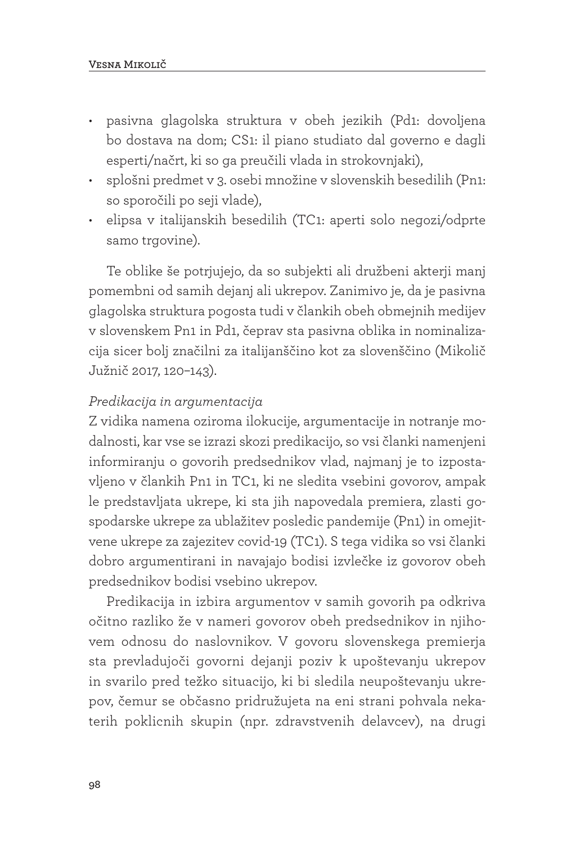- pasivna glagolska struktura v obeh jezikih (Pd1: dovoljena bo dostava na dom; CS1: il piano studiato dal governo e dagli esperti/načrt, ki so ga preučili vlada in strokovnjaki),
- splošni predmet v 3. osebi množine v slovenskih besedilih (Pn1: so sporočili po seji vlade),
- elipsa v italijanskih besedilih (TC1: aperti solo negozi/odprte samo trgovine).

Te oblike še potrjujejo, da so subjekti ali družbeni akterji manj pomembni od samih dejanj ali ukrepov. Zanimivo je, da je pasivna glagolska struktura pogosta tudi v člankih obeh obmejnih medijev v slovenskem Pn1 in Pd1, čeprav sta pasivna oblika in nominalizacija sicer bolj značilni za italijanščino kot za slovenščino (Mikolič Južnič 2017, 120–143).

#### *Predikacija in argumentacija*

Z vidika namena oziroma ilokucije, argumentacije in notranje modalnosti, kar vse se izrazi skozi predikacijo, so vsi članki namenjeni informiranju o govorih predsednikov vlad, najmanj je to izpostavljeno v člankih Pn1 in TC1, ki ne sledita vsebini govorov, ampak le predstavljata ukrepe, ki sta jih napovedala premiera, zlasti gospodarske ukrepe za ublažitev posledic pandemije (Pn1) in omejitvene ukrepe za zajezitev covid-19 (TC1). S tega vidika so vsi članki dobro argumentirani in navajajo bodisi izvlečke iz govorov obeh predsednikov bodisi vsebino ukrepov.

Predikacija in izbira argumentov v samih govorih pa odkriva očitno razliko že v nameri govorov obeh predsednikov in njihovem odnosu do naslovnikov. V govoru slovenskega premierja sta prevladujoči govorni dejanji poziv k upoštevanju ukrepov in svarilo pred težko situacijo, ki bi sledila neupoštevanju ukrepov, čemur se občasno pridružujeta na eni strani pohvala nekaterih poklicnih skupin (npr. zdravstvenih delavcev), na drugi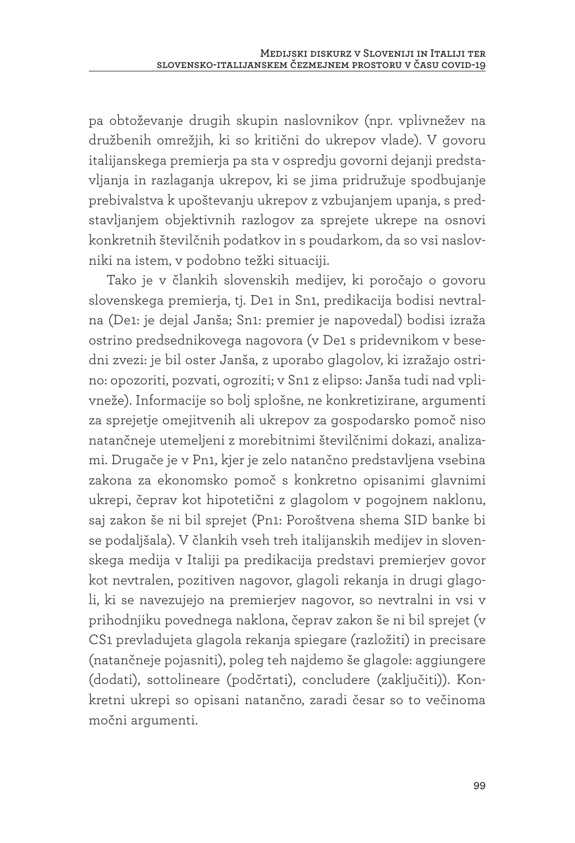pa obtoževanje drugih skupin naslovnikov (npr. vplivnežev na družbenih omrežjih, ki so kritični do ukrepov vlade). V govoru italijanskega premierja pa sta v ospredju govorni dejanji predstavljanja in razlaganja ukrepov, ki se jima pridružuje spodbujanje prebivalstva k upoštevanju ukrepov z vzbujanjem upanja, s predstavljanjem objektivnih razlogov za sprejete ukrepe na osnovi konkretnih številčnih podatkov in s poudarkom, da so vsi naslovniki na istem, v podobno težki situaciji.

Tako je v člankih slovenskih medijev, ki poročajo o govoru slovenskega premierja, tj. De1 in Sn1, predikacija bodisi nevtralna (De1: je dejal Janša; Sn1: premier je napovedal) bodisi izraža ostrino predsednikovega nagovora (v De1 s pridevnikom v besedni zvezi: je bil oster Janša, z uporabo glagolov, ki izražajo ostrino: opozoriti, pozvati, ogroziti; v Sn1 z elipso: Janša tudi nad vplivneže). Informacije so bolj splošne, ne konkretizirane, argumenti za sprejetje omejitvenih ali ukrepov za gospodarsko pomoč niso natančneje utemeljeni z morebitnimi številčnimi dokazi, analizami. Drugače je v Pn1, kjer je zelo natančno predstavljena vsebina zakona za ekonomsko pomoč s konkretno opisanimi glavnimi ukrepi, čeprav kot hipotetični z glagolom v pogojnem naklonu, saj zakon še ni bil sprejet (Pn1: Poroštvena shema SID banke bi se podaljšala). V člankih vseh treh italijanskih medijev in slovenskega medija v Italiji pa predikacija predstavi premierjev govor kot nevtralen, pozitiven nagovor, glagoli rekanja in drugi glagoli, ki se navezujejo na premierjev nagovor, so nevtralni in vsi v prihodnjiku povednega naklona, čeprav zakon še ni bil sprejet (v CS1 prevladujeta glagola rekanja spiegare (razložiti) in precisare (natančneje pojasniti), poleg teh najdemo še glagole: aggiungere (dodati), sottolineare (podčrtati), concludere (zaključiti)). Konkretni ukrepi so opisani natančno, zaradi česar so to večinoma močni argumenti.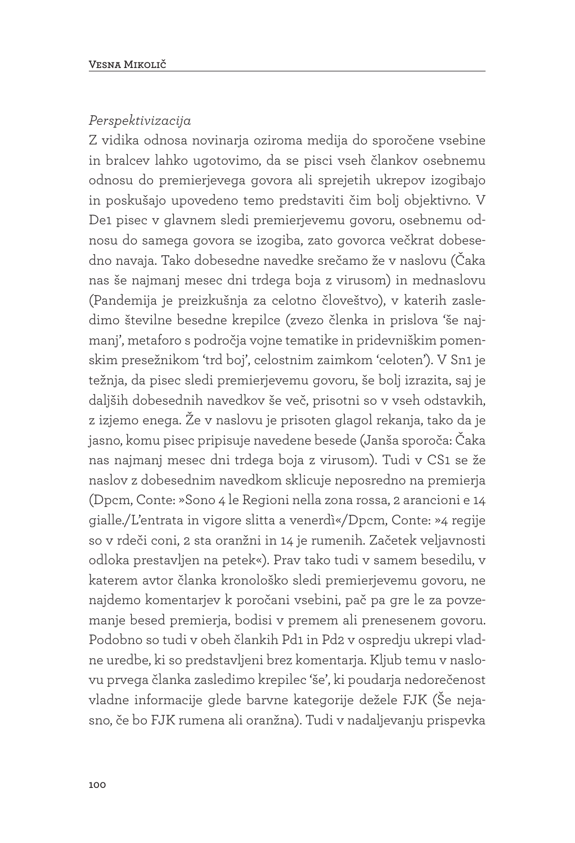#### *Perspektivizacija*

Z vidika odnosa novinarja oziroma medija do sporočene vsebine in bralcev lahko ugotovimo, da se pisci vseh člankov osebnemu odnosu do premierjevega govora ali sprejetih ukrepov izogibajo in poskušajo upovedeno temo predstaviti čim bolj objektivno. V De1 pisec v glavnem sledi premierjevemu govoru, osebnemu odnosu do samega govora se izogiba, zato govorca večkrat dobesedno navaja. Tako dobesedne navedke srečamo že v naslovu (Čaka nas še najmanj mesec dni trdega boja z virusom) in mednaslovu (Pandemija je preizkušnja za celotno človeštvo), v katerih zasledimo številne besedne krepilce (zvezo členka in prislova 'še najmanj', metaforo s področja vojne tematike in pridevniškim pomenskim presežnikom 'trd boj', celostnim zaimkom 'celoten'). V Sn1 je težnja, da pisec sledi premierjevemu govoru, še bolj izrazita, saj je daljših dobesednih navedkov še več, prisotni so v vseh odstavkih, z izjemo enega. Že v naslovu je prisoten glagol rekanja, tako da je jasno, komu pisec pripisuje navedene besede (Janša sporoča: Čaka nas najmanj mesec dni trdega boja z virusom). Tudi v CS1 se že naslov z dobesednim navedkom sklicuje neposredno na premierja (Dpcm, Conte: »Sono 4 le Regioni nella zona rossa, 2 arancioni e 14 gialle./L'entrata in vigore slitta a venerdì«/Dpcm, Conte: »4 regije so v rdeči coni, 2 sta oranžni in 14 je rumenih. Začetek veljavnosti odloka prestavljen na petek«). Prav tako tudi v samem besedilu, v katerem avtor članka kronološko sledi premierjevemu govoru, ne najdemo komentarjev k poročani vsebini, pač pa gre le za povzemanje besed premierja, bodisi v premem ali prenesenem govoru. Podobno so tudi v obeh člankih Pd1 in Pd2 v ospredju ukrepi vladne uredbe, ki so predstavljeni brez komentarja. Kljub temu v naslovu prvega članka zasledimo krepilec 'še', ki poudarja nedorečenost vladne informacije glede barvne kategorije dežele FJK (Še nejasno, če bo FJK rumena ali oranžna). Tudi v nadaljevanju prispevka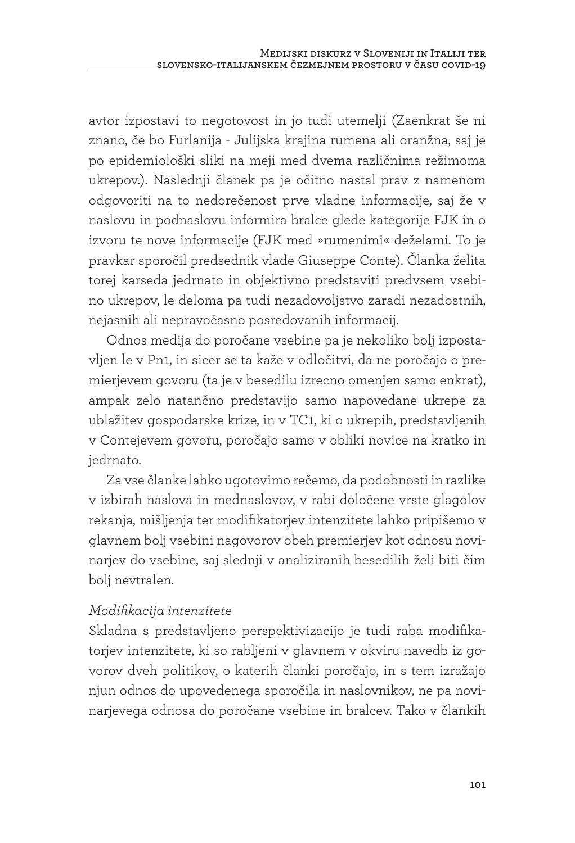avtor izpostavi to negotovost in jo tudi utemelji (Zaenkrat še ni znano, če bo Furlanija - Julijska krajina rumena ali oranžna, saj je po epidemiološki sliki na meji med dvema različnima režimoma ukrepov.). Naslednji članek pa je očitno nastal prav z namenom odgovoriti na to nedorečenost prve vladne informacije, saj že v naslovu in podnaslovu informira bralce glede kategorije FJK in o izvoru te nove informacije (FJK med »rumenimi« deželami. To je pravkar sporočil predsednik vlade Giuseppe Conte). Članka želita torej karseda jedrnato in objektivno predstaviti predvsem vsebino ukrepov, le deloma pa tudi nezadovoljstvo zaradi nezadostnih, nejasnih ali nepravočasno posredovanih informacij.

Odnos medija do poročane vsebine pa je nekoliko bolj izpostavljen le v Pn1, in sicer se ta kaže v odločitvi, da ne poročajo o premierjevem govoru (ta je v besedilu izrecno omenjen samo enkrat), ampak zelo natančno predstavijo samo napovedane ukrepe za ublažitev gospodarske krize, in v TC1, ki o ukrepih, predstavljenih v Contejevem govoru, poročajo samo v obliki novice na kratko in jedrnato.

Za vse članke lahko ugotovimo rečemo, da podobnosti in razlike v izbirah naslova in mednaslovov, v rabi določene vrste glagolov rekanja, mišljenja ter modifikatorjev intenzitete lahko pripišemo v glavnem bolj vsebini nagovorov obeh premierjev kot odnosu novinarjev do vsebine, saj slednji v analiziranih besedilih želi biti čim bolj nevtralen.

#### *Modifikacija intenzitete*

Skladna s predstavljeno perspektivizacijo je tudi raba modifikatorjev intenzitete, ki so rabljeni v glavnem v okviru navedb iz govorov dveh politikov, o katerih članki poročajo, in s tem izražajo njun odnos do upovedenega sporočila in naslovnikov, ne pa novinarjevega odnosa do poročane vsebine in bralcev. Tako v člankih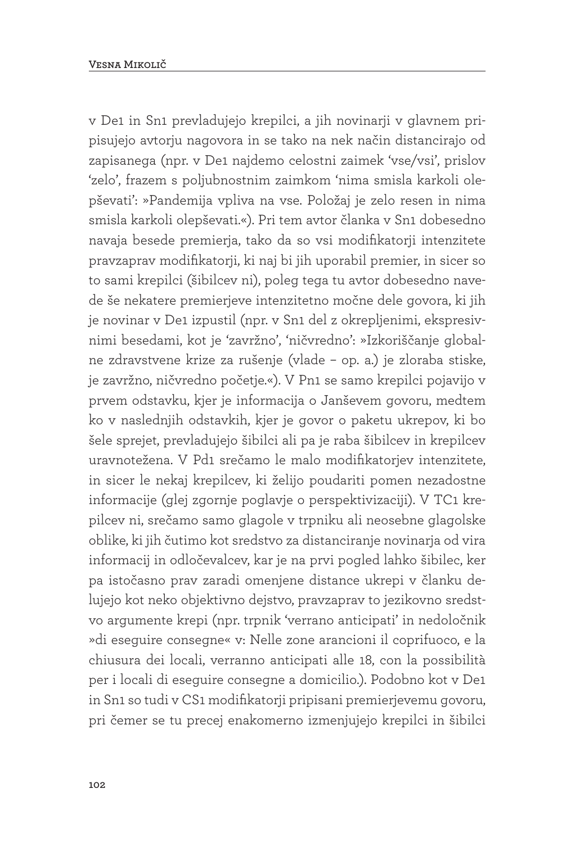v De1 in Sn1 prevladujejo krepilci, a jih novinarji v glavnem pripisujejo avtorju nagovora in se tako na nek način distancirajo od zapisanega (npr. v De1 najdemo celostni zaimek 'vse/vsi', prislov 'zelo', frazem s poljubnostnim zaimkom 'nima smisla karkoli olepševati': »Pandemija vpliva na vse. Položaj je zelo resen in nima smisla karkoli olepševati.«). Pri tem avtor članka v Sn1 dobesedno navaja besede premierja, tako da so vsi modifikatorji intenzitete pravzaprav modifikatorji, ki naj bi jih uporabil premier, in sicer so to sami krepilci (šibilcev ni), poleg tega tu avtor dobesedno navede še nekatere premierjeve intenzitetno močne dele govora, ki jih je novinar v De1 izpustil (npr. v Sn1 del z okrepljenimi, ekspresivnimi besedami, kot je 'zavržno', 'ničvredno': »Izkoriščanje globalne zdravstvene krize za rušenje (vlade – op. a.) je zloraba stiske, je zavržno, ničvredno početje.«). V Pn1 se samo krepilci pojavijo v prvem odstavku, kjer je informacija o Janševem govoru, medtem ko v naslednjih odstavkih, kjer je govor o paketu ukrepov, ki bo šele sprejet, prevladujejo šibilci ali pa je raba šibilcev in krepilcev uravnotežena. V Pd1 srečamo le malo modifikatorjev intenzitete, in sicer le nekaj krepilcev, ki želijo poudariti pomen nezadostne informacije (glej zgornje poglavje o perspektivizaciji). V TC1 krepilcev ni, srečamo samo glagole v trpniku ali neosebne glagolske oblike, ki jih čutimo kot sredstvo za distanciranje novinarja od vira informacij in odločevalcev, kar je na prvi pogled lahko šibilec, ker pa istočasno prav zaradi omenjene distance ukrepi v članku delujejo kot neko objektivno dejstvo, pravzaprav to jezikovno sredstvo argumente krepi (npr. trpnik 'verrano anticipati' in nedoločnik »di eseguire consegne« v: Nelle zone arancioni il coprifuoco, e la chiusura dei locali, verranno anticipati alle 18, con la possibilità per i locali di eseguire consegne a domicilio.). Podobno kot v De1 in Sn1 so tudi v CS1 modifikatorji pripisani premierjevemu govoru, pri čemer se tu precej enakomerno izmenjujejo krepilci in šibilci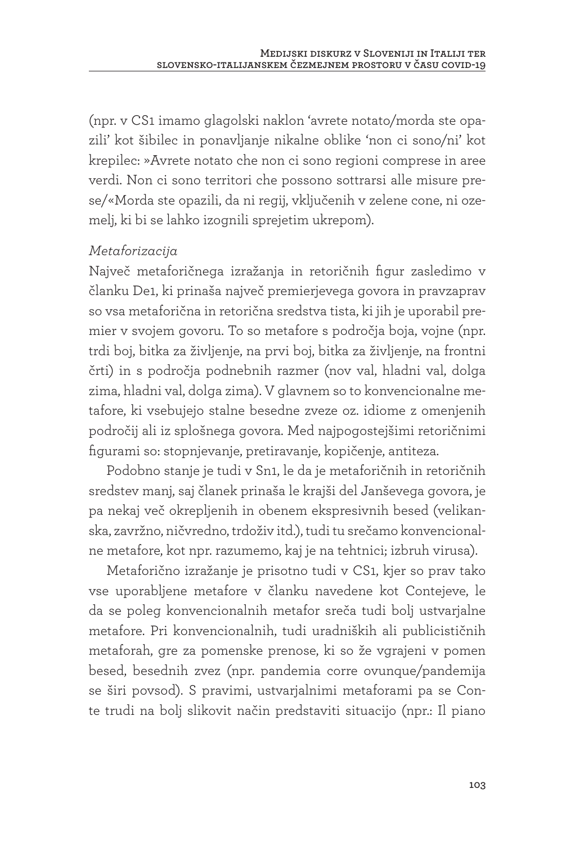(npr. v CS1 imamo glagolski naklon 'avrete notato/morda ste opazili' kot šibilec in ponavljanje nikalne oblike 'non ci sono/ni' kot krepilec: »Avrete notato che non ci sono regioni comprese in aree verdi. Non ci sono territori che possono sottrarsi alle misure prese/«Morda ste opazili, da ni regij, vključenih v zelene cone, ni ozemelj, ki bi se lahko izognili sprejetim ukrepom).

#### *Metaforizacija*

Največ metaforičnega izražanja in retoričnih figur zasledimo v članku De1, ki prinaša največ premierjevega govora in pravzaprav so vsa metaforična in retorična sredstva tista, ki jih je uporabil premier v svojem govoru. To so metafore s področja boja, vojne (npr. trdi boj, bitka za življenje, na prvi boj, bitka za življenje, na frontni črti) in s področja podnebnih razmer (nov val, hladni val, dolga zima, hladni val, dolga zima). V glavnem so to konvencionalne metafore, ki vsebujejo stalne besedne zveze oz. idiome z omenjenih področij ali iz splošnega govora. Med najpogostejšimi retoričnimi figurami so: stopnjevanje, pretiravanje, kopičenje, antiteza.

Podobno stanje je tudi v Sn1, le da je metaforičnih in retoričnih sredstev manj, saj članek prinaša le krajši del Janševega govora, je pa nekaj več okrepljenih in obenem ekspresivnih besed (velikanska, zavržno, ničvredno, trdoživ itd.), tudi tu srečamo konvencionalne metafore, kot npr. razumemo, kaj je na tehtnici; izbruh virusa).

Metaforično izražanje je prisotno tudi v CS1, kjer so prav tako vse uporabljene metafore v članku navedene kot Contejeve, le da se poleg konvencionalnih metafor sreča tudi bolj ustvarjalne metafore. Pri konvencionalnih, tudi uradniških ali publicističnih metaforah, gre za pomenske prenose, ki so že vgrajeni v pomen besed, besednih zvez (npr. pandemia corre ovunque/pandemija se širi povsod). S pravimi, ustvarjalnimi metaforami pa se Conte trudi na bolj slikovit način predstaviti situacijo (npr.: Il piano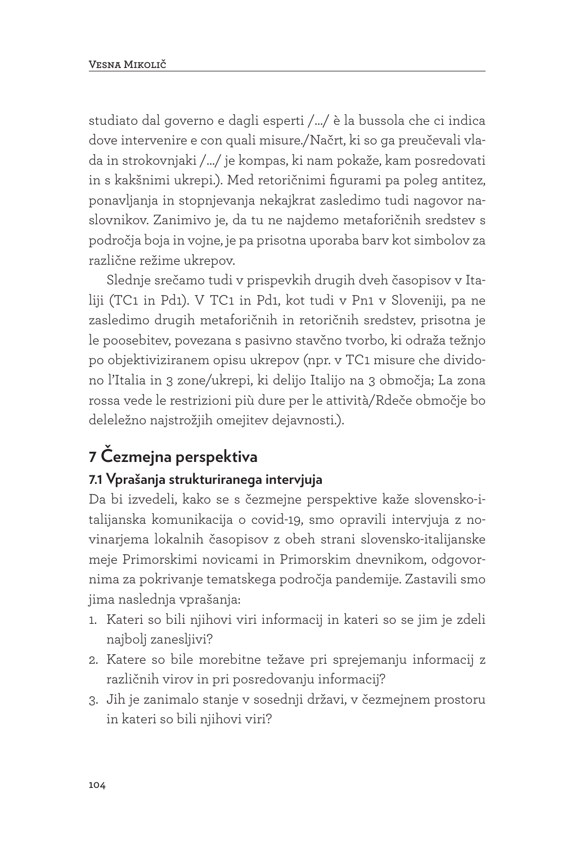studiato dal governo e dagli esperti /…/ è la bussola che ci indica dove intervenire e con quali misure./Načrt, ki so ga preučevali vlada in strokovnjaki /…/ je kompas, ki nam pokaže, kam posredovati in s kakšnimi ukrepi.). Med retoričnimi figurami pa poleg antitez, ponavljanja in stopnjevanja nekajkrat zasledimo tudi nagovor naslovnikov. Zanimivo je, da tu ne najdemo metaforičnih sredstev s področja boja in vojne, je pa prisotna uporaba barv kot simbolov za različne režime ukrepov.

Slednje srečamo tudi v prispevkih drugih dveh časopisov v Italiji (TC1 in Pd1). V TC1 in Pd1, kot tudi v Pn1 v Sloveniji, pa ne zasledimo drugih metaforičnih in retoričnih sredstev, prisotna je le poosebitev, povezana s pasivno stavčno tvorbo, ki odraža težnjo po objektiviziranem opisu ukrepov (npr. v TC1 misure che dividono l'Italia in 3 zone/ukrepi, ki delijo Italijo na 3 območja; La zona rossa vede le restrizioni più dure per le attività/Rdeče območje bo deleležno najstrožjih omejitev dejavnosti.).

# **7 Čezmejna perspektiva**

### **7.1 Vprašanja strukturiranega intervjuja**

Da bi izvedeli, kako se s čezmejne perspektive kaže slovensko-italijanska komunikacija o covid-19, smo opravili intervjuja z novinarjema lokalnih časopisov z obeh strani slovensko-italijanske meje Primorskimi novicami in Primorskim dnevnikom, odgovornima za pokrivanje tematskega področja pandemije. Zastavili smo jima naslednja vprašanja:

- 1. Kateri so bili njihovi viri informacij in kateri so se jim je zdeli najbolj zanesljivi?
- 2. Katere so bile morebitne težave pri sprejemanju informacij z različnih virov in pri posredovanju informacij?
- 3. Jih je zanimalo stanje v sosednji državi, v čezmejnem prostoru in kateri so bili njihovi viri?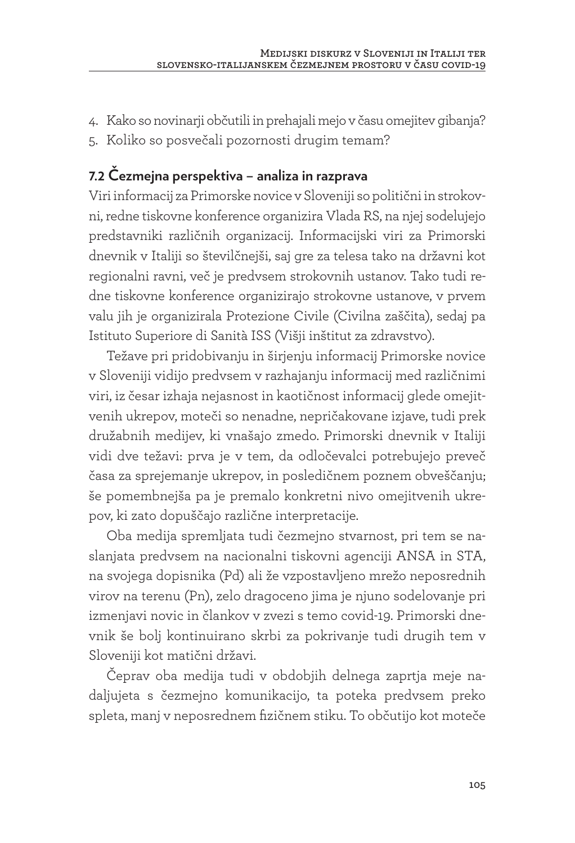- 4. Kako so novinarji občutili in prehajali mejo v času omejitev gibanja?
- 5. Koliko so posvečali pozornosti drugim temam?

### **7.2 Čezmejna perspektiva – analiza in razprava**

Viri informacij za Primorske novice v Sloveniji so politični in strokovni, redne tiskovne konference organizira Vlada RS, na njej sodelujejo predstavniki različnih organizacij. Informacijski viri za Primorski dnevnik v Italiji so številčnejši, saj gre za telesa tako na državni kot regionalni ravni, več je predvsem strokovnih ustanov. Tako tudi redne tiskovne konference organizirajo strokovne ustanove, v prvem valu jih je organizirala Protezione Civile (Civilna zaščita), sedaj pa Istituto Superiore di Sanità ISS (Višji inštitut za zdravstvo).

Težave pri pridobivanju in širjenju informacij Primorske novice v Sloveniji vidijo predvsem v razhajanju informacij med različnimi viri, iz česar izhaja nejasnost in kaotičnost informacij glede omejitvenih ukrepov, moteči so nenadne, nepričakovane izjave, tudi prek družabnih medijev, ki vnašajo zmedo. Primorski dnevnik v Italiji vidi dve težavi: prva je v tem, da odločevalci potrebujejo preveč časa za sprejemanje ukrepov, in posledičnem poznem obveščanju; še pomembnejša pa je premalo konkretni nivo omejitvenih ukrepov, ki zato dopuščajo različne interpretacije.

Oba medija spremljata tudi čezmejno stvarnost, pri tem se naslanjata predvsem na nacionalni tiskovni agenciji ANSA in STA, na svojega dopisnika (Pd) ali že vzpostavljeno mrežo neposrednih virov na terenu (Pn), zelo dragoceno jima je njuno sodelovanje pri izmenjavi novic in člankov v zvezi s temo covid-19. Primorski dnevnik še bolj kontinuirano skrbi za pokrivanje tudi drugih tem v Sloveniji kot matični državi.

Čeprav oba medija tudi v obdobjih delnega zaprtja meje nadaljujeta s čezmejno komunikacijo, ta poteka predvsem preko spleta, manj v neposrednem fizičnem stiku. To občutijo kot moteče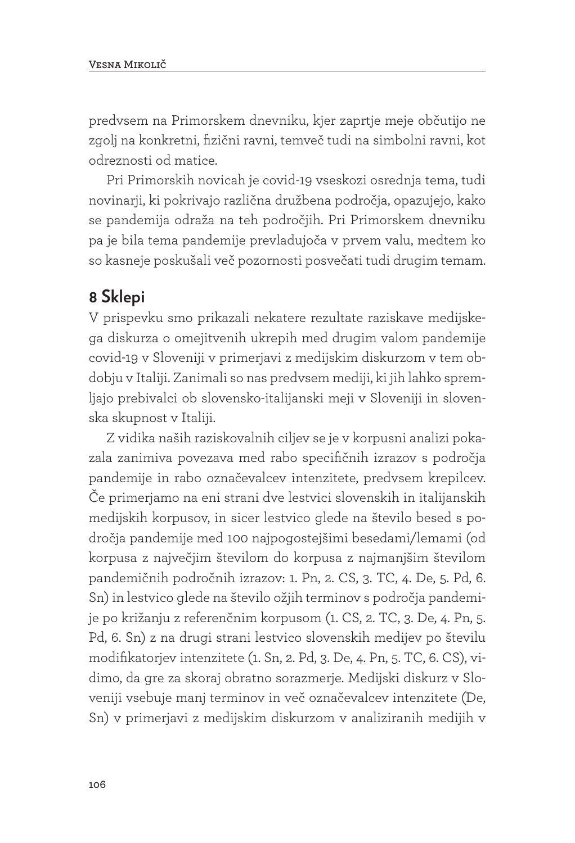predvsem na Primorskem dnevniku, kjer zaprtje meje občutijo ne zgolj na konkretni, fizični ravni, temveč tudi na simbolni ravni, kot odreznosti od matice.

Pri Primorskih novicah je covid-19 vseskozi osrednja tema, tudi novinarji, ki pokrivajo različna družbena področja, opazujejo, kako se pandemija odraža na teh področjih. Pri Primorskem dnevniku pa je bila tema pandemije prevladujoča v prvem valu, medtem ko so kasneje poskušali več pozornosti posvečati tudi drugim temam.

### **8 Sklepi**

V prispevku smo prikazali nekatere rezultate raziskave medijskega diskurza o omejitvenih ukrepih med drugim valom pandemije covid-19 v Sloveniji v primerjavi z medijskim diskurzom v tem obdobju v Italiji. Zanimali so nas predvsem mediji, ki jih lahko spremljajo prebivalci ob slovensko-italijanski meji v Sloveniji in slovenska skupnost v Italiji.

Z vidika naših raziskovalnih ciljev se je v korpusni analizi pokazala zanimiva povezava med rabo specifičnih izrazov s področja pandemije in rabo označevalcev intenzitete, predvsem krepilcev. Če primerjamo na eni strani dve lestvici slovenskih in italijanskih medijskih korpusov, in sicer lestvico glede na število besed s področja pandemije med 100 najpogostejšimi besedami/lemami (od korpusa z največjim številom do korpusa z najmanjšim številom pandemičnih področnih izrazov: 1. Pn, 2. CS, 3. TC, 4. De, 5. Pd, 6. Sn) in lestvico glede na število ožjih terminov s področja pandemije po križanju z referenčnim korpusom (1. CS, 2. TC, 3. De, 4. Pn, 5. Pd, 6. Sn) z na drugi strani lestvico slovenskih medijev po številu modifikatorjev intenzitete (1. Sn, 2. Pd, 3. De, 4. Pn, 5. TC, 6. CS), vidimo, da gre za skoraj obratno sorazmerje. Medijski diskurz v Sloveniji vsebuje manj terminov in več označevalcev intenzitete (De, Sn) v primerjavi z medijskim diskurzom v analiziranih medijih v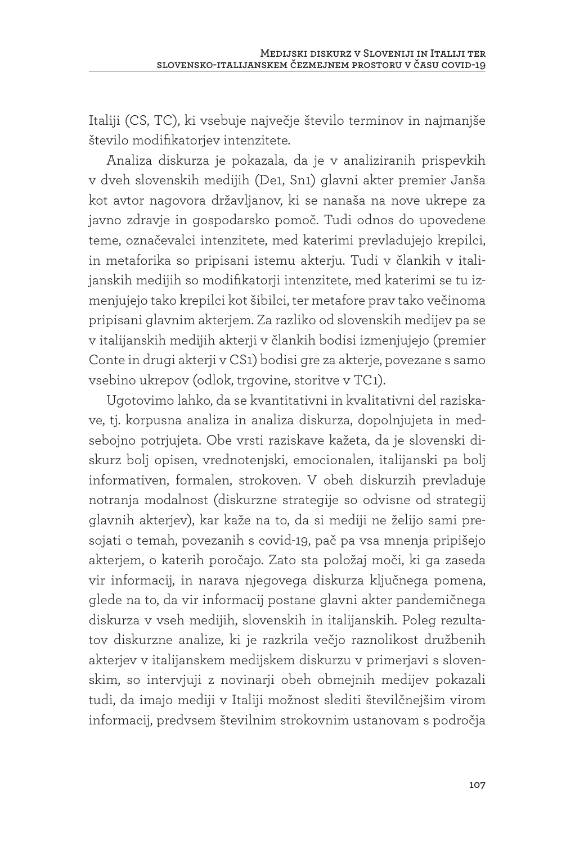Italiji (CS, TC), ki vsebuje največje število terminov in najmanjše število modifikatorjev intenzitete.

Analiza diskurza je pokazala, da je v analiziranih prispevkih v dveh slovenskih medijih (De1, Sn1) glavni akter premier Janša kot avtor nagovora državljanov, ki se nanaša na nove ukrepe za javno zdravje in gospodarsko pomoč. Tudi odnos do upovedene teme, označevalci intenzitete, med katerimi prevladujejo krepilci, in metaforika so pripisani istemu akterju. Tudi v člankih v italijanskih medijih so modifikatorji intenzitete, med katerimi se tu izmenjujejo tako krepilci kot šibilci, ter metafore prav tako večinoma pripisani glavnim akterjem. Za razliko od slovenskih medijev pa se v italijanskih medijih akterji v člankih bodisi izmenjujejo (premier Conte in drugi akterji v CS1) bodisi gre za akterje, povezane s samo vsebino ukrepov (odlok, trgovine, storitve v TC1).

Ugotovimo lahko, da se kvantitativni in kvalitativni del raziskave, tj. korpusna analiza in analiza diskurza, dopolnjujeta in medsebojno potrjujeta. Obe vrsti raziskave kažeta, da je slovenski diskurz bolj opisen, vrednotenjski, emocionalen, italijanski pa bolj informativen, formalen, strokoven. V obeh diskurzih prevladuje notranja modalnost (diskurzne strategije so odvisne od strategij glavnih akterjev), kar kaže na to, da si mediji ne želijo sami presojati o temah, povezanih s covid-19, pač pa vsa mnenja pripišejo akterjem, o katerih poročajo. Zato sta položaj moči, ki ga zaseda vir informacij, in narava njegovega diskurza ključnega pomena, glede na to, da vir informacij postane glavni akter pandemičnega diskurza v vseh medijih, slovenskih in italijanskih. Poleg rezultatov diskurzne analize, ki je razkrila večjo raznolikost družbenih akterjev v italijanskem medijskem diskurzu v primerjavi s slovenskim, so intervjuji z novinarji obeh obmejnih medijev pokazali tudi, da imajo mediji v Italiji možnost slediti številčnejšim virom informacij, predvsem številnim strokovnim ustanovam s področja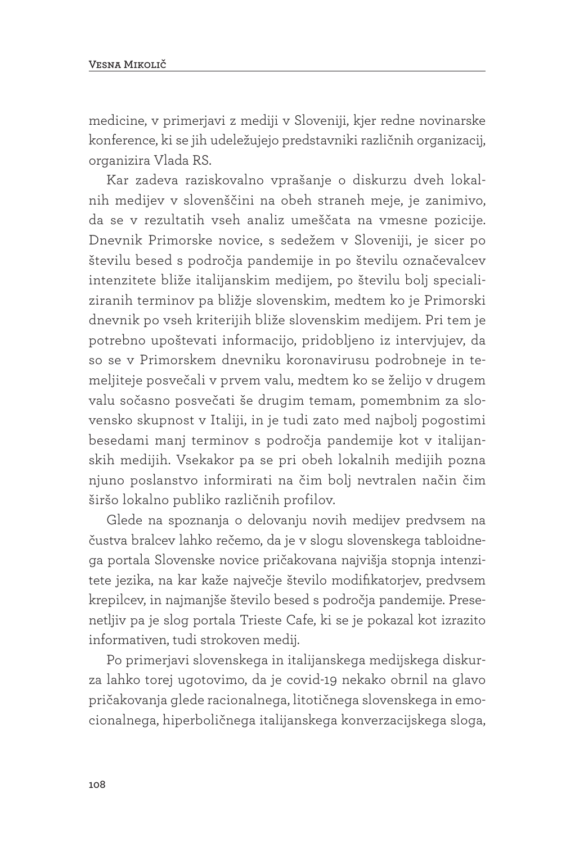medicine, v primerjavi z mediji v Sloveniji, kjer redne novinarske konference, ki se jih udeležujejo predstavniki različnih organizacij, organizira Vlada RS.

Kar zadeva raziskovalno vprašanje o diskurzu dveh lokalnih medijev v slovenščini na obeh straneh meje, je zanimivo, da se v rezultatih vseh analiz umeščata na vmesne pozicije. Dnevnik Primorske novice, s sedežem v Sloveniji, je sicer po številu besed s področja pandemije in po številu označevalcev intenzitete bliže italijanskim medijem, po številu bolj specializiranih terminov pa bližje slovenskim, medtem ko je Primorski dnevnik po vseh kriterijih bliže slovenskim medijem. Pri tem je potrebno upoštevati informacijo, pridobljeno iz intervjujev, da so se v Primorskem dnevniku koronavirusu podrobneje in temeljiteje posvečali v prvem valu, medtem ko se želijo v drugem valu sočasno posvečati še drugim temam, pomembnim za slovensko skupnost v Italiji, in je tudi zato med najbolj pogostimi besedami manj terminov s področja pandemije kot v italijanskih medijih. Vsekakor pa se pri obeh lokalnih medijih pozna njuno poslanstvo informirati na čim bolj nevtralen način čim širšo lokalno publiko različnih profilov.

Glede na spoznanja o delovanju novih medijev predvsem na čustva bralcev lahko rečemo, da je v slogu slovenskega tabloidnega portala Slovenske novice pričakovana najvišja stopnja intenzitete jezika, na kar kaže največje število modifikatorjev, predvsem krepilcev, in najmanjše število besed s področja pandemije. Presenetljiv pa je slog portala Trieste Cafe, ki se je pokazal kot izrazito informativen, tudi strokoven medij.

Po primerjavi slovenskega in italijanskega medijskega diskurza lahko torej ugotovimo, da je covid-19 nekako obrnil na glavo pričakovanja glede racionalnega, litotičnega slovenskega in emocionalnega, hiperboličnega italijanskega konverzacijskega sloga,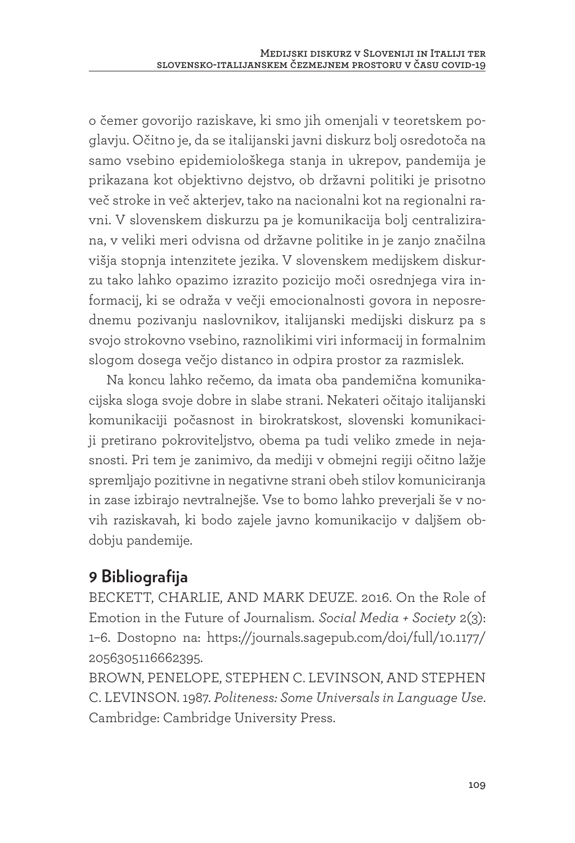o čemer govorijo raziskave, ki smo jih omenjali v teoretskem poglavju. Očitno je, da se italijanski javni diskurz bolj osredotoča na samo vsebino epidemiološkega stanja in ukrepov, pandemija je prikazana kot objektivno dejstvo, ob državni politiki je prisotno več stroke in več akterjev, tako na nacionalni kot na regionalni ravni. V slovenskem diskurzu pa je komunikacija bolj centralizirana, v veliki meri odvisna od državne politike in je zanjo značilna višja stopnja intenzitete jezika. V slovenskem medijskem diskurzu tako lahko opazimo izrazito pozicijo moči osrednjega vira informacij, ki se odraža v večji emocionalnosti govora in neposrednemu pozivanju naslovnikov, italijanski medijski diskurz pa s svojo strokovno vsebino, raznolikimi viri informacij in formalnim slogom dosega večjo distanco in odpira prostor za razmislek.

Na koncu lahko rečemo, da imata oba pandemična komunikacijska sloga svoje dobre in slabe strani. Nekateri očitajo italijanski komunikaciji počasnost in birokratskost, slovenski komunikaciji pretirano pokroviteljstvo, obema pa tudi veliko zmede in nejasnosti. Pri tem je zanimivo, da mediji v obmejni regiji očitno lažje spremljajo pozitivne in negativne strani obeh stilov komuniciranja in zase izbirajo nevtralnejše. Vse to bomo lahko preverjali še v novih raziskavah, ki bodo zajele javno komunikacijo v daljšem obdobju pandemije.

# **9 Bibliografija**

BECKETT, CHARLIE, AND MARK DEUZE. 2016. On the Role of Emotion in the Future of Journalism. *Social Media + Society* 2(3): 1–6. Dostopno na: https://journals.sagepub.com/doi/full/10.1177/ 2056305116662395.

BROWN, PENELOPE, STEPHEN C. LEVINSON, AND STEPHEN C. LEVINSON. 1987. *Politeness: Some Universals in Language Use*. Cambridge: Cambridge University Press.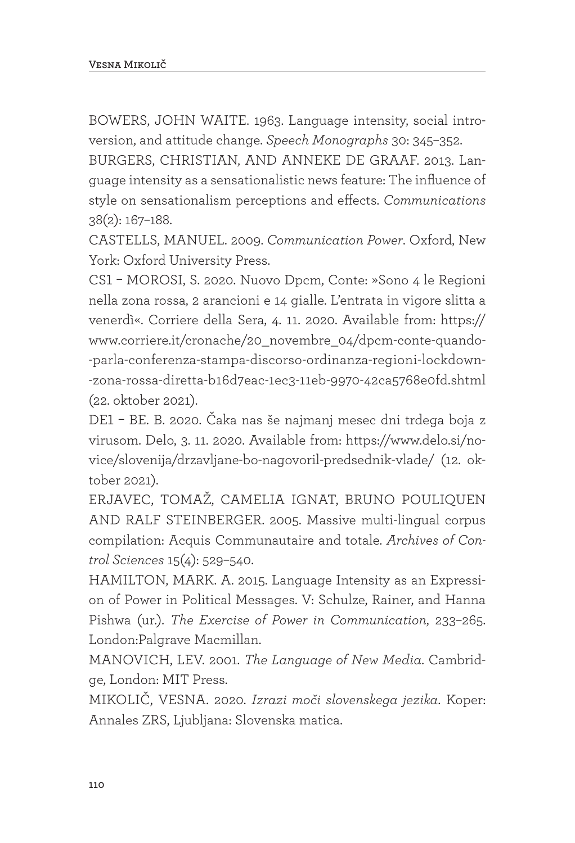BOWERS, JOHN WAITE. 1963. Language intensity, social introversion, and attitude change. *Speech Monographs* 30: 345–352.

BURGERS, CHRISTIAN, AND ANNEKE DE GRAAF. 2013. Language intensity as a sensationalistic news feature: The influence of style on sensationalism perceptions and effects. *Communications* 38(2): 167–188.

CASTELLS, MANUEL. 2009. *Communication Power*. Oxford, New York: Oxford University Press.

CS1 – MOROSI, S. 2020. Nuovo Dpcm, Conte: »Sono 4 le Regioni nella zona rossa, 2 arancioni e 14 gialle. L'entrata in vigore slitta a venerdì«. Corriere della Sera, 4. 11. 2020. Available from: https:// www.corriere.it/cronache/20\_novembre\_04/dpcm-conte-quando- -parla-conferenza-stampa-discorso-ordinanza-regioni-lockdown- -zona-rossa-diretta-b16d7eac-1ec3-11eb-9970-42ca5768e0fd.shtml (22. oktober 2021).

DE1 – BE. B. 2020. Čaka nas še najmanj mesec dni trdega boja z virusom. Delo, 3. 11. 2020. Available from: https://www.delo.si/novice/slovenija/drzavljane-bo-nagovoril-predsednik-vlade/ (12. oktober 2021).

ERJAVEC, TOMAŽ, CAMELIA IGNAT, BRUNO POULIQUEN AND RALF STEINBERGER. 2005. Massive multi-lingual corpus compilation: Acquis Communautaire and totale. *Archives of Control Sciences* 15(4): 529–540.

HAMILTON, MARK. A. 2015. Language Intensity as an Expression of Power in Political Messages. V: Schulze, Rainer, and Hanna Pishwa (ur.). *The Exercise of Power in Communication*, 233–265. London:Palgrave Macmillan.

MANOVICH, LEV. 2001. *The Language of New Media*. Cambridge, London: MIT Press.

MIKOLIČ, VESNA. 2020. *Izrazi moči slovenskega jezika*. Koper: Annales ZRS, Ljubljana: Slovenska matica.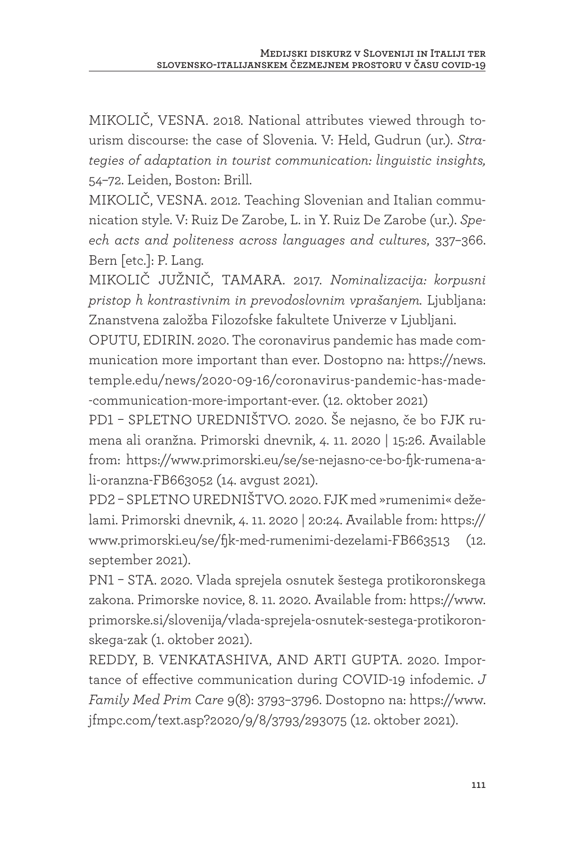MIKOLIČ, VESNA. 2018. National attributes viewed through tourism discourse: the case of Slovenia. V: Held, Gudrun (ur.). *Strategies of adaptation in tourist communication: linguistic insights,*  54–72. Leiden, Boston: Brill.

MIKOLIČ, VESNA. 2012. Teaching Slovenian and Italian communication style. V: Ruiz De Zarobe, L. in Y. Ruiz De Zarobe (ur.). *Speech acts and politeness across languages and cultures*, 337–366. Bern [etc.]: P. Lang.

MIKOLIČ JUŽNIČ, TAMARA. 2017. *Nominalizacija: korpusni pristop h kontrastivnim in prevodoslovnim vprašanjem.* Ljubljana: Znanstvena založba Filozofske fakultete Univerze v Ljubljani.

OPUTU, EDIRIN. 2020. The coronavirus pandemic has made communication more important than ever. Dostopno na: https://news. temple.edu/news/2020-09-16/coronavirus-pandemic-has-made- -communication-more-important-ever. (12. oktober 2021)

PD1 – SPLETNO UREDNIŠTVO. 2020. Še nejasno, če bo FJK rumena ali oranžna. Primorski dnevnik, 4. 11. 2020 | 15:26. Available from: https://www.primorski.eu/se/se-nejasno-ce-bo-fjk-rumena-ali-oranzna-FB663052 (14. avgust 2021).

PD2 – SPLETNO UREDNIŠTVO. 2020. FJK med »rumenimi« deželami. Primorski dnevnik, 4. 11. 2020 | 20:24. Available from: https:// www.primorski.eu/se/fjk-med-rumenimi-dezelami-FB663513 (12. september 2021).

PN1 – STA. 2020. Vlada sprejela osnutek šestega protikoronskega zakona. Primorske novice, 8. 11. 2020. Available from: https://www. primorske.si/slovenija/vlada-sprejela-osnutek-sestega-protikoronskega-zak (1. oktober 2021).

REDDY, B. VENKATASHIVA, AND ARTI GUPTA. 2020. Importance of effective communication during COVID-19 infodemic. *J Family Med Prim Care* 9(8): 3793–3796. Dostopno na: https://www. jfmpc.com/text.asp?2020/9/8/3793/293075 (12. oktober 2021).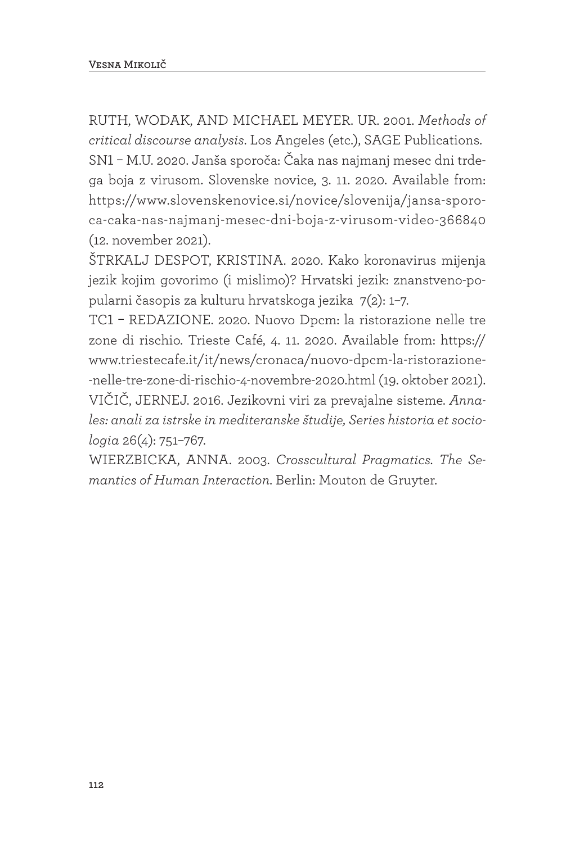RUTH, WODAK, AND MICHAEL MEYER. UR. 2001. *Methods of critical discourse analysis*. Los Angeles (etc.), SAGE Publications. SN1 – M.U. 2020. Janša sporoča: Čaka nas najmanj mesec dni trdega boja z virusom. Slovenske novice, 3. 11. 2020. Available from: https://www.slovenskenovice.si/novice/slovenija/jansa-sporoca-caka-nas-najmanj-mesec-dni-boja-z-virusom-video-366840 (12. november 2021).

ŠTRKALJ DESPOT, KRISTINA. 2020. Kako koronavirus mijenja jezik kojim govorimo (i mislimo)? Hrvatski jezik: znanstveno-popularni časopis za kulturu hrvatskoga jezika 7(2): 1–7.

TC1 – REDAZIONE. 2020. Nuovo Dpcm: la ristorazione nelle tre zone di rischio. Trieste Café, 4. 11. 2020. Available from: https:// www.triestecafe.it/it/news/cronaca/nuovo-dpcm-la-ristorazione- -nelle-tre-zone-di-rischio-4-novembre-2020.html (19. oktober 2021). VIČIČ, JERNEJ. 2016. Jezikovni viri za prevajalne sisteme. *Annales: anali za istrske in mediteranske študije, Series historia et sociologia* 26(4): 751–767.

WIERZBICKA, ANNA. 2003. *Crosscultural Pragmatics. The Semantics of Human Interaction*. Berlin: Mouton de Gruyter.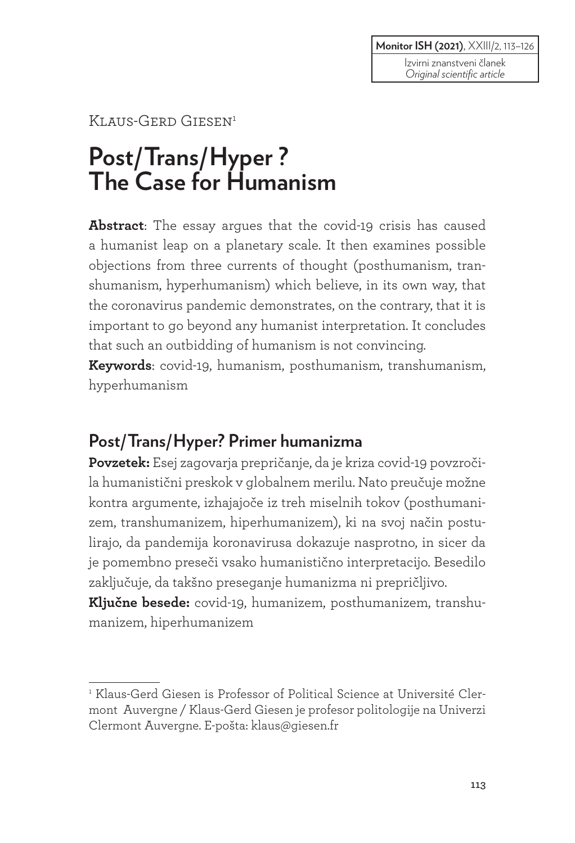**Monitor ISH (2021)**, XXIII/2, 113–126

#### KLAUS-GERD GIESEN<sup>1</sup>

# **Post/Trans/Hyper ? The Case for Humanism**

**Abstract**: The essay argues that the covid-19 crisis has caused a humanist leap on a planetary scale. It then examines possible objections from three currents of thought (posthumanism, transhumanism, hyperhumanism) which believe, in its own way, that the coronavirus pandemic demonstrates, on the contrary, that it is important to go beyond any humanist interpretation. It concludes that such an outbidding of humanism is not convincing.

**Keywords**: covid-19, humanism, posthumanism, transhumanism, hyperhumanism

## **Post/Trans/Hyper? Primer humanizma**

**Povzetek:** Esej zagovarja prepričanje, da je kriza covid-19 povzročila humanistični preskok v globalnem merilu. Nato preučuje možne kontra argumente, izhajajoče iz treh miselnih tokov (posthumanizem, transhumanizem, hiperhumanizem), ki na svoj način postulirajo, da pandemija koronavirusa dokazuje nasprotno, in sicer da je pomembno preseči vsako humanistično interpretacijo. Besedilo zaključuje, da takšno preseganje humanizma ni prepričljivo.

**Ključne besede:** covid-19, humanizem, posthumanizem, transhumanizem, hiperhumanizem

<sup>&</sup>lt;sup>1</sup> Klaus-Gerd Giesen is Professor of Political Science at Université Clermont Auvergne / Klaus-Gerd Giesen je profesor politologije na Univerzi Clermont Auvergne. E-pošta: klaus@giesen.fr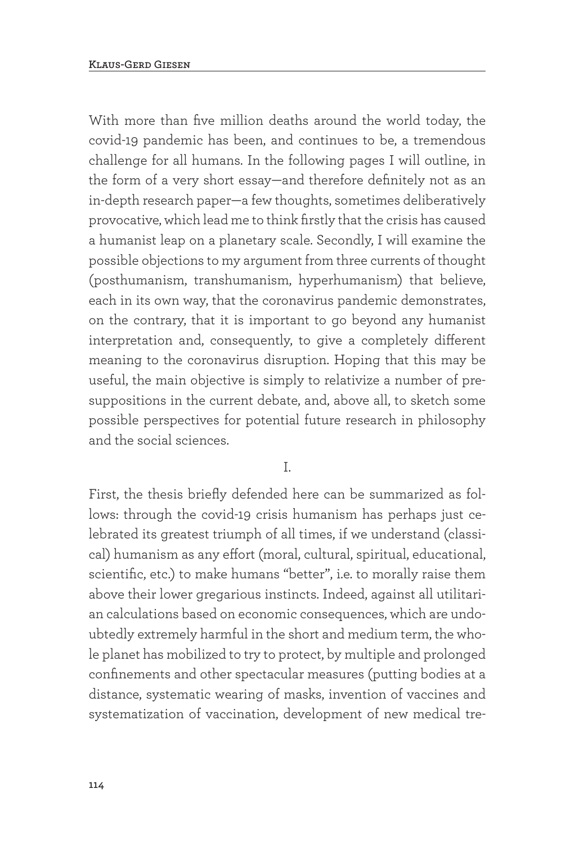With more than five million deaths around the world today, the covid-19 pandemic has been, and continues to be, a tremendous challenge for all humans. In the following pages I will outline, in the form of a very short essay—and therefore definitely not as an in-depth research paper—a few thoughts, sometimes deliberatively provocative, which lead me to think firstly that the crisis has caused a humanist leap on a planetary scale. Secondly, I will examine the possible objections to my argument from three currents of thought (posthumanism, transhumanism, hyperhumanism) that believe, each in its own way, that the coronavirus pandemic demonstrates, on the contrary, that it is important to go beyond any humanist interpretation and, consequently, to give a completely different meaning to the coronavirus disruption. Hoping that this may be useful, the main objective is simply to relativize a number of presuppositions in the current debate, and, above all, to sketch some possible perspectives for potential future research in philosophy and the social sciences.

I.

First, the thesis briefly defended here can be summarized as follows: through the covid-19 crisis humanism has perhaps just celebrated its greatest triumph of all times, if we understand (classical) humanism as any effort (moral, cultural, spiritual, educational, scientific, etc.) to make humans "better", i.e. to morally raise them above their lower gregarious instincts. Indeed, against all utilitarian calculations based on economic consequences, which are undoubtedly extremely harmful in the short and medium term, the whole planet has mobilized to try to protect, by multiple and prolonged confinements and other spectacular measures (putting bodies at a distance, systematic wearing of masks, invention of vaccines and systematization of vaccination, development of new medical tre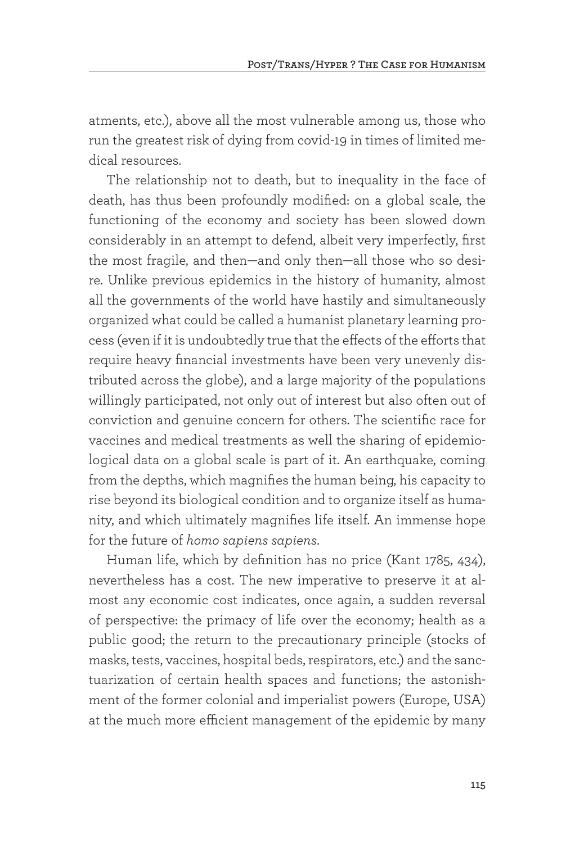atments, etc.), above all the most vulnerable among us, those who run the greatest risk of dying from covid-19 in times of limited medical resources.

The relationship not to death, but to inequality in the face of death, has thus been profoundly modified: on a global scale, the functioning of the economy and society has been slowed down considerably in an attempt to defend, albeit very imperfectly, first the most fragile, and then—and only then—all those who so desire. Unlike previous epidemics in the history of humanity, almost all the governments of the world have hastily and simultaneously organized what could be called a humanist planetary learning process (even if it is undoubtedly true that the effects of the efforts that require heavy financial investments have been very unevenly distributed across the globe), and a large majority of the populations willingly participated, not only out of interest but also often out of conviction and genuine concern for others. The scientific race for vaccines and medical treatments as well the sharing of epidemiological data on a global scale is part of it. An earthquake, coming from the depths, which magnifies the human being, his capacity to rise beyond its biological condition and to organize itself as humanity, and which ultimately magnifies life itself. An immense hope for the future of *homo sapiens sapiens*.

Human life, which by definition has no price (Kant 1785, 434), nevertheless has a cost. The new imperative to preserve it at almost any economic cost indicates, once again, a sudden reversal of perspective: the primacy of life over the economy; health as a public good; the return to the precautionary principle (stocks of masks, tests, vaccines, hospital beds, respirators, etc.) and the sanctuarization of certain health spaces and functions; the astonishment of the former colonial and imperialist powers (Europe, USA) at the much more efficient management of the epidemic by many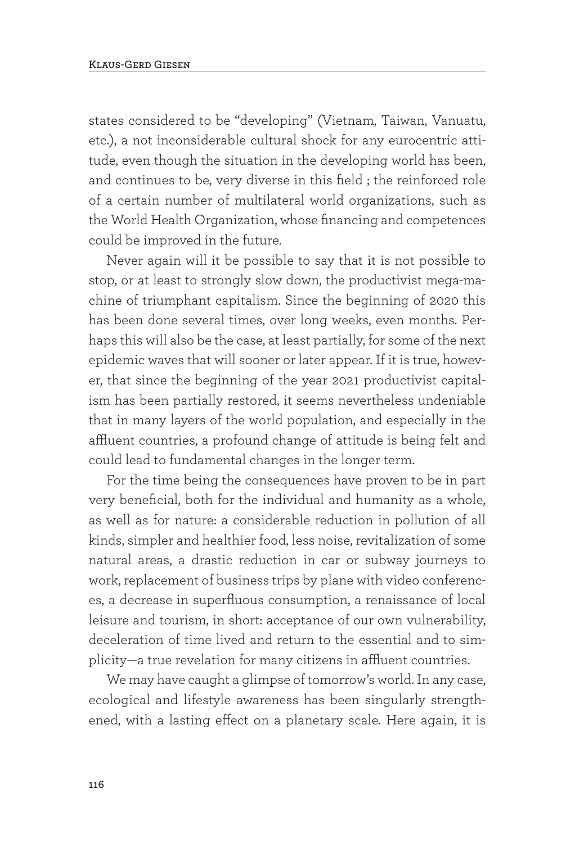states considered to be "developing" (Vietnam, Taiwan, Vanuatu, etc.), a not inconsiderable cultural shock for any eurocentric attitude, even though the situation in the developing world has been, and continues to be, very diverse in this field ; the reinforced role of a certain number of multilateral world organizations, such as the World Health Organization, whose financing and competences could be improved in the future.

Never again will it be possible to say that it is not possible to stop, or at least to strongly slow down, the productivist mega-machine of triumphant capitalism. Since the beginning of 2020 this has been done several times, over long weeks, even months. Perhaps this will also be the case, at least partially, for some of the next epidemic waves that will sooner or later appear. If it is true, however, that since the beginning of the year 2021 productivist capitalism has been partially restored, it seems nevertheless undeniable that in many layers of the world population, and especially in the affluent countries, a profound change of attitude is being felt and could lead to fundamental changes in the longer term.

For the time being the consequences have proven to be in part very beneficial, both for the individual and humanity as a whole, as well as for nature: a considerable reduction in pollution of all kinds, simpler and healthier food, less noise, revitalization of some natural areas, a drastic reduction in car or subway journeys to work, replacement of business trips by plane with video conferences, a decrease in superfluous consumption, a renaissance of local leisure and tourism, in short: acceptance of our own vulnerability, deceleration of time lived and return to the essential and to simplicity—a true revelation for many citizens in affluent countries.

We may have caught a glimpse of tomorrow's world. In any case, ecological and lifestyle awareness has been singularly strengthened, with a lasting effect on a planetary scale. Here again, it is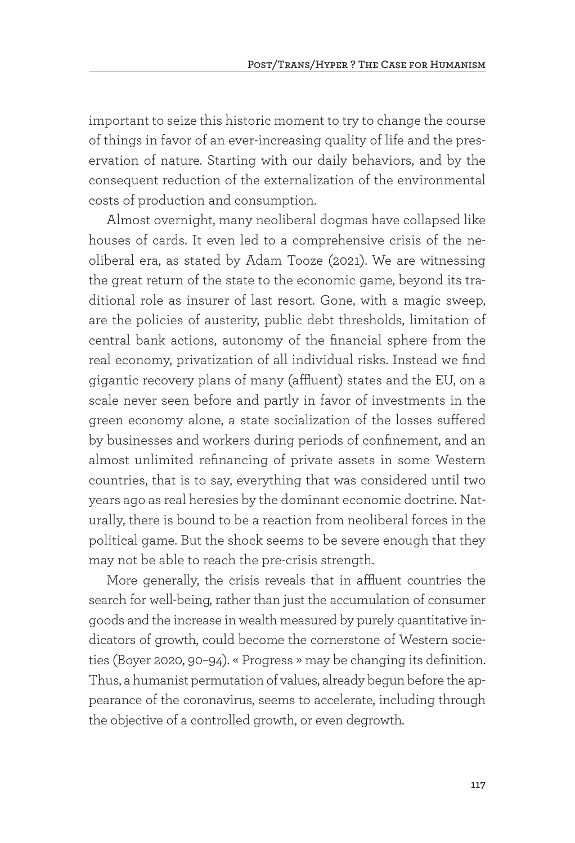important to seize this historic moment to try to change the course of things in favor of an ever-increasing quality of life and the preservation of nature. Starting with our daily behaviors, and by the consequent reduction of the externalization of the environmental costs of production and consumption.

Almost overnight, many neoliberal dogmas have collapsed like houses of cards. It even led to a comprehensive crisis of the neoliberal era, as stated by Adam Tooze (2021). We are witnessing the great return of the state to the economic game, beyond its traditional role as insurer of last resort. Gone, with a magic sweep, are the policies of austerity, public debt thresholds, limitation of central bank actions, autonomy of the financial sphere from the real economy, privatization of all individual risks. Instead we find gigantic recovery plans of many (affluent) states and the EU, on a scale never seen before and partly in favor of investments in the green economy alone, a state socialization of the losses suffered by businesses and workers during periods of confinement, and an almost unlimited refinancing of private assets in some Western countries, that is to say, everything that was considered until two years ago as real heresies by the dominant economic doctrine. Naturally, there is bound to be a reaction from neoliberal forces in the political game. But the shock seems to be severe enough that they may not be able to reach the pre-crisis strength.

More generally, the crisis reveals that in affluent countries the search for well-being, rather than just the accumulation of consumer goods and the increase in wealth measured by purely quantitative indicators of growth, could become the cornerstone of Western societies (Boyer 2020, 90–94). « Progress » may be changing its definition. Thus, a humanist permutation of values, already begun before the appearance of the coronavirus, seems to accelerate, including through the objective of a controlled growth, or even degrowth.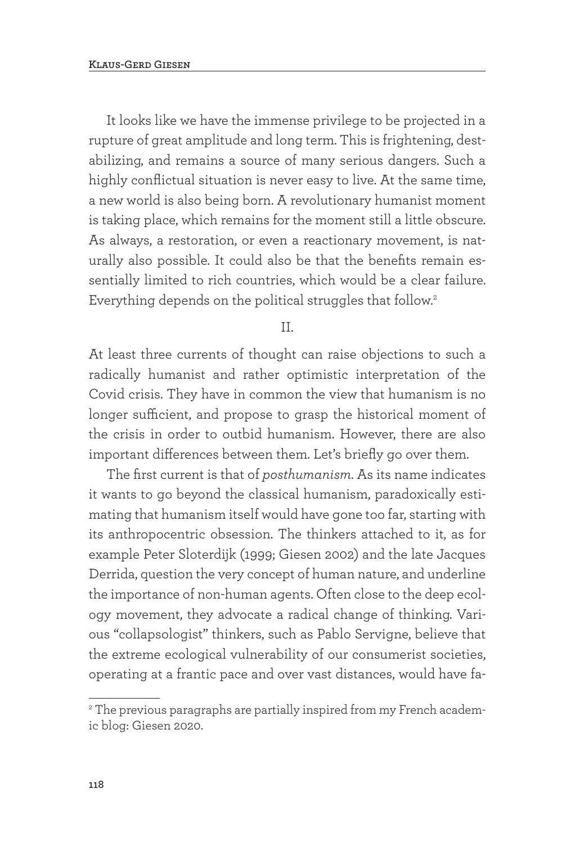It looks like we have the immense privilege to be projected in a rupture of great amplitude and long term. This is frightening, destabilizing, and remains a source of many serious dangers. Such a highly conflictual situation is never easy to live. At the same time, a new world is also being born. A revolutionary humanist moment is taking place, which remains for the moment still a little obscure. As always, a restoration, or even a reactionary movement, is naturally also possible. It could also be that the benefits remain essentially limited to rich countries, which would be a clear failure. Everything depends on the political struggles that follow.<sup>2</sup>

II.

At least three currents of thought can raise objections to such a radically humanist and rather optimistic interpretation of the Covid crisis. They have in common the view that humanism is no longer sufficient, and propose to grasp the historical moment of the crisis in order to outbid humanism. However, there are also important differences between them. Let's briefly go over them.

The first current is that of *posthumanism*. As its name indicates it wants to go beyond the classical humanism, paradoxically estimating that humanism itself would have gone too far, starting with its anthropocentric obsession. The thinkers attached to it, as for example Peter Sloterdijk (1999; Giesen 2002) and the late Jacques Derrida, question the very concept of human nature, and underline the importance of non-human agents. Often close to the deep ecology movement, they advocate a radical change of thinking. Various "collapsologist" thinkers, such as Pablo Servigne, believe that the extreme ecological vulnerability of our consumerist societies, operating at a frantic pace and over vast distances, would have fa-

 $^\mathrm{2}$  The previous paragraphs are partially inspired from my French academic blog: Giesen 2020.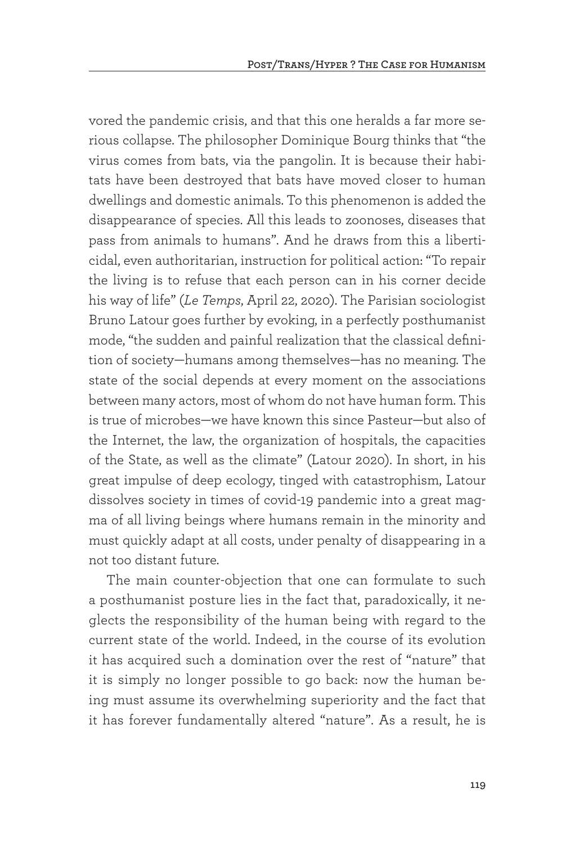vored the pandemic crisis, and that this one heralds a far more serious collapse. The philosopher Dominique Bourg thinks that "the virus comes from bats, via the pangolin. It is because their habitats have been destroyed that bats have moved closer to human dwellings and domestic animals. To this phenomenon is added the disappearance of species. All this leads to zoonoses, diseases that pass from animals to humans". And he draws from this a liberticidal, even authoritarian, instruction for political action: "To repair the living is to refuse that each person can in his corner decide his way of life" (*Le Temps*, April 22, 2020). The Parisian sociologist Bruno Latour goes further by evoking, in a perfectly posthumanist mode, "the sudden and painful realization that the classical definition of society—humans among themselves—has no meaning. The state of the social depends at every moment on the associations between many actors, most of whom do not have human form. This is true of microbes—we have known this since Pasteur—but also of the Internet, the law, the organization of hospitals, the capacities of the State, as well as the climate" (Latour 2020). In short, in his great impulse of deep ecology, tinged with catastrophism, Latour dissolves society in times of covid-19 pandemic into a great magma of all living beings where humans remain in the minority and must quickly adapt at all costs, under penalty of disappearing in a not too distant future.

The main counter-objection that one can formulate to such a posthumanist posture lies in the fact that, paradoxically, it neglects the responsibility of the human being with regard to the current state of the world. Indeed, in the course of its evolution it has acquired such a domination over the rest of "nature" that it is simply no longer possible to go back: now the human being must assume its overwhelming superiority and the fact that it has forever fundamentally altered "nature". As a result, he is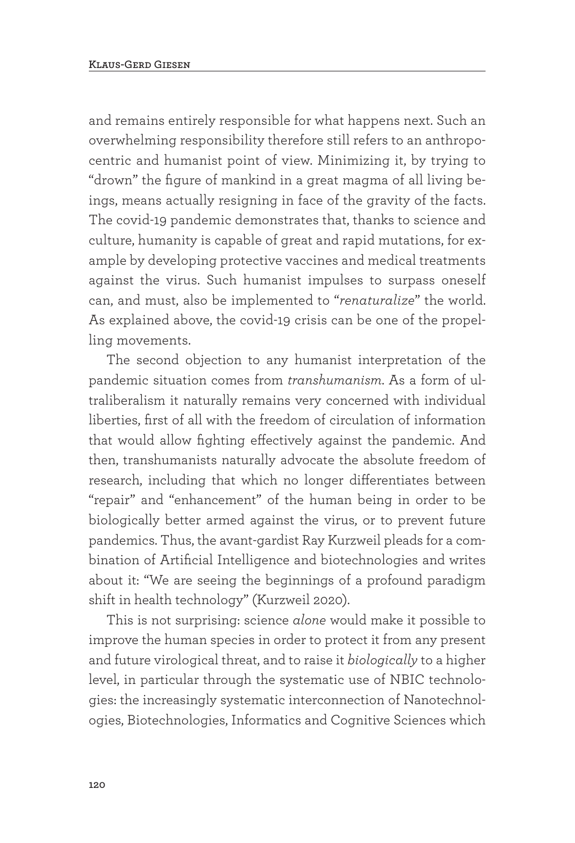and remains entirely responsible for what happens next. Such an overwhelming responsibility therefore still refers to an anthropocentric and humanist point of view. Minimizing it, by trying to "drown" the figure of mankind in a great magma of all living beings, means actually resigning in face of the gravity of the facts. The covid-19 pandemic demonstrates that, thanks to science and culture, humanity is capable of great and rapid mutations, for example by developing protective vaccines and medical treatments against the virus. Such humanist impulses to surpass oneself can, and must, also be implemented to "*renaturalize*" the world. As explained above, the covid-19 crisis can be one of the propelling movements.

The second objection to any humanist interpretation of the pandemic situation comes from *transhumanism*. As a form of ultraliberalism it naturally remains very concerned with individual liberties, first of all with the freedom of circulation of information that would allow fighting effectively against the pandemic. And then, transhumanists naturally advocate the absolute freedom of research, including that which no longer differentiates between "repair" and "enhancement" of the human being in order to be biologically better armed against the virus, or to prevent future pandemics. Thus, the avant-gardist Ray Kurzweil pleads for a combination of Artificial Intelligence and biotechnologies and writes about it: "We are seeing the beginnings of a profound paradigm shift in health technology" (Kurzweil 2020).

This is not surprising: science *alone* would make it possible to improve the human species in order to protect it from any present and future virological threat, and to raise it *biologically* to a higher level, in particular through the systematic use of NBIC technologies: the increasingly systematic interconnection of Nanotechnologies, Biotechnologies, Informatics and Cognitive Sciences which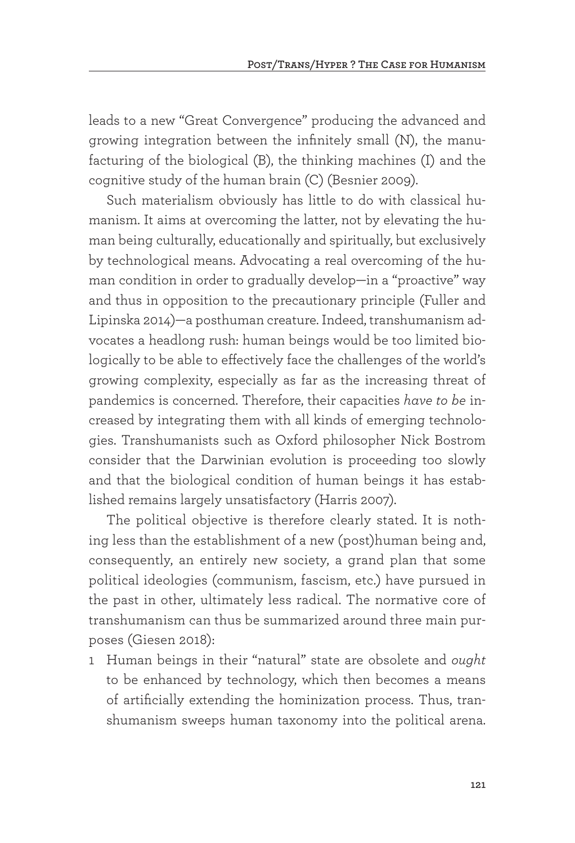leads to a new "Great Convergence" producing the advanced and growing integration between the infinitely small (N), the manufacturing of the biological (B), the thinking machines (I) and the cognitive study of the human brain (C) (Besnier 2009).

Such materialism obviously has little to do with classical humanism. It aims at overcoming the latter, not by elevating the human being culturally, educationally and spiritually, but exclusively by technological means. Advocating a real overcoming of the human condition in order to gradually develop—in a "proactive" way and thus in opposition to the precautionary principle (Fuller and Lipinska 2014)—a posthuman creature. Indeed, transhumanism advocates a headlong rush: human beings would be too limited biologically to be able to effectively face the challenges of the world's growing complexity, especially as far as the increasing threat of pandemics is concerned. Therefore, their capacities *have to be* increased by integrating them with all kinds of emerging technologies. Transhumanists such as Oxford philosopher Nick Bostrom consider that the Darwinian evolution is proceeding too slowly and that the biological condition of human beings it has established remains largely unsatisfactory (Harris 2007).

The political objective is therefore clearly stated. It is nothing less than the establishment of a new (post)human being and, consequently, an entirely new society, a grand plan that some political ideologies (communism, fascism, etc.) have pursued in the past in other, ultimately less radical. The normative core of transhumanism can thus be summarized around three main purposes (Giesen 2018):

1 Human beings in their "natural" state are obsolete and *ought* to be enhanced by technology, which then becomes a means of artificially extending the hominization process. Thus, transhumanism sweeps human taxonomy into the political arena.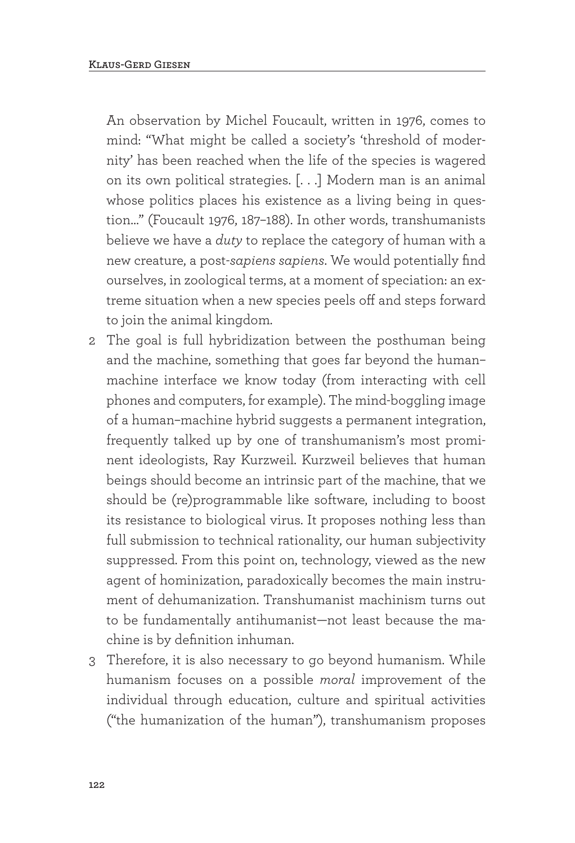An observation by Michel Foucault, written in 1976, comes to mind: "What might be called a society's 'threshold of modernity' has been reached when the life of the species is wagered on its own political strategies. [. . .] Modern man is an animal whose politics places his existence as a living being in question…" (Foucault 1976, 187–188). In other words, transhumanists believe we have a *duty* to replace the category of human with a new creature, a post-*sapiens sapiens*. We would potentially find ourselves, in zoological terms, at a moment of speciation: an extreme situation when a new species peels off and steps forward to join the animal kingdom.

- 2 The goal is full hybridization between the posthuman being and the machine, something that goes far beyond the human– machine interface we know today (from interacting with cell phones and computers, for example). The mind-boggling image of a human–machine hybrid suggests a permanent integration, frequently talked up by one of transhumanism's most prominent ideologists, Ray Kurzweil. Kurzweil believes that human beings should become an intrinsic part of the machine, that we should be (re)programmable like software, including to boost its resistance to biological virus. It proposes nothing less than full submission to technical rationality, our human subjectivity suppressed. From this point on, technology, viewed as the new agent of hominization, paradoxically becomes the main instrument of dehumanization. Transhumanist machinism turns out to be fundamentally antihumanist—not least because the machine is by definition inhuman.
- 3 Therefore, it is also necessary to go beyond humanism. While humanism focuses on a possible *moral* improvement of the individual through education, culture and spiritual activities ("the humanization of the human"), transhumanism proposes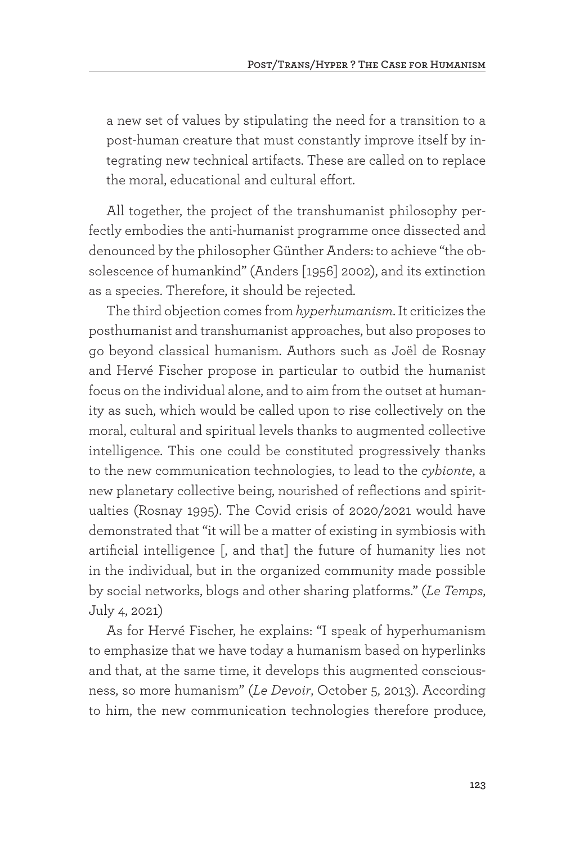a new set of values by stipulating the need for a transition to a post-human creature that must constantly improve itself by integrating new technical artifacts. These are called on to replace the moral, educational and cultural effort.

All together, the project of the transhumanist philosophy perfectly embodies the anti-humanist programme once dissected and denounced by the philosopher Günther Anders: to achieve "the obsolescence of humankind" (Anders [1956] 2002), and its extinction as a species. Therefore, it should be rejected.

The third objection comes from *hyperhumanism*. It criticizes the posthumanist and transhumanist approaches, but also proposes to go beyond classical humanism. Authors such as Joël de Rosnay and Hervé Fischer propose in particular to outbid the humanist focus on the individual alone, and to aim from the outset at humanity as such, which would be called upon to rise collectively on the moral, cultural and spiritual levels thanks to augmented collective intelligence. This one could be constituted progressively thanks to the new communication technologies, to lead to the *cybionte*, a new planetary collective being, nourished of reflections and spiritualties (Rosnay 1995). The Covid crisis of 2020/2021 would have demonstrated that "it will be a matter of existing in symbiosis with artificial intelligence [, and that] the future of humanity lies not in the individual, but in the organized community made possible by social networks, blogs and other sharing platforms." (*Le Temps*, July 4, 2021)

As for Hervé Fischer, he explains: "I speak of hyperhumanism to emphasize that we have today a humanism based on hyperlinks and that, at the same time, it develops this augmented consciousness, so more humanism" (*Le Devoir*, October 5, 2013). According to him, the new communication technologies therefore produce,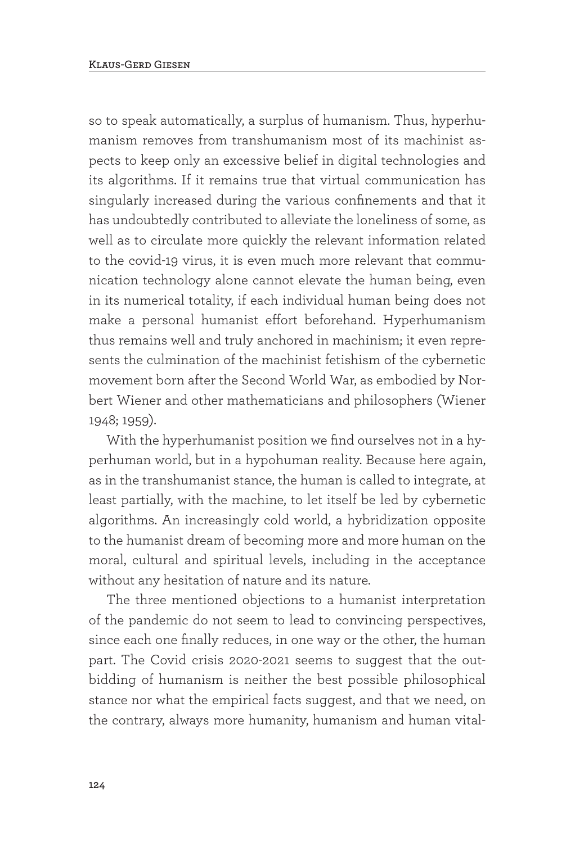so to speak automatically, a surplus of humanism. Thus, hyperhumanism removes from transhumanism most of its machinist aspects to keep only an excessive belief in digital technologies and its algorithms. If it remains true that virtual communication has singularly increased during the various confinements and that it has undoubtedly contributed to alleviate the loneliness of some, as well as to circulate more quickly the relevant information related to the covid-19 virus, it is even much more relevant that communication technology alone cannot elevate the human being, even in its numerical totality, if each individual human being does not make a personal humanist effort beforehand. Hyperhumanism thus remains well and truly anchored in machinism; it even represents the culmination of the machinist fetishism of the cybernetic movement born after the Second World War, as embodied by Norbert Wiener and other mathematicians and philosophers (Wiener 1948; 1959).

With the hyperhumanist position we find ourselves not in a hyperhuman world, but in a hypohuman reality. Because here again, as in the transhumanist stance, the human is called to integrate, at least partially, with the machine, to let itself be led by cybernetic algorithms. An increasingly cold world, a hybridization opposite to the humanist dream of becoming more and more human on the moral, cultural and spiritual levels, including in the acceptance without any hesitation of nature and its nature.

The three mentioned objections to a humanist interpretation of the pandemic do not seem to lead to convincing perspectives, since each one finally reduces, in one way or the other, the human part. The Covid crisis 2020-2021 seems to suggest that the outbidding of humanism is neither the best possible philosophical stance nor what the empirical facts suggest, and that we need, on the contrary, always more humanity, humanism and human vital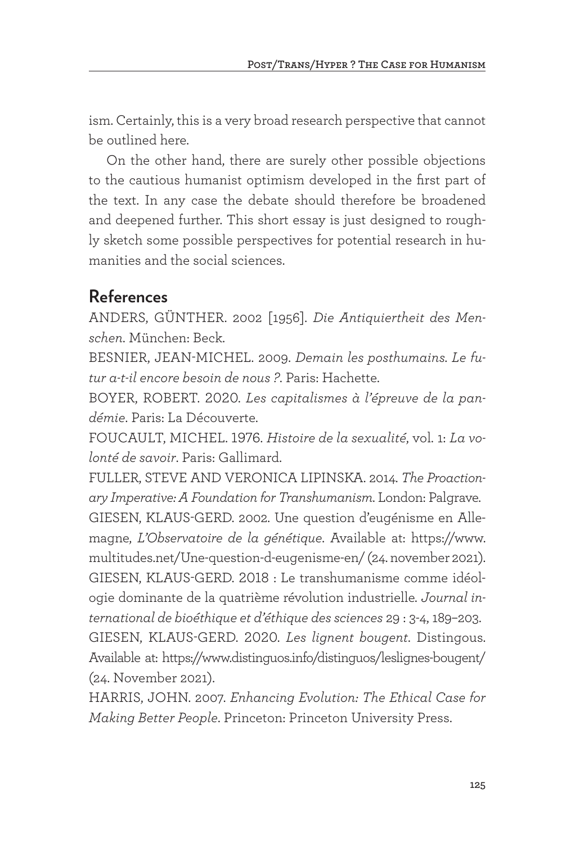ism. Certainly, this is a very broad research perspective that cannot be outlined here.

On the other hand, there are surely other possible objections to the cautious humanist optimism developed in the first part of the text. In any case the debate should therefore be broadened and deepened further. This short essay is just designed to roughly sketch some possible perspectives for potential research in humanities and the social sciences.

## **References**

ANDERS, GÜNTHER. 2002 [1956]. *Die Antiquiertheit des Menschen*. München: Beck.

BESNIER, JEAN-MICHEL. 2009. *Demain les posthumains. Le futur a-t-il encore besoin de nous ?*. Paris: Hachette.

BOYER, ROBERT. 2020. *Les capitalismes à l'épreuve de la pandémie*. Paris: La Découverte.

FOUCAULT, MICHEL. 1976. *Histoire de la sexualité*, vol. 1: *La volonté de savoir*. Paris: Gallimard.

FULLER, STEVE AND VERONICA LIPINSKA. 2014. *The Proactionary Imperative: A Foundation for Transhumanism*. London: Palgrave. GIESEN, KLAUS-GERD. 2002. Une question d'eugénisme en Allemagne, *L'Observatoire de la génétique*. Available at: https://www. multitudes.net/Une-question-d-eugenisme-en/ (24. november 2021). GIESEN, KLAUS-GERD. 2018 : Le transhumanisme comme idéologie dominante de la quatrième révolution industrielle. *Journal international de bioéthique et d'éthique des sciences* 29 : 3-4, 189–203. GIESEN, KLAUS-GERD. 2020. *Les lignent bougent*. Distingous. Available at: https://www.distinguos.info/distinguos/leslignes-bougent/ (24. November 2021).

HARRIS, JOHN. 2007. *Enhancing Evolution: The Ethical Case for Making Better People*. Princeton: Princeton University Press.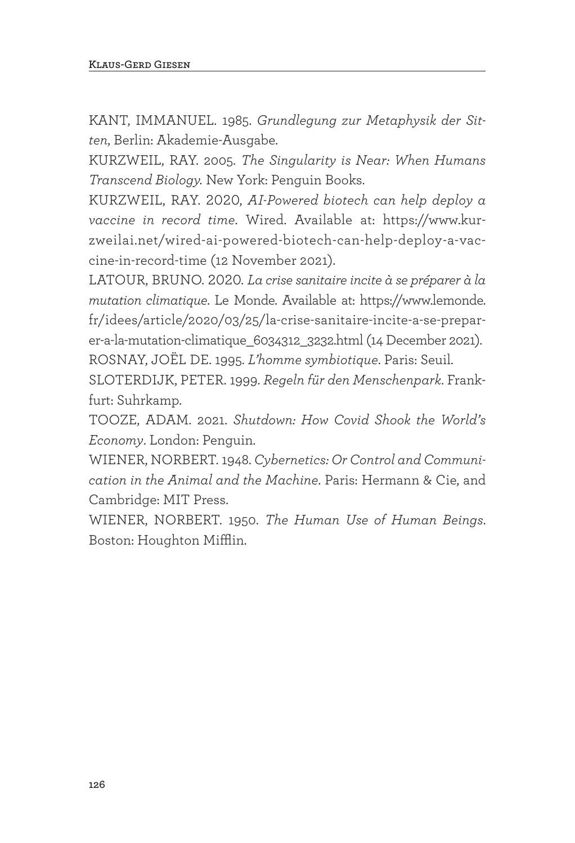KANT, IMMANUEL. 1985. *Grundlegung zur Metaphysik der Sitten*, Berlin: Akademie-Ausgabe.

KURZWEIL, RAY. 2005. *The Singularity is Near: When Humans Transcend Biology.* New York: Penguin Books.

KURZWEIL, RAY. 2020, *AI-Powered biotech can help deploy a vaccine in record time*. Wired. Available at: https://www.kurzweilai.net/wired-ai-powered-biotech-can-help-deploy-a-vaccine-in-record-time (12 November 2021).

LATOUR, BRUNO. 2020. *La crise sanitaire incite à se préparer à la mutation climatique*. Le Monde. Available at: https://www.lemonde. fr/idees/article/2020/03/25/la-crise-sanitaire-incite-a-se-preparer-a-la-mutation-climatique\_6034312\_3232.html (14 December 2021). ROSNAY, JOËL DE. 1995. *L'homme symbiotique*. Paris: Seuil.

SLOTERDIJK, PETER. 1999. *Regeln für den Menschenpark*. Frankfurt: Suhrkamp.

TOOZE, ADAM. 2021. *Shutdown: How Covid Shook the World's Economy*. London: Penguin.

WIENER, NORBERT. 1948. *Cybernetics: Or Control and Communication in the Animal and the Machine*. Paris: Hermann & Cie, and Cambridge: MIT Press.

WIENER, NORBERT. 1950. *The Human Use of Human Beings*. Boston: Houghton Mifflin.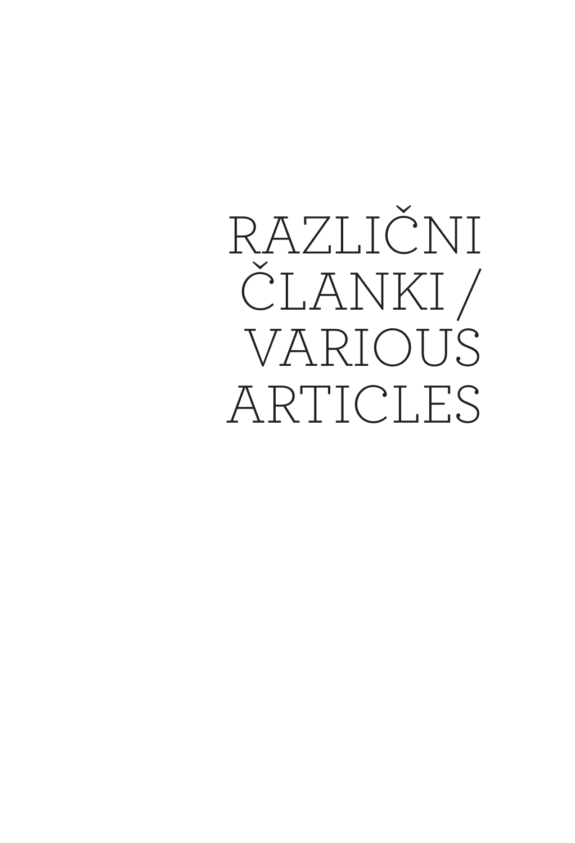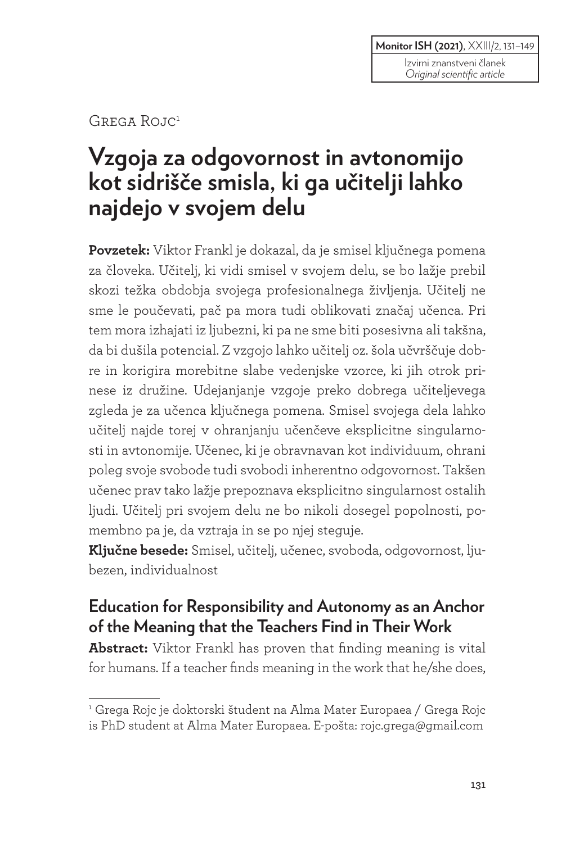Izvirni znanstveni članek *Original scientific article*

GREGA ROJC<sup>1</sup>

# **Vzgoja za odgovornost in avtonomijo kot sidrišče smisla, ki ga učitelji lahko najdejo v svojem delu**

**Povzetek:** Viktor Frankl je dokazal, da je smisel ključnega pomena za človeka. Učitelj, ki vidi smisel v svojem delu, se bo lažje prebil skozi težka obdobja svojega profesionalnega življenja. Učitelj ne sme le poučevati, pač pa mora tudi oblikovati značaj učenca. Pri tem mora izhajati iz ljubezni, ki pa ne sme biti posesivna ali takšna, da bi dušila potencial. Z vzgojo lahko učitelj oz. šola učvrščuje dobre in korigira morebitne slabe vedenjske vzorce, ki jih otrok prinese iz družine. Udejanjanje vzgoje preko dobrega učiteljevega zgleda je za učenca ključnega pomena. Smisel svojega dela lahko učitelj najde torej v ohranjanju učenčeve eksplicitne singularnosti in avtonomije. Učenec, ki je obravnavan kot individuum, ohrani poleg svoje svobode tudi svobodi inherentno odgovornost. Takšen učenec prav tako lažje prepoznava eksplicitno singularnost ostalih ljudi. Učitelj pri svojem delu ne bo nikoli dosegel popolnosti, pomembno pa je, da vztraja in se po njej steguje.

**Ključne besede:** Smisel, učitelj, učenec, svoboda, odgovornost, ljubezen, individualnost

## **Education for Responsibility and Autonomy as an Anchor of the Meaning that the Teachers Find in Their Work**

**Abstract:** Viktor Frankl has proven that finding meaning is vital for humans. If a teacher finds meaning in the work that he/she does,

<sup>1</sup> Grega Rojc je doktorski študent na Alma Mater Europaea / Grega Rojc is PhD student at Alma Mater Europaea. E-pošta: rojc.grega@gmail.com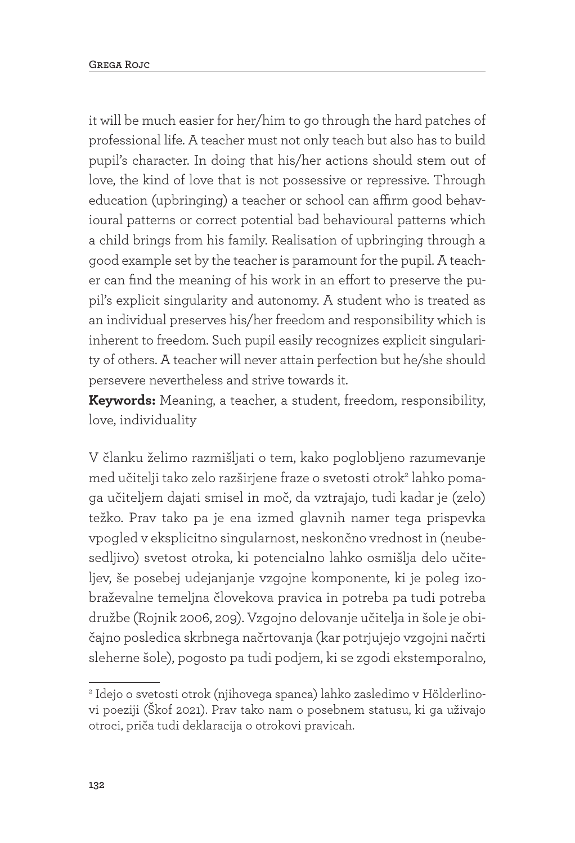it will be much easier for her/him to go through the hard patches of professional life. A teacher must not only teach but also has to build pupil's character. In doing that his/her actions should stem out of love, the kind of love that is not possessive or repressive. Through education (upbringing) a teacher or school can affirm good behavioural patterns or correct potential bad behavioural patterns which a child brings from his family. Realisation of upbringing through a good example set by the teacher is paramount for the pupil. A teacher can find the meaning of his work in an effort to preserve the pupil's explicit singularity and autonomy. A student who is treated as an individual preserves his/her freedom and responsibility which is inherent to freedom. Such pupil easily recognizes explicit singularity of others. A teacher will never attain perfection but he/she should persevere nevertheless and strive towards it.

**Keywords:** Meaning, a teacher, a student, freedom, responsibility, love, individuality

V članku želimo razmišljati o tem, kako poglobljeno razumevanje med učitelji tako zelo razširjene fraze o svetosti otrok<sup>2</sup> lahko pomaga učiteljem dajati smisel in moč, da vztrajajo, tudi kadar je (zelo) težko. Prav tako pa je ena izmed glavnih namer tega prispevka vpogled v eksplicitno singularnost, neskončno vrednost in (neubesedljivo) svetost otroka, ki potencialno lahko osmišlja delo učiteljev, še posebej udejanjanje vzgojne komponente, ki je poleg izobraževalne temeljna človekova pravica in potreba pa tudi potreba družbe (Rojnik 2006, 209). Vzgojno delovanje učitelja in šole je običajno posledica skrbnega načrtovanja (kar potrjujejo vzgojni načrti sleherne šole), pogosto pa tudi podjem, ki se zgodi ekstemporalno,

<sup>2</sup> Idejo o svetosti otrok (njihovega spanca) lahko zasledimo v Hölderlinovi poeziji (Škof 2021). Prav tako nam o posebnem statusu, ki ga uživajo otroci, priča tudi deklaracija o otrokovi pravicah.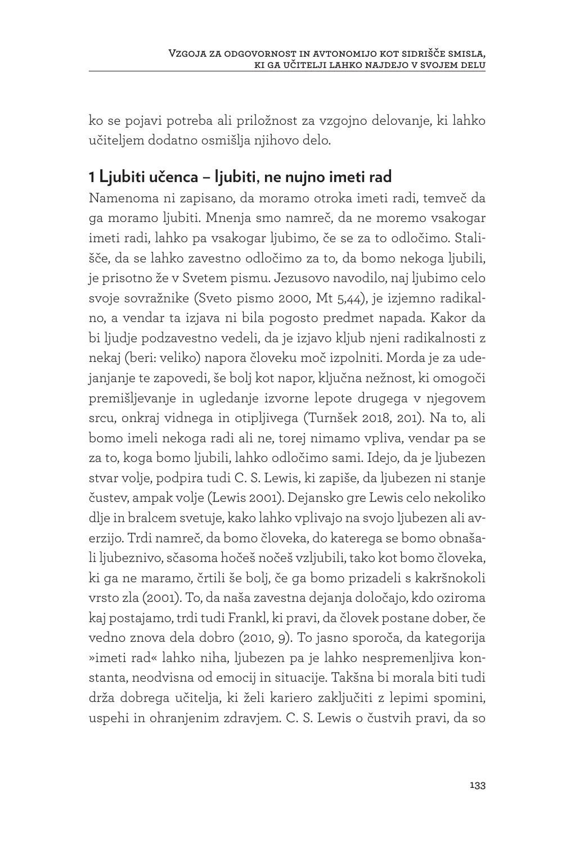ko se pojavi potreba ali priložnost za vzgojno delovanje, ki lahko učiteljem dodatno osmišlja njihovo delo.

# **1 Ljubiti učenca – ljubiti, ne nujno imeti rad**

Namenoma ni zapisano, da moramo otroka imeti radi, temveč da ga moramo ljubiti. Mnenja smo namreč, da ne moremo vsakogar imeti radi, lahko pa vsakogar ljubimo, če se za to odločimo. Stališče, da se lahko zavestno odločimo za to, da bomo nekoga ljubili, je prisotno že v Svetem pismu. Jezusovo navodilo, naj ljubimo celo svoje sovražnike (Sveto pismo 2000, Mt 5,44), je izjemno radikalno, a vendar ta izjava ni bila pogosto predmet napada. Kakor da bi ljudje podzavestno vedeli, da je izjavo kljub njeni radikalnosti z nekaj (beri: veliko) napora človeku moč izpolniti. Morda je za udejanjanje te zapovedi, še bolj kot napor, ključna nežnost, ki omogoči premišljevanje in ugledanje izvorne lepote drugega v njegovem srcu, onkraj vidnega in otipljivega (Turnšek 2018, 201). Na to, ali bomo imeli nekoga radi ali ne, torej nimamo vpliva, vendar pa se za to, koga bomo ljubili, lahko odločimo sami. Idejo, da je ljubezen stvar volje, podpira tudi C. S. Lewis, ki zapiše, da ljubezen ni stanje čustev, ampak volje (Lewis 2001). Dejansko gre Lewis celo nekoliko dlje in bralcem svetuje, kako lahko vplivajo na svojo ljubezen ali averzijo. Trdi namreč, da bomo človeka, do katerega se bomo obnašali ljubeznivo, sčasoma hočeš nočeš vzljubili, tako kot bomo človeka, ki ga ne maramo, črtili še bolj, če ga bomo prizadeli s kakršnokoli vrsto zla (2001). To, da naša zavestna dejanja določajo, kdo oziroma kaj postajamo, trdi tudi Frankl, ki pravi, da človek postane dober, če vedno znova dela dobro (2010, 9). To jasno sporoča, da kategorija »imeti rad« lahko niha, ljubezen pa je lahko nespremenljiva konstanta, neodvisna od emocij in situacije. Takšna bi morala biti tudi drža dobrega učitelja, ki želi kariero zaključiti z lepimi spomini, uspehi in ohranjenim zdravjem. C. S. Lewis o čustvih pravi, da so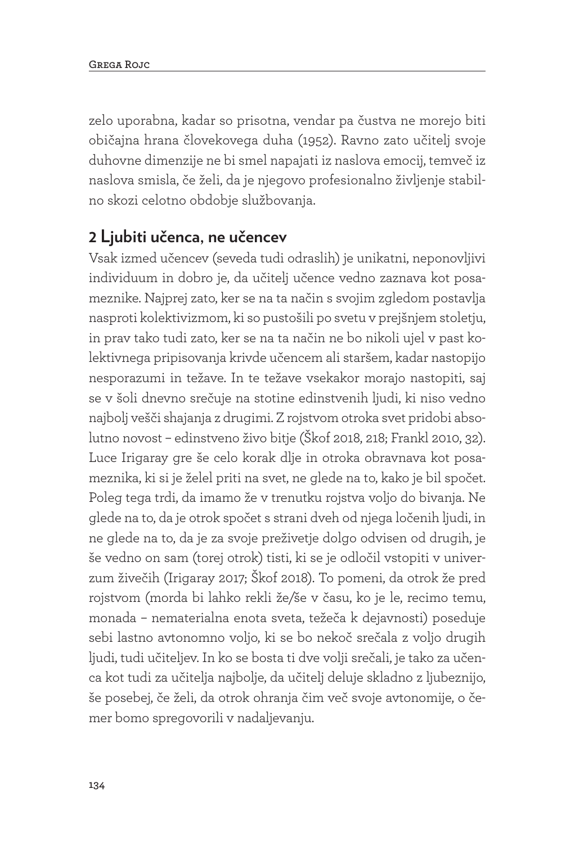zelo uporabna, kadar so prisotna, vendar pa čustva ne morejo biti običajna hrana človekovega duha (1952). Ravno zato učitelj svoje duhovne dimenzije ne bi smel napajati iz naslova emocij, temveč iz naslova smisla, če želi, da je njegovo profesionalno življenje stabilno skozi celotno obdobje službovanja.

#### **2 Ljubiti učenca, ne učencev**

Vsak izmed učencev (seveda tudi odraslih) je unikatni, neponovljivi individuum in dobro je, da učitelj učence vedno zaznava kot posameznike. Najprej zato, ker se na ta način s svojim zgledom postavlja nasproti kolektivizmom, ki so pustošili po svetu v prejšnjem stoletju, in prav tako tudi zato, ker se na ta način ne bo nikoli ujel v past kolektivnega pripisovanja krivde učencem ali staršem, kadar nastopijo nesporazumi in težave. In te težave vsekakor morajo nastopiti, saj se v šoli dnevno srečuje na stotine edinstvenih ljudi, ki niso vedno najbolj vešči shajanja z drugimi. Z rojstvom otroka svet pridobi absolutno novost – edinstveno živo bitje (Škof 2018, 218; Frankl 2010, 32). Luce Irigaray gre še celo korak dlje in otroka obravnava kot posameznika, ki si je želel priti na svet, ne glede na to, kako je bil spočet. Poleg tega trdi, da imamo že v trenutku rojstva voljo do bivanja. Ne glede na to, da je otrok spočet s strani dveh od njega ločenih ljudi, in ne glede na to, da je za svoje preživetje dolgo odvisen od drugih, je še vedno on sam (torej otrok) tisti, ki se je odločil vstopiti v univerzum živečih (Irigaray 2017; Škof 2018). To pomeni, da otrok že pred rojstvom (morda bi lahko rekli že/še v času, ko je le, recimo temu, monada – nematerialna enota sveta, težeča k dejavnosti) poseduje sebi lastno avtonomno voljo, ki se bo nekoč srečala z voljo drugih ljudi, tudi učiteljev. In ko se bosta ti dve volji srečali, je tako za učenca kot tudi za učitelja najbolje, da učitelj deluje skladno z ljubeznijo, še posebej, če želi, da otrok ohranja čim več svoje avtonomije, o čemer bomo spregovorili v nadaljevanju.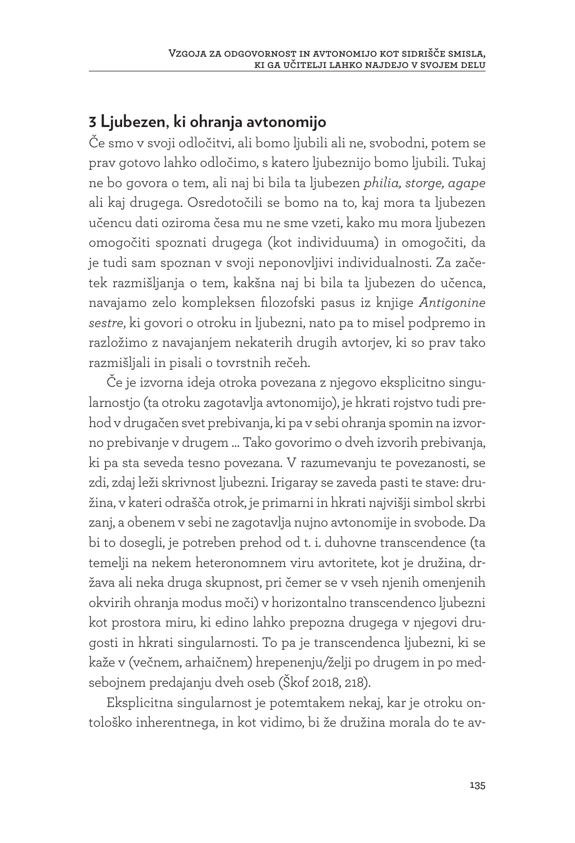#### **3 Ljubezen, ki ohranja avtonomijo**

Če smo v svoji odločitvi, ali bomo ljubili ali ne, svobodni, potem se prav gotovo lahko odločimo, s katero ljubeznijo bomo ljubili. Tukaj ne bo govora o tem, ali naj bi bila ta ljubezen *philia, storge, agape* ali kaj drugega. Osredotočili se bomo na to, kaj mora ta ljubezen učencu dati oziroma česa mu ne sme vzeti, kako mu mora ljubezen omogočiti spoznati drugega (kot individuuma) in omogočiti, da je tudi sam spoznan v svoji neponovljivi individualnosti. Za začetek razmišljanja o tem, kakšna naj bi bila ta ljubezen do učenca, navajamo zelo kompleksen filozofski pasus iz knjige *Antigonine sestre*, ki govori o otroku in ljubezni, nato pa to misel podpremo in razložimo z navajanjem nekaterih drugih avtorjev, ki so prav tako razmišljali in pisali o tovrstnih rečeh.

Če je izvorna ideja otroka povezana z njegovo eksplicitno singularnostjo (ta otroku zagotavlja avtonomijo), je hkrati rojstvo tudi prehod v drugačen svet prebivanja, ki pa v sebi ohranja spomin na izvorno prebivanje v drugem … Tako govorimo o dveh izvorih prebivanja, ki pa sta seveda tesno povezana. V razumevanju te povezanosti, se zdi, zdaj leži skrivnost ljubezni. Irigaray se zaveda pasti te stave: družina, v kateri odrašča otrok, je primarni in hkrati najvišji simbol skrbi zanj, a obenem v sebi ne zagotavlja nujno avtonomije in svobode. Da bi to dosegli, je potreben prehod od t. i. duhovne transcendence (ta temelji na nekem heteronomnem viru avtoritete, kot je družina, država ali neka druga skupnost, pri čemer se v vseh njenih omenjenih okvirih ohranja modus moči) v horizontalno transcendenco ljubezni kot prostora miru, ki edino lahko prepozna drugega v njegovi drugosti in hkrati singularnosti. To pa je transcendenca ljubezni, ki se kaže v (večnem, arhaičnem) hrepenenju/želji po drugem in po medsebojnem predajanju dveh oseb (Škof 2018, 218).

Eksplicitna singularnost je potemtakem nekaj, kar je otroku ontološko inherentnega, in kot vidimo, bi že družina morala do te av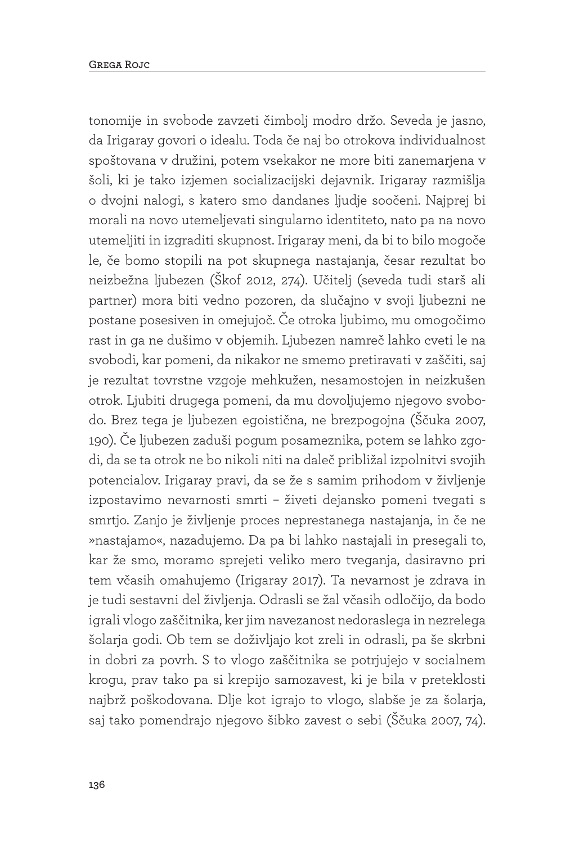tonomije in svobode zavzeti čimbolj modro držo. Seveda je jasno, da Irigaray govori o idealu. Toda če naj bo otrokova individualnost spoštovana v družini, potem vsekakor ne more biti zanemarjena v šoli, ki je tako izjemen socializacijski dejavnik. Irigaray razmišlja o dvojni nalogi, s katero smo dandanes ljudje soočeni. Najprej bi morali na novo utemeljevati singularno identiteto, nato pa na novo utemeljiti in izgraditi skupnost. Irigaray meni, da bi to bilo mogoče le, če bomo stopili na pot skupnega nastajanja, česar rezultat bo neizbežna ljubezen (Škof 2012, 274). Učitelj (seveda tudi starš ali partner) mora biti vedno pozoren, da slučajno v svoji ljubezni ne postane posesiven in omejujoč. Če otroka ljubimo, mu omogočimo rast in ga ne dušimo v objemih. Ljubezen namreč lahko cveti le na svobodi, kar pomeni, da nikakor ne smemo pretiravati v zaščiti, saj je rezultat tovrstne vzgoje mehkužen, nesamostojen in neizkušen otrok. Ljubiti drugega pomeni, da mu dovoljujemo njegovo svobodo. Brez tega je ljubezen egoistična, ne brezpogojna (Ščuka 2007, 190). Če ljubezen zaduši pogum posameznika, potem se lahko zgodi, da se ta otrok ne bo nikoli niti na daleč približal izpolnitvi svojih potencialov. Irigaray pravi, da se že s samim prihodom v življenje izpostavimo nevarnosti smrti – živeti dejansko pomeni tvegati s smrtjo. Zanjo je življenje proces neprestanega nastajanja, in če ne »nastajamo«, nazadujemo. Da pa bi lahko nastajali in presegali to, kar že smo, moramo sprejeti veliko mero tveganja, dasiravno pri tem včasih omahujemo (Irigaray 2017). Ta nevarnost je zdrava in je tudi sestavni del življenja. Odrasli se žal včasih odločijo, da bodo igrali vlogo zaščitnika, ker jim navezanost nedoraslega in nezrelega šolarja godi. Ob tem se doživljajo kot zreli in odrasli, pa še skrbni in dobri za povrh. S to vlogo zaščitnika se potrjujejo v socialnem krogu, prav tako pa si krepijo samozavest, ki je bila v preteklosti najbrž poškodovana. Dlje kot igrajo to vlogo, slabše je za šolarja, saj tako pomendrajo njegovo šibko zavest o sebi (Ščuka 2007, 74).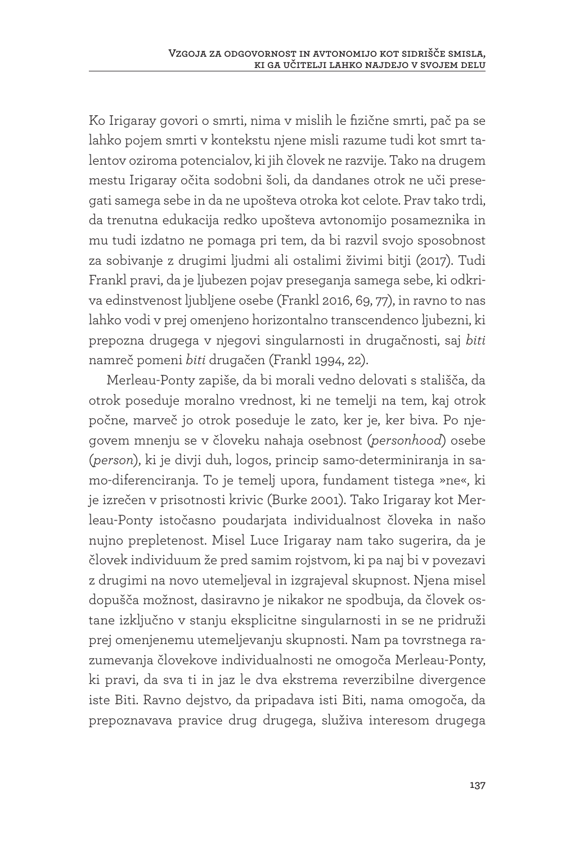Ko Irigaray govori o smrti, nima v mislih le fizične smrti, pač pa se lahko pojem smrti v kontekstu njene misli razume tudi kot smrt talentov oziroma potencialov, ki jih človek ne razvije. Tako na drugem mestu Irigaray očita sodobni šoli, da dandanes otrok ne uči presegati samega sebe in da ne upošteva otroka kot celote. Prav tako trdi, da trenutna edukacija redko upošteva avtonomijo posameznika in mu tudi izdatno ne pomaga pri tem, da bi razvil svojo sposobnost za sobivanje z drugimi ljudmi ali ostalimi živimi bitji (2017). Tudi Frankl pravi, da je ljubezen pojav preseganja samega sebe, ki odkriva edinstvenost ljubljene osebe (Frankl 2016, 69, 77), in ravno to nas lahko vodi v prej omenjeno horizontalno transcendenco ljubezni, ki prepozna drugega v njegovi singularnosti in drugačnosti, saj *biti* namreč pomeni *biti* drugačen (Frankl 1994, 22).

Merleau-Ponty zapiše, da bi morali vedno delovati s stališča, da otrok poseduje moralno vrednost, ki ne temelji na tem, kaj otrok počne, marveč jo otrok poseduje le zato, ker je, ker biva. Po njegovem mnenju se v človeku nahaja osebnost (*personhood*) osebe (*person*), ki je divji duh, logos, princip samo-determiniranja in samo-diferenciranja. To je temelj upora, fundament tistega »ne«, ki je izrečen v prisotnosti krivic (Burke 2001). Tako Irigaray kot Merleau-Ponty istočasno poudarjata individualnost človeka in našo nujno prepletenost. Misel Luce Irigaray nam tako sugerira, da je človek individuum že pred samim rojstvom, ki pa naj bi v povezavi z drugimi na novo utemeljeval in izgrajeval skupnost. Njena misel dopušča možnost, dasiravno je nikakor ne spodbuja, da človek ostane izključno v stanju eksplicitne singularnosti in se ne pridruži prej omenjenemu utemeljevanju skupnosti. Nam pa tovrstnega razumevanja človekove individualnosti ne omogoča Merleau-Ponty, ki pravi, da sva ti in jaz le dva ekstrema reverzibilne divergence iste Biti. Ravno dejstvo, da pripadava isti Biti, nama omogoča, da prepoznavava pravice drug drugega, služiva interesom drugega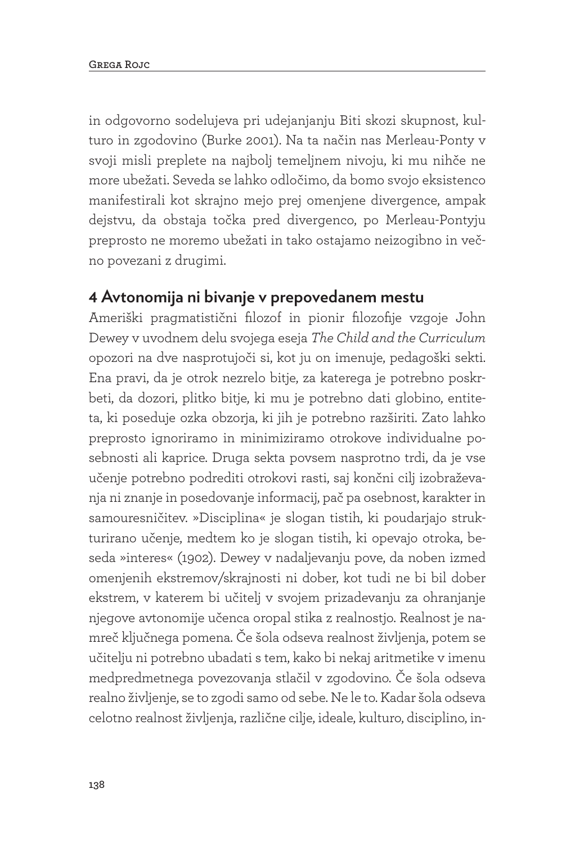in odgovorno sodelujeva pri udejanjanju Biti skozi skupnost, kulturo in zgodovino (Burke 2001). Na ta način nas Merleau-Ponty v svoji misli preplete na najbolj temeljnem nivoju, ki mu nihče ne more ubežati. Seveda se lahko odločimo, da bomo svojo eksistenco manifestirali kot skrajno mejo prej omenjene divergence, ampak dejstvu, da obstaja točka pred divergenco, po Merleau-Pontyju preprosto ne moremo ubežati in tako ostajamo neizogibno in večno povezani z drugimi.

#### **4 Avtonomija ni bivanje v prepovedanem mestu**

Ameriški pragmatistični filozof in pionir filozofije vzgoje John Dewey v uvodnem delu svojega eseja *The Child and the Curriculum* opozori na dve nasprotujoči si, kot ju on imenuje, pedagoški sekti. Ena pravi, da je otrok nezrelo bitje, za katerega je potrebno poskrbeti, da dozori, plitko bitje, ki mu je potrebno dati globino, entiteta, ki poseduje ozka obzorja, ki jih je potrebno razširiti. Zato lahko preprosto ignoriramo in minimiziramo otrokove individualne posebnosti ali kaprice. Druga sekta povsem nasprotno trdi, da je vse učenje potrebno podrediti otrokovi rasti, saj končni cilj izobraževanja ni znanje in posedovanje informacij, pač pa osebnost, karakter in samouresničitev. »Disciplina« je slogan tistih, ki poudarjajo strukturirano učenje, medtem ko je slogan tistih, ki opevajo otroka, beseda »interes« (1902). Dewey v nadaljevanju pove, da noben izmed omenjenih ekstremov/skrajnosti ni dober, kot tudi ne bi bil dober ekstrem, v katerem bi učitelj v svojem prizadevanju za ohranjanje njegove avtonomije učenca oropal stika z realnostjo. Realnost je namreč ključnega pomena. Če šola odseva realnost življenja, potem se učitelju ni potrebno ubadati s tem, kako bi nekaj aritmetike v imenu medpredmetnega povezovanja stlačil v zgodovino. Če šola odseva realno življenje, se to zgodi samo od sebe. Ne le to. Kadar šola odseva celotno realnost življenja, različne cilje, ideale, kulturo, disciplino, in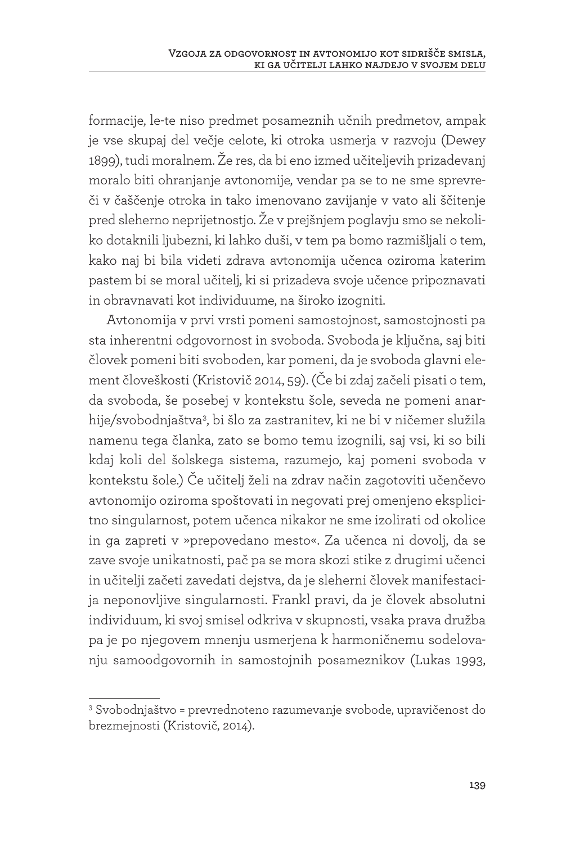formacije, le-te niso predmet posameznih učnih predmetov, ampak je vse skupaj del večje celote, ki otroka usmerja v razvoju (Dewey 1899), tudi moralnem. Že res, da bi eno izmed učiteljevih prizadevanj moralo biti ohranjanje avtonomije, vendar pa se to ne sme sprevreči v čaščenje otroka in tako imenovano zavijanje v vato ali ščitenje pred sleherno neprijetnostjo. Že v prejšnjem poglavju smo se nekoliko dotaknili ljubezni, ki lahko duši, v tem pa bomo razmišljali o tem, kako naj bi bila videti zdrava avtonomija učenca oziroma katerim pastem bi se moral učitelj, ki si prizadeva svoje učence pripoznavati in obravnavati kot individuume, na široko izogniti.

Avtonomija v prvi vrsti pomeni samostojnost, samostojnosti pa sta inherentni odgovornost in svoboda. Svoboda je ključna, saj biti človek pomeni biti svoboden, kar pomeni, da je svoboda glavni element človeškosti (Kristovič 2014, 59). (Če bi zdaj začeli pisati o tem, da svoboda, še posebej v kontekstu šole, seveda ne pomeni anarhije/svobodnjaštva<sup>3</sup>, bi šlo za zastranitev, ki ne bi v ničemer služila namenu tega članka, zato se bomo temu izognili, saj vsi, ki so bili kdaj koli del šolskega sistema, razumejo, kaj pomeni svoboda v kontekstu šole.) Če učitelj želi na zdrav način zagotoviti učenčevo avtonomijo oziroma spoštovati in negovati prej omenjeno eksplicitno singularnost, potem učenca nikakor ne sme izolirati od okolice in ga zapreti v »prepovedano mesto«. Za učenca ni dovolj, da se zave svoje unikatnosti, pač pa se mora skozi stike z drugimi učenci in učitelji začeti zavedati dejstva, da je sleherni človek manifestacija neponovljive singularnosti. Frankl pravi, da je človek absolutni individuum, ki svoj smisel odkriva v skupnosti, vsaka prava družba pa je po njegovem mnenju usmerjena k harmoničnemu sodelovanju samoodgovornih in samostojnih posameznikov (Lukas 1993,

<sup>3</sup> Svobodnjaštvo = prevrednoteno razumevanje svobode, upravičenost do brezmejnosti (Kristovič, 2014).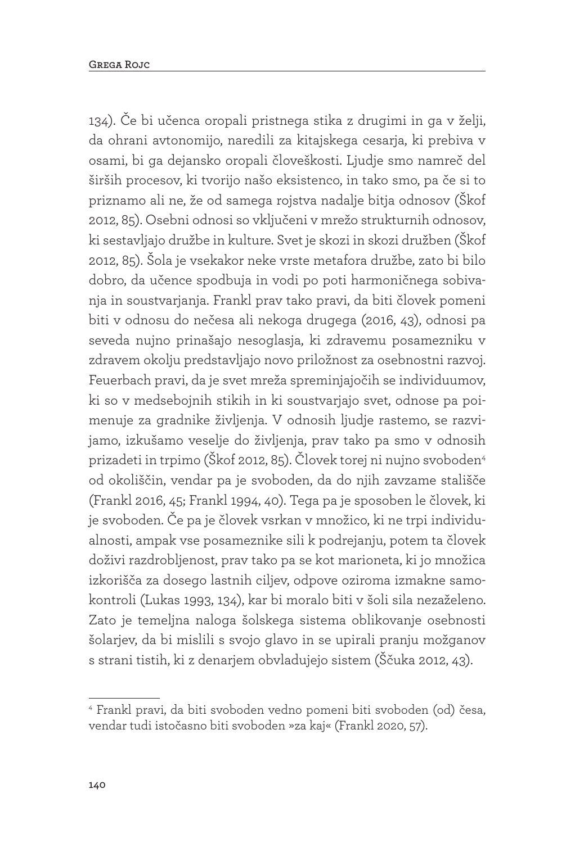134). Če bi učenca oropali pristnega stika z drugimi in ga v želji, da ohrani avtonomijo, naredili za kitajskega cesarja, ki prebiva v osami, bi ga dejansko oropali človeškosti. Ljudje smo namreč del širših procesov, ki tvorijo našo eksistenco, in tako smo, pa če si to priznamo ali ne, že od samega rojstva nadalje bitja odnosov (Škof 2012, 85). Osebni odnosi so vključeni v mrežo strukturnih odnosov, ki sestavljajo družbe in kulture. Svet je skozi in skozi družben (Škof 2012, 85). Šola je vsekakor neke vrste metafora družbe, zato bi bilo dobro, da učence spodbuja in vodi po poti harmoničnega sobivanja in soustvarjanja. Frankl prav tako pravi, da biti človek pomeni biti v odnosu do nečesa ali nekoga drugega (2016, 43), odnosi pa seveda nujno prinašajo nesoglasja, ki zdravemu posamezniku v zdravem okolju predstavljajo novo priložnost za osebnostni razvoj. Feuerbach pravi, da je svet mreža spreminjajočih se individuumov, ki so v medsebojnih stikih in ki soustvarjajo svet, odnose pa poimenuje za gradnike življenja. V odnosih ljudje rastemo, se razvijamo, izkušamo veselje do življenja, prav tako pa smo v odnosih prizadeti in trpimo (Škof 2012, 85). Človek torej ni nujno svoboden4 od okoliščin, vendar pa je svoboden, da do njih zavzame stališče (Frankl 2016, 45; Frankl 1994, 40). Tega pa je sposoben le človek, ki je svoboden. Če pa je človek vsrkan v množico, ki ne trpi individualnosti, ampak vse posameznike sili k podrejanju, potem ta človek doživi razdrobljenost, prav tako pa se kot marioneta, ki jo množica izkorišča za dosego lastnih ciljev, odpove oziroma izmakne samokontroli (Lukas 1993, 134), kar bi moralo biti v šoli sila nezaželeno. Zato je temeljna naloga šolskega sistema oblikovanje osebnosti šolarjev, da bi mislili s svojo glavo in se upirali pranju možganov s strani tistih, ki z denarjem obvladujejo sistem (Ščuka 2012, 43).

<sup>4</sup> Frankl pravi, da biti svoboden vedno pomeni biti svoboden (od) česa, vendar tudi istočasno biti svoboden »za kaj« (Frankl 2020, 57).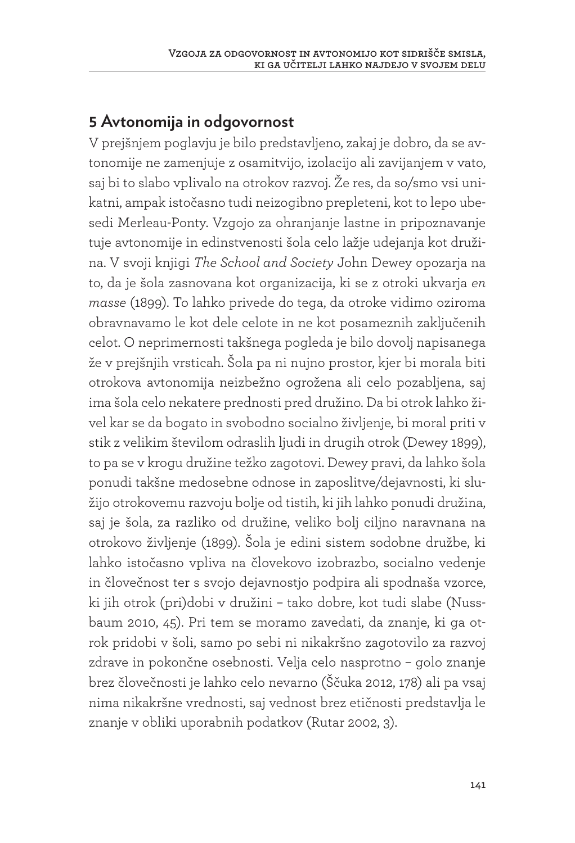### **5 Avtonomija in odgovornost**

V prejšnjem poglavju je bilo predstavljeno, zakaj je dobro, da se avtonomije ne zamenjuje z osamitvijo, izolacijo ali zavijanjem v vato, saj bi to slabo vplivalo na otrokov razvoj. Že res, da so/smo vsi unikatni, ampak istočasno tudi neizogibno prepleteni, kot to lepo ubesedi Merleau-Ponty. Vzgojo za ohranjanje lastne in pripoznavanje tuje avtonomije in edinstvenosti šola celo lažje udejanja kot družina. V svoji knjigi *The School and Society* John Dewey opozarja na to, da je šola zasnovana kot organizacija, ki se z otroki ukvarja *en masse* (1899). To lahko privede do tega, da otroke vidimo oziroma obravnavamo le kot dele celote in ne kot posameznih zaključenih celot. O neprimernosti takšnega pogleda je bilo dovolj napisanega že v prejšnjih vrsticah. Šola pa ni nujno prostor, kjer bi morala biti otrokova avtonomija neizbežno ogrožena ali celo pozabljena, saj ima šola celo nekatere prednosti pred družino. Da bi otrok lahko živel kar se da bogato in svobodno socialno življenje, bi moral priti v stik z velikim številom odraslih ljudi in drugih otrok (Dewey 1899), to pa se v krogu družine težko zagotovi. Dewey pravi, da lahko šola ponudi takšne medosebne odnose in zaposlitve/dejavnosti, ki služijo otrokovemu razvoju bolje od tistih, ki jih lahko ponudi družina, saj je šola, za razliko od družine, veliko bolj ciljno naravnana na otrokovo življenje (1899). Šola je edini sistem sodobne družbe, ki lahko istočasno vpliva na človekovo izobrazbo, socialno vedenje in človečnost ter s svojo dejavnostjo podpira ali spodnaša vzorce, ki jih otrok (pri)dobi v družini – tako dobre, kot tudi slabe (Nussbaum 2010, 45). Pri tem se moramo zavedati, da znanje, ki ga otrok pridobi v šoli, samo po sebi ni nikakršno zagotovilo za razvoj zdrave in pokončne osebnosti. Velja celo nasprotno – golo znanje brez človečnosti je lahko celo nevarno (Ščuka 2012, 178) ali pa vsaj nima nikakršne vrednosti, saj vednost brez etičnosti predstavlja le znanje v obliki uporabnih podatkov (Rutar 2002, 3).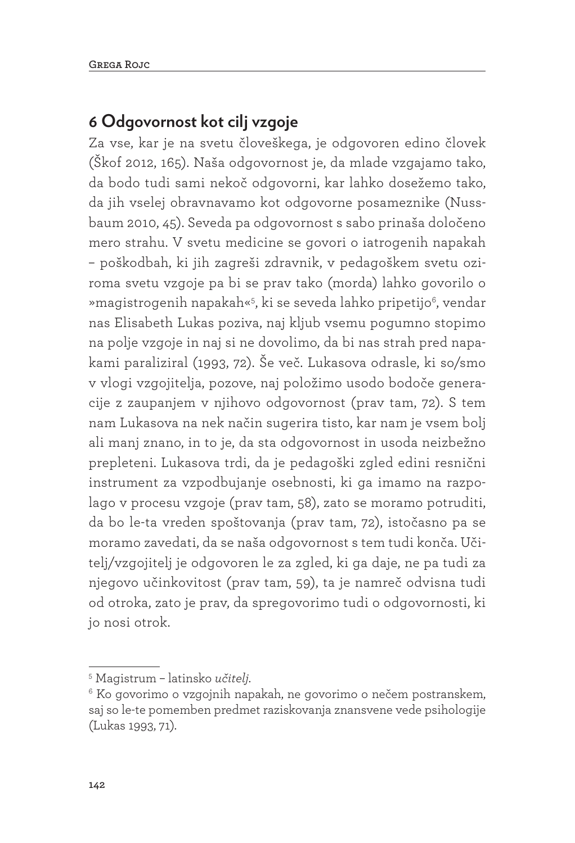### **6 Odgovornost kot cilj vzgoje**

Za vse, kar je na svetu človeškega, je odgovoren edino človek (Škof 2012, 165). Naša odgovornost je, da mlade vzgajamo tako, da bodo tudi sami nekoč odgovorni, kar lahko dosežemo tako, da jih vselej obravnavamo kot odgovorne posameznike (Nussbaum 2010, 45). Seveda pa odgovornost s sabo prinaša določeno mero strahu. V svetu medicine se govori o iatrogenih napakah – poškodbah, ki jih zagreši zdravnik, v pedagoškem svetu oziroma svetu vzgoje pa bi se prav tako (morda) lahko govorilo o »magistrogenih napakah«5, ki se seveda lahko pripetijo6, vendar nas Elisabeth Lukas poziva, naj kljub vsemu pogumno stopimo na polje vzgoje in naj si ne dovolimo, da bi nas strah pred napakami paraliziral (1993, 72). Še več. Lukasova odrasle, ki so/smo v vlogi vzgojitelja, pozove, naj položimo usodo bodoče generacije z zaupanjem v njihovo odgovornost (prav tam, 72). S tem nam Lukasova na nek način sugerira tisto, kar nam je vsem bolj ali manj znano, in to je, da sta odgovornost in usoda neizbežno prepleteni. Lukasova trdi, da je pedagoški zgled edini resnični instrument za vzpodbujanje osebnosti, ki ga imamo na razpolago v procesu vzgoje (prav tam, 58), zato se moramo potruditi, da bo le-ta vreden spoštovanja (prav tam, 72), istočasno pa se moramo zavedati, da se naša odgovornost s tem tudi konča. Učitelj/vzgojitelj je odgovoren le za zgled, ki ga daje, ne pa tudi za njegovo učinkovitost (prav tam, 59), ta je namreč odvisna tudi od otroka, zato je prav, da spregovorimo tudi o odgovornosti, ki jo nosi otrok.

<sup>5</sup> Magistrum – latinsko *učitelj*.

<sup>6</sup> Ko govorimo o vzgojnih napakah, ne govorimo o nečem postranskem, saj so le-te pomemben predmet raziskovanja znansvene vede psihologije (Lukas 1993, 71).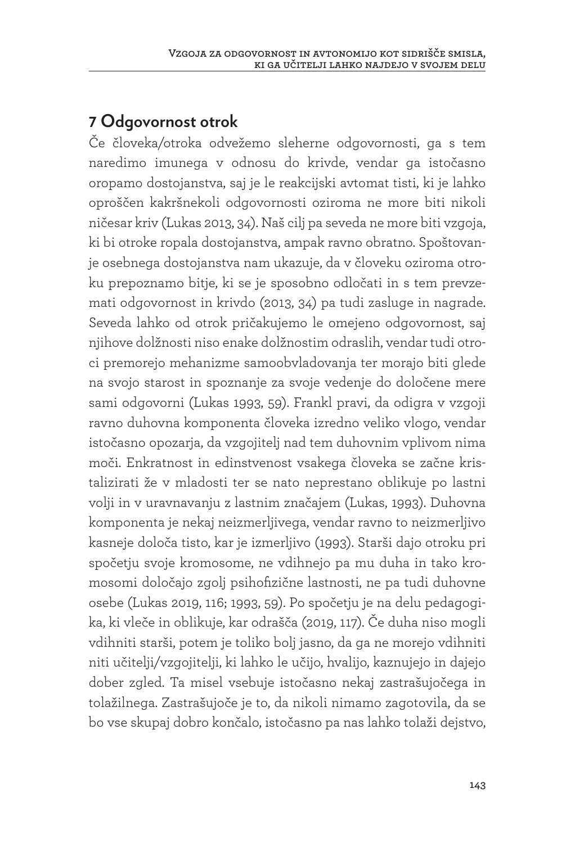## **7 Odgovornost otrok**

Če človeka/otroka odvežemo sleherne odgovornosti, ga s tem naredimo imunega v odnosu do krivde, vendar ga istočasno oropamo dostojanstva, saj je le reakcijski avtomat tisti, ki je lahko oproščen kakršnekoli odgovornosti oziroma ne more biti nikoli ničesar kriv (Lukas 2013, 34). Naš cilj pa seveda ne more biti vzgoja, ki bi otroke ropala dostojanstva, ampak ravno obratno. Spoštovanje osebnega dostojanstva nam ukazuje, da v človeku oziroma otroku prepoznamo bitje, ki se je sposobno odločati in s tem prevzemati odgovornost in krivdo (2013, 34) pa tudi zasluge in nagrade. Seveda lahko od otrok pričakujemo le omejeno odgovornost, saj njihove dolžnosti niso enake dolžnostim odraslih, vendar tudi otroci premorejo mehanizme samoobvladovanja ter morajo biti glede na svojo starost in spoznanje za svoje vedenje do določene mere sami odgovorni (Lukas 1993, 59). Frankl pravi, da odigra v vzgoji ravno duhovna komponenta človeka izredno veliko vlogo, vendar istočasno opozarja, da vzgojitelj nad tem duhovnim vplivom nima moči. Enkratnost in edinstvenost vsakega človeka se začne kristalizirati že v mladosti ter se nato neprestano oblikuje po lastni volji in v uravnavanju z lastnim značajem (Lukas, 1993). Duhovna komponenta je nekaj neizmerljivega, vendar ravno to neizmerljivo kasneje določa tisto, kar je izmerljivo (1993). Starši dajo otroku pri spočetju svoje kromosome, ne vdihnejo pa mu duha in tako kromosomi določajo zgolj psihofizične lastnosti, ne pa tudi duhovne osebe (Lukas 2019, 116; 1993, 59). Po spočetju je na delu pedagogika, ki vleče in oblikuje, kar odrašča (2019, 117). Če duha niso mogli vdihniti starši, potem je toliko bolj jasno, da ga ne morejo vdihniti niti učitelji/vzgojitelji, ki lahko le učijo, hvalijo, kaznujejo in dajejo dober zgled. Ta misel vsebuje istočasno nekaj zastrašujočega in tolažilnega. Zastrašujoče je to, da nikoli nimamo zagotovila, da se bo vse skupaj dobro končalo, istočasno pa nas lahko tolaži dejstvo,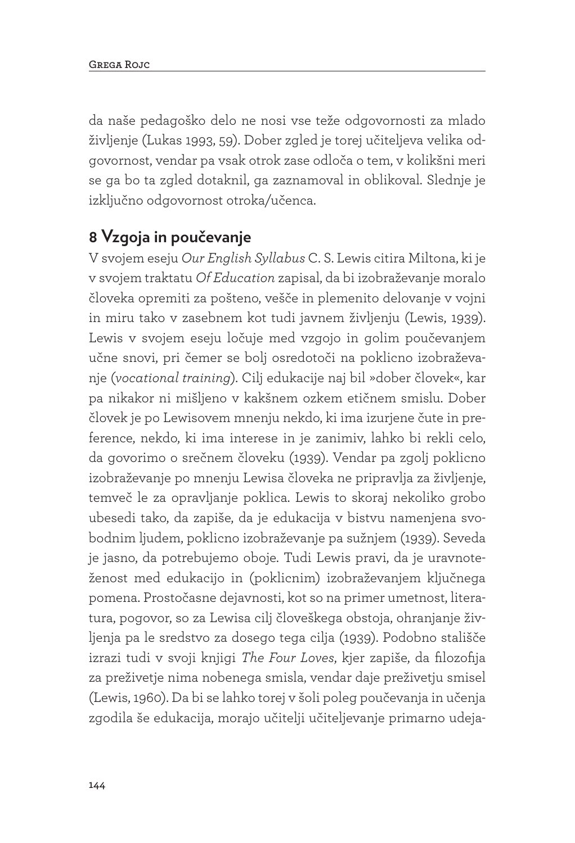da naše pedagoško delo ne nosi vse teže odgovornosti za mlado življenje (Lukas 1993, 59). Dober zgled je torej učiteljeva velika odgovornost, vendar pa vsak otrok zase odloča o tem, v kolikšni meri se ga bo ta zgled dotaknil, ga zaznamoval in oblikoval. Slednje je izključno odgovornost otroka/učenca.

#### **8 Vzgoja in poučevanje**

V svojem eseju *Our English Syllabus* C. S. Lewis citira Miltona, ki je v svojem traktatu *Of Education* zapisal, da bi izobraževanje moralo človeka opremiti za pošteno, vešče in plemenito delovanje v vojni in miru tako v zasebnem kot tudi javnem življenju (Lewis, 1939). Lewis v svojem eseju ločuje med vzgojo in golim poučevanjem učne snovi, pri čemer se bolj osredotoči na poklicno izobraževanje (*vocational training*). Cilj edukacije naj bil »dober človek«, kar pa nikakor ni mišljeno v kakšnem ozkem etičnem smislu. Dober človek je po Lewisovem mnenju nekdo, ki ima izurjene čute in preference, nekdo, ki ima interese in je zanimiv, lahko bi rekli celo, da govorimo o srečnem človeku (1939). Vendar pa zgolj poklicno izobraževanje po mnenju Lewisa človeka ne pripravlja za življenje, temveč le za opravljanje poklica. Lewis to skoraj nekoliko grobo ubesedi tako, da zapiše, da je edukacija v bistvu namenjena svobodnim ljudem, poklicno izobraževanje pa sužnjem (1939). Seveda je jasno, da potrebujemo oboje. Tudi Lewis pravi, da je uravnoteženost med edukacijo in (poklicnim) izobraževanjem ključnega pomena. Prostočasne dejavnosti, kot so na primer umetnost, literatura, pogovor, so za Lewisa cilj človeškega obstoja, ohranjanje življenja pa le sredstvo za dosego tega cilja (1939). Podobno stališče izrazi tudi v svoji knjigi *The Four Loves*, kjer zapiše, da filozofija za preživetje nima nobenega smisla, vendar daje preživetju smisel (Lewis, 1960). Da bi se lahko torej v šoli poleg poučevanja in učenja zgodila še edukacija, morajo učitelji učiteljevanje primarno udeja-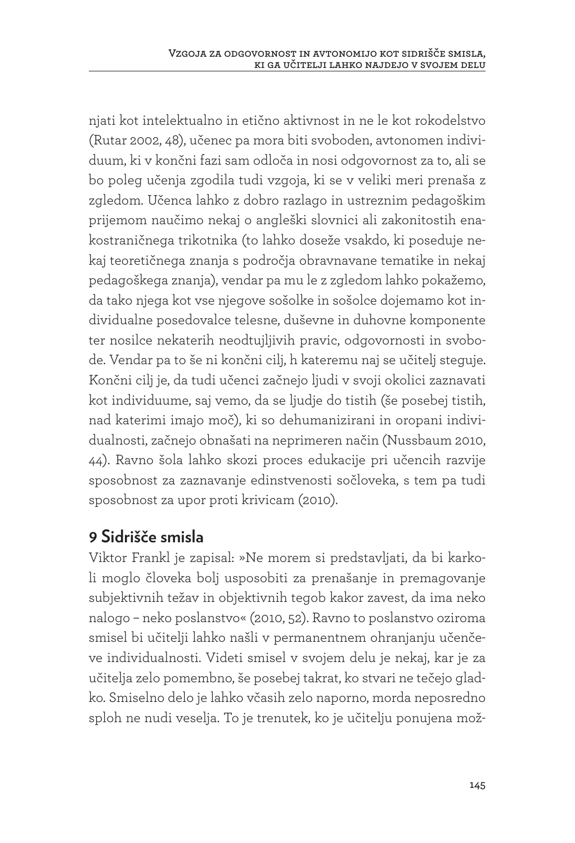njati kot intelektualno in etično aktivnost in ne le kot rokodelstvo (Rutar 2002, 48), učenec pa mora biti svoboden, avtonomen individuum, ki v končni fazi sam odloča in nosi odgovornost za to, ali se bo poleg učenja zgodila tudi vzgoja, ki se v veliki meri prenaša z zgledom. Učenca lahko z dobro razlago in ustreznim pedagoškim prijemom naučimo nekaj o angleški slovnici ali zakonitostih enakostraničnega trikotnika (to lahko doseže vsakdo, ki poseduje nekaj teoretičnega znanja s področja obravnavane tematike in nekaj pedagoškega znanja), vendar pa mu le z zgledom lahko pokažemo, da tako njega kot vse njegove sošolke in sošolce dojemamo kot individualne posedovalce telesne, duševne in duhovne komponente ter nosilce nekaterih neodtujljivih pravic, odgovornosti in svobode. Vendar pa to še ni končni cilj, h kateremu naj se učitelj steguje. Končni cilj je, da tudi učenci začnejo ljudi v svoji okolici zaznavati kot individuume, saj vemo, da se ljudje do tistih (še posebej tistih, nad katerimi imajo moč), ki so dehumanizirani in oropani individualnosti, začnejo obnašati na neprimeren način (Nussbaum 2010, 44). Ravno šola lahko skozi proces edukacije pri učencih razvije sposobnost za zaznavanje edinstvenosti sočloveka, s tem pa tudi sposobnost za upor proti krivicam (2010).

#### **9 Sidrišče smisla**

Viktor Frankl je zapisal: »Ne morem si predstavljati, da bi karkoli moglo človeka bolj usposobiti za prenašanje in premagovanje subjektivnih težav in objektivnih tegob kakor zavest, da ima neko nalogo – neko poslanstvo« (2010, 52). Ravno to poslanstvo oziroma smisel bi učitelji lahko našli v permanentnem ohranjanju učenčeve individualnosti. Videti smisel v svojem delu je nekaj, kar je za učitelja zelo pomembno, še posebej takrat, ko stvari ne tečejo gladko. Smiselno delo je lahko včasih zelo naporno, morda neposredno sploh ne nudi veselja. To je trenutek, ko je učitelju ponujena mož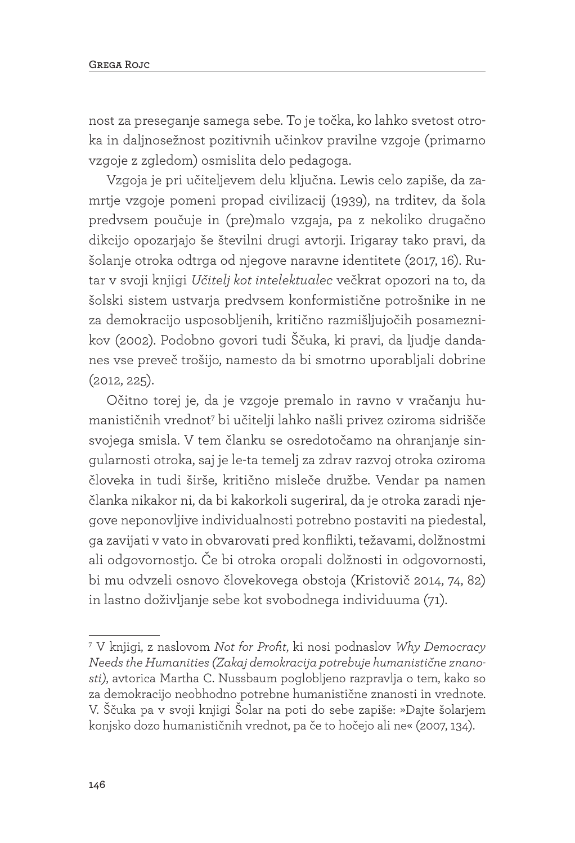nost za preseganje samega sebe. To je točka, ko lahko svetost otroka in daljnosežnost pozitivnih učinkov pravilne vzgoje (primarno vzgoje z zgledom) osmislita delo pedagoga.

Vzgoja je pri učiteljevem delu ključna. Lewis celo zapiše, da zamrtje vzgoje pomeni propad civilizacij (1939), na trditev, da šola predvsem poučuje in (pre)malo vzgaja, pa z nekoliko drugačno dikcijo opozarjajo še številni drugi avtorji. Irigaray tako pravi, da šolanje otroka odtrga od njegove naravne identitete (2017, 16). Rutar v svoji knjigi *Učitelj kot intelektualec* večkrat opozori na to, da šolski sistem ustvarja predvsem konformistične potrošnike in ne za demokracijo usposobljenih, kritično razmišljujočih posameznikov (2002). Podobno govori tudi Ščuka, ki pravi, da ljudje dandanes vse preveč trošijo, namesto da bi smotrno uporabljali dobrine (2012, 225).

Očitno torej je, da je vzgoje premalo in ravno v vračanju humanističnih vrednot7 bi učitelji lahko našli privez oziroma sidrišče svojega smisla. V tem članku se osredotočamo na ohranjanje singularnosti otroka, saj je le-ta temelj za zdrav razvoj otroka oziroma človeka in tudi širše, kritično misleče družbe. Vendar pa namen članka nikakor ni, da bi kakorkoli sugeriral, da je otroka zaradi njegove neponovljive individualnosti potrebno postaviti na piedestal, ga zavijati v vato in obvarovati pred konflikti, težavami, dolžnostmi ali odgovornostjo. Če bi otroka oropali dolžnosti in odgovornosti, bi mu odvzeli osnovo človekovega obstoja (Kristovič 2014, 74, 82) in lastno doživljanje sebe kot svobodnega individuuma (71).

<sup>7</sup> V knjigi, z naslovom *Not for Profit*, ki nosi podnaslov *Why Democracy Needs the Humanities (Zakaj demokracija potrebuje humanistične znanosti)*, avtorica Martha C. Nussbaum poglobljeno razpravlja o tem, kako so za demokracijo neobhodno potrebne humanistične znanosti in vrednote. V. Ščuka pa v svoji knjigi Šolar na poti do sebe zapiše: »Dajte šolarjem konjsko dozo humanističnih vrednot, pa če to hočejo ali ne« (2007, 134).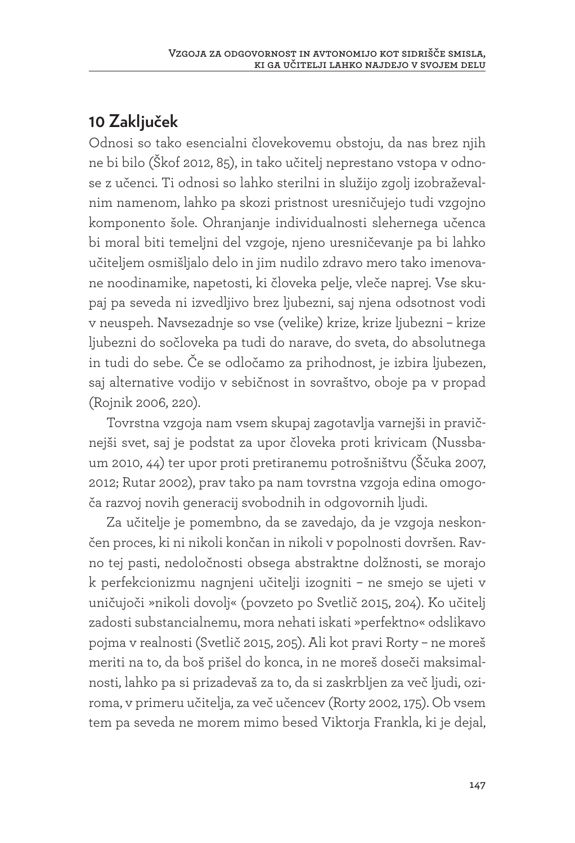### **10 Zaključek**

Odnosi so tako esencialni človekovemu obstoju, da nas brez njih ne bi bilo (Škof 2012, 85), in tako učitelj neprestano vstopa v odnose z učenci. Ti odnosi so lahko sterilni in služijo zgolj izobraževalnim namenom, lahko pa skozi pristnost uresničujejo tudi vzgojno komponento šole. Ohranjanje individualnosti slehernega učenca bi moral biti temeljni del vzgoje, njeno uresničevanje pa bi lahko učiteljem osmišljalo delo in jim nudilo zdravo mero tako imenovane noodinamike, napetosti, ki človeka pelje, vleče naprej. Vse skupaj pa seveda ni izvedljivo brez ljubezni, saj njena odsotnost vodi v neuspeh. Navsezadnje so vse (velike) krize, krize ljubezni – krize ljubezni do sočloveka pa tudi do narave, do sveta, do absolutnega in tudi do sebe. Če se odločamo za prihodnost, je izbira ljubezen, saj alternative vodijo v sebičnost in sovraštvo, oboje pa v propad (Rojnik 2006, 220).

Tovrstna vzgoja nam vsem skupaj zagotavlja varnejši in pravičnejši svet, saj je podstat za upor človeka proti krivicam (Nussbaum 2010, 44) ter upor proti pretiranemu potrošništvu (Ščuka 2007, 2012; Rutar 2002), prav tako pa nam tovrstna vzgoja edina omogoča razvoj novih generacij svobodnih in odgovornih ljudi.

Za učitelje je pomembno, da se zavedajo, da je vzgoja neskončen proces, ki ni nikoli končan in nikoli v popolnosti dovršen. Ravno tej pasti, nedoločnosti obsega abstraktne dolžnosti, se morajo k perfekcionizmu nagnjeni učitelji izogniti – ne smejo se ujeti v uničujoči »nikoli dovolj« (povzeto po Svetlič 2015, 204). Ko učitelj zadosti substancialnemu, mora nehati iskati »perfektno« odslikavo pojma v realnosti (Svetlič 2015, 205). Ali kot pravi Rorty – ne moreš meriti na to, da boš prišel do konca, in ne moreš doseči maksimalnosti, lahko pa si prizadevaš za to, da si zaskrbljen za več ljudi, oziroma, v primeru učitelja, za več učencev (Rorty 2002, 175). Ob vsem tem pa seveda ne morem mimo besed Viktorja Frankla, ki je dejal,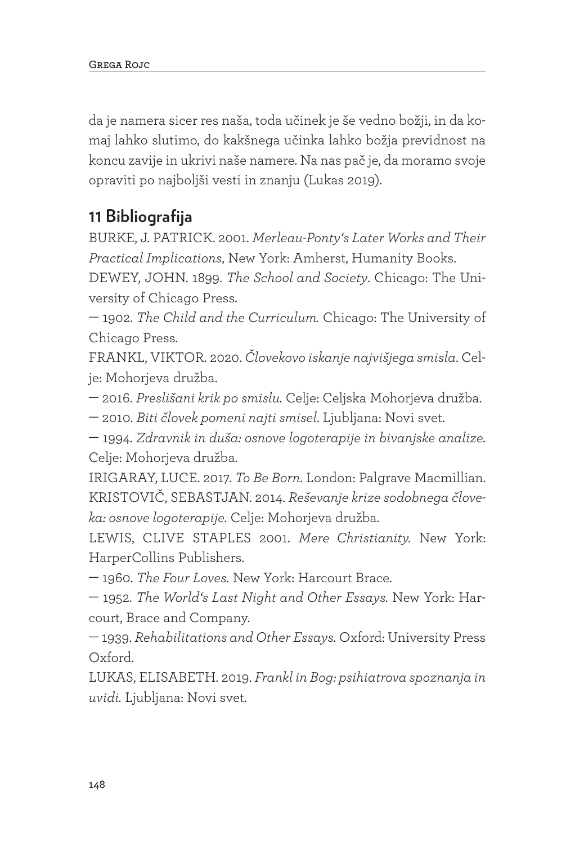da je namera sicer res naša, toda učinek je še vedno božji, in da komaj lahko slutimo, do kakšnega učinka lahko božja previdnost na koncu zavije in ukrivi naše namere. Na nas pač je, da moramo svoje opraviti po najboljši vesti in znanju (Lukas 2019).

## **11 Bibliografija**

BURKE, J. PATRICK. 2001. *Merleau-Ponty's Later Works and Their Practical Implications*, New York: Amherst, Humanity Books.

DEWEY, JOHN. 1899. *The School and Society*. Chicago: The University of Chicago Press.

— 1902. *The Child and the Curriculum.* Chicago: The University of Chicago Press.

FRANKL, VIKTOR. 2020. *Človekovo iskanje najvišjega smisla*. Celje: Mohorjeva družba.

— 2016. *Preslišani krik po smislu.* Celje: Celjska Mohorjeva družba.

— 2010. *Biti človek pomeni najti smisel*. Ljubljana: Novi svet.

— 1994. *Zdravnik in duša: osnove logoterapije in bivanjske analize.* Celje: Mohorjeva družba.

IRIGARAY, LUCE. 2017. *To Be Born*. London: Palgrave Macmillian. KRISTOVIČ, SEBASTJAN. 2014. *Reševanje krize sodobnega človeka: osnove logoterapije.* Celje: Mohorjeva družba.

LEWIS, CLIVE STAPLES 2001. *Mere Christianity.* New York: HarperCollins Publishers.

— 1960. *The Four Loves.* New York: Harcourt Brace.

— 1952. *The World's Last Night and Other Essays.* New York: Harcourt, Brace and Company.

— 1939. *Rehabilitations and Other Essays.* Oxford: University Press Oxford.

LUKAS, ELISABETH. 2019. *Frankl in Bog: psihiatrova spoznanja in uvidi.* Ljubljana: Novi svet.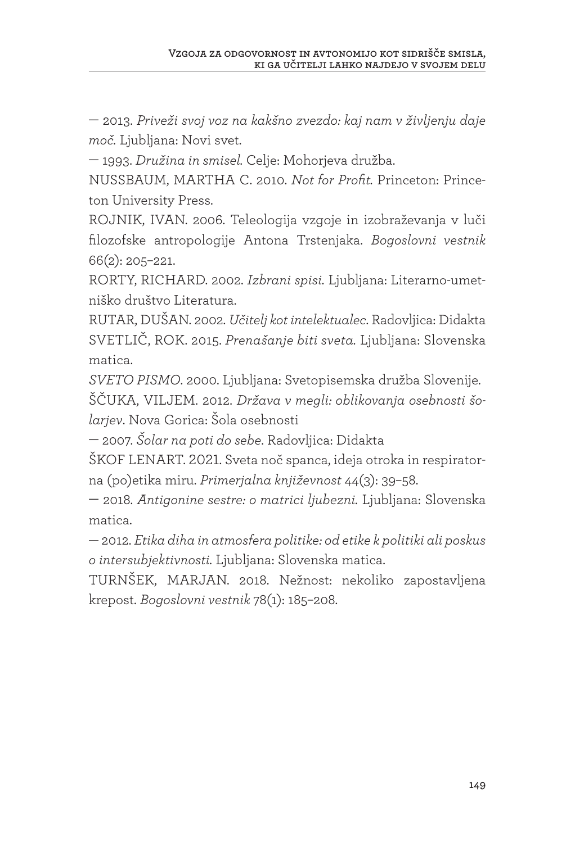— 2013. *Priveži svoj voz na kakšno zvezdo: kaj nam v življenju daje moč.* Ljubljana: Novi svet.

— 1993. *Družina in smisel.* Celje: Mohorjeva družba.

NUSSBAUM, MARTHA C. 2010. *Not for Profit.* Princeton: Princeton University Press.

ROJNIK, IVAN. 2006. Teleologija vzgoje in izobraževanja v luči filozofske antropologije Antona Trstenjaka. *Bogoslovni vestnik* 66(2): 205–221.

RORTY, RICHARD. 2002. *Izbrani spisi.* Ljubljana: Literarno-umetniško društvo Literatura.

RUTAR, DUŠAN. 2002. *Učitelj kot intelektualec*. Radovljica: Didakta SVETLIČ, ROK. 2015. *Prenašanje biti sveta.* Ljubljana: Slovenska matica.

*SVETO PISMO*. 2000. Ljubljana: Svetopisemska družba Slovenije. ŠČUKA, VILJEM. 2012. *Država v megli: oblikovanja osebnosti šolarjev*. Nova Gorica: Šola osebnosti

— 2007. *Šolar na poti do sebe*. Radovljica: Didakta

ŠKOF LENART. 2021. Sveta noč spanca, ideja otroka in respiratorna (po)etika miru. *Primerjalna književnost* 44(3): 39–58.

— 2018. *Antigonine sestre: o matrici ljubezni.* Ljubljana: Slovenska matica.

— 2012. *Etika diha in atmosfera politike: od etike k politiki ali poskus o intersubjektivnosti.* Ljubljana: Slovenska matica.

TURNŠEK, MARJAN. 2018. Nežnost: nekoliko zapostavljena krepost. *Bogoslovni vestnik* 78(1): 185–208.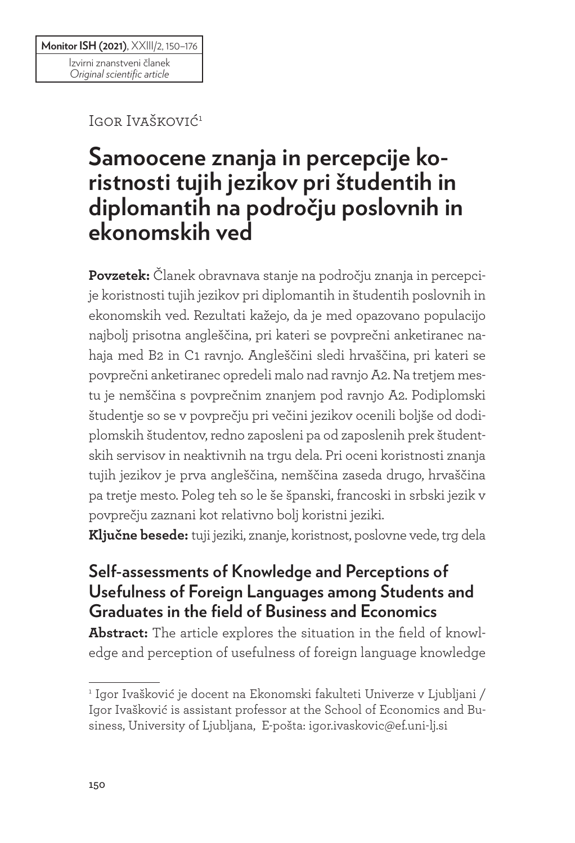Igor Ivašković<sup>1</sup>

# **Samoocene znanja in percepcije koristnosti tujih jezikov pri študentih in diplomantih na področju poslovnih in ekonomskih ved**

**Povzetek:** Članek obravnava stanje na področju znanja in percepcije koristnosti tujih jezikov pri diplomantih in študentih poslovnih in ekonomskih ved. Rezultati kažejo, da je med opazovano populacijo najbolj prisotna angleščina, pri kateri se povprečni anketiranec nahaja med B2 in C1 ravnjo. Angleščini sledi hrvaščina, pri kateri se povprečni anketiranec opredeli malo nad ravnjo A2. Na tretjem mestu je nemščina s povprečnim znanjem pod ravnjo A2. Podiplomski študentje so se v povprečju pri večini jezikov ocenili boljše od dodiplomskih študentov, redno zaposleni pa od zaposlenih prek študentskih servisov in neaktivnih na trgu dela. Pri oceni koristnosti znanja tujih jezikov je prva angleščina, nemščina zaseda drugo, hrvaščina pa tretje mesto. Poleg teh so le še španski, francoski in srbski jezik v povprečju zaznani kot relativno bolj koristni jeziki.

**Ključne besede:** tuji jeziki, znanje, koristnost, poslovne vede, trg dela

### **Self-assessments of Knowledge and Perceptions of Usefulness of Foreign Languages among Students and Graduates in the field of Business and Economics**

**Abstract:** The article explores the situation in the field of knowledge and perception of usefulness of foreign language knowledge

<sup>1</sup> Igor Ivašković je docent na Ekonomski fakulteti Univerze v Ljubljani / Igor Ivašković is assistant professor at the School of Economics and Business, University of Ljubljana, E-pošta: igor.ivaskovic@ef.uni-lj.si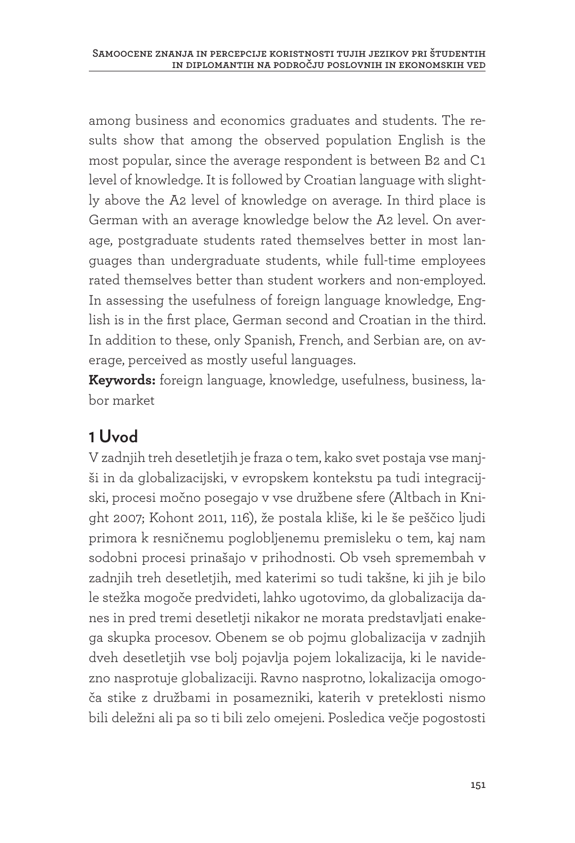among business and economics graduates and students. The results show that among the observed population English is the most popular, since the average respondent is between B2 and C1 level of knowledge. It is followed by Croatian language with slightly above the A2 level of knowledge on average. In third place is German with an average knowledge below the A2 level. On average, postgraduate students rated themselves better in most languages than undergraduate students, while full-time employees rated themselves better than student workers and non-employed. In assessing the usefulness of foreign language knowledge, English is in the first place, German second and Croatian in the third. In addition to these, only Spanish, French, and Serbian are, on average, perceived as mostly useful languages.

**Keywords:** foreign language, knowledge, usefulness, business, labor market

### **1 Uvod**

V zadnjih treh desetletjih je fraza o tem, kako svet postaja vse manjši in da globalizacijski, v evropskem kontekstu pa tudi integracijski, procesi močno posegajo v vse družbene sfere (Altbach in Knight 2007; Kohont 2011, 116), že postala kliše, ki le še peščico ljudi primora k resničnemu poglobljenemu premisleku o tem, kaj nam sodobni procesi prinašajo v prihodnosti. Ob vseh spremembah v zadnjih treh desetletjih, med katerimi so tudi takšne, ki jih je bilo le stežka mogoče predvideti, lahko ugotovimo, da globalizacija danes in pred tremi desetletji nikakor ne morata predstavljati enakega skupka procesov. Obenem se ob pojmu globalizacija v zadnjih dveh desetletjih vse bolj pojavlja pojem lokalizacija, ki le navidezno nasprotuje globalizaciji. Ravno nasprotno, lokalizacija omogoča stike z družbami in posamezniki, katerih v preteklosti nismo bili deležni ali pa so ti bili zelo omejeni. Posledica večje pogostosti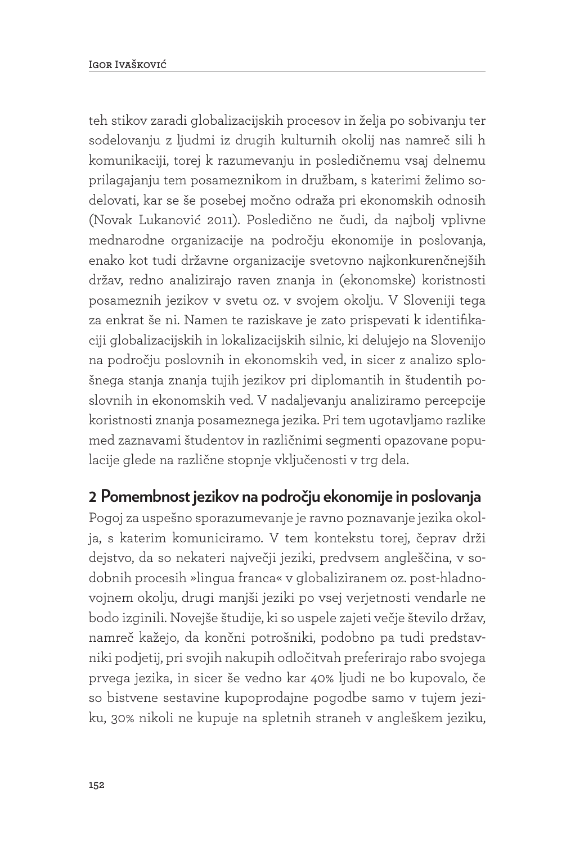teh stikov zaradi globalizacijskih procesov in želja po sobivanju ter sodelovanju z ljudmi iz drugih kulturnih okolij nas namreč sili h komunikaciji, torej k razumevanju in posledičnemu vsaj delnemu prilagajanju tem posameznikom in družbam, s katerimi želimo sodelovati, kar se še posebej močno odraža pri ekonomskih odnosih (Novak Lukanović 2011). Posledično ne čudi, da najbolj vplivne mednarodne organizacije na področju ekonomije in poslovanja, enako kot tudi državne organizacije svetovno najkonkurenčnejših držav, redno analizirajo raven znanja in (ekonomske) koristnosti posameznih jezikov v svetu oz. v svojem okolju. V Sloveniji tega za enkrat še ni. Namen te raziskave je zato prispevati k identifikaciji globalizacijskih in lokalizacijskih silnic, ki delujejo na Slovenijo na področju poslovnih in ekonomskih ved, in sicer z analizo splošnega stanja znanja tujih jezikov pri diplomantih in študentih poslovnih in ekonomskih ved. V nadaljevanju analiziramo percepcije koristnosti znanja posameznega jezika. Pri tem ugotavljamo razlike med zaznavami študentov in različnimi segmenti opazovane populacije glede na različne stopnje vključenosti v trg dela.

#### **2 Pomembnost jezikov na področju ekonomije in poslovanja**

Pogoj za uspešno sporazumevanje je ravno poznavanje jezika okolja, s katerim komuniciramo. V tem kontekstu torej, čeprav drži dejstvo, da so nekateri največji jeziki, predvsem angleščina, v sodobnih procesih »lingua franca« v globaliziranem oz. post-hladnovojnem okolju, drugi manjši jeziki po vsej verjetnosti vendarle ne bodo izginili. Novejše študije, ki so uspele zajeti večje število držav, namreč kažejo, da končni potrošniki, podobno pa tudi predstavniki podjetij, pri svojih nakupih odločitvah preferirajo rabo svojega prvega jezika, in sicer še vedno kar 40% ljudi ne bo kupovalo, če so bistvene sestavine kupoprodajne pogodbe samo v tujem jeziku, 30% nikoli ne kupuje na spletnih straneh v angleškem jeziku,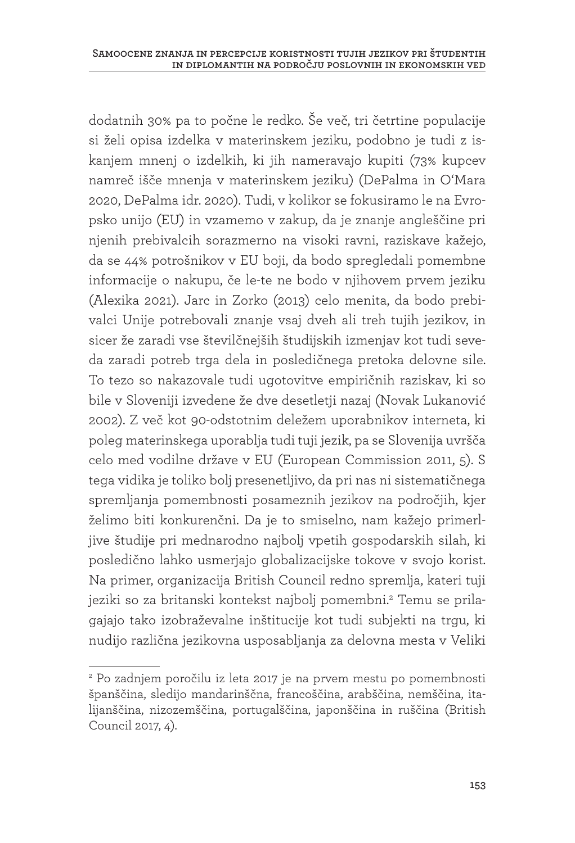dodatnih 30% pa to počne le redko. Še več, tri četrtine populacije si želi opisa izdelka v materinskem jeziku, podobno je tudi z iskanjem mnenj o izdelkih, ki jih nameravajo kupiti (73% kupcev namreč išče mnenja v materinskem jeziku) (DePalma in O'Mara 2020, DePalma idr. 2020). Tudi, v kolikor se fokusiramo le na Evropsko unijo (EU) in vzamemo v zakup, da je znanje angleščine pri njenih prebivalcih sorazmerno na visoki ravni, raziskave kažejo, da se 44% potrošnikov v EU boji, da bodo spregledali pomembne informacije o nakupu, če le-te ne bodo v njihovem prvem jeziku (Alexika 2021). Jarc in Zorko (2013) celo menita, da bodo prebivalci Unije potrebovali znanje vsaj dveh ali treh tujih jezikov, in sicer že zaradi vse številčnejših študijskih izmenjav kot tudi seveda zaradi potreb trga dela in posledičnega pretoka delovne sile. To tezo so nakazovale tudi ugotovitve empiričnih raziskav, ki so bile v Sloveniji izvedene že dve desetletji nazaj (Novak Lukanović 2002). Z več kot 90-odstotnim deležem uporabnikov interneta, ki poleg materinskega uporablja tudi tuji jezik, pa se Slovenija uvršča celo med vodilne države v EU (European Commission 2011, 5). S tega vidika je toliko bolj presenetljivo, da pri nas ni sistematičnega spremljanja pomembnosti posameznih jezikov na področjih, kjer želimo biti konkurenčni. Da je to smiselno, nam kažejo primerljive študije pri mednarodno najbolj vpetih gospodarskih silah, ki posledično lahko usmerjajo globalizacijske tokove v svojo korist. Na primer, organizacija British Council redno spremlja, kateri tuji jeziki so za britanski kontekst najbolj pomembni.<sup>2</sup> Temu se prilagajajo tako izobraževalne inštitucije kot tudi subjekti na trgu, ki nudijo različna jezikovna usposabljanja za delovna mesta v Veliki

<sup>2</sup> Po zadnjem poročilu iz leta 2017 je na prvem mestu po pomembnosti španščina, sledijo mandarinščna, francoščina, arabščina, nemščina, italijanščina, nizozemščina, portugalščina, japonščina in ruščina (British Council 2017, 4).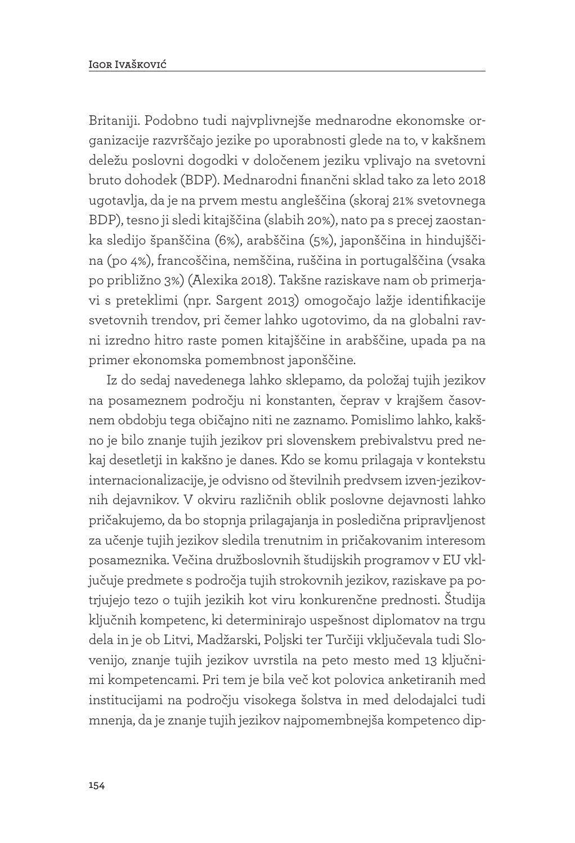Britaniji. Podobno tudi najvplivnejše mednarodne ekonomske organizacije razvrščajo jezike po uporabnosti glede na to, v kakšnem deležu poslovni dogodki v določenem jeziku vplivajo na svetovni bruto dohodek (BDP). Mednarodni finančni sklad tako za leto 2018 ugotavlja, da je na prvem mestu angleščina (skoraj 21% svetovnega BDP), tesno ji sledi kitajščina (slabih 20%), nato pa s precej zaostanka sledijo španščina (6%), arabščina (5%), japonščina in hindujščina (po 4%), francoščina, nemščina, ruščina in portugalščina (vsaka po približno 3%) (Alexika 2018). Takšne raziskave nam ob primerjavi s preteklimi (npr. Sargent 2013) omogočajo lažje identifikacije svetovnih trendov, pri čemer lahko ugotovimo, da na globalni ravni izredno hitro raste pomen kitajščine in arabščine, upada pa na primer ekonomska pomembnost japonščine.

Iz do sedaj navedenega lahko sklepamo, da položaj tujih jezikov na posameznem področju ni konstanten, čeprav v krajšem časovnem obdobju tega običajno niti ne zaznamo. Pomislimo lahko, kakšno je bilo znanje tujih jezikov pri slovenskem prebivalstvu pred nekaj desetletji in kakšno je danes. Kdo se komu prilagaja v kontekstu internacionalizacije, je odvisno od številnih predvsem izven-jezikovnih dejavnikov. V okviru različnih oblik poslovne dejavnosti lahko pričakujemo, da bo stopnja prilagajanja in posledična pripravljenost za učenje tujih jezikov sledila trenutnim in pričakovanim interesom posameznika. Večina družboslovnih študijskih programov v EU vključuje predmete s področja tujih strokovnih jezikov, raziskave pa potrjujejo tezo o tujih jezikih kot viru konkurenčne prednosti. Študija ključnih kompetenc, ki determinirajo uspešnost diplomatov na trgu dela in je ob Litvi, Madžarski, Poljski ter Turčiji vključevala tudi Slovenijo, znanje tujih jezikov uvrstila na peto mesto med 13 ključnimi kompetencami. Pri tem je bila več kot polovica anketiranih med institucijami na področju visokega šolstva in med delodajalci tudi mnenja, da je znanje tujih jezikov najpomembnejša kompetenco dip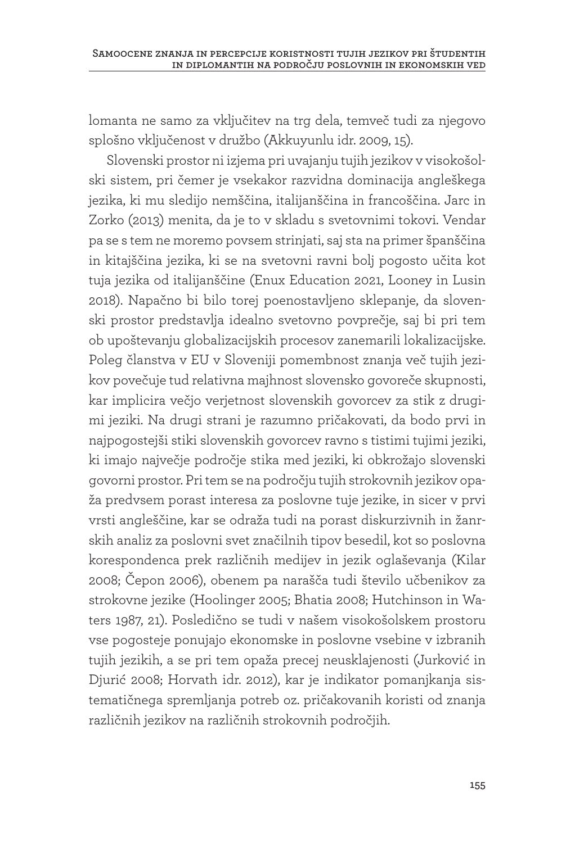lomanta ne samo za vključitev na trg dela, temveč tudi za njegovo splošno vključenost v družbo (Akkuyunlu idr. 2009, 15).

Slovenski prostor ni izjema pri uvajanju tujih jezikov v visokošolski sistem, pri čemer je vsekakor razvidna dominacija angleškega jezika, ki mu sledijo nemščina, italijanščina in francoščina. Jarc in Zorko (2013) menita, da je to v skladu s svetovnimi tokovi. Vendar pa se s tem ne moremo povsem strinjati, saj sta na primer španščina in kitajščina jezika, ki se na svetovni ravni bolj pogosto učita kot tuja jezika od italijanščine (Enux Education 2021, Looney in Lusin 2018). Napačno bi bilo torej poenostavljeno sklepanje, da slovenski prostor predstavlja idealno svetovno povprečje, saj bi pri tem ob upoštevanju globalizacijskih procesov zanemarili lokalizacijske. Poleg članstva v EU v Sloveniji pomembnost znanja več tujih jezikov povečuje tud relativna majhnost slovensko govoreče skupnosti, kar implicira večjo verjetnost slovenskih govorcev za stik z drugimi jeziki. Na drugi strani je razumno pričakovati, da bodo prvi in najpogostejši stiki slovenskih govorcev ravno s tistimi tujimi jeziki, ki imajo največje področje stika med jeziki, ki obkrožajo slovenski govorni prostor. Pri tem se na področju tujih strokovnih jezikov opaža predvsem porast interesa za poslovne tuje jezike, in sicer v prvi vrsti angleščine, kar se odraža tudi na porast diskurzivnih in žanrskih analiz za poslovni svet značilnih tipov besedil, kot so poslovna korespondenca prek različnih medijev in jezik oglaševanja (Kilar 2008; Čepon 2006), obenem pa narašča tudi število učbenikov za strokovne jezike (Hoolinger 2005; Bhatia 2008; Hutchinson in Waters 1987, 21). Posledično se tudi v našem visokošolskem prostoru vse pogosteje ponujajo ekonomske in poslovne vsebine v izbranih tujih jezikih, a se pri tem opaža precej neusklajenosti (Jurković in Djurić 2008; Horvath idr. 2012), kar je indikator pomanjkanja sistematičnega spremljanja potreb oz. pričakovanih koristi od znanja različnih jezikov na različnih strokovnih področjih.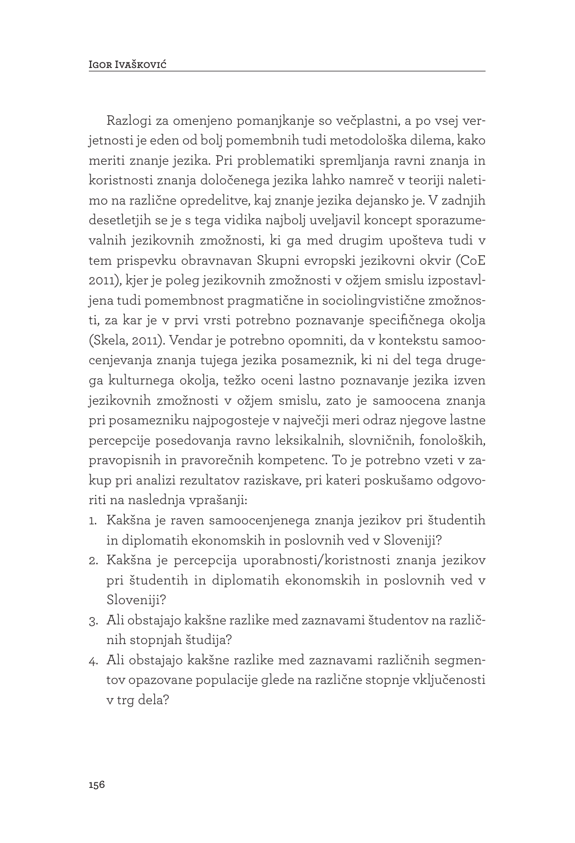Razlogi za omenjeno pomanjkanje so večplastni, a po vsej verjetnosti je eden od bolj pomembnih tudi metodološka dilema, kako meriti znanje jezika. Pri problematiki spremljanja ravni znanja in koristnosti znanja določenega jezika lahko namreč v teoriji naletimo na različne opredelitve, kaj znanje jezika dejansko je. V zadnjih desetletjih se je s tega vidika najbolj uveljavil koncept sporazumevalnih jezikovnih zmožnosti, ki ga med drugim upošteva tudi v tem prispevku obravnavan Skupni evropski jezikovni okvir (CoE 2011), kjer je poleg jezikovnih zmožnosti v ožjem smislu izpostavljena tudi pomembnost pragmatične in sociolingvistične zmožnosti, za kar je v prvi vrsti potrebno poznavanje specifičnega okolja (Skela, 2011). Vendar je potrebno opomniti, da v kontekstu samoocenjevanja znanja tujega jezika posameznik, ki ni del tega drugega kulturnega okolja, težko oceni lastno poznavanje jezika izven jezikovnih zmožnosti v ožjem smislu, zato je samoocena znanja pri posamezniku najpogosteje v največji meri odraz njegove lastne percepcije posedovanja ravno leksikalnih, slovničnih, fonoloških, pravopisnih in pravorečnih kompetenc. To je potrebno vzeti v zakup pri analizi rezultatov raziskave, pri kateri poskušamo odgovoriti na naslednja vprašanji:

- 1. Kakšna je raven samoocenjenega znanja jezikov pri študentih in diplomatih ekonomskih in poslovnih ved v Sloveniji?
- 2. Kakšna je percepcija uporabnosti/koristnosti znanja jezikov pri študentih in diplomatih ekonomskih in poslovnih ved v Sloveniji?
- 3. Ali obstajajo kakšne razlike med zaznavami študentov na različnih stopnjah študija?
- 4. Ali obstajajo kakšne razlike med zaznavami različnih segmentov opazovane populacije glede na različne stopnje vključenosti v trg dela?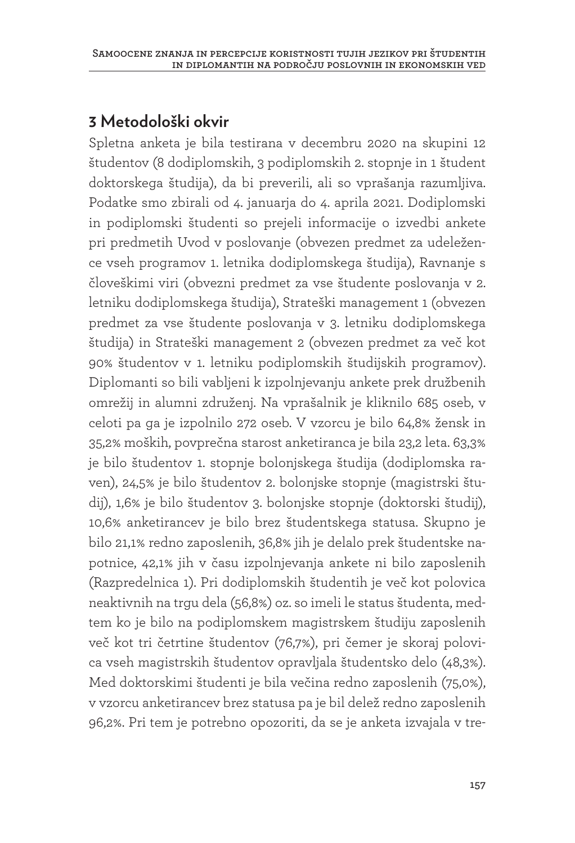### **3 Metodološki okvir**

Spletna anketa je bila testirana v decembru 2020 na skupini 12 študentov (8 dodiplomskih, 3 podiplomskih 2. stopnje in 1 študent doktorskega študija), da bi preverili, ali so vprašanja razumljiva. Podatke smo zbirali od 4. januarja do 4. aprila 2021. Dodiplomski in podiplomski študenti so prejeli informacije o izvedbi ankete pri predmetih Uvod v poslovanje (obvezen predmet za udeležence vseh programov 1. letnika dodiplomskega študija), Ravnanje s človeškimi viri (obvezni predmet za vse študente poslovanja v 2. letniku dodiplomskega študija), Strateški management 1 (obvezen predmet za vse študente poslovanja v 3. letniku dodiplomskega študija) in Strateški management 2 (obvezen predmet za več kot 90% študentov v 1. letniku podiplomskih študijskih programov). Diplomanti so bili vabljeni k izpolnjevanju ankete prek družbenih omrežij in alumni združenj. Na vprašalnik je kliknilo 685 oseb, v celoti pa ga je izpolnilo 272 oseb. V vzorcu je bilo 64,8% žensk in 35,2% moških, povprečna starost anketiranca je bila 23,2 leta. 63,3% je bilo študentov 1. stopnje bolonjskega študija (dodiplomska raven), 24,5% je bilo študentov 2. bolonjske stopnje (magistrski študij), 1,6% je bilo študentov 3. bolonjske stopnje (doktorski študij), 10,6% anketirancev je bilo brez študentskega statusa. Skupno je bilo 21,1% redno zaposlenih, 36,8% jih je delalo prek študentske napotnice, 42,1% jih v času izpolnjevanja ankete ni bilo zaposlenih (Razpredelnica 1). Pri dodiplomskih študentih je več kot polovica neaktivnih na trgu dela (56,8%) oz. so imeli le status študenta, medtem ko je bilo na podiplomskem magistrskem študiju zaposlenih več kot tri četrtine študentov (76,7%), pri čemer je skoraj polovica vseh magistrskih študentov opravljala študentsko delo (48,3%). Med doktorskimi študenti je bila večina redno zaposlenih (75,0%), v vzorcu anketirancev brez statusa pa je bil delež redno zaposlenih 96,2%. Pri tem je potrebno opozoriti, da se je anketa izvajala v tre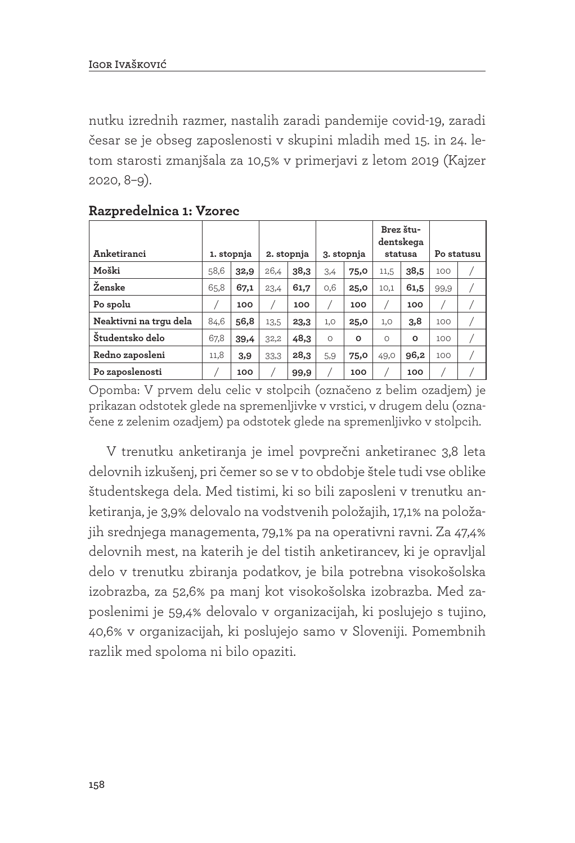nutku izrednih razmer, nastalih zaradi pandemije covid-19, zaradi česar se je obseg zaposlenosti v skupini mladih med 15. in 24. letom starosti zmanjšala za 10,5% v primerjavi z letom 2019 (Kajzer 2020, 8–9).

| Anketiranci            |      | 1. stopnja |      | 2. stopnja |          | 3. stopnja | Brez štu-<br>dentskega<br>statusa |         | Po statusu |  |
|------------------------|------|------------|------|------------|----------|------------|-----------------------------------|---------|------------|--|
| Moški                  | 58,6 | 32,9       | 26,4 | 38,3       | 3,4      | 75,0       | 11,5                              | 38,5    | 100        |  |
| Ženske                 | 65,8 | 67,1       | 23,4 | 61,7       | 0,6      | 25,0       | 10,1                              | 61,5    | 99,9       |  |
| Po spolu               |      | 100        |      | 100        |          | 100        |                                   | 100     |            |  |
| Neaktivni na trgu dela | 84,6 | 56,8       | 13,5 | 23,3       | 1,0      | 25,0       | 1,0                               | 3,8     | 100        |  |
| Študentsko delo        | 67,8 | 39,4       | 32,2 | 48,3       | $\Omega$ | o          | O                                 | $\circ$ | 100        |  |
| Redno zaposleni        | 11,8 | 3,9        | 33,3 | 28,3       | 5,9      | 75,0       | 49,0                              | 96,2    | 100        |  |
| Po zaposlenosti        |      | 100        |      | 99,9       |          | 100        |                                   | 100     |            |  |

#### **Razpredelnica 1: Vzorec**

Opomba: V prvem delu celic v stolpcih (označeno z belim ozadjem) je prikazan odstotek glede na spremenljivke v vrstici, v drugem delu (označene z zelenim ozadjem) pa odstotek glede na spremenljivko v stolpcih.

V trenutku anketiranja je imel povprečni anketiranec 3,8 leta delovnih izkušenj, pri čemer so se v to obdobje štele tudi vse oblike študentskega dela. Med tistimi, ki so bili zaposleni v trenutku anketiranja, je 3,9% delovalo na vodstvenih položajih, 17,1% na položajih srednjega managementa, 79,1% pa na operativni ravni. Za 47,4% delovnih mest, na katerih je del tistih anketirancev, ki je opravljal delo v trenutku zbiranja podatkov, je bila potrebna visokošolska izobrazba, za 52,6% pa manj kot visokošolska izobrazba. Med zaposlenimi je 59,4% delovalo v organizacijah, ki poslujejo s tujino, 40,6% v organizacijah, ki poslujejo samo v Sloveniji. Pomembnih razlik med spoloma ni bilo opaziti.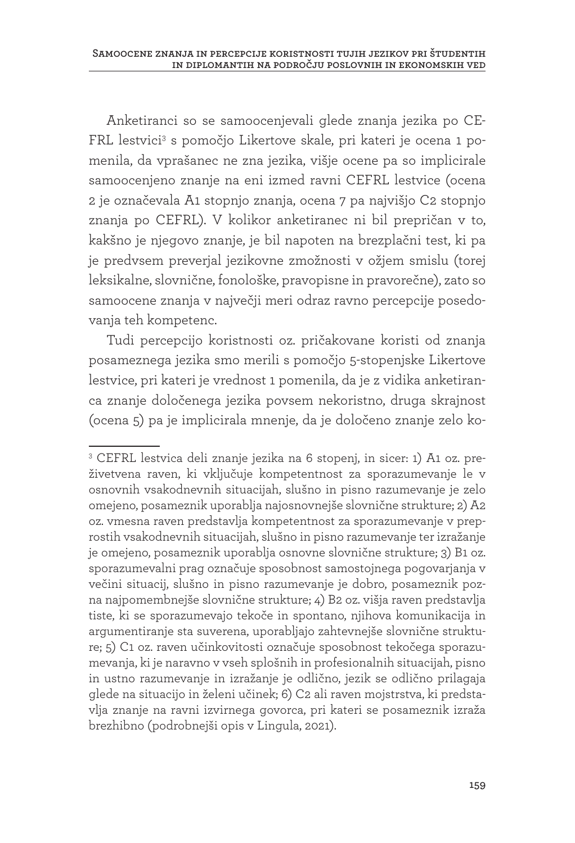Anketiranci so se samoocenjevali glede znanja jezika po CE-FRL lestvici<sup>3</sup> s pomočjo Likertove skale, pri kateri je ocena 1 pomenila, da vprašanec ne zna jezika, višje ocene pa so implicirale samoocenjeno znanje na eni izmed ravni CEFRL lestvice (ocena 2 je označevala A1 stopnjo znanja, ocena 7 pa najvišjo C2 stopnjo znanja po CEFRL). V kolikor anketiranec ni bil prepričan v to, kakšno je njegovo znanje, je bil napoten na brezplačni test, ki pa je predvsem preverjal jezikovne zmožnosti v ožjem smislu (torej leksikalne, slovnične, fonološke, pravopisne in pravorečne), zato so samoocene znanja v največji meri odraz ravno percepcije posedovanja teh kompetenc.

Tudi percepcijo koristnosti oz. pričakovane koristi od znanja posameznega jezika smo merili s pomočjo 5-stopenjske Likertove lestvice, pri kateri je vrednost 1 pomenila, da je z vidika anketiranca znanje določenega jezika povsem nekoristno, druga skrajnost (ocena 5) pa je implicirala mnenje, da je določeno znanje zelo ko-

<sup>3</sup> CEFRL lestvica deli znanje jezika na 6 stopenj, in sicer: 1) A1 oz. preživetvena raven, ki vključuje kompetentnost za sporazumevanje le v osnovnih vsakodnevnih situacijah, slušno in pisno razumevanje je zelo omejeno, posameznik uporablja najosnovnejše slovnične strukture; 2) A2 oz. vmesna raven predstavlja kompetentnost za sporazumevanje v preprostih vsakodnevnih situacijah, slušno in pisno razumevanje ter izražanje je omejeno, posameznik uporablja osnovne slovnične strukture; 3) B1 oz. sporazumevalni prag označuje sposobnost samostojnega pogovarjanja v večini situacij, slušno in pisno razumevanje je dobro, posameznik pozna najpomembnejše slovnične strukture; 4) B2 oz. višja raven predstavlja tiste, ki se sporazumevajo tekoče in spontano, njihova komunikacija in argumentiranje sta suverena, uporabljajo zahtevnejše slovnične strukture; 5) C1 oz. raven učinkovitosti označuje sposobnost tekočega sporazumevanja, ki je naravno v vseh splošnih in profesionalnih situacijah, pisno in ustno razumevanje in izražanje je odlično, jezik se odlično prilagaja glede na situacijo in želeni učinek; 6) C2 ali raven mojstrstva, ki predstavlja znanje na ravni izvirnega govorca, pri kateri se posameznik izraža brezhibno (podrobnejši opis v Lingula, 2021).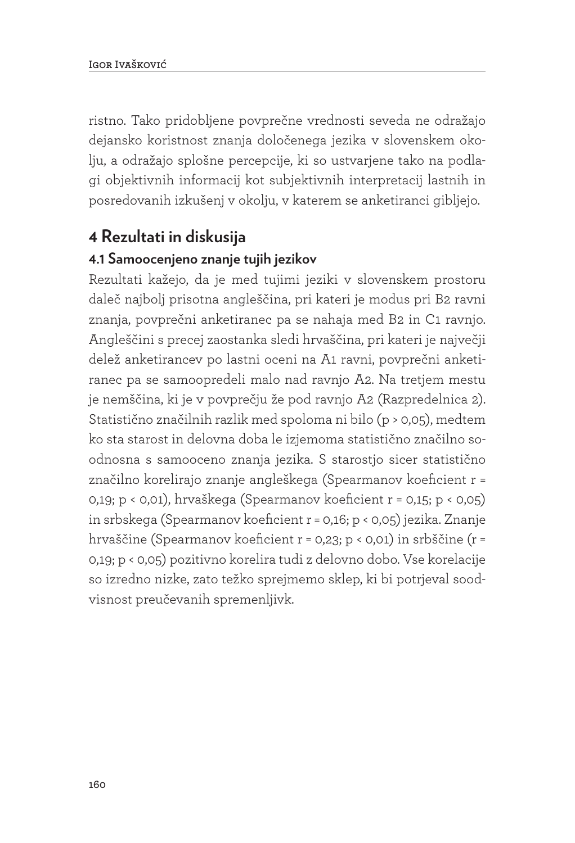ristno. Tako pridobljene povprečne vrednosti seveda ne odražajo dejansko koristnost znanja določenega jezika v slovenskem okolju, a odražajo splošne percepcije, ki so ustvarjene tako na podlagi objektivnih informacij kot subjektivnih interpretacij lastnih in posredovanih izkušenj v okolju, v katerem se anketiranci gibljejo.

#### **4 Rezultati in diskusija**

#### **4.1 Samoocenjeno znanje tujih jezikov**

Rezultati kažejo, da je med tujimi jeziki v slovenskem prostoru daleč najbolj prisotna angleščina, pri kateri je modus pri B2 ravni znanja, povprečni anketiranec pa se nahaja med B2 in C1 ravnjo. Angleščini s precej zaostanka sledi hrvaščina, pri kateri je največji delež anketirancev po lastni oceni na A1 ravni, povprečni anketiranec pa se samoopredeli malo nad ravnjo A2. Na tretjem mestu je nemščina, ki je v povprečju že pod ravnjo A2 (Razpredelnica 2). Statistično značilnih razlik med spoloma ni bilo (p > 0,05), medtem ko sta starost in delovna doba le izjemoma statistično značilno soodnosna s samooceno znanja jezika. S starostjo sicer statistično značilno korelirajo znanje angleškega (Spearmanov koeficient r = 0,19; p < 0,01), hrvaškega (Spearmanov koeficient r = 0,15; p < 0,05) in srbskega (Spearmanov koeficient r = 0,16; p < 0,05) jezika. Znanje hrvaščine (Spearmanov koeficient r = 0,23; p < 0,01) in srbščine (r = 0,19; p < 0,05) pozitivno korelira tudi z delovno dobo. Vse korelacije so izredno nizke, zato težko sprejmemo sklep, ki bi potrjeval soodvisnost preučevanih spremenljivk.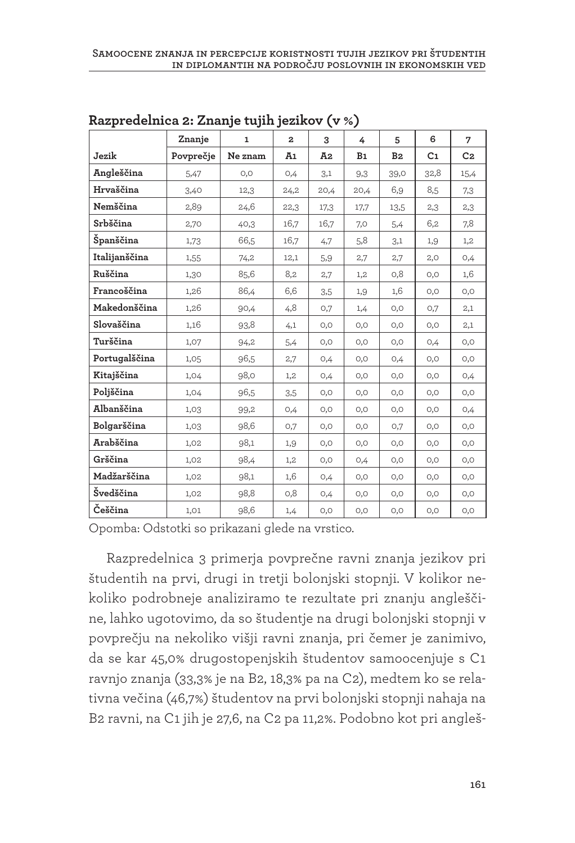|               | Znanje    | $\mathbf{1}$ | $\mathbf{z}$ | 3    | 4              | 5              | 6              | 7              |
|---------------|-----------|--------------|--------------|------|----------------|----------------|----------------|----------------|
| Jezik         | Povprečje | Ne znam      | Ā1           | Ā2   | B <sub>1</sub> | B <sub>2</sub> | C <sub>1</sub> | C <sub>2</sub> |
| Angleščina    | 5,47      | O, O         | 0,4          | 3,1  | 9,3            | 39,0           | 32,8           | 15,4           |
| Hrvaščina     | 3,40      | 12,3         | 24,2         | 20,4 | 20,4           | 6,9            | 8,5            | 7,3            |
| Nemščina      | 2,89      | 24,6         | 22,3         | 17,3 | 17,7           | 13,5           | 2,3            | 2,3            |
| Srbščina      | 2,70      | 40,3         | 16,7         | 16,7 | 7,0            | 5,4            | 6,2            | 7,8            |
| Španščina     | 1,73      | 66,5         | 16,7         | 4,7  | 5,8            | 3,1            | 1,9            | 1,2            |
| Italijanščina | 1,55      | 74,2         | 12,1         | 5,9  | 2,7            | 2,7            | 2,0            | 0,4            |
| Ruščina       | 1,30      | 85,6         | 8,2          | 2,7  | 1,2            | O, 8           | O, O           | 1,6            |
| Francoščina   | 1,26      | 86,4         | 6,6          | 3,5  | 1,9            | 1,6            | O, O           | O, O           |
| Makedonščina  | 1,26      | 90,4         | 4,8          | O,7  | 1,4            | O, O           | O,7            | 2,1            |
| Slovaščina    | 1,16      | 93,8         | 4,1          | O, O | O, O           | O, O           | O, O           | 2,1            |
| Turščina      | 1,07      | 94,2         | 5,4          | O, O | O, O           | O, O           | 0,4            | O, O           |
| Portugalščina | 1,05      | 96,5         | 2,7          | 0,4  | O, O           | 0,4            | 0,0            | O, O           |
| Kitajščina    | 1,04      | 98,0         | 1,2          | 0,4  | O, O           | O, O           | 0,0            | 0,4            |
| Poljščina     | 1,04      | 96,5         | 3,5          | O, O | O, O           | O, O           | O, O           | O, O           |
| Albanščina    | 1,03      | 99,2         | 0,4          | O, O | O, O           | O, O           | O, O           | 0,4            |
| Bolgarščina   | 1,03      | 98,6         | 0,7          | O, O | O, O           | O,7            | 0,0            | O, O           |
| Arabščina     | 1,02      | 98,1         | 1,9          | 0,0  | O, O           | 0,0            | O, O           | O, O           |
| Grščina       | 1,02      | 98,4         | 1,2          | O, O | 0,4            | O, O           | O, O           | O, O           |
| Madžarščina   | 1,02      | 98,1         | 1,6          | 0,4  | O, O           | O, O           | O, O           | O, O           |
| Švedščina     | 1,02      | 98,8         | O, 8         | 0,4  | 0,0            | 0,0            | O, O           | O, O           |
| Češčina       | 1,01      | 98,6         | 1,4          | O, O | O, O           | O, O           | O, O           | O, O           |

**Razpredelnica 2: Znanje tujih jezikov (v %)**

Opomba: Odstotki so prikazani glede na vrstico.

Razpredelnica 3 primerja povprečne ravni znanja jezikov pri študentih na prvi, drugi in tretji bolonjski stopnji. V kolikor nekoliko podrobneje analiziramo te rezultate pri znanju angleščine, lahko ugotovimo, da so študentje na drugi bolonjski stopnji v povprečju na nekoliko višji ravni znanja, pri čemer je zanimivo, da se kar 45,0% drugostopenjskih študentov samoocenjuje s C1 ravnjo znanja (33,3% je na B2, 18,3% pa na C2), medtem ko se relativna večina (46,7%) študentov na prvi bolonjski stopnji nahaja na B2 ravni, na C1 jih je 27,6, na C2 pa 11,2%. Podobno kot pri angleš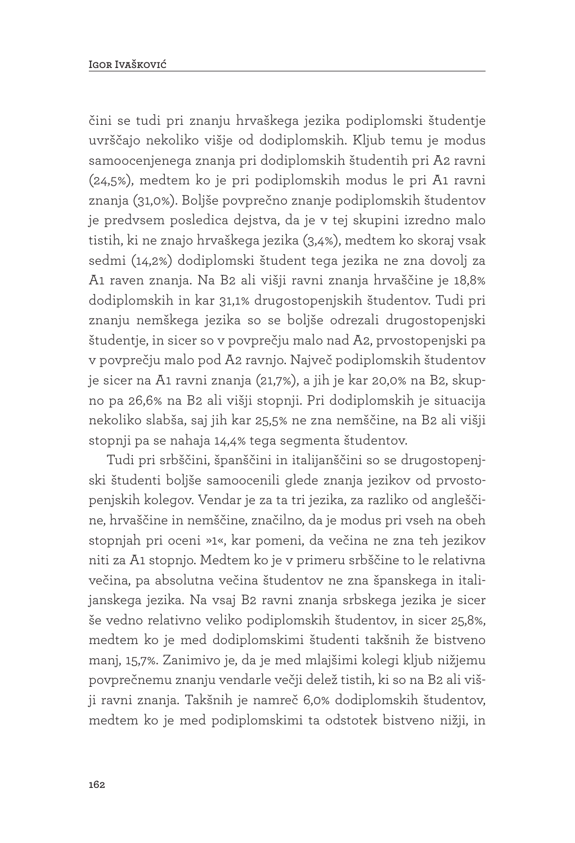čini se tudi pri znanju hrvaškega jezika podiplomski študentje uvrščajo nekoliko višje od dodiplomskih. Kljub temu je modus samoocenjenega znanja pri dodiplomskih študentih pri A2 ravni (24,5%), medtem ko je pri podiplomskih modus le pri A1 ravni znanja (31,0%). Boljše povprečno znanje podiplomskih študentov je predvsem posledica dejstva, da je v tej skupini izredno malo tistih, ki ne znajo hrvaškega jezika (3,4%), medtem ko skoraj vsak sedmi (14,2%) dodiplomski študent tega jezika ne zna dovolj za A1 raven znanja. Na B2 ali višji ravni znanja hrvaščine je 18,8% dodiplomskih in kar 31,1% drugostopenjskih študentov. Tudi pri znanju nemškega jezika so se boljše odrezali drugostopenjski študentje, in sicer so v povprečju malo nad A2, prvostopenjski pa v povprečju malo pod A2 ravnjo. Največ podiplomskih študentov je sicer na A1 ravni znanja (21,7%), a jih je kar 20,0% na B2, skupno pa 26,6% na B2 ali višji stopnji. Pri dodiplomskih je situacija nekoliko slabša, saj jih kar 25,5% ne zna nemščine, na B2 ali višji stopnji pa se nahaja 14,4% tega segmenta študentov.

Tudi pri srbščini, španščini in italijanščini so se drugostopenjski študenti boljše samoocenili glede znanja jezikov od prvostopenjskih kolegov. Vendar je za ta tri jezika, za razliko od angleščine, hrvaščine in nemščine, značilno, da je modus pri vseh na obeh stopnjah pri oceni »1«, kar pomeni, da večina ne zna teh jezikov niti za A1 stopnjo. Medtem ko je v primeru srbščine to le relativna večina, pa absolutna večina študentov ne zna španskega in italijanskega jezika. Na vsaj B2 ravni znanja srbskega jezika je sicer še vedno relativno veliko podiplomskih študentov, in sicer 25,8%, medtem ko je med dodiplomskimi študenti takšnih že bistveno manj, 15,7%. Zanimivo je, da je med mlajšimi kolegi kljub nižjemu povprečnemu znanju vendarle večji delež tistih, ki so na B2 ali višji ravni znanja. Takšnih je namreč 6,0% dodiplomskih študentov, medtem ko je med podiplomskimi ta odstotek bistveno nižji, in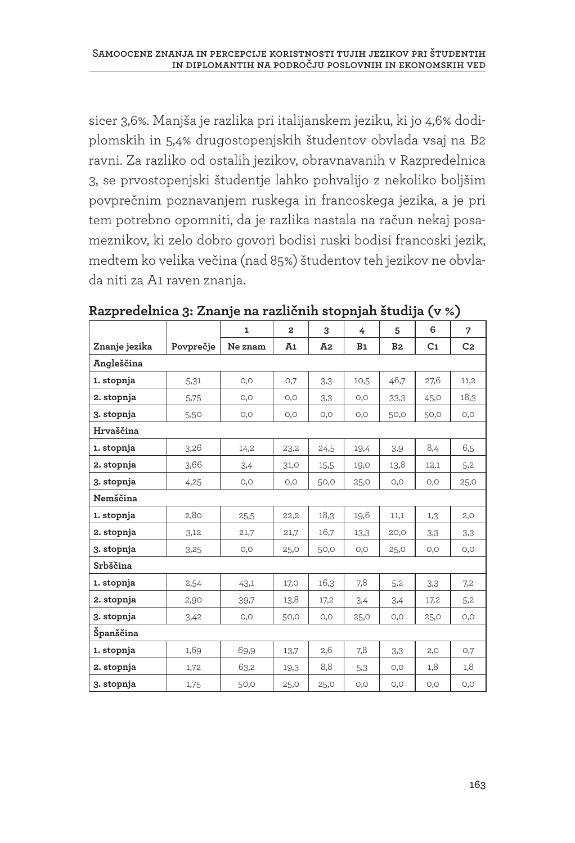sicer 3,6%. Manjša je razlika pri italijanskem jeziku, ki jo 4,6% dodiplomskih in 5,4% drugostopenjskih študentov obvlada vsaj na B2 ravni. Za razliko od ostalih jezikov, obravnavanih v Razpredelnica 3, se prvostopenjski študentje lahko pohvalijo z nekoliko boljšim povprečnim poznavanjem ruskega in francoskega jezika, a je pri tem potrebno opomniti, da je razlika nastala na račun nekaj posameznikov, ki zelo dobro govori bodisi ruski bodisi francoski jezik, medtem ko velika večina (nad 85%) študentov teh jezikov ne obvlada niti za A1 raven znanja.

|               |           | $\mathbf{1}$ | $\mathbf{z}$ | 3    | 4    | 5              | 6              | 7              |  |  |  |
|---------------|-----------|--------------|--------------|------|------|----------------|----------------|----------------|--|--|--|
| Znanje jezika | Povprečje | Ne znam      | A1           | Ā2   | B1   | B <sub>2</sub> | C <sub>1</sub> | C <sub>2</sub> |  |  |  |
| Angleščina    |           |              |              |      |      |                |                |                |  |  |  |
| 1. stopnja    | 5,31      | O, O         | O,7          | 3,3  | 10,5 | 46,7           | 27,6           | 11,2           |  |  |  |
| 2. stopnja    | 5,75      | O, O         | 0,0          | 3,3  | O, O | 33,3           | 45,0           | 18,3           |  |  |  |
| 3. stopnja    | 5,50      | O, O         | 0,0          | O, O | O, O | 50,0           | 50,0           | O, O           |  |  |  |
| Hrvaščina     |           |              |              |      |      |                |                |                |  |  |  |
| 1. stopnja    | 3,26      | 14,2         | 23,2         | 24,5 | 19,4 | 3,9            | 8,4            | 6,5            |  |  |  |
| 2. stopnja    | 3,66      | 3,4          | 31,0         | 15,5 | 19,0 | 13,8           | 12,1           | 5,2            |  |  |  |
| 3. stopnja    | 4,25      | O, O         | O, O         | 50,0 | 25,0 | O, O           | O, O           | 25,0           |  |  |  |
| Nemščina      |           |              |              |      |      |                |                |                |  |  |  |
| 1. stopnja    | 2,80      | 25,5         | 22,2         | 18,3 | 19,6 | 11,1           | 1,3            | 2,0            |  |  |  |
| 2. stopnja    | 3,12      | 21,7         | 21,7         | 16,7 | 13,3 | 20,0           | 3,3            | 3,3            |  |  |  |
| 3. stopnja    | 3,25      | O, O         | 25,0         | 50,0 | O, O | 25,0           | O, O           | O, O           |  |  |  |
| Srbščina      |           |              |              |      |      |                |                |                |  |  |  |
| 1. stopnja    | 2,54      | 43,1         | 17,0         | 16,3 | 7,8  | 5,2            | 3,3            | 7,2            |  |  |  |
| 2. stopnja    | 2,90      | 39,7         | 13,8         | 17,2 | 3,4  | 3,4            | 17,2           | 5,2            |  |  |  |
| 3. stopnja    | 3,42      | O, O         | 50,0         | O, O | 25,0 | O, O           | 25,0           | O, O           |  |  |  |
| Španščina     |           |              |              |      |      |                |                |                |  |  |  |
| 1. stopnja    | 1,69      | 69,9         | 13,7         | 2,6  | 7,8  | 3,3            | 2,0            | O,7            |  |  |  |
| 2. stopnja    | 1,72      | 63,2         | 19,3         | 8,8  | 5,3  | 0,0            | 1,8            | 1,8            |  |  |  |
| 3. stopnja    | 1,75      | 50,0         | 25,0         | 25,0 | O, O | O, O           | O, O           | O, O           |  |  |  |

**Razpredelnica 3: Znanje na različnih stopnjah študija (v %)**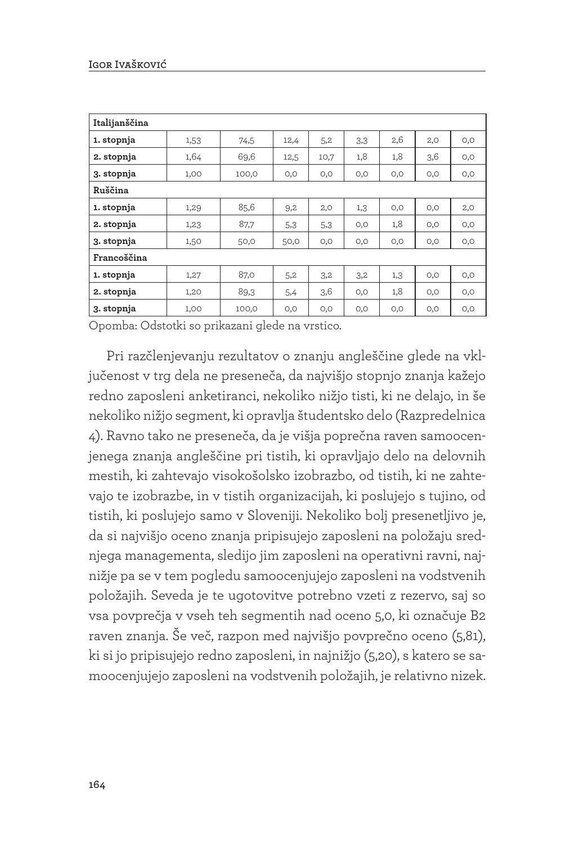| Italijanščina |      |       |      |      |     |      |      |      |  |  |
|---------------|------|-------|------|------|-----|------|------|------|--|--|
| 1. stopnja    | 1,53 | 74,5  | 12,4 | 5,2  | 3,3 | 2,6  | 2,0  | 0,0  |  |  |
| 2. stopnja    | 1,64 | 69,6  | 12,5 | 10,7 | 1,8 | 1,8  | 3,6  | 0,0  |  |  |
| 3. stopnja    | 1,00 | 100,0 | 0,0  | 0,0  | 0,0 | 0,0  | O, O | 0,0  |  |  |
| Ruščina       |      |       |      |      |     |      |      |      |  |  |
| 1. stopnja    | 1,29 | 85,6  | 9,2  | 2,0  | 1,3 | 0,0  | O, O | 2,0  |  |  |
| 2. stopnja    | 1,23 | 87,7  | 5,3  | 5,3  | 0,0 | 1,8  | O, O | O, O |  |  |
| 3. stopnja    | 1,50 | 50,0  | 50,0 | 0,0  | 0,0 | 0,0  | O, O | 0,0  |  |  |
| Francoščina   |      |       |      |      |     |      |      |      |  |  |
| 1. stopnja    | 1,27 | 87,0  | 5,2  | 3,2  | 3,2 | 1,3  | O, O | 0,0  |  |  |
| 2. stopnja    | 1,20 | 89,3  | 5,4  | 3,6  | 0,0 | 1,8  | O, O | 0,0  |  |  |
| 3. stopnja    | 1,00 | 100,0 | 0,0  | O, O | 0,0 | O, O | 0,0  | 0,0  |  |  |

Opomba: Odstotki so prikazani glede na vrstico.

Pri razčlenjevanju rezultatov o znanju angleščine glede na vključenost v trg dela ne preseneča, da najvišjo stopnjo znanja kažejo redno zaposleni anketiranci, nekoliko nižjo tisti, ki ne delajo, in še nekoliko nižjo segment, ki opravlja študentsko delo (Razpredelnica 4). Ravno tako ne preseneča, da je višja poprečna raven samoocenjenega znanja angleščine pri tistih, ki opravljajo delo na delovnih mestih, ki zahtevajo visokošolsko izobrazbo, od tistih, ki ne zahtevajo te izobrazbe, in v tistih organizacijah, ki poslujejo s tujino, od tistih, ki poslujejo samo v Sloveniji. Nekoliko bolj presenetljivo je, da si najvišjo oceno znanja pripisujejo zaposleni na položaju srednjega managementa, sledijo jim zaposleni na operativni ravni, najnižje pa se v tem pogledu samoocenjujejo zaposleni na vodstvenih položajih. Seveda je te ugotovitve potrebno vzeti z rezervo, saj so vsa povprečja v vseh teh segmentih nad oceno 5,0, ki označuje B2 raven znanja. Še več, razpon med najvišjo povprečno oceno (5,81), ki si jo pripisujejo redno zaposleni, in najnižjo (5,20), s katero se samoocenjujejo zaposleni na vodstvenih položajih, je relativno nizek.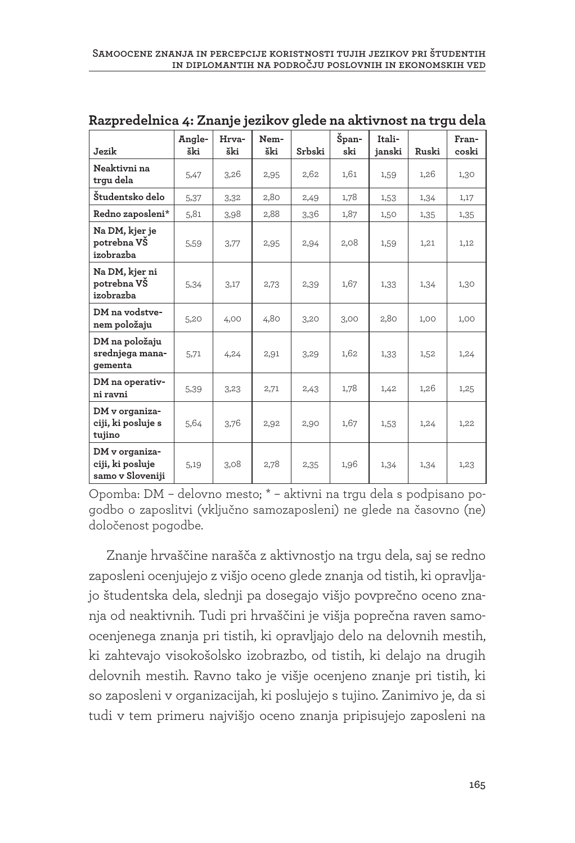| Jezik                                                  | Angle-<br>ški | Hrva-<br>ški | Nem-<br>ški | Srbski | Špan-<br>ski | Itali-<br>janski | Ruski | Fran-<br>coski |
|--------------------------------------------------------|---------------|--------------|-------------|--------|--------------|------------------|-------|----------------|
| Neaktivni na<br>trqu dela                              | 5,47          | 3,26         | 2,95        | 2,62   | 1,61         | 1,59             | 1,26  | 1,30           |
| Študentsko delo                                        | 5,37          | 3,32         | 2,80        | 2,49   | 1,78         | 1,53             | 1,34  | 1,17           |
| Redno zaposleni*                                       | 5,81          | 3,98         | 2,88        | 3,36   | 1,87         | 1,50             | 1,35  | 1,35           |
| Na DM, kjer je<br>potrebna VŠ<br>izobrazba             | 5,59          | 3,77         | 2,95        | 2,94   | 2,08         | 1,59             | 1,21  | 1,12           |
| Na DM, kjer ni<br>potrebna VŠ<br>izobrazba             | 5,34          | 3,17         | 2,73        | 2,39   | 1,67         | 1,33             | 1,34  | 1,30           |
| DM na vodstve-<br>nem položaju                         | 5,20          | 4,00         | 4,80        | 3,20   | 3,00         | 2,80             | 1,00  | 1,00           |
| DM na položaju<br>srednjega mana-<br>gementa           | 5,71          | 4,24         | 2,91        | 3,29   | 1,62         | 1,33             | 1,52  | 1,24           |
| DM na operativ-<br>ni ravni                            | 5,39          | 3,23         | 2,71        | 2,43   | 1,78         | 1,42             | 1,26  | 1,25           |
| DM v organiza-<br>ciji, ki posluje s<br>tujino         | 5,64          | 3,76         | 2,92        | 2,90   | 1,67         | 1,53             | 1,24  | 1,22           |
| DM v organiza-<br>ciji, ki posluje<br>samo v Sloveniji | 5,19          | 3,08         | 2,78        | 2,35   | 1,96         | 1,34             | 1,34  | 1,23           |

**Razpredelnica 4: Znanje jezikov glede na aktivnost na trgu dela**

Opomba: DM – delovno mesto; \* – aktivni na trgu dela s podpisano pogodbo o zaposlitvi (vključno samozaposleni) ne glede na časovno (ne) določenost pogodbe.

Znanje hrvaščine narašča z aktivnostjo na trgu dela, saj se redno zaposleni ocenjujejo z višjo oceno glede znanja od tistih, ki opravljajo študentska dela, slednji pa dosegajo višjo povprečno oceno znanja od neaktivnih. Tudi pri hrvaščini je višja poprečna raven samoocenjenega znanja pri tistih, ki opravljajo delo na delovnih mestih, ki zahtevajo visokošolsko izobrazbo, od tistih, ki delajo na drugih delovnih mestih. Ravno tako je višje ocenjeno znanje pri tistih, ki so zaposleni v organizacijah, ki poslujejo s tujino. Zanimivo je, da si tudi v tem primeru najvišjo oceno znanja pripisujejo zaposleni na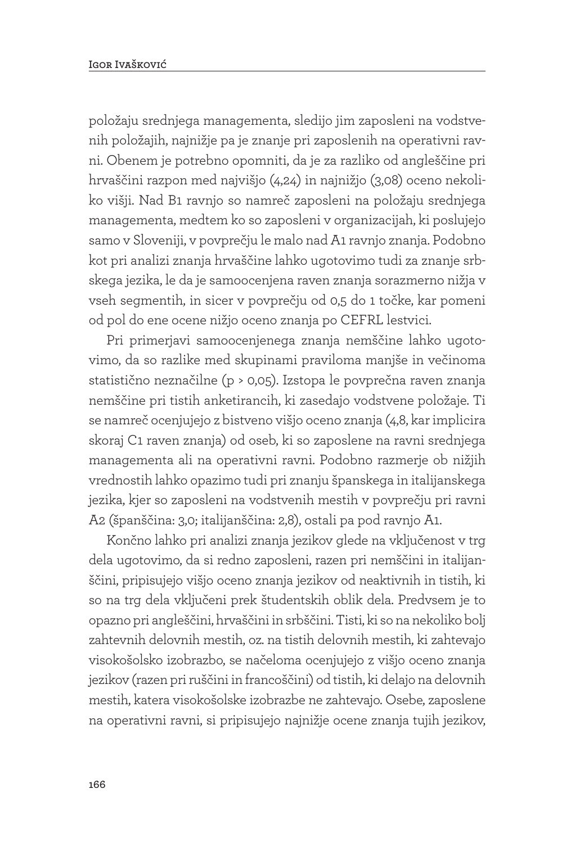položaju srednjega managementa, sledijo jim zaposleni na vodstvenih položajih, najnižje pa je znanje pri zaposlenih na operativni ravni. Obenem je potrebno opomniti, da je za razliko od angleščine pri hrvaščini razpon med najvišjo (4,24) in najnižjo (3,08) oceno nekoliko višji. Nad B1 ravnjo so namreč zaposleni na položaju srednjega managementa, medtem ko so zaposleni v organizacijah, ki poslujejo samo v Sloveniji, v povprečju le malo nad A1 ravnjo znanja. Podobno kot pri analizi znanja hrvaščine lahko ugotovimo tudi za znanje srbskega jezika, le da je samoocenjena raven znanja sorazmerno nižja v vseh segmentih, in sicer v povprečju od 0,5 do 1 točke, kar pomeni od pol do ene ocene nižjo oceno znanja po CEFRL lestvici.

Pri primerjavi samoocenjenega znanja nemščine lahko ugotovimo, da so razlike med skupinami praviloma manjše in večinoma statistično neznačilne (p > 0,05). Izstopa le povprečna raven znanja nemščine pri tistih anketirancih, ki zasedajo vodstvene položaje. Ti se namreč ocenjujejo z bistveno višjo oceno znanja (4,8, kar implicira skoraj C1 raven znanja) od oseb, ki so zaposlene na ravni srednjega managementa ali na operativni ravni. Podobno razmerje ob nižjih vrednostih lahko opazimo tudi pri znanju španskega in italijanskega jezika, kjer so zaposleni na vodstvenih mestih v povprečju pri ravni A2 (španščina: 3,0; italijanščina: 2,8), ostali pa pod ravnjo A1.

Končno lahko pri analizi znanja jezikov glede na vključenost v trg dela ugotovimo, da si redno zaposleni, razen pri nemščini in italijanščini, pripisujejo višjo oceno znanja jezikov od neaktivnih in tistih, ki so na trg dela vključeni prek študentskih oblik dela. Predvsem je to opazno pri angleščini, hrvaščini in srbščini. Tisti, ki so na nekoliko bolj zahtevnih delovnih mestih, oz. na tistih delovnih mestih, ki zahtevajo visokošolsko izobrazbo, se načeloma ocenjujejo z višjo oceno znanja jezikov (razen pri ruščini in francoščini) od tistih, ki delajo na delovnih mestih, katera visokošolske izobrazbe ne zahtevajo. Osebe, zaposlene na operativni ravni, si pripisujejo najnižje ocene znanja tujih jezikov,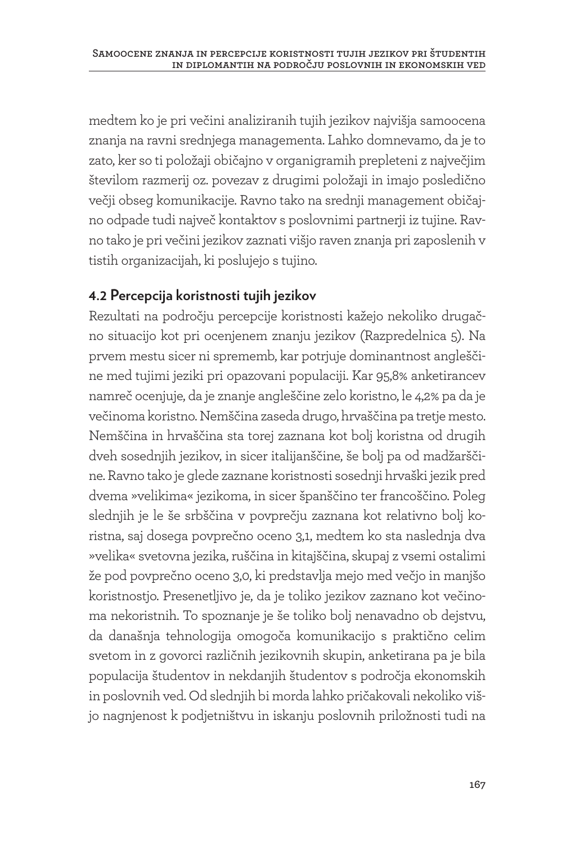medtem ko je pri večini analiziranih tujih jezikov najvišja samoocena znanja na ravni srednjega managementa. Lahko domnevamo, da je to zato, ker so ti položaji običajno v organigramih prepleteni z največjim številom razmerij oz. povezav z drugimi položaji in imajo posledično večji obseg komunikacije. Ravno tako na srednji management običajno odpade tudi največ kontaktov s poslovnimi partnerji iz tujine. Ravno tako je pri večini jezikov zaznati višjo raven znanja pri zaposlenih v tistih organizacijah, ki poslujejo s tujino.

#### **4.2 Percepcija koristnosti tujih jezikov**

Rezultati na področju percepcije koristnosti kažejo nekoliko drugačno situacijo kot pri ocenjenem znanju jezikov (Razpredelnica 5). Na prvem mestu sicer ni sprememb, kar potrjuje dominantnost angleščine med tujimi jeziki pri opazovani populaciji. Kar 95,8% anketirancev namreč ocenjuje, da je znanje angleščine zelo koristno, le 4,2% pa da je večinoma koristno. Nemščina zaseda drugo, hrvaščina pa tretje mesto. Nemščina in hrvaščina sta torej zaznana kot bolj koristna od drugih dveh sosednjih jezikov, in sicer italijanščine, še bolj pa od madžarščine. Ravno tako je glede zaznane koristnosti sosednji hrvaški jezik pred dvema »velikima« jezikoma, in sicer španščino ter francoščino. Poleg slednjih je le še srbščina v povprečju zaznana kot relativno bolj koristna, saj dosega povprečno oceno 3,1, medtem ko sta naslednja dva »velika« svetovna jezika, ruščina in kitajščina, skupaj z vsemi ostalimi že pod povprečno oceno 3,0, ki predstavlja mejo med večjo in manjšo koristnostjo. Presenetljivo je, da je toliko jezikov zaznano kot večinoma nekoristnih. To spoznanje je še toliko bolj nenavadno ob dejstvu, da današnja tehnologija omogoča komunikacijo s praktično celim svetom in z govorci različnih jezikovnih skupin, anketirana pa je bila populacija študentov in nekdanjih študentov s področja ekonomskih in poslovnih ved. Od slednjih bi morda lahko pričakovali nekoliko višjo nagnjenost k podjetništvu in iskanju poslovnih priložnosti tudi na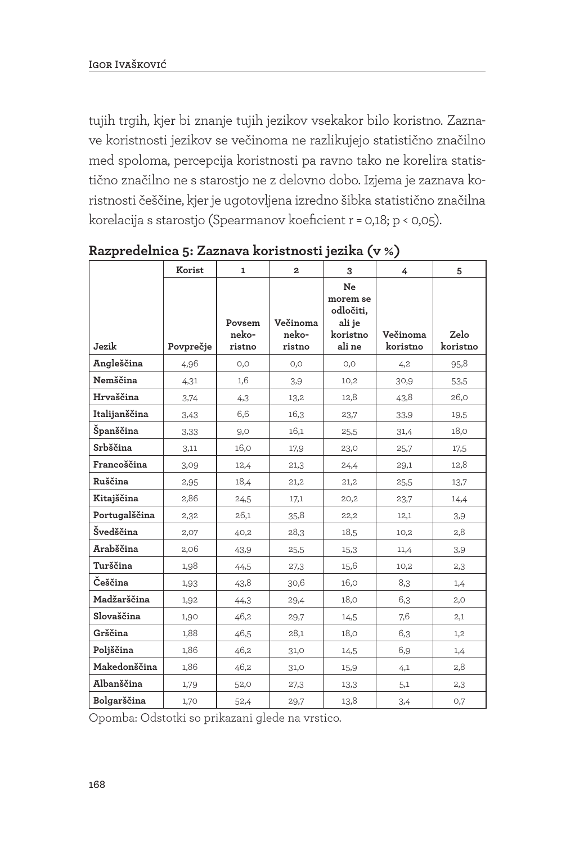tujih trgih, kjer bi znanje tujih jezikov vsekakor bilo koristno. Zaznave koristnosti jezikov se večinoma ne razlikujejo statistično značilno med spoloma, percepcija koristnosti pa ravno tako ne korelira statistično značilno ne s starostjo ne z delovno dobo. Izjema je zaznava koristnosti češčine, kjer je ugotovljena izredno šibka statistično značilna korelacija s starostjo (Spearmanov koeficient r = 0,18; p < 0,05).

|               | Korist    | $\mathbf{1}$              | $\mathbf{2}$                | 3                                                           | 4                    | 5                |
|---------------|-----------|---------------------------|-----------------------------|-------------------------------------------------------------|----------------------|------------------|
| Jezik         | Povprečje | Povsem<br>neko-<br>ristno | Večinoma<br>neko-<br>ristno | Ne<br>morem se<br>odločiti.<br>ali je<br>koristno<br>ali ne | Večinoma<br>koristno | Zelo<br>koristno |
| Angleščina    | 4,96      | O, O                      | O, O                        | O, O                                                        | 4,2                  | 95,8             |
| Nemščina      | 4,31      | 1,6                       | 3,9                         | 10,2                                                        | 30,9                 | 53,5             |
| Hrvaščina     | 3,74      | 4,3                       | 13,2                        | 12,8                                                        | 43,8                 | 26,0             |
| Italijanščina | 3,43      | 6,6                       | 16,3                        | 23,7                                                        | 33,9                 | 19,5             |
| Španščina     | 3,33      | 9,0                       | 16,1                        | 25,5                                                        | 31,4                 | 18,0             |
| Srbščina      | 3,11      | 16,0                      | 17,9                        | 23,0                                                        | 25,7                 | 17,5             |
| Francoščina   | 3,09      | 12,4                      | 21,3                        | 24,4                                                        | 29,1                 | 12,8             |
| Ruščina       | 2,95      | 18,4                      | 21,2                        | 21,2                                                        | 25,5                 | 13,7             |
| Kitajščina    | 2,86      | 24,5                      | 17,1                        | 20,2                                                        | 23,7                 | 14,4             |
| Portugalščina | 2,32      | 26,1                      | 35,8                        | 22,2                                                        | 12,1                 | 3,9              |
| Švedščina     | 2,07      | 40,2                      | 28,3                        | 18,5                                                        | 10,2                 | 2,8              |
| Arabščina     | 2,06      | 43,9                      | 25,5                        | 15,3                                                        | 11,4                 | 3,9              |
| Turščina      | 1,98      | 44,5                      | 27,3                        | 15,6                                                        | 10,2                 | 2,3              |
| Češčina       | 1,93      | 43,8                      | 30,6                        | 16,0                                                        | 8,3                  | 1,4              |
| Madžarščina   | 1,92      | 44,3                      | 29,4                        | 18,0                                                        | 6,3                  | 2,0              |
| Slovaščina    | 1,90      | 46,2                      | 29,7                        | 14,5                                                        | 7,6                  | 2,1              |
| Grščina       | 1,88      | 46,5                      | 28,1                        | 18,0                                                        | 6,3                  | 1,2              |
| Poljščina     | 1,86      | 46,2                      | 31,0                        | 14,5                                                        | 6,9                  | 1,4              |
| Makedonščina  | 1,86      | 46,2                      | 31,0                        | 15,9                                                        | 4,1                  | 2,8              |
| Albanščina    | 1,79      | 52,0                      | 27,3                        | 13,3                                                        | 5,1                  | 2,3              |
| Bolgarščina   | 1,70      | 52,4                      | 29,7                        | 13,8                                                        | 3,4                  | 0,7              |

**Razpredelnica 5: Zaznava koristnosti jezika (v %)**

Opomba: Odstotki so prikazani glede na vrstico.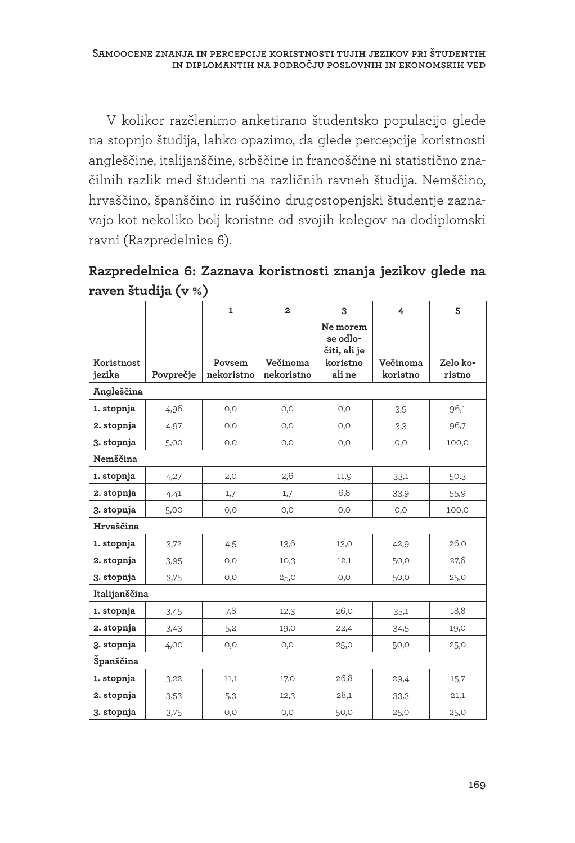V kolikor razčlenimo anketirano študentsko populacijo glede na stopnjo študija, lahko opazimo, da glede percepcije koristnosti angleščine, italijanščine, srbščine in francoščine ni statistično značilnih razlik med študenti na različnih ravneh študija. Nemščino, hrvaščino, španščino in ruščino drugostopenjski študentje zaznavajo kot nekoliko bolj koristne od svojih kolegov na dodiplomski ravni (Razpredelnica 6).

**Razpredelnica 6: Zaznava koristnosti znanja jezikov glede na raven študija (v %)**

|                      |           | $\mathbf{1}$         | $\mathbf{z}$           | 3                                                          | 4                    | 5                  |
|----------------------|-----------|----------------------|------------------------|------------------------------------------------------------|----------------------|--------------------|
| Koristnost<br>jezika | Povprečje | Povsem<br>nekoristno | Večinoma<br>nekoristno | Ne morem<br>se odlo-<br>čiti, ali je<br>koristno<br>ali ne | Večinoma<br>koristno | Zelo ko-<br>ristno |
| Angleščina           |           |                      |                        |                                                            |                      |                    |
| 1. stopnja           | 4,96      | O, O                 | O, O                   | O, O                                                       | 3.9                  | 96,1               |
| 2. stopnja           | 4,97      | O,O                  | 0,0                    | O, O                                                       | 3,3                  | 96.7               |
| 3. stopnja           | 5,00      | 0,0                  | 0,0                    | 0,0                                                        | 0,0                  | 100,0              |
| Nemščina             |           |                      |                        |                                                            |                      |                    |
| 1. stopnja           | 4,27      | 2,0                  | 2,6                    | 11,9                                                       | 33,1                 | 50,3               |
| 2. stopnja           | 4,41      | 1,7                  | 1,7                    | 6,8                                                        | 33,9                 | 55,9               |
| 3. stopnja           | 5,00      | O, O                 | O, O                   | O, O                                                       | O, O                 | 100,0              |
| Hrvaščina            |           |                      |                        |                                                            |                      |                    |
| 1. stopnja           | 3,72      | 4,5                  | 13,6                   | 13,0                                                       | 42,9                 | 26,0               |
| 2. stopnja           | 3,95      | O, O                 | 10,3                   | 12,1                                                       | 50,0                 | 27,6               |
| 3. stopnja           | 3,75      | 0,0                  | 25,0                   | 0,0                                                        | 50,0                 | 25,0               |
| Italijanščina        |           |                      |                        |                                                            |                      |                    |
| 1. stopnja           | 3,45      | 7,8                  | 12,3                   | 26,0                                                       | 35,1                 | 18,8               |
| 2. stopnja           | 3,43      | 5,2                  | 19,0                   | 22,4                                                       | 34,5                 | 19,0               |
| 3. stopnja           | 4,00      | O, O                 | O, O                   | 25,0                                                       | 50,0                 | 25,0               |
| Španščina            |           |                      |                        |                                                            |                      |                    |
| 1. stopnja           | 3,22      | 11,1                 | 17,0                   | 26,8                                                       | 29,4                 | 15,7               |
| 2. stopnja           | 3,53      | 5,3                  | 12,3                   | 28,1                                                       | 33,3                 | 21,1               |
| 3. stopnja           | 3,75      | O, O                 | O, O                   | 50,0                                                       | 25,0                 | 25,0               |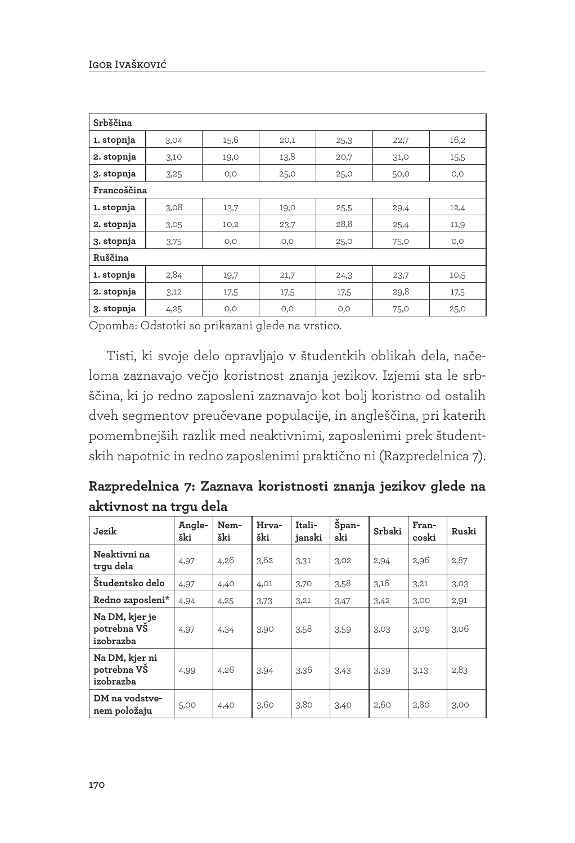| Srbščina    |      |      |      |      |      |      |  |  |  |  |
|-------------|------|------|------|------|------|------|--|--|--|--|
| 1. stopnja  | 3,04 | 15,6 | 20,1 | 25,3 | 22,7 | 16,2 |  |  |  |  |
| 2. stopnja  | 3,10 | 19,0 | 13,8 | 20,7 | 31,0 | 15,5 |  |  |  |  |
| 3. stopnja  | 3,25 | 0,0  | 25,0 | 25,0 | 50,0 | 0,0  |  |  |  |  |
| Francoščina |      |      |      |      |      |      |  |  |  |  |
| 1. stopnja  | 3,08 | 13,7 | 19,0 | 25,5 | 29,4 | 12,4 |  |  |  |  |
| 2. stopnja  | 3,05 | 10,2 | 23,7 | 28,8 | 25,4 | 11,9 |  |  |  |  |
| 3. stopnja  | 3,75 | 0,0  | 0,0  | 25,0 | 75,0 | 0,0  |  |  |  |  |
| Ruščina     |      |      |      |      |      |      |  |  |  |  |
| 1. stopnja  | 2,84 | 19,7 | 21,7 | 24,3 | 23,7 | 10,5 |  |  |  |  |
| 2. stopnja  | 3,12 | 17,5 | 17,5 | 17,5 | 29,8 | 17,5 |  |  |  |  |
| 3. stopnja  | 4,25 | 0,0  | 0,0  | 0,0  | 75,0 | 25,0 |  |  |  |  |

Opomba: Odstotki so prikazani glede na vrstico.

Tisti, ki svoje delo opravljajo v študentkih oblikah dela, načeloma zaznavajo večjo koristnost znanja jezikov. Izjemi sta le srbščina, ki jo redno zaposleni zaznavajo kot bolj koristno od ostalih dveh segmentov preučevane populacije, in angleščina, pri katerih pomembnejših razlik med neaktivnimi, zaposlenimi prek študentskih napotnic in redno zaposlenimi praktično ni (Razpredelnica 7).

**Razpredelnica 7: Zaznava koristnosti znanja jezikov glede na aktivnost na trgu dela**

| Jezik                                      | Angle-<br>ški | Nem-<br>ški | Hrva-<br>ški | Itali-<br>janski | Špan-<br>ski | Srbski | Fran-<br>coski | Ruski |
|--------------------------------------------|---------------|-------------|--------------|------------------|--------------|--------|----------------|-------|
| Neaktivni na<br>trqu dela                  | 4,97          | 4,26        | 3,62         | 3,31             | 3,02         | 2,94   | 2,96           | 2,87  |
| Študentsko delo                            | 4,97          | 4,40        | 4,01         | 3,70             | 3,58         | 3,16   | 3,21           | 3,03  |
| Redno zaposleni*                           | 4,94          | 4,25        | 3,73         | 3,21             | 3,47         | 3,42   | 3,00           | 2,91  |
| Na DM, kjer je<br>potrebna VŠ<br>izobrazba | 4,97          | 4,34        | 3,90         | 3,58             | 3,59         | 3,03   | 3,09           | 3,06  |
| Na DM, kjer ni<br>potrebna VŠ<br>izobrazba | 4,99          | 4,26        | 3,94         | 3,36             | 3,43         | 3,39   | 3,13           | 2,83  |
| DM na vodstve-<br>nem položaju             | 5,00          | 4,40        | 3,60         | 3,80             | 3,40         | 2,60   | 2,80           | 3,00  |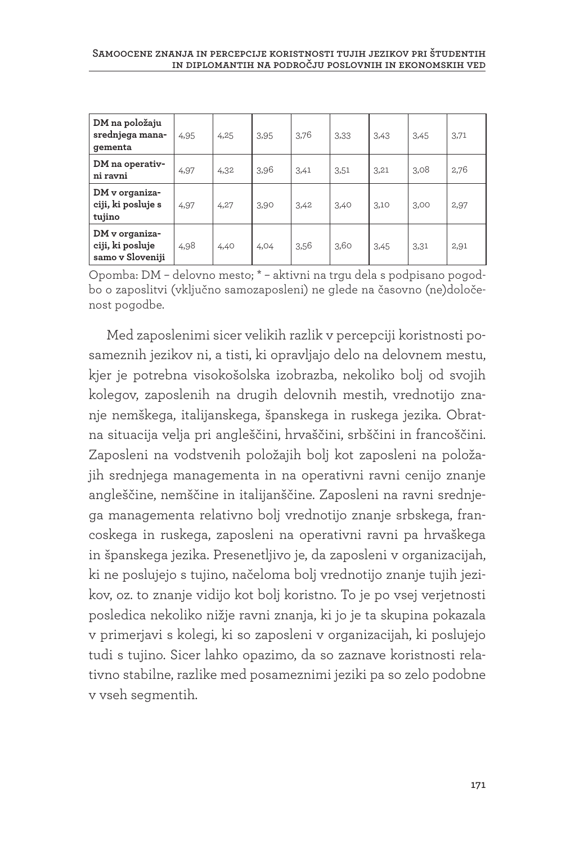| DM na položaju<br>srednjega mana-<br>gementa           | 4,95 | 4,25 | 3,95 | 3,76 | 3,33 | 3,43 | 3,45 | 3,71 |
|--------------------------------------------------------|------|------|------|------|------|------|------|------|
| DM na operativ-<br>ni ravni                            | 4,97 | 4,32 | 3,96 | 3,41 | 3,51 | 3,21 | 3,08 | 2,76 |
| DM v organiza-<br>ciji, ki posluje s<br>tujino         | 4,97 | 4,27 | 3,90 | 3,42 | 3,40 | 3,10 | 3,00 | 2,97 |
| DM v organiza-<br>ciji, ki posluje<br>samo v Sloveniji | 4,98 | 4,40 | 4,04 | 3,56 | 3,60 | 3,45 | 3.31 | 2,91 |

Opomba: DM – delovno mesto; \* – aktivni na trgu dela s podpisano pogodbo o zaposlitvi (vključno samozaposleni) ne glede na časovno (ne)določenost pogodbe.

Med zaposlenimi sicer velikih razlik v percepciji koristnosti posameznih jezikov ni, a tisti, ki opravljajo delo na delovnem mestu, kjer je potrebna visokošolska izobrazba, nekoliko bolj od svojih kolegov, zaposlenih na drugih delovnih mestih, vrednotijo znanje nemškega, italijanskega, španskega in ruskega jezika. Obratna situacija velja pri angleščini, hrvaščini, srbščini in francoščini. Zaposleni na vodstvenih položajih bolj kot zaposleni na položajih srednjega managementa in na operativni ravni cenijo znanje angleščine, nemščine in italijanščine. Zaposleni na ravni srednjega managementa relativno bolj vrednotijo znanje srbskega, francoskega in ruskega, zaposleni na operativni ravni pa hrvaškega in španskega jezika. Presenetljivo je, da zaposleni v organizacijah, ki ne poslujejo s tujino, načeloma bolj vrednotijo znanje tujih jezikov, oz. to znanje vidijo kot bolj koristno. To je po vsej verjetnosti posledica nekoliko nižje ravni znanja, ki jo je ta skupina pokazala v primerjavi s kolegi, ki so zaposleni v organizacijah, ki poslujejo tudi s tujino. Sicer lahko opazimo, da so zaznave koristnosti relativno stabilne, razlike med posameznimi jeziki pa so zelo podobne v vseh segmentih.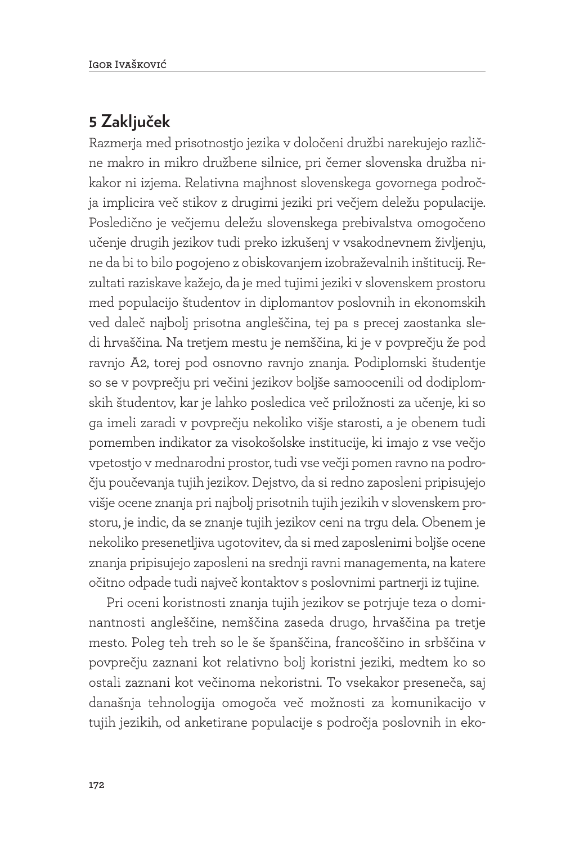### **5 Zaključek**

Razmerja med prisotnostjo jezika v določeni družbi narekujejo različne makro in mikro družbene silnice, pri čemer slovenska družba nikakor ni izjema. Relativna majhnost slovenskega govornega področja implicira več stikov z drugimi jeziki pri večjem deležu populacije. Posledično je večjemu deležu slovenskega prebivalstva omogočeno učenje drugih jezikov tudi preko izkušenj v vsakodnevnem življenju, ne da bi to bilo pogojeno z obiskovanjem izobraževalnih inštitucij. Rezultati raziskave kažejo, da je med tujimi jeziki v slovenskem prostoru med populacijo študentov in diplomantov poslovnih in ekonomskih ved daleč najbolj prisotna angleščina, tej pa s precej zaostanka sledi hrvaščina. Na tretjem mestu je nemščina, ki je v povprečju že pod ravnjo A2, torej pod osnovno ravnjo znanja. Podiplomski študentje so se v povprečju pri večini jezikov boljše samoocenili od dodiplomskih študentov, kar je lahko posledica več priložnosti za učenje, ki so ga imeli zaradi v povprečju nekoliko višje starosti, a je obenem tudi pomemben indikator za visokošolske institucije, ki imajo z vse večjo vpetostjo v mednarodni prostor, tudi vse večji pomen ravno na področju poučevanja tujih jezikov. Dejstvo, da si redno zaposleni pripisujejo višje ocene znanja pri najbolj prisotnih tujih jezikih v slovenskem prostoru, je indic, da se znanje tujih jezikov ceni na trgu dela. Obenem je nekoliko presenetljiva ugotovitev, da si med zaposlenimi boljše ocene znanja pripisujejo zaposleni na srednji ravni managementa, na katere očitno odpade tudi največ kontaktov s poslovnimi partnerji iz tujine.

Pri oceni koristnosti znanja tujih jezikov se potrjuje teza o dominantnosti angleščine, nemščina zaseda drugo, hrvaščina pa tretje mesto. Poleg teh treh so le še španščina, francoščino in srbščina v povprečju zaznani kot relativno bolj koristni jeziki, medtem ko so ostali zaznani kot večinoma nekoristni. To vsekakor preseneča, saj današnja tehnologija omogoča več možnosti za komunikacijo v tujih jezikih, od anketirane populacije s področja poslovnih in eko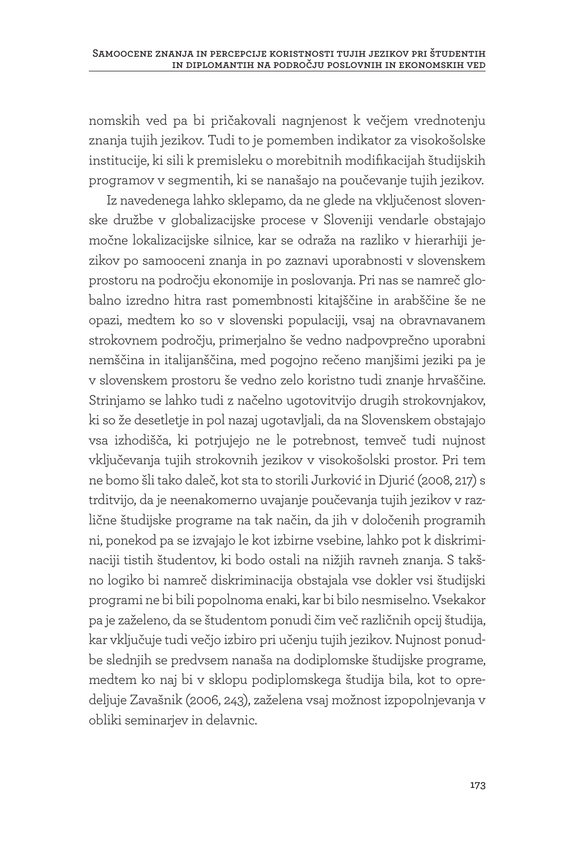nomskih ved pa bi pričakovali nagnjenost k večjem vrednotenju znanja tujih jezikov. Tudi to je pomemben indikator za visokošolske institucije, ki sili k premisleku o morebitnih modifikacijah študijskih programov v segmentih, ki se nanašajo na poučevanje tujih jezikov.

Iz navedenega lahko sklepamo, da ne glede na vključenost slovenske družbe v globalizacijske procese v Sloveniji vendarle obstajajo močne lokalizacijske silnice, kar se odraža na razliko v hierarhiji jezikov po samooceni znanja in po zaznavi uporabnosti v slovenskem prostoru na področju ekonomije in poslovanja. Pri nas se namreč globalno izredno hitra rast pomembnosti kitajščine in arabščine še ne opazi, medtem ko so v slovenski populaciji, vsaj na obravnavanem strokovnem področju, primerjalno še vedno nadpovprečno uporabni nemščina in italijanščina, med pogojno rečeno manjšimi jeziki pa je v slovenskem prostoru še vedno zelo koristno tudi znanje hrvaščine. Strinjamo se lahko tudi z načelno ugotovitvijo drugih strokovnjakov, ki so že desetletje in pol nazaj ugotavljali, da na Slovenskem obstajajo vsa izhodišča, ki potrjujejo ne le potrebnost, temveč tudi nujnost vključevanja tujih strokovnih jezikov v visokošolski prostor. Pri tem ne bomo šli tako daleč, kot sta to storili Jurković in Djurić (2008, 217) s trditvijo, da je neenakomerno uvajanje poučevanja tujih jezikov v različne študijske programe na tak način, da jih v določenih programih ni, ponekod pa se izvajajo le kot izbirne vsebine, lahko pot k diskriminaciji tistih študentov, ki bodo ostali na nižjih ravneh znanja. S takšno logiko bi namreč diskriminacija obstajala vse dokler vsi študijski programi ne bi bili popolnoma enaki, kar bi bilo nesmiselno. Vsekakor pa je zaželeno, da se študentom ponudi čim več različnih opcij študija, kar vključuje tudi večjo izbiro pri učenju tujih jezikov. Nujnost ponudbe slednjih se predvsem nanaša na dodiplomske študijske programe, medtem ko naj bi v sklopu podiplomskega študija bila, kot to opredeljuje Zavašnik (2006, 243), zaželena vsaj možnost izpopolnjevanja v obliki seminarjev in delavnic.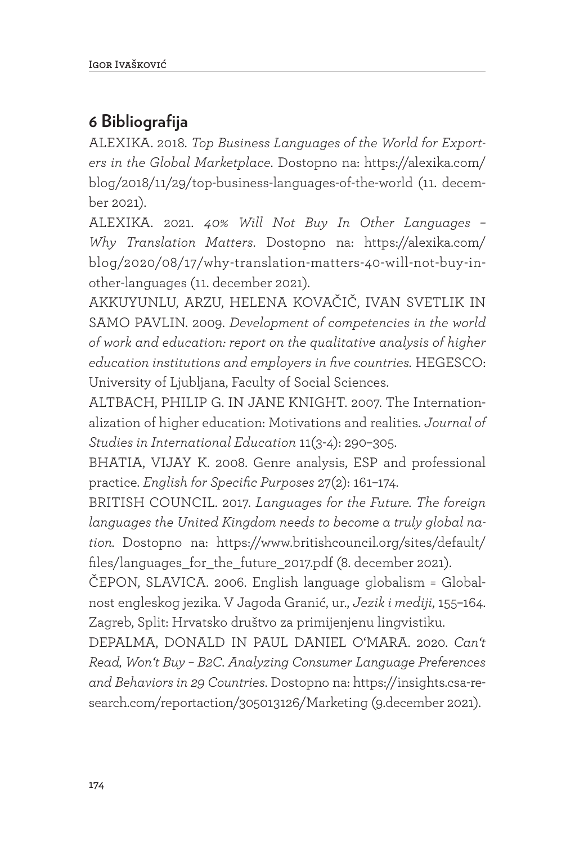## **6 Bibliografija**

ALEXIKA. 2018. *Top Business Languages of the World for Exporters in the Global Marketplace*. Dostopno na: https://alexika.com/ blog/2018/11/29/top-business-languages-of-the-world (11. december 2021).

ALEXIKA. 2021. *40% Will Not Buy In Other Languages – Why Translation Matters*. Dostopno na: https://alexika.com/ blog/2020/08/17/why-translation-matters-40-will-not-buy-inother-languages (11. december 2021).

AKKUYUNLU, ARZU, HELENA KOVAČIČ, IVAN SVETLIK IN SAMO PAVLIN. 2009. *Development of competencies in the world of work and education: report on the qualitative analysis of higher education institutions and employers in five countries.* HEGESCO: University of Ljubljana, Faculty of Social Sciences.

ALTBACH, PHILIP G. IN JANE KNIGHT. 2007. The Internationalization of higher education: Motivations and realities. *Journal of Studies in International Education* 11(3-4): 290–305.

BHATIA, VIJAY K. 2008. Genre analysis, ESP and professional practice. *English for Specific Purposes* 27(2): 161–174.

BRITISH COUNCIL. 2017. *Languages for the Future. The foreign languages the United Kingdom needs to become a truly global nation.* Dostopno na: https://www.britishcouncil.org/sites/default/ files/languages\_for\_the\_future\_2017.pdf (8. december 2021).

ČEPON, SLAVICA. 2006. English language globalism = Globalnost engleskog jezika. V Jagoda Granić, ur., *Jezik i mediji*, 155–164. Zagreb, Split: Hrvatsko društvo za primijenjenu lingvistiku.

DEPALMA, DONALD IN PAUL DANIEL O'MARA. 2020. *Can't Read, Won't Buy – B2C. Analyzing Consumer Language Preferences and Behaviors in 29 Countries*. Dostopno na: https://insights.csa-research.com/reportaction/305013126/Marketing (9.december 2021).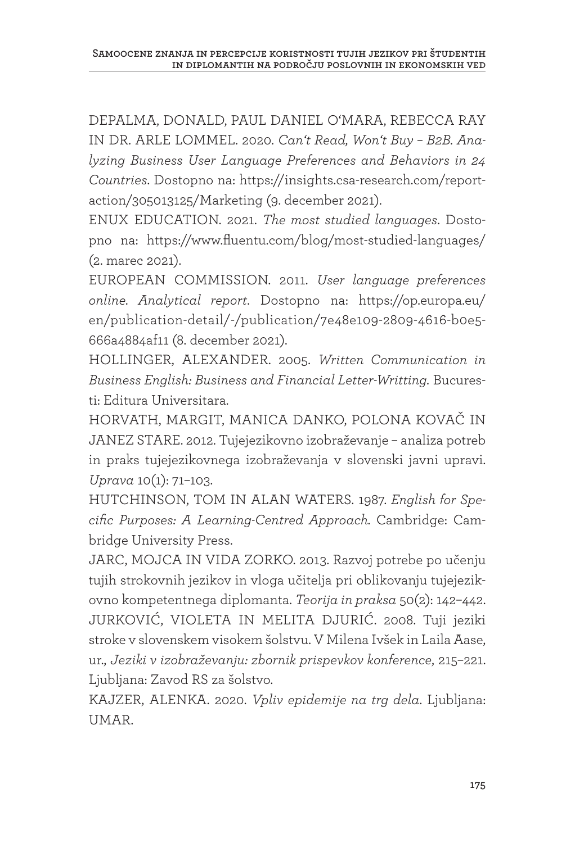DEPALMA, DONALD, PAUL DANIEL O'MARA, REBECCA RAY IN DR. ARLE LOMMEL. 2020. *Can't Read, Won't Buy – B2B. Analyzing Business User Language Preferences and Behaviors in 24 Countries*. Dostopno na: https://insights.csa-research.com/reportaction/305013125/Marketing (9. december 2021).

ENUX EDUCATION. 2021. *The most studied languages*. Dostopno na: https://www.fluentu.com/blog/most-studied-languages/ (2. marec 2021).

EUROPEAN COMMISSION. 2011. *User language preferences online. Analytical report*. Dostopno na: https://op.europa.eu/ en/publication-detail/-/publication/7e48e109-2809-4616-b0e5- 666a4884af11 (8. december 2021).

HOLLINGER, ALEXANDER. 2005. *Written Communication in Business English: Business and Financial Letter-Writting.* Bucuresti: Editura Universitara.

HORVATH, MARGIT, MANICA DANKO, POLONA KOVAČ IN JANEZ STARE. 2012. Tujejezikovno izobraževanje – analiza potreb in praks tujejezikovnega izobraževanja v slovenski javni upravi. *Uprava* 10(1): 71–103.

HUTCHINSON, TOM IN ALAN WATERS. 1987. *English for Specific Purposes: A Learning-Centred Approach.* Cambridge: Cambridge University Press.

JARC, MOJCA IN VIDA ZORKO. 2013. Razvoj potrebe po učenju tujih strokovnih jezikov in vloga učitelja pri oblikovanju tujejezikovno kompetentnega diplomanta. *Teorija in praksa* 50(2): 142–442. JURKOVIĆ, VIOLETA IN MELITA DJURIĆ. 2008. Tuji jeziki stroke v slovenskem visokem šolstvu. V Milena Ivšek in Laila Aase, ur., *Jeziki v izobraževanju: zbornik prispevkov konference*, 215–221. Ljubljana: Zavod RS za šolstvo.

KAJZER, ALENKA. 2020. *Vpliv epidemije na trg dela*. Ljubljana: UMAR.